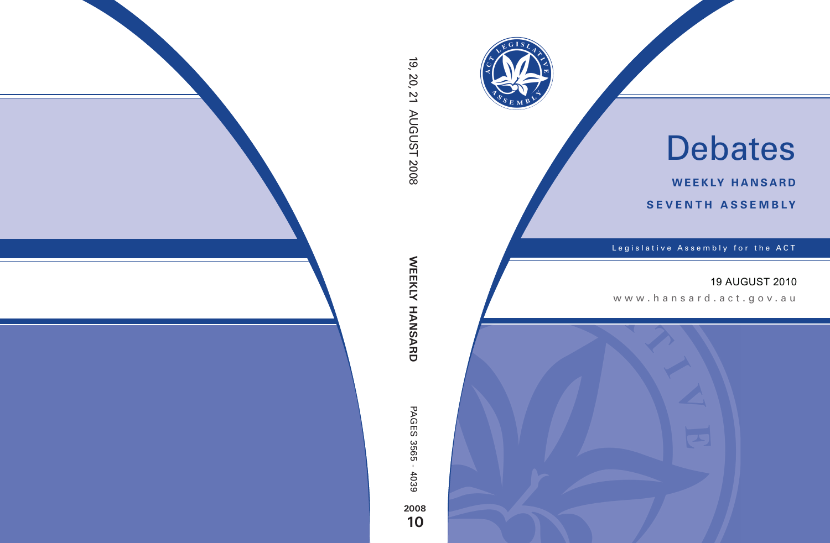

# Debates

**weekly hansard seventh asseMBly**

Legislative Assembly for the ACT

# 19 AUGUST 2010

www .hansard.act.go v.au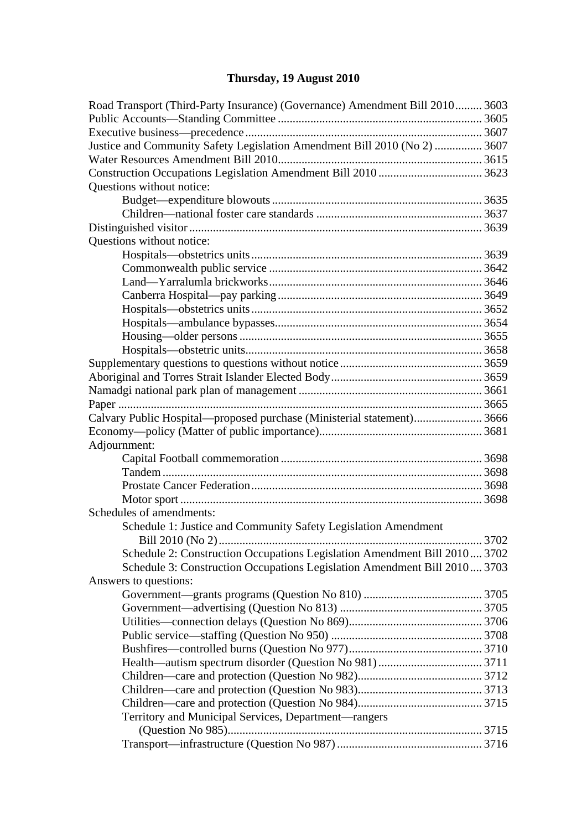# **[Thursday, 19 August 2010](#page-3-0)**

| Road Transport (Third-Party Insurance) (Governance) Amendment Bill 2010 3603 |  |
|------------------------------------------------------------------------------|--|
|                                                                              |  |
|                                                                              |  |
| Justice and Community Safety Legislation Amendment Bill 2010 (No 2)  3607    |  |
|                                                                              |  |
|                                                                              |  |
| Questions without notice:                                                    |  |
|                                                                              |  |
|                                                                              |  |
|                                                                              |  |
| Questions without notice:                                                    |  |
|                                                                              |  |
|                                                                              |  |
|                                                                              |  |
|                                                                              |  |
|                                                                              |  |
|                                                                              |  |
|                                                                              |  |
|                                                                              |  |
|                                                                              |  |
|                                                                              |  |
|                                                                              |  |
|                                                                              |  |
| Calvary Public Hospital—proposed purchase (Ministerial statement) 3666       |  |
|                                                                              |  |
| Adjournment:                                                                 |  |
|                                                                              |  |
|                                                                              |  |
|                                                                              |  |
|                                                                              |  |
| Schedules of amendments:                                                     |  |
| Schedule 1: Justice and Community Safety Legislation Amendment               |  |
|                                                                              |  |
| Schedule 2: Construction Occupations Legislation Amendment Bill 2010 3702    |  |
| Schedule 3: Construction Occupations Legislation Amendment Bill 2010 3703    |  |
| Answers to questions:                                                        |  |
|                                                                              |  |
|                                                                              |  |
|                                                                              |  |
|                                                                              |  |
|                                                                              |  |
|                                                                              |  |
|                                                                              |  |
|                                                                              |  |
|                                                                              |  |
| Territory and Municipal Services, Department—rangers                         |  |
|                                                                              |  |
|                                                                              |  |
|                                                                              |  |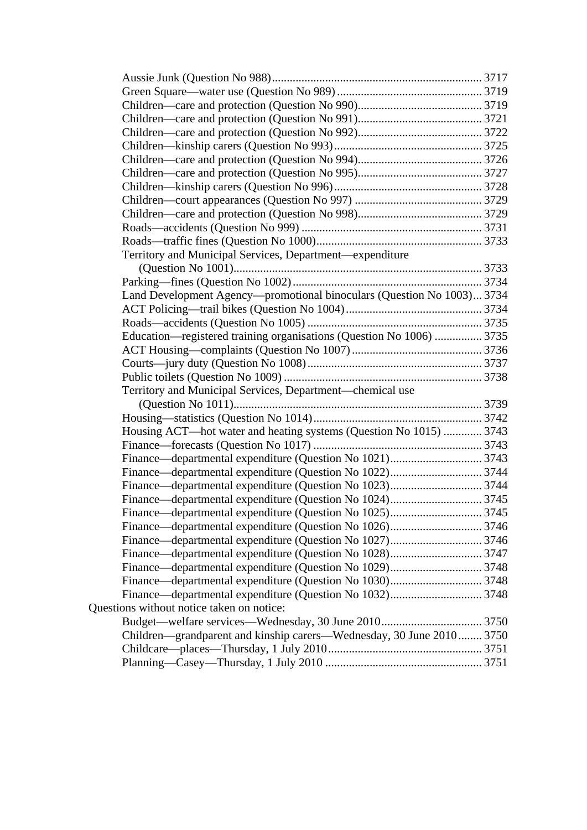| Territory and Municipal Services, Department—expenditure               |  |
|------------------------------------------------------------------------|--|
|                                                                        |  |
|                                                                        |  |
|                                                                        |  |
| Land Development Agency—promotional binoculars (Question No 1003) 3734 |  |
|                                                                        |  |
|                                                                        |  |
| Education—registered training organisations (Question No 1006)  3735   |  |
|                                                                        |  |
|                                                                        |  |
|                                                                        |  |
| Territory and Municipal Services, Department—chemical use              |  |
|                                                                        |  |
|                                                                        |  |
| Housing ACT-hot water and heating systems (Question No 1015)  3743     |  |
|                                                                        |  |
|                                                                        |  |
|                                                                        |  |
|                                                                        |  |
|                                                                        |  |
|                                                                        |  |
|                                                                        |  |
|                                                                        |  |
|                                                                        |  |
|                                                                        |  |
|                                                                        |  |
|                                                                        |  |
| Questions without notice taken on notice:                              |  |
|                                                                        |  |
| Children—grandparent and kinship carers—Wednesday, 30 June 2010 3750   |  |
|                                                                        |  |
|                                                                        |  |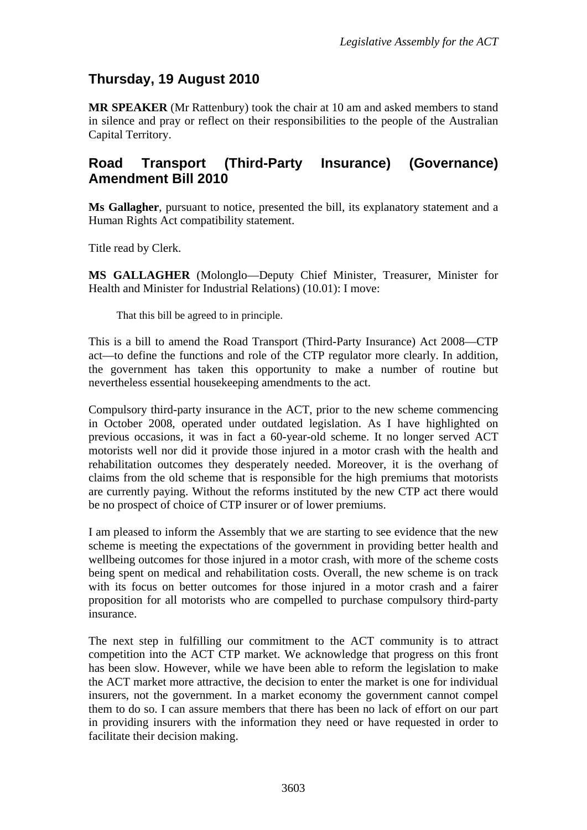# <span id="page-3-0"></span>**Thursday, 19 August 2010**

**MR SPEAKER** (Mr Rattenbury) took the chair at 10 am and asked members to stand in silence and pray or reflect on their responsibilities to the people of the Australian Capital Territory.

# <span id="page-3-1"></span>**Road Transport (Third-Party Insurance) (Governance) Amendment Bill 2010**

**Ms Gallagher**, pursuant to notice, presented the bill, its explanatory statement and a Human Rights Act compatibility statement.

Title read by Clerk.

**MS GALLAGHER** (Molonglo—Deputy Chief Minister, Treasurer, Minister for Health and Minister for Industrial Relations) (10.01): I move:

That this bill be agreed to in principle.

This is a bill to amend the Road Transport (Third-Party Insurance) Act 2008—CTP act—to define the functions and role of the CTP regulator more clearly. In addition, the government has taken this opportunity to make a number of routine but nevertheless essential housekeeping amendments to the act.

Compulsory third-party insurance in the ACT, prior to the new scheme commencing in October 2008, operated under outdated legislation. As I have highlighted on previous occasions, it was in fact a 60-year-old scheme. It no longer served ACT motorists well nor did it provide those injured in a motor crash with the health and rehabilitation outcomes they desperately needed. Moreover, it is the overhang of claims from the old scheme that is responsible for the high premiums that motorists are currently paying. Without the reforms instituted by the new CTP act there would be no prospect of choice of CTP insurer or of lower premiums.

I am pleased to inform the Assembly that we are starting to see evidence that the new scheme is meeting the expectations of the government in providing better health and wellbeing outcomes for those injured in a motor crash, with more of the scheme costs being spent on medical and rehabilitation costs. Overall, the new scheme is on track with its focus on better outcomes for those injured in a motor crash and a fairer proposition for all motorists who are compelled to purchase compulsory third-party insurance.

The next step in fulfilling our commitment to the ACT community is to attract competition into the ACT CTP market. We acknowledge that progress on this front has been slow. However, while we have been able to reform the legislation to make the ACT market more attractive, the decision to enter the market is one for individual insurers, not the government. In a market economy the government cannot compel them to do so. I can assure members that there has been no lack of effort on our part in providing insurers with the information they need or have requested in order to facilitate their decision making.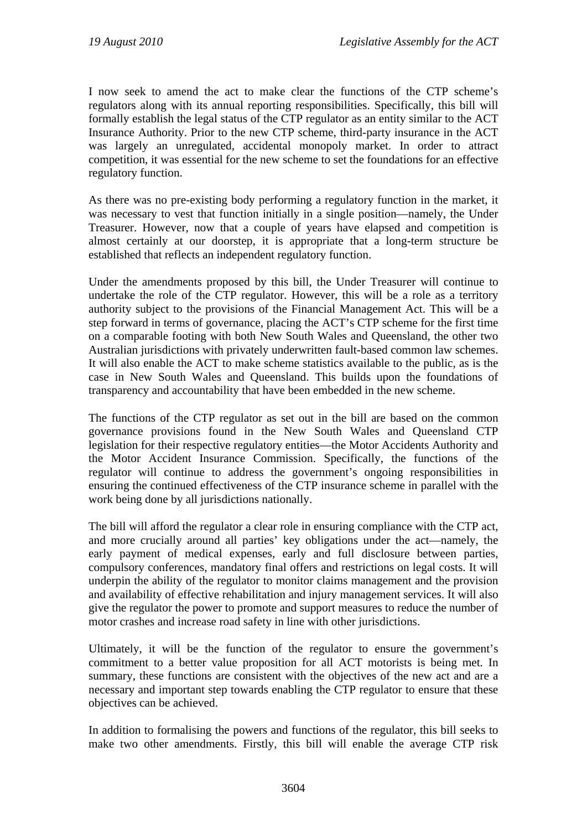I now seek to amend the act to make clear the functions of the CTP scheme's regulators along with its annual reporting responsibilities. Specifically, this bill will formally establish the legal status of the CTP regulator as an entity similar to the ACT Insurance Authority. Prior to the new CTP scheme, third-party insurance in the ACT was largely an unregulated, accidental monopoly market. In order to attract competition, it was essential for the new scheme to set the foundations for an effective regulatory function.

As there was no pre-existing body performing a regulatory function in the market, it was necessary to vest that function initially in a single position—namely, the Under Treasurer. However, now that a couple of years have elapsed and competition is almost certainly at our doorstep, it is appropriate that a long-term structure be established that reflects an independent regulatory function.

Under the amendments proposed by this bill, the Under Treasurer will continue to undertake the role of the CTP regulator. However, this will be a role as a territory authority subject to the provisions of the Financial Management Act. This will be a step forward in terms of governance, placing the ACT's CTP scheme for the first time on a comparable footing with both New South Wales and Queensland, the other two Australian jurisdictions with privately underwritten fault-based common law schemes. It will also enable the ACT to make scheme statistics available to the public, as is the case in New South Wales and Queensland. This builds upon the foundations of transparency and accountability that have been embedded in the new scheme.

The functions of the CTP regulator as set out in the bill are based on the common governance provisions found in the New South Wales and Queensland CTP legislation for their respective regulatory entities—the Motor Accidents Authority and the Motor Accident Insurance Commission. Specifically, the functions of the regulator will continue to address the government's ongoing responsibilities in ensuring the continued effectiveness of the CTP insurance scheme in parallel with the work being done by all jurisdictions nationally.

The bill will afford the regulator a clear role in ensuring compliance with the CTP act, and more crucially around all parties' key obligations under the act—namely, the early payment of medical expenses, early and full disclosure between parties, compulsory conferences, mandatory final offers and restrictions on legal costs. It will underpin the ability of the regulator to monitor claims management and the provision and availability of effective rehabilitation and injury management services. It will also give the regulator the power to promote and support measures to reduce the number of motor crashes and increase road safety in line with other jurisdictions.

Ultimately, it will be the function of the regulator to ensure the government's commitment to a better value proposition for all ACT motorists is being met. In summary, these functions are consistent with the objectives of the new act and are a necessary and important step towards enabling the CTP regulator to ensure that these objectives can be achieved.

In addition to formalising the powers and functions of the regulator, this bill seeks to make two other amendments. Firstly, this bill will enable the average CTP risk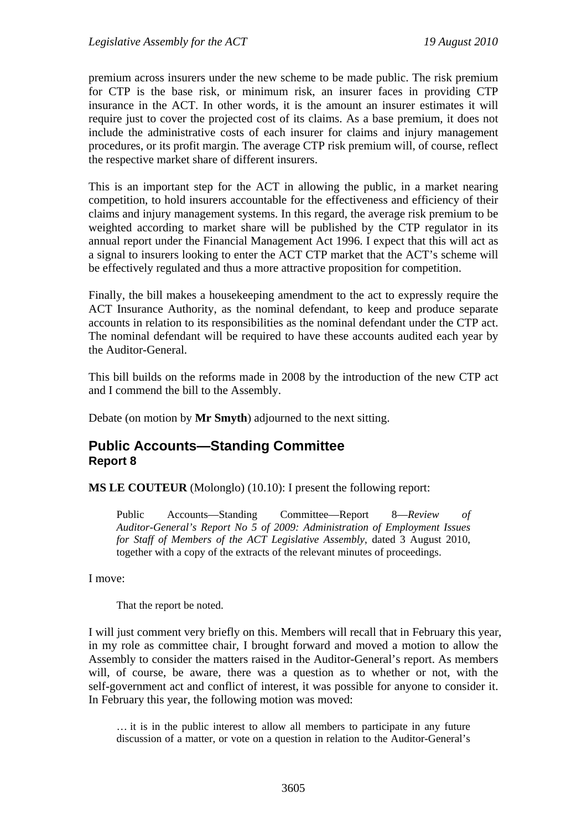premium across insurers under the new scheme to be made public. The risk premium for CTP is the base risk, or minimum risk, an insurer faces in providing CTP insurance in the ACT. In other words, it is the amount an insurer estimates it will require just to cover the projected cost of its claims. As a base premium, it does not include the administrative costs of each insurer for claims and injury management procedures, or its profit margin. The average CTP risk premium will, of course, reflect the respective market share of different insurers.

This is an important step for the ACT in allowing the public, in a market nearing competition, to hold insurers accountable for the effectiveness and efficiency of their claims and injury management systems. In this regard, the average risk premium to be weighted according to market share will be published by the CTP regulator in its annual report under the Financial Management Act 1996. I expect that this will act as a signal to insurers looking to enter the ACT CTP market that the ACT's scheme will be effectively regulated and thus a more attractive proposition for competition.

Finally, the bill makes a housekeeping amendment to the act to expressly require the ACT Insurance Authority, as the nominal defendant, to keep and produce separate accounts in relation to its responsibilities as the nominal defendant under the CTP act. The nominal defendant will be required to have these accounts audited each year by the Auditor-General.

This bill builds on the reforms made in 2008 by the introduction of the new CTP act and I commend the bill to the Assembly.

Debate (on motion by **Mr Smyth**) adjourned to the next sitting.

#### <span id="page-5-0"></span>**Public Accounts—Standing Committee Report 8**

**MS LE COUTEUR** (Molonglo) (10.10): I present the following report:

Public Accounts—Standing Committee—Report 8—*Review of Auditor-General's Report No 5 of 2009: Administration of Employment Issues for Staff of Members of the ACT Legislative Assembly*, dated 3 August 2010, together with a copy of the extracts of the relevant minutes of proceedings.

#### I move:

That the report be noted.

I will just comment very briefly on this. Members will recall that in February this year, in my role as committee chair, I brought forward and moved a motion to allow the Assembly to consider the matters raised in the Auditor-General's report. As members will, of course, be aware, there was a question as to whether or not, with the self-government act and conflict of interest, it was possible for anyone to consider it. In February this year, the following motion was moved:

… it is in the public interest to allow all members to participate in any future discussion of a matter, or vote on a question in relation to the Auditor-General's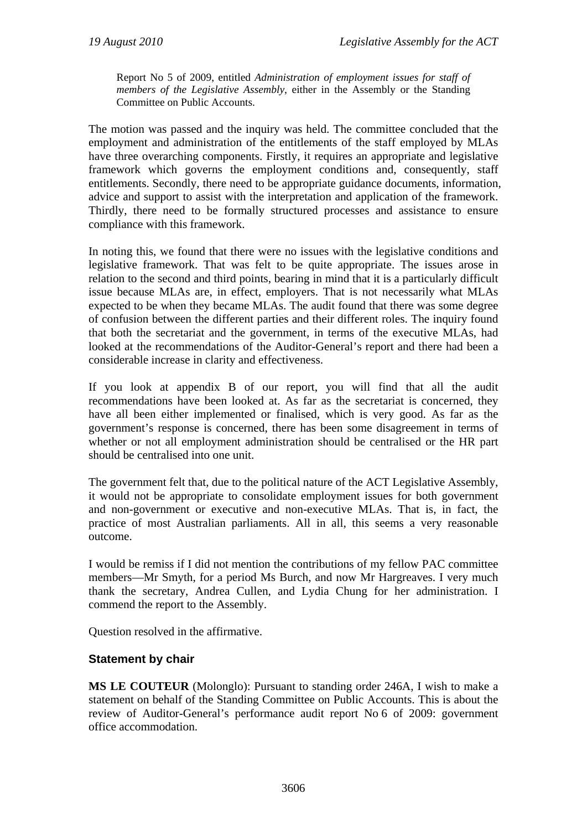Report No 5 of 2009, entitled *Administration of employment issues for staff of members of the Legislative Assembly*, either in the Assembly or the Standing Committee on Public Accounts.

The motion was passed and the inquiry was held. The committee concluded that the employment and administration of the entitlements of the staff employed by MLAs have three overarching components. Firstly, it requires an appropriate and legislative framework which governs the employment conditions and, consequently, staff entitlements. Secondly, there need to be appropriate guidance documents, information, advice and support to assist with the interpretation and application of the framework. Thirdly, there need to be formally structured processes and assistance to ensure compliance with this framework.

In noting this, we found that there were no issues with the legislative conditions and legislative framework. That was felt to be quite appropriate. The issues arose in relation to the second and third points, bearing in mind that it is a particularly difficult issue because MLAs are, in effect, employers. That is not necessarily what MLAs expected to be when they became MLAs. The audit found that there was some degree of confusion between the different parties and their different roles. The inquiry found that both the secretariat and the government, in terms of the executive MLAs, had looked at the recommendations of the Auditor-General's report and there had been a considerable increase in clarity and effectiveness.

If you look at appendix B of our report, you will find that all the audit recommendations have been looked at. As far as the secretariat is concerned, they have all been either implemented or finalised, which is very good. As far as the government's response is concerned, there has been some disagreement in terms of whether or not all employment administration should be centralised or the HR part should be centralised into one unit.

The government felt that, due to the political nature of the ACT Legislative Assembly, it would not be appropriate to consolidate employment issues for both government and non-government or executive and non-executive MLAs. That is, in fact, the practice of most Australian parliaments. All in all, this seems a very reasonable outcome.

I would be remiss if I did not mention the contributions of my fellow PAC committee members—Mr Smyth, for a period Ms Burch, and now Mr Hargreaves. I very much thank the secretary, Andrea Cullen, and Lydia Chung for her administration. I commend the report to the Assembly.

Question resolved in the affirmative.

#### **Statement by chair**

**MS LE COUTEUR** (Molonglo): Pursuant to standing order 246A, I wish to make a statement on behalf of the Standing Committee on Public Accounts. This is about the review of Auditor-General's performance audit report No 6 of 2009: government office accommodation.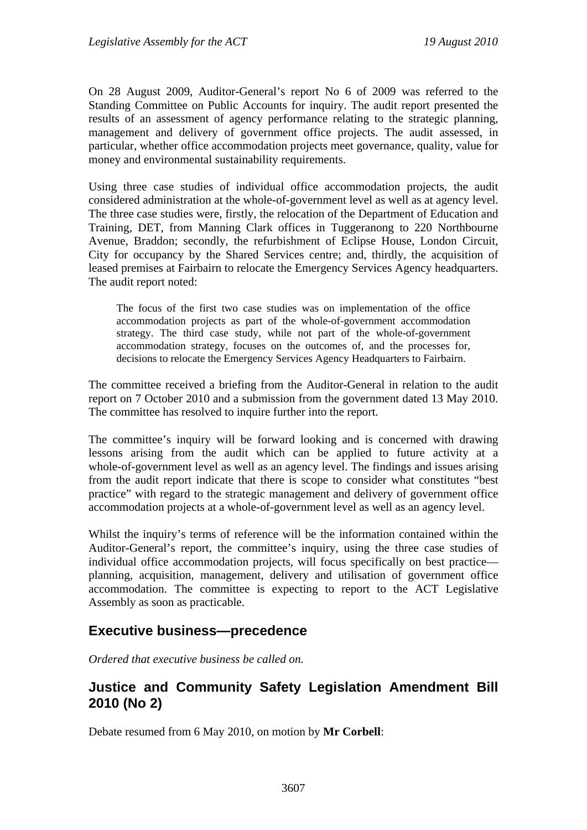On 28 August 2009, Auditor-General's report No 6 of 2009 was referred to the Standing Committee on Public Accounts for inquiry. The audit report presented the results of an assessment of agency performance relating to the strategic planning, management and delivery of government office projects. The audit assessed, in particular, whether office accommodation projects meet governance, quality, value for money and environmental sustainability requirements.

Using three case studies of individual office accommodation projects, the audit considered administration at the whole-of-government level as well as at agency level. The three case studies were, firstly, the relocation of the Department of Education and Training, DET, from Manning Clark offices in Tuggeranong to 220 Northbourne Avenue, Braddon; secondly, the refurbishment of Eclipse House, London Circuit, City for occupancy by the Shared Services centre; and, thirdly, the acquisition of leased premises at Fairbairn to relocate the Emergency Services Agency headquarters. The audit report noted:

The focus of the first two case studies was on implementation of the office accommodation projects as part of the whole-of-government accommodation strategy. The third case study, while not part of the whole-of-government accommodation strategy, focuses on the outcomes of, and the processes for, decisions to relocate the Emergency Services Agency Headquarters to Fairbairn.

The committee received a briefing from the Auditor-General in relation to the audit report on 7 October 2010 and a submission from the government dated 13 May 2010. The committee has resolved to inquire further into the report.

The committee's inquiry will be forward looking and is concerned with drawing lessons arising from the audit which can be applied to future activity at a whole-of-government level as well as an agency level. The findings and issues arising from the audit report indicate that there is scope to consider what constitutes "best practice" with regard to the strategic management and delivery of government office accommodation projects at a whole-of-government level as well as an agency level.

Whilst the inquiry's terms of reference will be the information contained within the Auditor-General's report, the committee's inquiry, using the three case studies of individual office accommodation projects, will focus specifically on best practice planning, acquisition, management, delivery and utilisation of government office accommodation. The committee is expecting to report to the ACT Legislative Assembly as soon as practicable.

## <span id="page-7-0"></span>**Executive business—precedence**

*Ordered that executive business be called on.*

# <span id="page-7-1"></span>**Justice and Community Safety Legislation Amendment Bill 2010 (No 2)**

Debate resumed from 6 May 2010, on motion by **Mr Corbell**: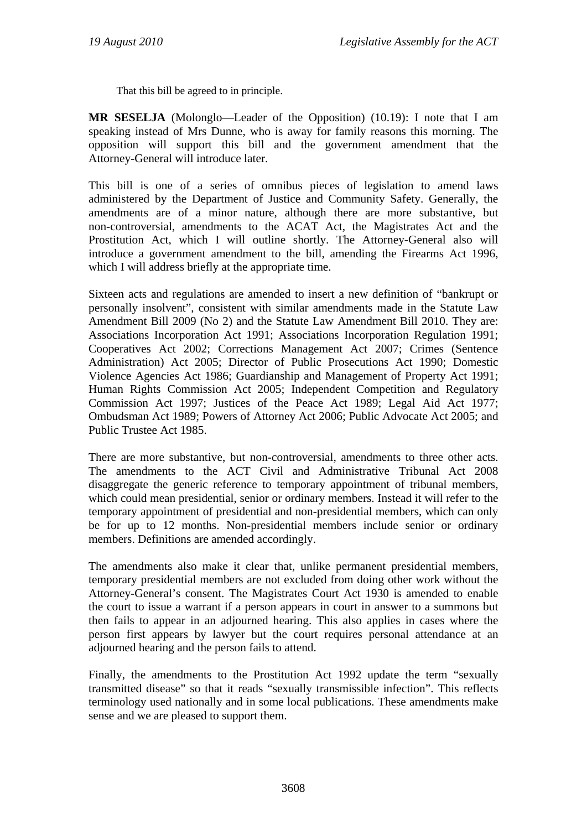That this bill be agreed to in principle.

**MR SESELJA** (Molonglo—Leader of the Opposition) (10.19): I note that I am speaking instead of Mrs Dunne, who is away for family reasons this morning. The opposition will support this bill and the government amendment that the Attorney-General will introduce later.

This bill is one of a series of omnibus pieces of legislation to amend laws administered by the Department of Justice and Community Safety. Generally, the amendments are of a minor nature, although there are more substantive, but non-controversial, amendments to the ACAT Act, the Magistrates Act and the Prostitution Act, which I will outline shortly. The Attorney-General also will introduce a government amendment to the bill, amending the Firearms Act 1996, which I will address briefly at the appropriate time.

Sixteen acts and regulations are amended to insert a new definition of "bankrupt or personally insolvent", consistent with similar amendments made in the Statute Law Amendment Bill 2009 (No 2) and the Statute Law Amendment Bill 2010. They are: Associations Incorporation Act 1991; Associations Incorporation Regulation 1991; Cooperatives Act 2002; Corrections Management Act 2007; Crimes (Sentence Administration) Act 2005; Director of Public Prosecutions Act 1990; Domestic Violence Agencies Act 1986; Guardianship and Management of Property Act 1991; Human Rights Commission Act 2005; Independent Competition and Regulatory Commission Act 1997; Justices of the Peace Act 1989; Legal Aid Act 1977; Ombudsman Act 1989; Powers of Attorney Act 2006; Public Advocate Act 2005; and Public Trustee Act 1985.

There are more substantive, but non-controversial, amendments to three other acts. The amendments to the ACT Civil and Administrative Tribunal Act 2008 disaggregate the generic reference to temporary appointment of tribunal members, which could mean presidential, senior or ordinary members. Instead it will refer to the temporary appointment of presidential and non-presidential members, which can only be for up to 12 months. Non-presidential members include senior or ordinary members. Definitions are amended accordingly.

The amendments also make it clear that, unlike permanent presidential members, temporary presidential members are not excluded from doing other work without the Attorney-General's consent. The Magistrates Court Act 1930 is amended to enable the court to issue a warrant if a person appears in court in answer to a summons but then fails to appear in an adjourned hearing. This also applies in cases where the person first appears by lawyer but the court requires personal attendance at an adjourned hearing and the person fails to attend.

Finally, the amendments to the Prostitution Act 1992 update the term "sexually transmitted disease" so that it reads "sexually transmissible infection". This reflects terminology used nationally and in some local publications. These amendments make sense and we are pleased to support them.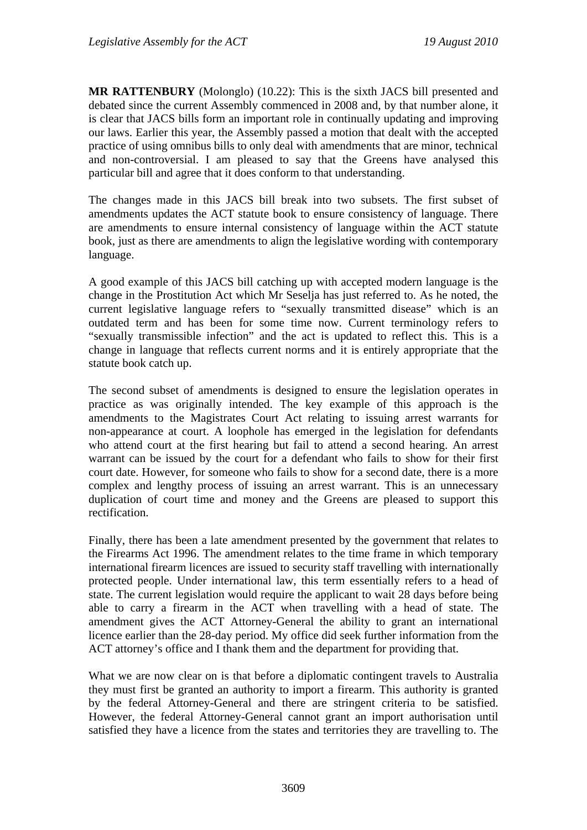**MR RATTENBURY** (Molonglo) (10.22): This is the sixth JACS bill presented and debated since the current Assembly commenced in 2008 and, by that number alone, it is clear that JACS bills form an important role in continually updating and improving our laws. Earlier this year, the Assembly passed a motion that dealt with the accepted practice of using omnibus bills to only deal with amendments that are minor, technical and non-controversial. I am pleased to say that the Greens have analysed this particular bill and agree that it does conform to that understanding.

The changes made in this JACS bill break into two subsets. The first subset of amendments updates the ACT statute book to ensure consistency of language. There are amendments to ensure internal consistency of language within the ACT statute book, just as there are amendments to align the legislative wording with contemporary language.

A good example of this JACS bill catching up with accepted modern language is the change in the Prostitution Act which Mr Seselja has just referred to. As he noted, the current legislative language refers to "sexually transmitted disease" which is an outdated term and has been for some time now. Current terminology refers to "sexually transmissible infection" and the act is updated to reflect this. This is a change in language that reflects current norms and it is entirely appropriate that the statute book catch up.

The second subset of amendments is designed to ensure the legislation operates in practice as was originally intended. The key example of this approach is the amendments to the Magistrates Court Act relating to issuing arrest warrants for non-appearance at court. A loophole has emerged in the legislation for defendants who attend court at the first hearing but fail to attend a second hearing. An arrest warrant can be issued by the court for a defendant who fails to show for their first court date. However, for someone who fails to show for a second date, there is a more complex and lengthy process of issuing an arrest warrant. This is an unnecessary duplication of court time and money and the Greens are pleased to support this rectification.

Finally, there has been a late amendment presented by the government that relates to the Firearms Act 1996. The amendment relates to the time frame in which temporary international firearm licences are issued to security staff travelling with internationally protected people. Under international law, this term essentially refers to a head of state. The current legislation would require the applicant to wait 28 days before being able to carry a firearm in the ACT when travelling with a head of state. The amendment gives the ACT Attorney-General the ability to grant an international licence earlier than the 28-day period. My office did seek further information from the ACT attorney's office and I thank them and the department for providing that.

What we are now clear on is that before a diplomatic contingent travels to Australia they must first be granted an authority to import a firearm. This authority is granted by the federal Attorney-General and there are stringent criteria to be satisfied. However, the federal Attorney-General cannot grant an import authorisation until satisfied they have a licence from the states and territories they are travelling to. The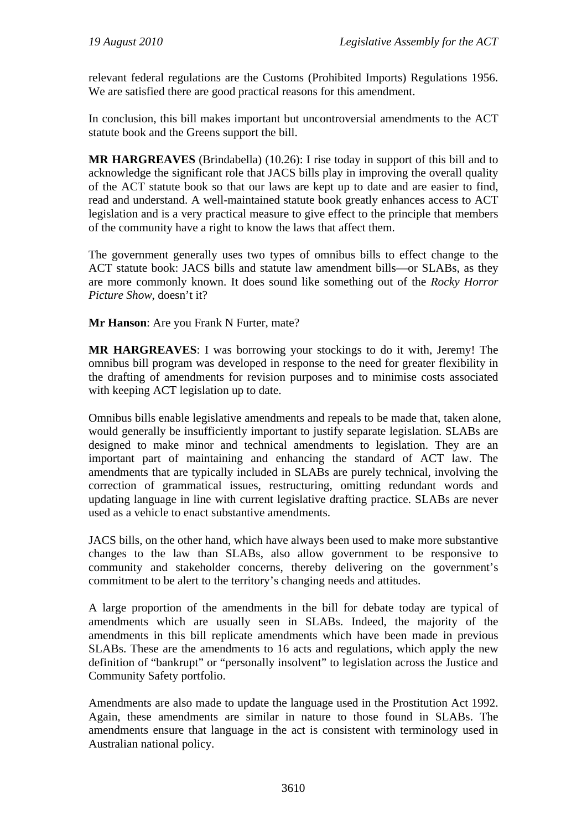relevant federal regulations are the Customs (Prohibited Imports) Regulations 1956. We are satisfied there are good practical reasons for this amendment.

In conclusion, this bill makes important but uncontroversial amendments to the ACT statute book and the Greens support the bill.

**MR HARGREAVES** (Brindabella) (10.26): I rise today in support of this bill and to acknowledge the significant role that JACS bills play in improving the overall quality of the ACT statute book so that our laws are kept up to date and are easier to find, read and understand. A well-maintained statute book greatly enhances access to ACT legislation and is a very practical measure to give effect to the principle that members of the community have a right to know the laws that affect them.

The government generally uses two types of omnibus bills to effect change to the ACT statute book: JACS bills and statute law amendment bills—or SLABs, as they are more commonly known. It does sound like something out of the *Rocky Horror Picture Show*, doesn't it?

**Mr Hanson**: Are you Frank N Furter, mate?

**MR HARGREAVES**: I was borrowing your stockings to do it with, Jeremy! The omnibus bill program was developed in response to the need for greater flexibility in the drafting of amendments for revision purposes and to minimise costs associated with keeping ACT legislation up to date.

Omnibus bills enable legislative amendments and repeals to be made that, taken alone, would generally be insufficiently important to justify separate legislation. SLABs are designed to make minor and technical amendments to legislation. They are an important part of maintaining and enhancing the standard of ACT law. The amendments that are typically included in SLABs are purely technical, involving the correction of grammatical issues, restructuring, omitting redundant words and updating language in line with current legislative drafting practice. SLABs are never used as a vehicle to enact substantive amendments.

JACS bills, on the other hand, which have always been used to make more substantive changes to the law than SLABs, also allow government to be responsive to community and stakeholder concerns, thereby delivering on the government's commitment to be alert to the territory's changing needs and attitudes.

A large proportion of the amendments in the bill for debate today are typical of amendments which are usually seen in SLABs. Indeed, the majority of the amendments in this bill replicate amendments which have been made in previous SLABs. These are the amendments to 16 acts and regulations, which apply the new definition of "bankrupt" or "personally insolvent" to legislation across the Justice and Community Safety portfolio.

Amendments are also made to update the language used in the Prostitution Act 1992. Again, these amendments are similar in nature to those found in SLABs. The amendments ensure that language in the act is consistent with terminology used in Australian national policy.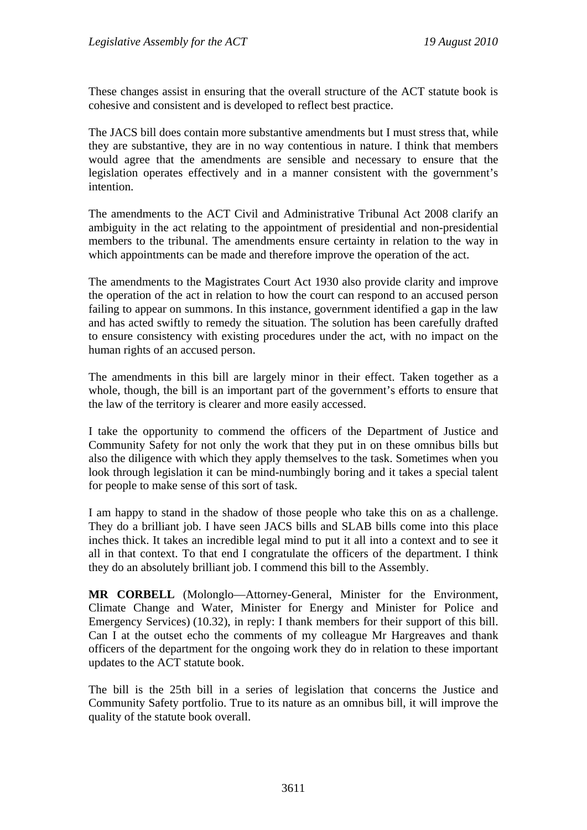These changes assist in ensuring that the overall structure of the ACT statute book is cohesive and consistent and is developed to reflect best practice.

The JACS bill does contain more substantive amendments but I must stress that, while they are substantive, they are in no way contentious in nature. I think that members would agree that the amendments are sensible and necessary to ensure that the legislation operates effectively and in a manner consistent with the government's intention.

The amendments to the ACT Civil and Administrative Tribunal Act 2008 clarify an ambiguity in the act relating to the appointment of presidential and non-presidential members to the tribunal. The amendments ensure certainty in relation to the way in which appointments can be made and therefore improve the operation of the act.

The amendments to the Magistrates Court Act 1930 also provide clarity and improve the operation of the act in relation to how the court can respond to an accused person failing to appear on summons. In this instance, government identified a gap in the law and has acted swiftly to remedy the situation. The solution has been carefully drafted to ensure consistency with existing procedures under the act, with no impact on the human rights of an accused person.

The amendments in this bill are largely minor in their effect. Taken together as a whole, though, the bill is an important part of the government's efforts to ensure that the law of the territory is clearer and more easily accessed.

I take the opportunity to commend the officers of the Department of Justice and Community Safety for not only the work that they put in on these omnibus bills but also the diligence with which they apply themselves to the task. Sometimes when you look through legislation it can be mind-numbingly boring and it takes a special talent for people to make sense of this sort of task.

I am happy to stand in the shadow of those people who take this on as a challenge. They do a brilliant job. I have seen JACS bills and SLAB bills come into this place inches thick. It takes an incredible legal mind to put it all into a context and to see it all in that context. To that end I congratulate the officers of the department. I think they do an absolutely brilliant job. I commend this bill to the Assembly.

**MR CORBELL** (Molonglo—Attorney-General, Minister for the Environment, Climate Change and Water, Minister for Energy and Minister for Police and Emergency Services) (10.32), in reply: I thank members for their support of this bill. Can I at the outset echo the comments of my colleague Mr Hargreaves and thank officers of the department for the ongoing work they do in relation to these important updates to the ACT statute book.

The bill is the 25th bill in a series of legislation that concerns the Justice and Community Safety portfolio. True to its nature as an omnibus bill, it will improve the quality of the statute book overall.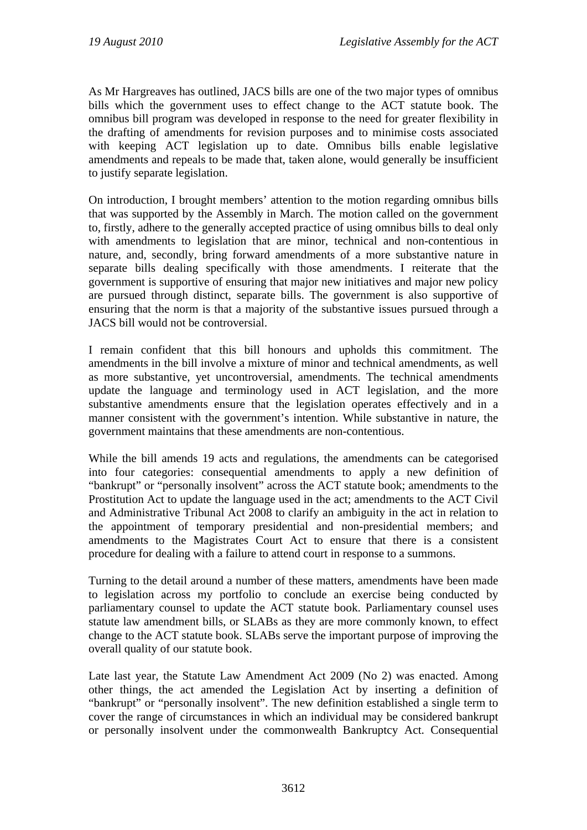As Mr Hargreaves has outlined, JACS bills are one of the two major types of omnibus bills which the government uses to effect change to the ACT statute book. The omnibus bill program was developed in response to the need for greater flexibility in the drafting of amendments for revision purposes and to minimise costs associated with keeping ACT legislation up to date. Omnibus bills enable legislative amendments and repeals to be made that, taken alone, would generally be insufficient to justify separate legislation.

On introduction, I brought members' attention to the motion regarding omnibus bills that was supported by the Assembly in March. The motion called on the government to, firstly, adhere to the generally accepted practice of using omnibus bills to deal only with amendments to legislation that are minor, technical and non-contentious in nature, and, secondly, bring forward amendments of a more substantive nature in separate bills dealing specifically with those amendments. I reiterate that the government is supportive of ensuring that major new initiatives and major new policy are pursued through distinct, separate bills. The government is also supportive of ensuring that the norm is that a majority of the substantive issues pursued through a JACS bill would not be controversial.

I remain confident that this bill honours and upholds this commitment. The amendments in the bill involve a mixture of minor and technical amendments, as well as more substantive, yet uncontroversial, amendments. The technical amendments update the language and terminology used in ACT legislation, and the more substantive amendments ensure that the legislation operates effectively and in a manner consistent with the government's intention. While substantive in nature, the government maintains that these amendments are non-contentious.

While the bill amends 19 acts and regulations, the amendments can be categorised into four categories: consequential amendments to apply a new definition of "bankrupt" or "personally insolvent" across the ACT statute book; amendments to the Prostitution Act to update the language used in the act; amendments to the ACT Civil and Administrative Tribunal Act 2008 to clarify an ambiguity in the act in relation to the appointment of temporary presidential and non-presidential members; and amendments to the Magistrates Court Act to ensure that there is a consistent procedure for dealing with a failure to attend court in response to a summons.

Turning to the detail around a number of these matters, amendments have been made to legislation across my portfolio to conclude an exercise being conducted by parliamentary counsel to update the ACT statute book. Parliamentary counsel uses statute law amendment bills, or SLABs as they are more commonly known, to effect change to the ACT statute book. SLABs serve the important purpose of improving the overall quality of our statute book.

Late last year, the Statute Law Amendment Act 2009 (No 2) was enacted. Among other things, the act amended the Legislation Act by inserting a definition of "bankrupt" or "personally insolvent". The new definition established a single term to cover the range of circumstances in which an individual may be considered bankrupt or personally insolvent under the commonwealth Bankruptcy Act. Consequential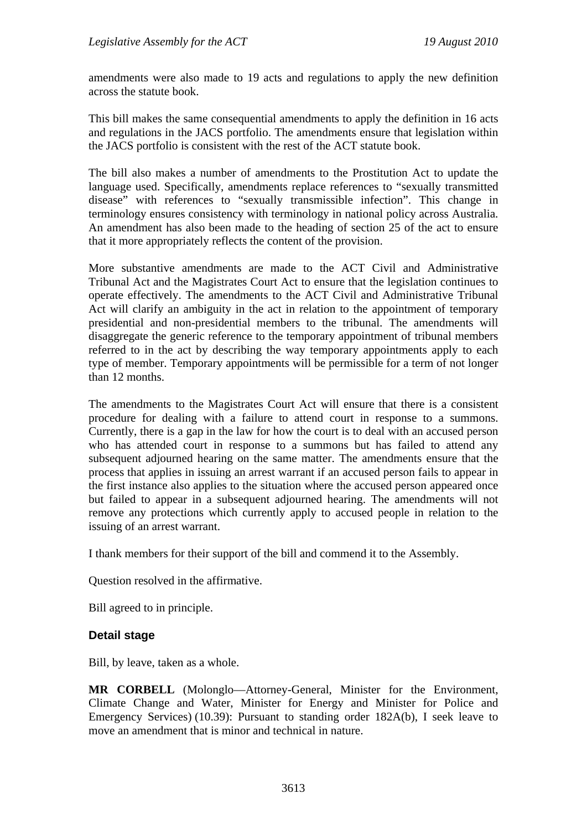amendments were also made to 19 acts and regulations to apply the new definition across the statute book.

This bill makes the same consequential amendments to apply the definition in 16 acts and regulations in the JACS portfolio. The amendments ensure that legislation within the JACS portfolio is consistent with the rest of the ACT statute book.

The bill also makes a number of amendments to the Prostitution Act to update the language used. Specifically, amendments replace references to "sexually transmitted disease" with references to "sexually transmissible infection". This change in terminology ensures consistency with terminology in national policy across Australia. An amendment has also been made to the heading of section 25 of the act to ensure that it more appropriately reflects the content of the provision.

More substantive amendments are made to the ACT Civil and Administrative Tribunal Act and the Magistrates Court Act to ensure that the legislation continues to operate effectively. The amendments to the ACT Civil and Administrative Tribunal Act will clarify an ambiguity in the act in relation to the appointment of temporary presidential and non-presidential members to the tribunal. The amendments will disaggregate the generic reference to the temporary appointment of tribunal members referred to in the act by describing the way temporary appointments apply to each type of member. Temporary appointments will be permissible for a term of not longer than 12 months.

The amendments to the Magistrates Court Act will ensure that there is a consistent procedure for dealing with a failure to attend court in response to a summons. Currently, there is a gap in the law for how the court is to deal with an accused person who has attended court in response to a summons but has failed to attend any subsequent adjourned hearing on the same matter. The amendments ensure that the process that applies in issuing an arrest warrant if an accused person fails to appear in the first instance also applies to the situation where the accused person appeared once but failed to appear in a subsequent adjourned hearing. The amendments will not remove any protections which currently apply to accused people in relation to the issuing of an arrest warrant.

I thank members for their support of the bill and commend it to the Assembly.

Question resolved in the affirmative.

Bill agreed to in principle.

#### **Detail stage**

Bill, by leave, taken as a whole.

**MR CORBELL** (Molonglo—Attorney-General, Minister for the Environment, Climate Change and Water, Minister for Energy and Minister for Police and Emergency Services) (10.39): Pursuant to standing order 182A(b), I seek leave to move an amendment that is minor and technical in nature.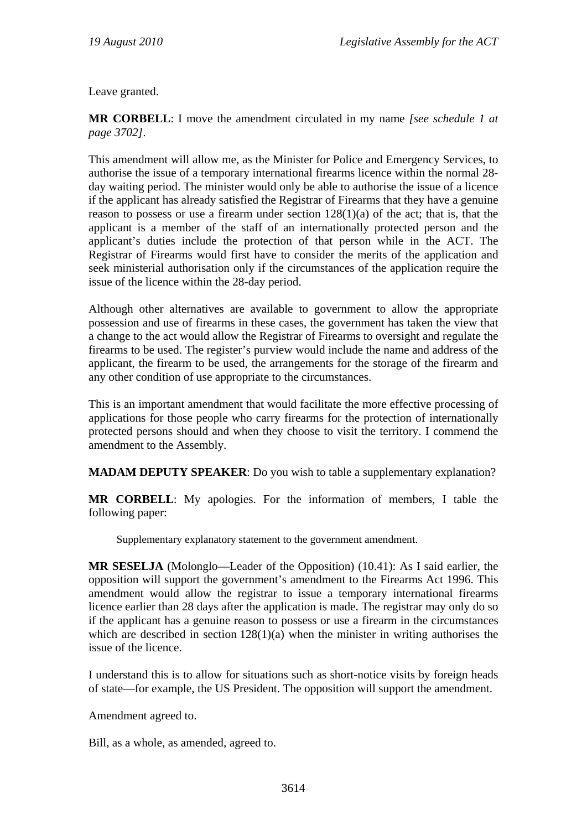Leave granted.

**MR CORBELL**: I move the amendment circulated in my name *[see schedule 1 at page 3702]*.

This amendment will allow me, as the Minister for Police and Emergency Services, to authorise the issue of a temporary international firearms licence within the normal 28 day waiting period. The minister would only be able to authorise the issue of a licence if the applicant has already satisfied the Registrar of Firearms that they have a genuine reason to possess or use a firearm under section 128(1)(a) of the act; that is, that the applicant is a member of the staff of an internationally protected person and the applicant's duties include the protection of that person while in the ACT. The Registrar of Firearms would first have to consider the merits of the application and seek ministerial authorisation only if the circumstances of the application require the issue of the licence within the 28-day period.

Although other alternatives are available to government to allow the appropriate possession and use of firearms in these cases, the government has taken the view that a change to the act would allow the Registrar of Firearms to oversight and regulate the firearms to be used. The register's purview would include the name and address of the applicant, the firearm to be used, the arrangements for the storage of the firearm and any other condition of use appropriate to the circumstances.

This is an important amendment that would facilitate the more effective processing of applications for those people who carry firearms for the protection of internationally protected persons should and when they choose to visit the territory. I commend the amendment to the Assembly.

**MADAM DEPUTY SPEAKER**: Do you wish to table a supplementary explanation?

**MR CORBELL**: My apologies. For the information of members, I table the following paper:

Supplementary explanatory statement to the government amendment.

**MR SESELJA** (Molonglo—Leader of the Opposition) (10.41): As I said earlier, the opposition will support the government's amendment to the Firearms Act 1996. This amendment would allow the registrar to issue a temporary international firearms licence earlier than 28 days after the application is made. The registrar may only do so if the applicant has a genuine reason to possess or use a firearm in the circumstances which are described in section  $128(1)(a)$  when the minister in writing authorises the issue of the licence.

I understand this is to allow for situations such as short-notice visits by foreign heads of state—for example, the US President. The opposition will support the amendment.

Amendment agreed to.

Bill, as a whole, as amended, agreed to.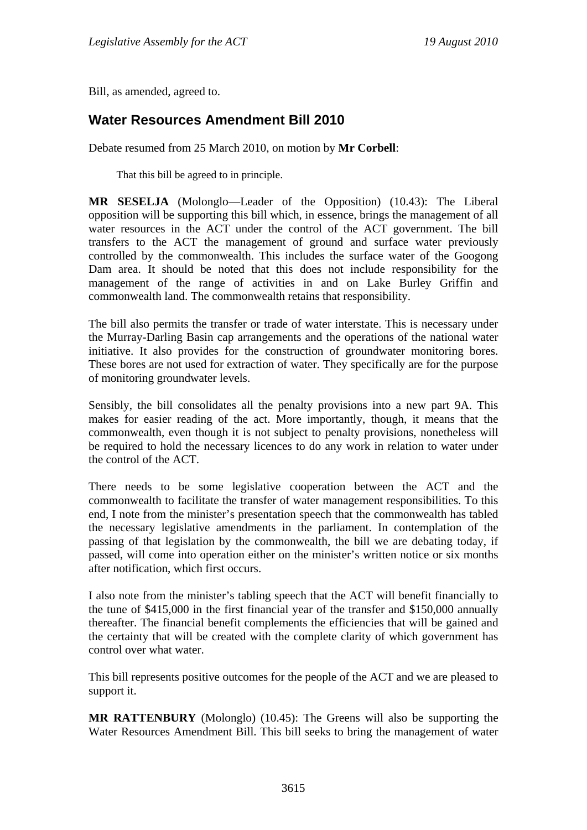Bill, as amended, agreed to.

## <span id="page-15-0"></span>**Water Resources Amendment Bill 2010**

Debate resumed from 25 March 2010, on motion by **Mr Corbell**:

That this bill be agreed to in principle.

**MR SESELJA** (Molonglo—Leader of the Opposition) (10.43): The Liberal opposition will be supporting this bill which, in essence, brings the management of all water resources in the ACT under the control of the ACT government. The bill transfers to the ACT the management of ground and surface water previously controlled by the commonwealth. This includes the surface water of the Googong Dam area. It should be noted that this does not include responsibility for the management of the range of activities in and on Lake Burley Griffin and commonwealth land. The commonwealth retains that responsibility.

The bill also permits the transfer or trade of water interstate. This is necessary under the Murray-Darling Basin cap arrangements and the operations of the national water initiative. It also provides for the construction of groundwater monitoring bores. These bores are not used for extraction of water. They specifically are for the purpose of monitoring groundwater levels.

Sensibly, the bill consolidates all the penalty provisions into a new part 9A. This makes for easier reading of the act. More importantly, though, it means that the commonwealth, even though it is not subject to penalty provisions, nonetheless will be required to hold the necessary licences to do any work in relation to water under the control of the ACT.

There needs to be some legislative cooperation between the ACT and the commonwealth to facilitate the transfer of water management responsibilities. To this end, I note from the minister's presentation speech that the commonwealth has tabled the necessary legislative amendments in the parliament. In contemplation of the passing of that legislation by the commonwealth, the bill we are debating today, if passed, will come into operation either on the minister's written notice or six months after notification, which first occurs.

I also note from the minister's tabling speech that the ACT will benefit financially to the tune of \$415,000 in the first financial year of the transfer and \$150,000 annually thereafter. The financial benefit complements the efficiencies that will be gained and the certainty that will be created with the complete clarity of which government has control over what water.

This bill represents positive outcomes for the people of the ACT and we are pleased to support it.

**MR RATTENBURY** (Molonglo) (10.45): The Greens will also be supporting the Water Resources Amendment Bill. This bill seeks to bring the management of water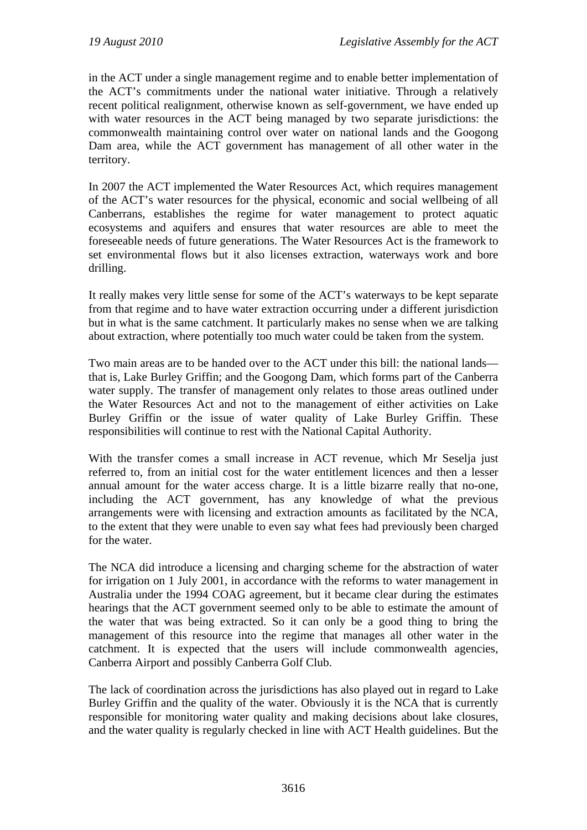in the ACT under a single management regime and to enable better implementation of the ACT's commitments under the national water initiative. Through a relatively recent political realignment, otherwise known as self-government, we have ended up with water resources in the ACT being managed by two separate jurisdictions: the commonwealth maintaining control over water on national lands and the Googong Dam area, while the ACT government has management of all other water in the territory.

In 2007 the ACT implemented the Water Resources Act, which requires management of the ACT's water resources for the physical, economic and social wellbeing of all Canberrans, establishes the regime for water management to protect aquatic ecosystems and aquifers and ensures that water resources are able to meet the foreseeable needs of future generations. The Water Resources Act is the framework to set environmental flows but it also licenses extraction, waterways work and bore drilling.

It really makes very little sense for some of the ACT's waterways to be kept separate from that regime and to have water extraction occurring under a different jurisdiction but in what is the same catchment. It particularly makes no sense when we are talking about extraction, where potentially too much water could be taken from the system.

Two main areas are to be handed over to the ACT under this bill: the national lands that is, Lake Burley Griffin; and the Googong Dam, which forms part of the Canberra water supply. The transfer of management only relates to those areas outlined under the Water Resources Act and not to the management of either activities on Lake Burley Griffin or the issue of water quality of Lake Burley Griffin. These responsibilities will continue to rest with the National Capital Authority.

With the transfer comes a small increase in ACT revenue, which Mr Seselja just referred to, from an initial cost for the water entitlement licences and then a lesser annual amount for the water access charge. It is a little bizarre really that no-one, including the ACT government, has any knowledge of what the previous arrangements were with licensing and extraction amounts as facilitated by the NCA, to the extent that they were unable to even say what fees had previously been charged for the water.

The NCA did introduce a licensing and charging scheme for the abstraction of water for irrigation on 1 July 2001, in accordance with the reforms to water management in Australia under the 1994 COAG agreement, but it became clear during the estimates hearings that the ACT government seemed only to be able to estimate the amount of the water that was being extracted. So it can only be a good thing to bring the management of this resource into the regime that manages all other water in the catchment. It is expected that the users will include commonwealth agencies, Canberra Airport and possibly Canberra Golf Club.

The lack of coordination across the jurisdictions has also played out in regard to Lake Burley Griffin and the quality of the water. Obviously it is the NCA that is currently responsible for monitoring water quality and making decisions about lake closures, and the water quality is regularly checked in line with ACT Health guidelines. But the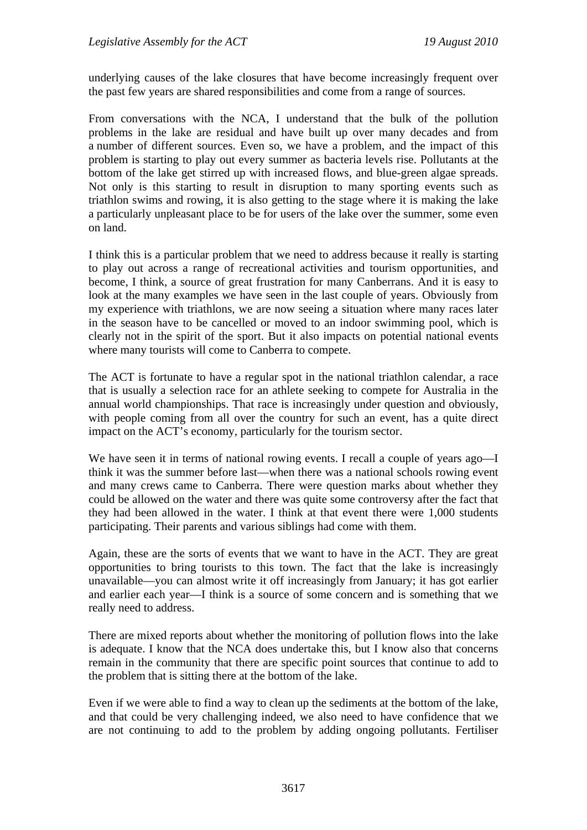underlying causes of the lake closures that have become increasingly frequent over the past few years are shared responsibilities and come from a range of sources.

From conversations with the NCA, I understand that the bulk of the pollution problems in the lake are residual and have built up over many decades and from a number of different sources. Even so, we have a problem, and the impact of this problem is starting to play out every summer as bacteria levels rise. Pollutants at the bottom of the lake get stirred up with increased flows, and blue-green algae spreads. Not only is this starting to result in disruption to many sporting events such as triathlon swims and rowing, it is also getting to the stage where it is making the lake a particularly unpleasant place to be for users of the lake over the summer, some even on land.

I think this is a particular problem that we need to address because it really is starting to play out across a range of recreational activities and tourism opportunities, and become, I think, a source of great frustration for many Canberrans. And it is easy to look at the many examples we have seen in the last couple of years. Obviously from my experience with triathlons, we are now seeing a situation where many races later in the season have to be cancelled or moved to an indoor swimming pool, which is clearly not in the spirit of the sport. But it also impacts on potential national events where many tourists will come to Canberra to compete.

The ACT is fortunate to have a regular spot in the national triathlon calendar, a race that is usually a selection race for an athlete seeking to compete for Australia in the annual world championships. That race is increasingly under question and obviously, with people coming from all over the country for such an event, has a quite direct impact on the ACT's economy, particularly for the tourism sector.

We have seen it in terms of national rowing events. I recall a couple of years ago—I think it was the summer before last—when there was a national schools rowing event and many crews came to Canberra. There were question marks about whether they could be allowed on the water and there was quite some controversy after the fact that they had been allowed in the water. I think at that event there were 1,000 students participating. Their parents and various siblings had come with them.

Again, these are the sorts of events that we want to have in the ACT. They are great opportunities to bring tourists to this town. The fact that the lake is increasingly unavailable—you can almost write it off increasingly from January; it has got earlier and earlier each year—I think is a source of some concern and is something that we really need to address.

There are mixed reports about whether the monitoring of pollution flows into the lake is adequate. I know that the NCA does undertake this, but I know also that concerns remain in the community that there are specific point sources that continue to add to the problem that is sitting there at the bottom of the lake.

Even if we were able to find a way to clean up the sediments at the bottom of the lake, and that could be very challenging indeed, we also need to have confidence that we are not continuing to add to the problem by adding ongoing pollutants. Fertiliser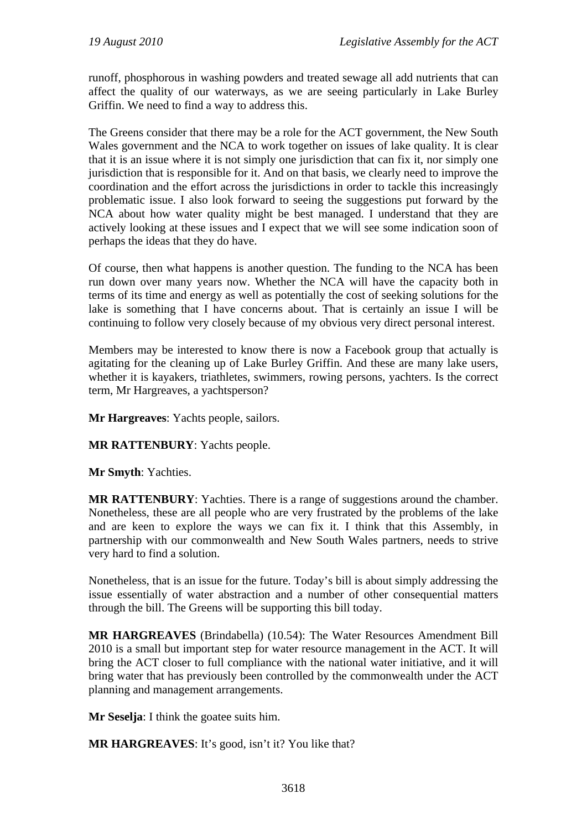runoff, phosphorous in washing powders and treated sewage all add nutrients that can affect the quality of our waterways, as we are seeing particularly in Lake Burley Griffin. We need to find a way to address this.

The Greens consider that there may be a role for the ACT government, the New South Wales government and the NCA to work together on issues of lake quality. It is clear that it is an issue where it is not simply one jurisdiction that can fix it, nor simply one jurisdiction that is responsible for it. And on that basis, we clearly need to improve the coordination and the effort across the jurisdictions in order to tackle this increasingly problematic issue. I also look forward to seeing the suggestions put forward by the NCA about how water quality might be best managed. I understand that they are actively looking at these issues and I expect that we will see some indication soon of perhaps the ideas that they do have.

Of course, then what happens is another question. The funding to the NCA has been run down over many years now. Whether the NCA will have the capacity both in terms of its time and energy as well as potentially the cost of seeking solutions for the lake is something that I have concerns about. That is certainly an issue I will be continuing to follow very closely because of my obvious very direct personal interest.

Members may be interested to know there is now a Facebook group that actually is agitating for the cleaning up of Lake Burley Griffin. And these are many lake users, whether it is kayakers, triathletes, swimmers, rowing persons, yachters. Is the correct term, Mr Hargreaves, a yachtsperson?

**Mr Hargreaves**: Yachts people, sailors.

**MR RATTENBURY**: Yachts people.

**Mr Smyth**: Yachties.

**MR RATTENBURY**: Yachties. There is a range of suggestions around the chamber. Nonetheless, these are all people who are very frustrated by the problems of the lake and are keen to explore the ways we can fix it. I think that this Assembly, in partnership with our commonwealth and New South Wales partners, needs to strive very hard to find a solution.

Nonetheless, that is an issue for the future. Today's bill is about simply addressing the issue essentially of water abstraction and a number of other consequential matters through the bill. The Greens will be supporting this bill today.

**MR HARGREAVES** (Brindabella) (10.54): The Water Resources Amendment Bill 2010 is a small but important step for water resource management in the ACT. It will bring the ACT closer to full compliance with the national water initiative, and it will bring water that has previously been controlled by the commonwealth under the ACT planning and management arrangements.

**Mr Seselja**: I think the goatee suits him.

**MR HARGREAVES**: It's good, isn't it? You like that?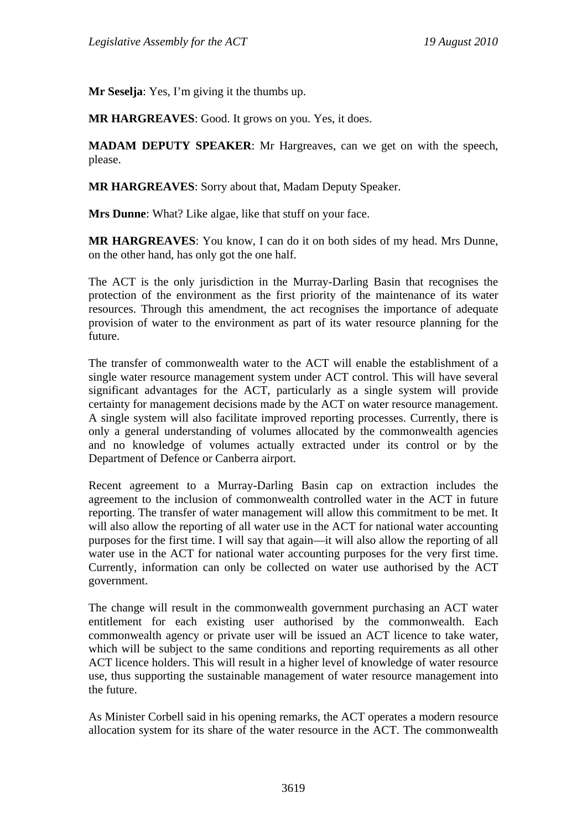**Mr Seselja**: Yes, I'm giving it the thumbs up.

**MR HARGREAVES**: Good. It grows on you. Yes, it does.

**MADAM DEPUTY SPEAKER**: Mr Hargreaves, can we get on with the speech, please.

**MR HARGREAVES**: Sorry about that, Madam Deputy Speaker.

**Mrs Dunne**: What? Like algae, like that stuff on your face.

**MR HARGREAVES**: You know, I can do it on both sides of my head. Mrs Dunne, on the other hand, has only got the one half.

The ACT is the only jurisdiction in the Murray-Darling Basin that recognises the protection of the environment as the first priority of the maintenance of its water resources. Through this amendment, the act recognises the importance of adequate provision of water to the environment as part of its water resource planning for the future.

The transfer of commonwealth water to the ACT will enable the establishment of a single water resource management system under ACT control. This will have several significant advantages for the ACT, particularly as a single system will provide certainty for management decisions made by the ACT on water resource management. A single system will also facilitate improved reporting processes. Currently, there is only a general understanding of volumes allocated by the commonwealth agencies and no knowledge of volumes actually extracted under its control or by the Department of Defence or Canberra airport.

Recent agreement to a Murray-Darling Basin cap on extraction includes the agreement to the inclusion of commonwealth controlled water in the ACT in future reporting. The transfer of water management will allow this commitment to be met. It will also allow the reporting of all water use in the ACT for national water accounting purposes for the first time. I will say that again—it will also allow the reporting of all water use in the ACT for national water accounting purposes for the very first time. Currently, information can only be collected on water use authorised by the ACT government.

The change will result in the commonwealth government purchasing an ACT water entitlement for each existing user authorised by the commonwealth. Each commonwealth agency or private user will be issued an ACT licence to take water, which will be subject to the same conditions and reporting requirements as all other ACT licence holders. This will result in a higher level of knowledge of water resource use, thus supporting the sustainable management of water resource management into the future.

As Minister Corbell said in his opening remarks, the ACT operates a modern resource allocation system for its share of the water resource in the ACT. The commonwealth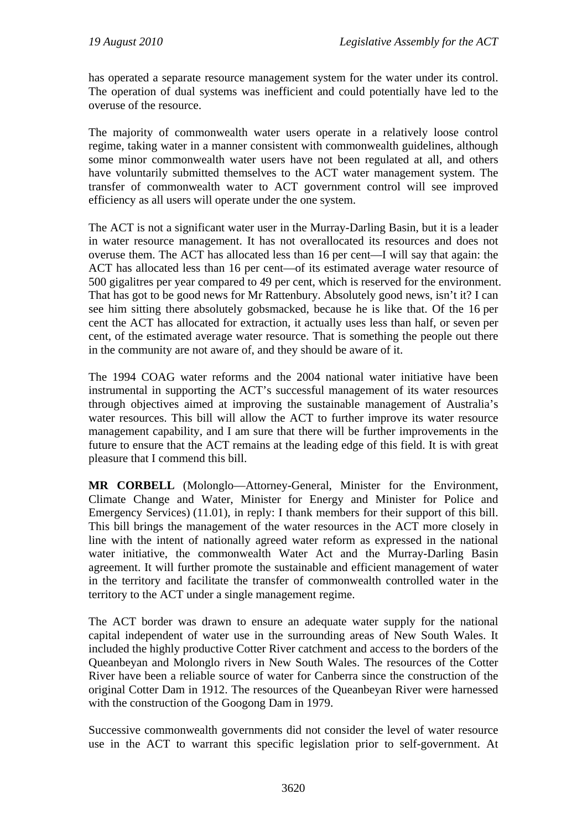has operated a separate resource management system for the water under its control. The operation of dual systems was inefficient and could potentially have led to the overuse of the resource.

The majority of commonwealth water users operate in a relatively loose control regime, taking water in a manner consistent with commonwealth guidelines, although some minor commonwealth water users have not been regulated at all, and others have voluntarily submitted themselves to the ACT water management system. The transfer of commonwealth water to ACT government control will see improved efficiency as all users will operate under the one system.

The ACT is not a significant water user in the Murray-Darling Basin, but it is a leader in water resource management. It has not overallocated its resources and does not overuse them. The ACT has allocated less than 16 per cent—I will say that again: the ACT has allocated less than 16 per cent—of its estimated average water resource of 500 gigalitres per year compared to 49 per cent, which is reserved for the environment. That has got to be good news for Mr Rattenbury. Absolutely good news, isn't it? I can see him sitting there absolutely gobsmacked, because he is like that. Of the 16 per cent the ACT has allocated for extraction, it actually uses less than half, or seven per cent, of the estimated average water resource. That is something the people out there in the community are not aware of, and they should be aware of it.

The 1994 COAG water reforms and the 2004 national water initiative have been instrumental in supporting the ACT's successful management of its water resources through objectives aimed at improving the sustainable management of Australia's water resources. This bill will allow the ACT to further improve its water resource management capability, and I am sure that there will be further improvements in the future to ensure that the ACT remains at the leading edge of this field. It is with great pleasure that I commend this bill.

**MR CORBELL** (Molonglo—Attorney-General, Minister for the Environment, Climate Change and Water, Minister for Energy and Minister for Police and Emergency Services) (11.01), in reply: I thank members for their support of this bill. This bill brings the management of the water resources in the ACT more closely in line with the intent of nationally agreed water reform as expressed in the national water initiative, the commonwealth Water Act and the Murray-Darling Basin agreement. It will further promote the sustainable and efficient management of water in the territory and facilitate the transfer of commonwealth controlled water in the territory to the ACT under a single management regime.

The ACT border was drawn to ensure an adequate water supply for the national capital independent of water use in the surrounding areas of New South Wales. It included the highly productive Cotter River catchment and access to the borders of the Queanbeyan and Molonglo rivers in New South Wales. The resources of the Cotter River have been a reliable source of water for Canberra since the construction of the original Cotter Dam in 1912. The resources of the Queanbeyan River were harnessed with the construction of the Googong Dam in 1979.

Successive commonwealth governments did not consider the level of water resource use in the ACT to warrant this specific legislation prior to self-government. At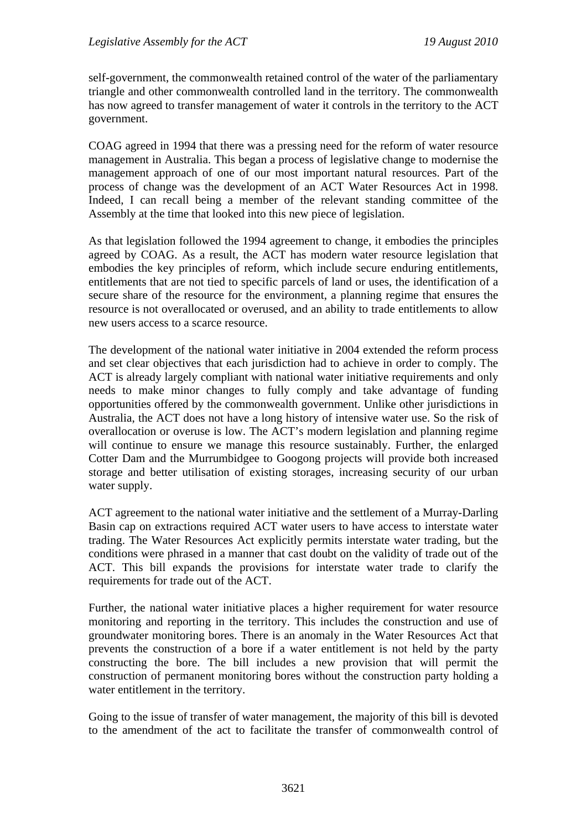self-government, the commonwealth retained control of the water of the parliamentary triangle and other commonwealth controlled land in the territory. The commonwealth has now agreed to transfer management of water it controls in the territory to the ACT government.

COAG agreed in 1994 that there was a pressing need for the reform of water resource management in Australia. This began a process of legislative change to modernise the management approach of one of our most important natural resources. Part of the process of change was the development of an ACT Water Resources Act in 1998. Indeed, I can recall being a member of the relevant standing committee of the Assembly at the time that looked into this new piece of legislation.

As that legislation followed the 1994 agreement to change, it embodies the principles agreed by COAG. As a result, the ACT has modern water resource legislation that embodies the key principles of reform, which include secure enduring entitlements, entitlements that are not tied to specific parcels of land or uses, the identification of a secure share of the resource for the environment, a planning regime that ensures the resource is not overallocated or overused, and an ability to trade entitlements to allow new users access to a scarce resource.

The development of the national water initiative in 2004 extended the reform process and set clear objectives that each jurisdiction had to achieve in order to comply. The ACT is already largely compliant with national water initiative requirements and only needs to make minor changes to fully comply and take advantage of funding opportunities offered by the commonwealth government. Unlike other jurisdictions in Australia, the ACT does not have a long history of intensive water use. So the risk of overallocation or overuse is low. The ACT's modern legislation and planning regime will continue to ensure we manage this resource sustainably. Further, the enlarged Cotter Dam and the Murrumbidgee to Googong projects will provide both increased storage and better utilisation of existing storages, increasing security of our urban water supply.

ACT agreement to the national water initiative and the settlement of a Murray-Darling Basin cap on extractions required ACT water users to have access to interstate water trading. The Water Resources Act explicitly permits interstate water trading, but the conditions were phrased in a manner that cast doubt on the validity of trade out of the ACT. This bill expands the provisions for interstate water trade to clarify the requirements for trade out of the ACT.

Further, the national water initiative places a higher requirement for water resource monitoring and reporting in the territory. This includes the construction and use of groundwater monitoring bores. There is an anomaly in the Water Resources Act that prevents the construction of a bore if a water entitlement is not held by the party constructing the bore. The bill includes a new provision that will permit the construction of permanent monitoring bores without the construction party holding a water entitlement in the territory.

Going to the issue of transfer of water management, the majority of this bill is devoted to the amendment of the act to facilitate the transfer of commonwealth control of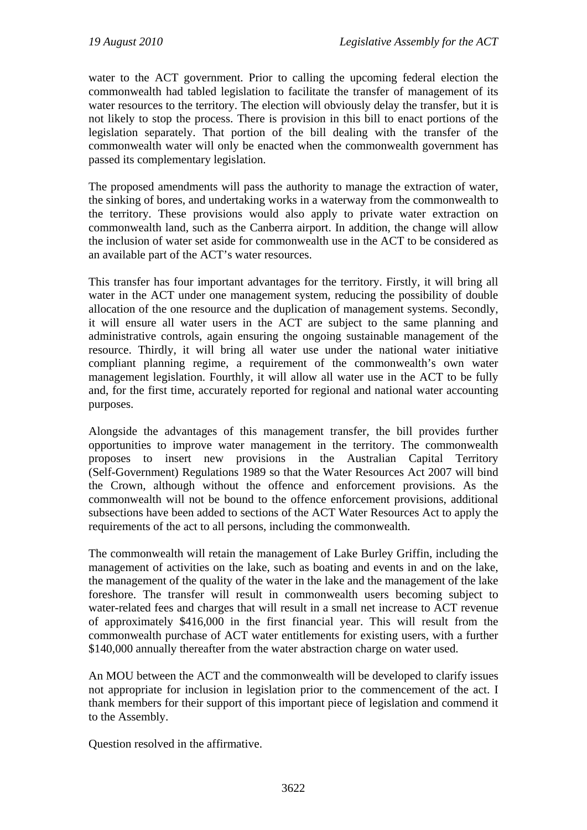water to the ACT government. Prior to calling the upcoming federal election the commonwealth had tabled legislation to facilitate the transfer of management of its water resources to the territory. The election will obviously delay the transfer, but it is not likely to stop the process. There is provision in this bill to enact portions of the legislation separately. That portion of the bill dealing with the transfer of the commonwealth water will only be enacted when the commonwealth government has passed its complementary legislation.

The proposed amendments will pass the authority to manage the extraction of water, the sinking of bores, and undertaking works in a waterway from the commonwealth to the territory. These provisions would also apply to private water extraction on commonwealth land, such as the Canberra airport. In addition, the change will allow the inclusion of water set aside for commonwealth use in the ACT to be considered as an available part of the ACT's water resources.

This transfer has four important advantages for the territory. Firstly, it will bring all water in the ACT under one management system, reducing the possibility of double allocation of the one resource and the duplication of management systems. Secondly, it will ensure all water users in the ACT are subject to the same planning and administrative controls, again ensuring the ongoing sustainable management of the resource. Thirdly, it will bring all water use under the national water initiative compliant planning regime, a requirement of the commonwealth's own water management legislation. Fourthly, it will allow all water use in the ACT to be fully and, for the first time, accurately reported for regional and national water accounting purposes.

Alongside the advantages of this management transfer, the bill provides further opportunities to improve water management in the territory. The commonwealth proposes to insert new provisions in the Australian Capital Territory (Self-Government) Regulations 1989 so that the Water Resources Act 2007 will bind the Crown, although without the offence and enforcement provisions. As the commonwealth will not be bound to the offence enforcement provisions, additional subsections have been added to sections of the ACT Water Resources Act to apply the requirements of the act to all persons, including the commonwealth.

The commonwealth will retain the management of Lake Burley Griffin, including the management of activities on the lake, such as boating and events in and on the lake, the management of the quality of the water in the lake and the management of the lake foreshore. The transfer will result in commonwealth users becoming subject to water-related fees and charges that will result in a small net increase to ACT revenue of approximately \$416,000 in the first financial year. This will result from the commonwealth purchase of ACT water entitlements for existing users, with a further \$140,000 annually thereafter from the water abstraction charge on water used.

An MOU between the ACT and the commonwealth will be developed to clarify issues not appropriate for inclusion in legislation prior to the commencement of the act. I thank members for their support of this important piece of legislation and commend it to the Assembly.

Question resolved in the affirmative.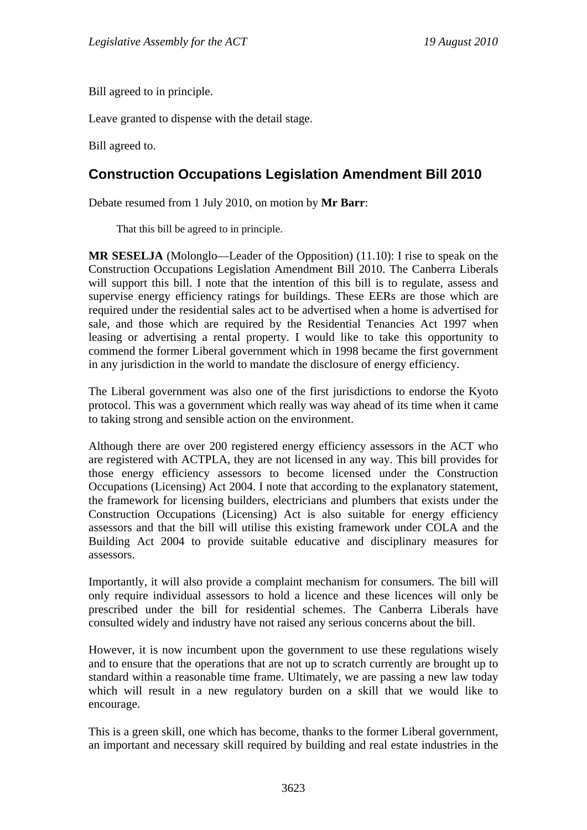Bill agreed to in principle.

Leave granted to dispense with the detail stage.

Bill agreed to.

# <span id="page-23-0"></span>**Construction Occupations Legislation Amendment Bill 2010**

Debate resumed from 1 July 2010, on motion by **Mr Barr**:

That this bill be agreed to in principle.

**MR SESELJA** (Molonglo—Leader of the Opposition) (11.10): I rise to speak on the Construction Occupations Legislation Amendment Bill 2010. The Canberra Liberals will support this bill. I note that the intention of this bill is to regulate, assess and supervise energy efficiency ratings for buildings. These EERs are those which are required under the residential sales act to be advertised when a home is advertised for sale, and those which are required by the Residential Tenancies Act 1997 when leasing or advertising a rental property. I would like to take this opportunity to commend the former Liberal government which in 1998 became the first government in any jurisdiction in the world to mandate the disclosure of energy efficiency.

The Liberal government was also one of the first jurisdictions to endorse the Kyoto protocol. This was a government which really was way ahead of its time when it came to taking strong and sensible action on the environment.

Although there are over 200 registered energy efficiency assessors in the ACT who are registered with ACTPLA, they are not licensed in any way. This bill provides for those energy efficiency assessors to become licensed under the Construction Occupations (Licensing) Act 2004. I note that according to the explanatory statement, the framework for licensing builders, electricians and plumbers that exists under the Construction Occupations (Licensing) Act is also suitable for energy efficiency assessors and that the bill will utilise this existing framework under COLA and the Building Act 2004 to provide suitable educative and disciplinary measures for assessors.

Importantly, it will also provide a complaint mechanism for consumers. The bill will only require individual assessors to hold a licence and these licences will only be prescribed under the bill for residential schemes. The Canberra Liberals have consulted widely and industry have not raised any serious concerns about the bill.

However, it is now incumbent upon the government to use these regulations wisely and to ensure that the operations that are not up to scratch currently are brought up to standard within a reasonable time frame. Ultimately, we are passing a new law today which will result in a new regulatory burden on a skill that we would like to encourage.

This is a green skill, one which has become, thanks to the former Liberal government, an important and necessary skill required by building and real estate industries in the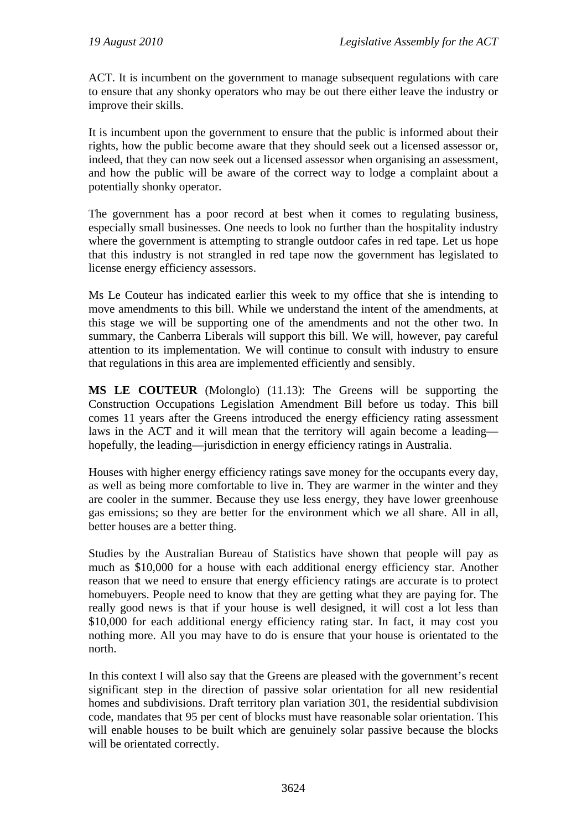ACT. It is incumbent on the government to manage subsequent regulations with care to ensure that any shonky operators who may be out there either leave the industry or improve their skills.

It is incumbent upon the government to ensure that the public is informed about their rights, how the public become aware that they should seek out a licensed assessor or, indeed, that they can now seek out a licensed assessor when organising an assessment, and how the public will be aware of the correct way to lodge a complaint about a potentially shonky operator.

The government has a poor record at best when it comes to regulating business, especially small businesses. One needs to look no further than the hospitality industry where the government is attempting to strangle outdoor cafes in red tape. Let us hope that this industry is not strangled in red tape now the government has legislated to license energy efficiency assessors.

Ms Le Couteur has indicated earlier this week to my office that she is intending to move amendments to this bill. While we understand the intent of the amendments, at this stage we will be supporting one of the amendments and not the other two. In summary, the Canberra Liberals will support this bill. We will, however, pay careful attention to its implementation. We will continue to consult with industry to ensure that regulations in this area are implemented efficiently and sensibly.

**MS LE COUTEUR** (Molonglo) (11.13): The Greens will be supporting the Construction Occupations Legislation Amendment Bill before us today. This bill comes 11 years after the Greens introduced the energy efficiency rating assessment laws in the ACT and it will mean that the territory will again become a leading hopefully, the leading—jurisdiction in energy efficiency ratings in Australia.

Houses with higher energy efficiency ratings save money for the occupants every day, as well as being more comfortable to live in. They are warmer in the winter and they are cooler in the summer. Because they use less energy, they have lower greenhouse gas emissions; so they are better for the environment which we all share. All in all, better houses are a better thing.

Studies by the Australian Bureau of Statistics have shown that people will pay as much as \$10,000 for a house with each additional energy efficiency star. Another reason that we need to ensure that energy efficiency ratings are accurate is to protect homebuyers. People need to know that they are getting what they are paying for. The really good news is that if your house is well designed, it will cost a lot less than \$10,000 for each additional energy efficiency rating star. In fact, it may cost you nothing more. All you may have to do is ensure that your house is orientated to the north.

In this context I will also say that the Greens are pleased with the government's recent significant step in the direction of passive solar orientation for all new residential homes and subdivisions. Draft territory plan variation 301, the residential subdivision code, mandates that 95 per cent of blocks must have reasonable solar orientation. This will enable houses to be built which are genuinely solar passive because the blocks will be orientated correctly.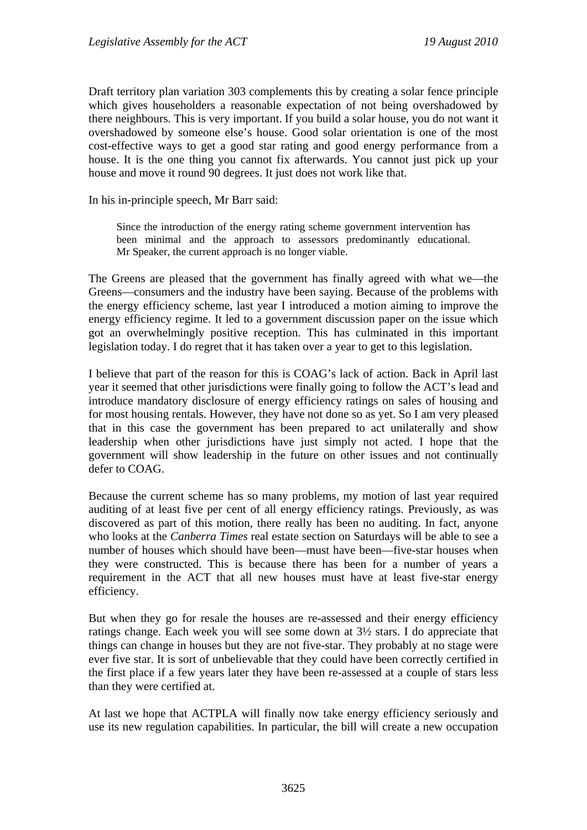Draft territory plan variation 303 complements this by creating a solar fence principle which gives householders a reasonable expectation of not being overshadowed by there neighbours. This is very important. If you build a solar house, you do not want it overshadowed by someone else's house. Good solar orientation is one of the most cost-effective ways to get a good star rating and good energy performance from a house. It is the one thing you cannot fix afterwards. You cannot just pick up your house and move it round 90 degrees. It just does not work like that.

In his in-principle speech, Mr Barr said:

Since the introduction of the energy rating scheme government intervention has been minimal and the approach to assessors predominantly educational. Mr Speaker, the current approach is no longer viable.

The Greens are pleased that the government has finally agreed with what we—the Greens—consumers and the industry have been saying. Because of the problems with the energy efficiency scheme, last year I introduced a motion aiming to improve the energy efficiency regime. It led to a government discussion paper on the issue which got an overwhelmingly positive reception. This has culminated in this important legislation today. I do regret that it has taken over a year to get to this legislation.

I believe that part of the reason for this is COAG's lack of action. Back in April last year it seemed that other jurisdictions were finally going to follow the ACT's lead and introduce mandatory disclosure of energy efficiency ratings on sales of housing and for most housing rentals. However, they have not done so as yet. So I am very pleased that in this case the government has been prepared to act unilaterally and show leadership when other jurisdictions have just simply not acted. I hope that the government will show leadership in the future on other issues and not continually defer to COAG.

Because the current scheme has so many problems, my motion of last year required auditing of at least five per cent of all energy efficiency ratings. Previously, as was discovered as part of this motion, there really has been no auditing. In fact, anyone who looks at the *Canberra Times* real estate section on Saturdays will be able to see a number of houses which should have been—must have been—five-star houses when they were constructed. This is because there has been for a number of years a requirement in the ACT that all new houses must have at least five-star energy efficiency.

But when they go for resale the houses are re-assessed and their energy efficiency ratings change. Each week you will see some down at 3½ stars. I do appreciate that things can change in houses but they are not five-star. They probably at no stage were ever five star. It is sort of unbelievable that they could have been correctly certified in the first place if a few years later they have been re-assessed at a couple of stars less than they were certified at.

At last we hope that ACTPLA will finally now take energy efficiency seriously and use its new regulation capabilities. In particular, the bill will create a new occupation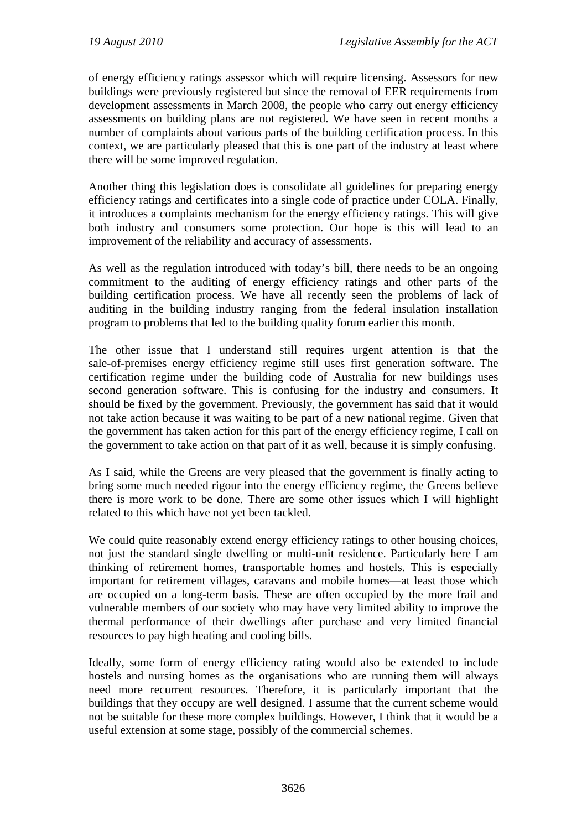of energy efficiency ratings assessor which will require licensing. Assessors for new buildings were previously registered but since the removal of EER requirements from development assessments in March 2008, the people who carry out energy efficiency assessments on building plans are not registered. We have seen in recent months a number of complaints about various parts of the building certification process. In this context, we are particularly pleased that this is one part of the industry at least where there will be some improved regulation.

Another thing this legislation does is consolidate all guidelines for preparing energy efficiency ratings and certificates into a single code of practice under COLA. Finally, it introduces a complaints mechanism for the energy efficiency ratings. This will give both industry and consumers some protection. Our hope is this will lead to an improvement of the reliability and accuracy of assessments.

As well as the regulation introduced with today's bill, there needs to be an ongoing commitment to the auditing of energy efficiency ratings and other parts of the building certification process. We have all recently seen the problems of lack of auditing in the building industry ranging from the federal insulation installation program to problems that led to the building quality forum earlier this month.

The other issue that I understand still requires urgent attention is that the sale-of-premises energy efficiency regime still uses first generation software. The certification regime under the building code of Australia for new buildings uses second generation software. This is confusing for the industry and consumers. It should be fixed by the government. Previously, the government has said that it would not take action because it was waiting to be part of a new national regime. Given that the government has taken action for this part of the energy efficiency regime, I call on the government to take action on that part of it as well, because it is simply confusing.

As I said, while the Greens are very pleased that the government is finally acting to bring some much needed rigour into the energy efficiency regime, the Greens believe there is more work to be done. There are some other issues which I will highlight related to this which have not yet been tackled.

We could quite reasonably extend energy efficiency ratings to other housing choices, not just the standard single dwelling or multi-unit residence. Particularly here I am thinking of retirement homes, transportable homes and hostels. This is especially important for retirement villages, caravans and mobile homes—at least those which are occupied on a long-term basis. These are often occupied by the more frail and vulnerable members of our society who may have very limited ability to improve the thermal performance of their dwellings after purchase and very limited financial resources to pay high heating and cooling bills.

Ideally, some form of energy efficiency rating would also be extended to include hostels and nursing homes as the organisations who are running them will always need more recurrent resources. Therefore, it is particularly important that the buildings that they occupy are well designed. I assume that the current scheme would not be suitable for these more complex buildings. However, I think that it would be a useful extension at some stage, possibly of the commercial schemes.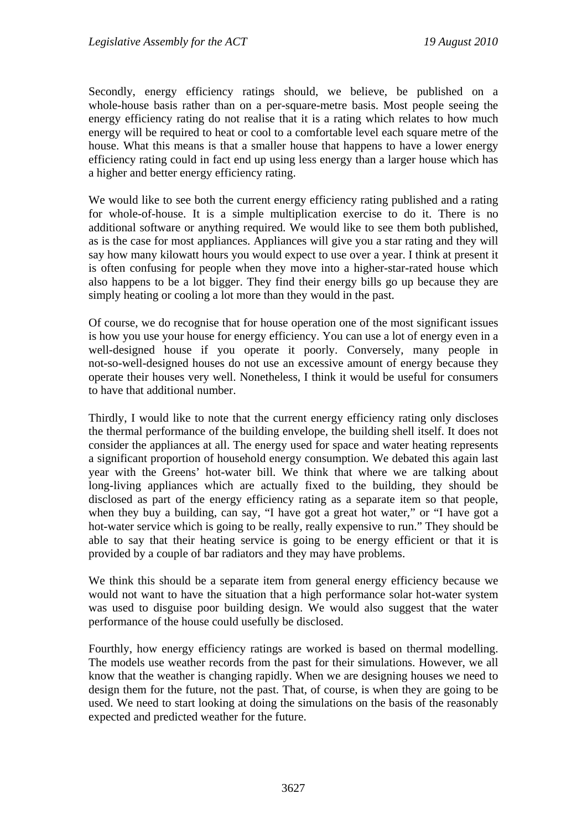Secondly, energy efficiency ratings should, we believe, be published on a whole-house basis rather than on a per-square-metre basis. Most people seeing the energy efficiency rating do not realise that it is a rating which relates to how much energy will be required to heat or cool to a comfortable level each square metre of the house. What this means is that a smaller house that happens to have a lower energy efficiency rating could in fact end up using less energy than a larger house which has a higher and better energy efficiency rating.

We would like to see both the current energy efficiency rating published and a rating for whole-of-house. It is a simple multiplication exercise to do it. There is no additional software or anything required. We would like to see them both published, as is the case for most appliances. Appliances will give you a star rating and they will say how many kilowatt hours you would expect to use over a year. I think at present it is often confusing for people when they move into a higher-star-rated house which also happens to be a lot bigger. They find their energy bills go up because they are simply heating or cooling a lot more than they would in the past.

Of course, we do recognise that for house operation one of the most significant issues is how you use your house for energy efficiency. You can use a lot of energy even in a well-designed house if you operate it poorly. Conversely, many people in not-so-well-designed houses do not use an excessive amount of energy because they operate their houses very well. Nonetheless, I think it would be useful for consumers to have that additional number.

Thirdly, I would like to note that the current energy efficiency rating only discloses the thermal performance of the building envelope, the building shell itself. It does not consider the appliances at all. The energy used for space and water heating represents a significant proportion of household energy consumption. We debated this again last year with the Greens' hot-water bill. We think that where we are talking about long-living appliances which are actually fixed to the building, they should be disclosed as part of the energy efficiency rating as a separate item so that people, when they buy a building, can say, "I have got a great hot water," or "I have got a hot-water service which is going to be really, really expensive to run." They should be able to say that their heating service is going to be energy efficient or that it is provided by a couple of bar radiators and they may have problems.

We think this should be a separate item from general energy efficiency because we would not want to have the situation that a high performance solar hot-water system was used to disguise poor building design. We would also suggest that the water performance of the house could usefully be disclosed.

Fourthly, how energy efficiency ratings are worked is based on thermal modelling. The models use weather records from the past for their simulations. However, we all know that the weather is changing rapidly. When we are designing houses we need to design them for the future, not the past. That, of course, is when they are going to be used. We need to start looking at doing the simulations on the basis of the reasonably expected and predicted weather for the future.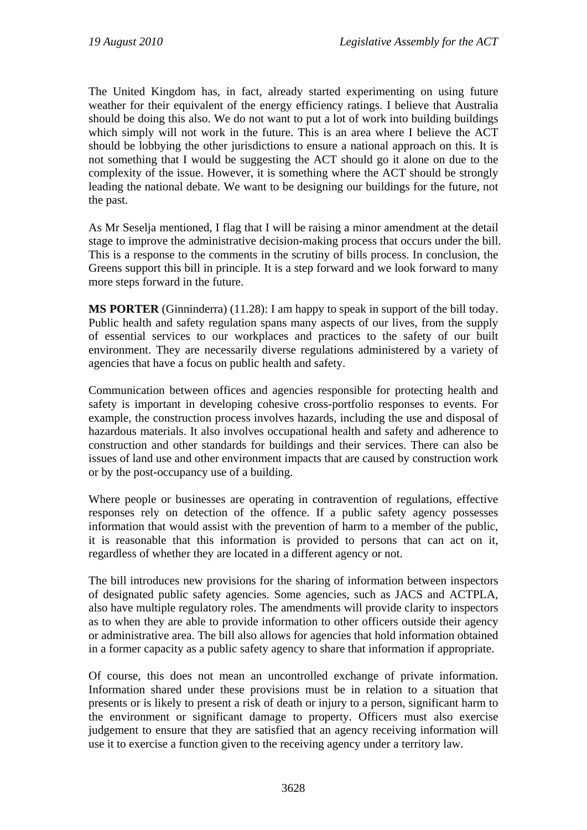The United Kingdom has, in fact, already started experimenting on using future weather for their equivalent of the energy efficiency ratings. I believe that Australia should be doing this also. We do not want to put a lot of work into building buildings which simply will not work in the future. This is an area where I believe the ACT should be lobbying the other jurisdictions to ensure a national approach on this. It is not something that I would be suggesting the ACT should go it alone on due to the complexity of the issue. However, it is something where the ACT should be strongly leading the national debate. We want to be designing our buildings for the future, not the past.

As Mr Seselja mentioned, I flag that I will be raising a minor amendment at the detail stage to improve the administrative decision-making process that occurs under the bill. This is a response to the comments in the scrutiny of bills process. In conclusion, the Greens support this bill in principle. It is a step forward and we look forward to many more steps forward in the future.

**MS PORTER** (Ginninderra) (11.28): I am happy to speak in support of the bill today. Public health and safety regulation spans many aspects of our lives, from the supply of essential services to our workplaces and practices to the safety of our built environment. They are necessarily diverse regulations administered by a variety of agencies that have a focus on public health and safety.

Communication between offices and agencies responsible for protecting health and safety is important in developing cohesive cross-portfolio responses to events. For example, the construction process involves hazards, including the use and disposal of hazardous materials. It also involves occupational health and safety and adherence to construction and other standards for buildings and their services. There can also be issues of land use and other environment impacts that are caused by construction work or by the post-occupancy use of a building.

Where people or businesses are operating in contravention of regulations, effective responses rely on detection of the offence. If a public safety agency possesses information that would assist with the prevention of harm to a member of the public, it is reasonable that this information is provided to persons that can act on it, regardless of whether they are located in a different agency or not.

The bill introduces new provisions for the sharing of information between inspectors of designated public safety agencies. Some agencies, such as JACS and ACTPLA, also have multiple regulatory roles. The amendments will provide clarity to inspectors as to when they are able to provide information to other officers outside their agency or administrative area. The bill also allows for agencies that hold information obtained in a former capacity as a public safety agency to share that information if appropriate.

Of course, this does not mean an uncontrolled exchange of private information. Information shared under these provisions must be in relation to a situation that presents or is likely to present a risk of death or injury to a person, significant harm to the environment or significant damage to property. Officers must also exercise judgement to ensure that they are satisfied that an agency receiving information will use it to exercise a function given to the receiving agency under a territory law.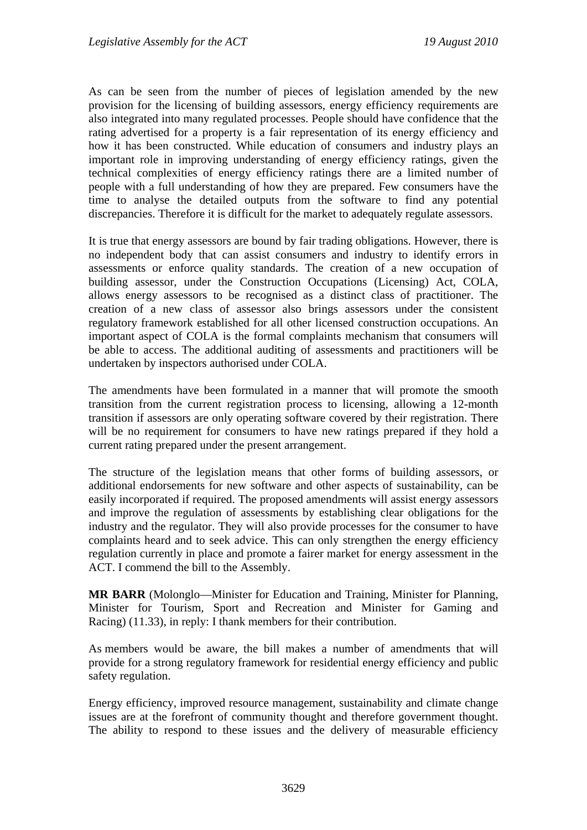As can be seen from the number of pieces of legislation amended by the new provision for the licensing of building assessors, energy efficiency requirements are also integrated into many regulated processes. People should have confidence that the rating advertised for a property is a fair representation of its energy efficiency and how it has been constructed. While education of consumers and industry plays an important role in improving understanding of energy efficiency ratings, given the technical complexities of energy efficiency ratings there are a limited number of people with a full understanding of how they are prepared. Few consumers have the time to analyse the detailed outputs from the software to find any potential discrepancies. Therefore it is difficult for the market to adequately regulate assessors.

It is true that energy assessors are bound by fair trading obligations. However, there is no independent body that can assist consumers and industry to identify errors in assessments or enforce quality standards. The creation of a new occupation of building assessor, under the Construction Occupations (Licensing) Act, COLA, allows energy assessors to be recognised as a distinct class of practitioner. The creation of a new class of assessor also brings assessors under the consistent regulatory framework established for all other licensed construction occupations. An important aspect of COLA is the formal complaints mechanism that consumers will be able to access. The additional auditing of assessments and practitioners will be undertaken by inspectors authorised under COLA.

The amendments have been formulated in a manner that will promote the smooth transition from the current registration process to licensing, allowing a 12-month transition if assessors are only operating software covered by their registration. There will be no requirement for consumers to have new ratings prepared if they hold a current rating prepared under the present arrangement.

The structure of the legislation means that other forms of building assessors, or additional endorsements for new software and other aspects of sustainability, can be easily incorporated if required. The proposed amendments will assist energy assessors and improve the regulation of assessments by establishing clear obligations for the industry and the regulator. They will also provide processes for the consumer to have complaints heard and to seek advice. This can only strengthen the energy efficiency regulation currently in place and promote a fairer market for energy assessment in the ACT. I commend the bill to the Assembly.

**MR BARR** (Molonglo—Minister for Education and Training, Minister for Planning, Minister for Tourism, Sport and Recreation and Minister for Gaming and Racing) (11.33), in reply: I thank members for their contribution.

As members would be aware, the bill makes a number of amendments that will provide for a strong regulatory framework for residential energy efficiency and public safety regulation.

Energy efficiency, improved resource management, sustainability and climate change issues are at the forefront of community thought and therefore government thought. The ability to respond to these issues and the delivery of measurable efficiency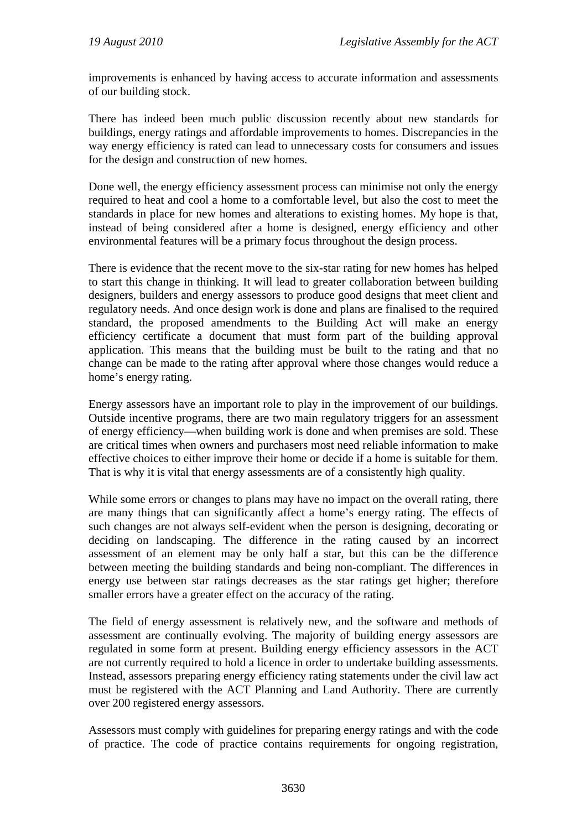improvements is enhanced by having access to accurate information and assessments of our building stock.

There has indeed been much public discussion recently about new standards for buildings, energy ratings and affordable improvements to homes. Discrepancies in the way energy efficiency is rated can lead to unnecessary costs for consumers and issues for the design and construction of new homes.

Done well, the energy efficiency assessment process can minimise not only the energy required to heat and cool a home to a comfortable level, but also the cost to meet the standards in place for new homes and alterations to existing homes. My hope is that, instead of being considered after a home is designed, energy efficiency and other environmental features will be a primary focus throughout the design process.

There is evidence that the recent move to the six-star rating for new homes has helped to start this change in thinking. It will lead to greater collaboration between building designers, builders and energy assessors to produce good designs that meet client and regulatory needs. And once design work is done and plans are finalised to the required standard, the proposed amendments to the Building Act will make an energy efficiency certificate a document that must form part of the building approval application. This means that the building must be built to the rating and that no change can be made to the rating after approval where those changes would reduce a home's energy rating.

Energy assessors have an important role to play in the improvement of our buildings. Outside incentive programs, there are two main regulatory triggers for an assessment of energy efficiency—when building work is done and when premises are sold. These are critical times when owners and purchasers most need reliable information to make effective choices to either improve their home or decide if a home is suitable for them. That is why it is vital that energy assessments are of a consistently high quality.

While some errors or changes to plans may have no impact on the overall rating, there are many things that can significantly affect a home's energy rating. The effects of such changes are not always self-evident when the person is designing, decorating or deciding on landscaping. The difference in the rating caused by an incorrect assessment of an element may be only half a star, but this can be the difference between meeting the building standards and being non-compliant. The differences in energy use between star ratings decreases as the star ratings get higher; therefore smaller errors have a greater effect on the accuracy of the rating.

The field of energy assessment is relatively new, and the software and methods of assessment are continually evolving. The majority of building energy assessors are regulated in some form at present. Building energy efficiency assessors in the ACT are not currently required to hold a licence in order to undertake building assessments. Instead, assessors preparing energy efficiency rating statements under the civil law act must be registered with the ACT Planning and Land Authority. There are currently over 200 registered energy assessors.

Assessors must comply with guidelines for preparing energy ratings and with the code of practice. The code of practice contains requirements for ongoing registration,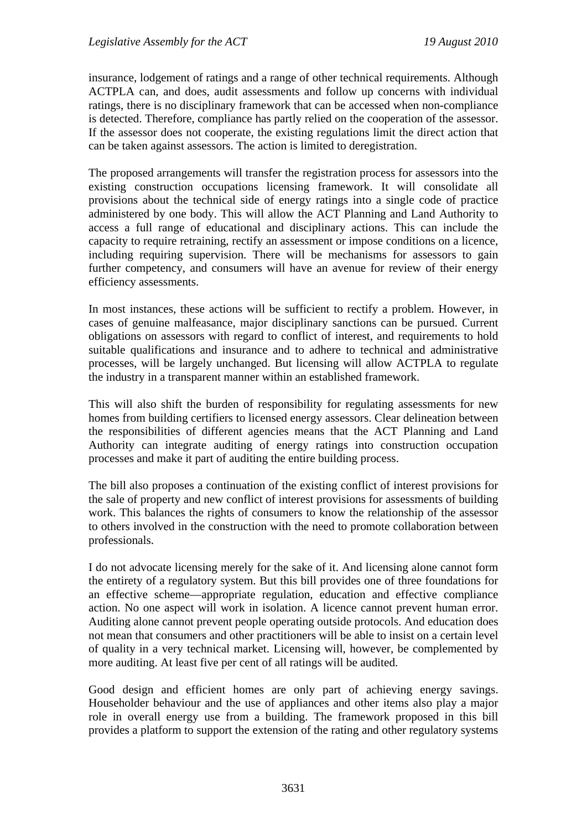insurance, lodgement of ratings and a range of other technical requirements. Although ACTPLA can, and does, audit assessments and follow up concerns with individual ratings, there is no disciplinary framework that can be accessed when non-compliance is detected. Therefore, compliance has partly relied on the cooperation of the assessor. If the assessor does not cooperate, the existing regulations limit the direct action that can be taken against assessors. The action is limited to deregistration.

The proposed arrangements will transfer the registration process for assessors into the existing construction occupations licensing framework. It will consolidate all provisions about the technical side of energy ratings into a single code of practice administered by one body. This will allow the ACT Planning and Land Authority to access a full range of educational and disciplinary actions. This can include the capacity to require retraining, rectify an assessment or impose conditions on a licence, including requiring supervision. There will be mechanisms for assessors to gain further competency, and consumers will have an avenue for review of their energy efficiency assessments.

In most instances, these actions will be sufficient to rectify a problem. However, in cases of genuine malfeasance, major disciplinary sanctions can be pursued. Current obligations on assessors with regard to conflict of interest, and requirements to hold suitable qualifications and insurance and to adhere to technical and administrative processes, will be largely unchanged. But licensing will allow ACTPLA to regulate the industry in a transparent manner within an established framework.

This will also shift the burden of responsibility for regulating assessments for new homes from building certifiers to licensed energy assessors. Clear delineation between the responsibilities of different agencies means that the ACT Planning and Land Authority can integrate auditing of energy ratings into construction occupation processes and make it part of auditing the entire building process.

The bill also proposes a continuation of the existing conflict of interest provisions for the sale of property and new conflict of interest provisions for assessments of building work. This balances the rights of consumers to know the relationship of the assessor to others involved in the construction with the need to promote collaboration between professionals.

I do not advocate licensing merely for the sake of it. And licensing alone cannot form the entirety of a regulatory system. But this bill provides one of three foundations for an effective scheme—appropriate regulation, education and effective compliance action. No one aspect will work in isolation. A licence cannot prevent human error. Auditing alone cannot prevent people operating outside protocols. And education does not mean that consumers and other practitioners will be able to insist on a certain level of quality in a very technical market. Licensing will, however, be complemented by more auditing. At least five per cent of all ratings will be audited.

Good design and efficient homes are only part of achieving energy savings. Householder behaviour and the use of appliances and other items also play a major role in overall energy use from a building. The framework proposed in this bill provides a platform to support the extension of the rating and other regulatory systems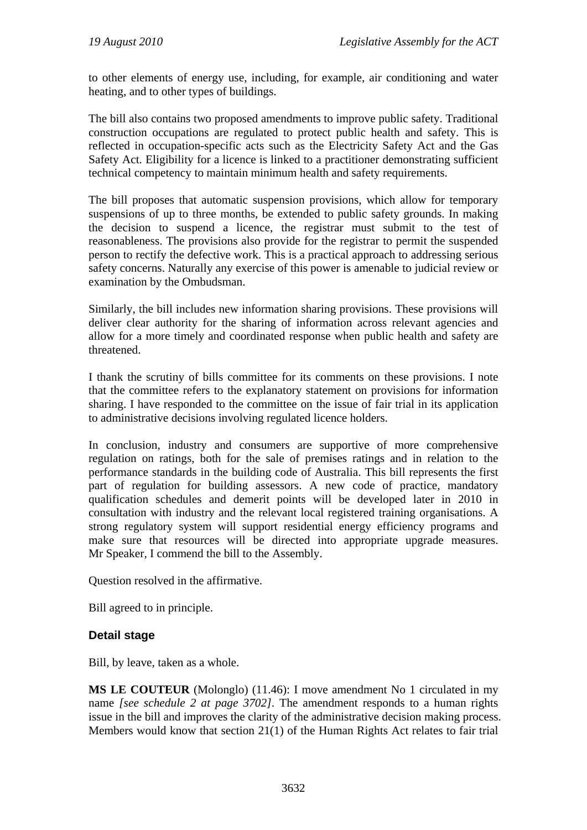to other elements of energy use, including, for example, air conditioning and water heating, and to other types of buildings.

The bill also contains two proposed amendments to improve public safety. Traditional construction occupations are regulated to protect public health and safety. This is reflected in occupation-specific acts such as the Electricity Safety Act and the Gas Safety Act. Eligibility for a licence is linked to a practitioner demonstrating sufficient technical competency to maintain minimum health and safety requirements.

The bill proposes that automatic suspension provisions, which allow for temporary suspensions of up to three months, be extended to public safety grounds. In making the decision to suspend a licence, the registrar must submit to the test of reasonableness. The provisions also provide for the registrar to permit the suspended person to rectify the defective work. This is a practical approach to addressing serious safety concerns. Naturally any exercise of this power is amenable to judicial review or examination by the Ombudsman.

Similarly, the bill includes new information sharing provisions. These provisions will deliver clear authority for the sharing of information across relevant agencies and allow for a more timely and coordinated response when public health and safety are threatened.

I thank the scrutiny of bills committee for its comments on these provisions. I note that the committee refers to the explanatory statement on provisions for information sharing. I have responded to the committee on the issue of fair trial in its application to administrative decisions involving regulated licence holders.

In conclusion, industry and consumers are supportive of more comprehensive regulation on ratings, both for the sale of premises ratings and in relation to the performance standards in the building code of Australia. This bill represents the first part of regulation for building assessors. A new code of practice, mandatory qualification schedules and demerit points will be developed later in 2010 in consultation with industry and the relevant local registered training organisations. A strong regulatory system will support residential energy efficiency programs and make sure that resources will be directed into appropriate upgrade measures. Mr Speaker, I commend the bill to the Assembly.

Question resolved in the affirmative.

Bill agreed to in principle.

#### **Detail stage**

Bill, by leave, taken as a whole.

**MS LE COUTEUR** (Molonglo) (11.46): I move amendment No 1 circulated in my name *[see schedule 2 at page 3702]*. The amendment responds to a human rights issue in the bill and improves the clarity of the administrative decision making process. Members would know that section 21(1) of the Human Rights Act relates to fair trial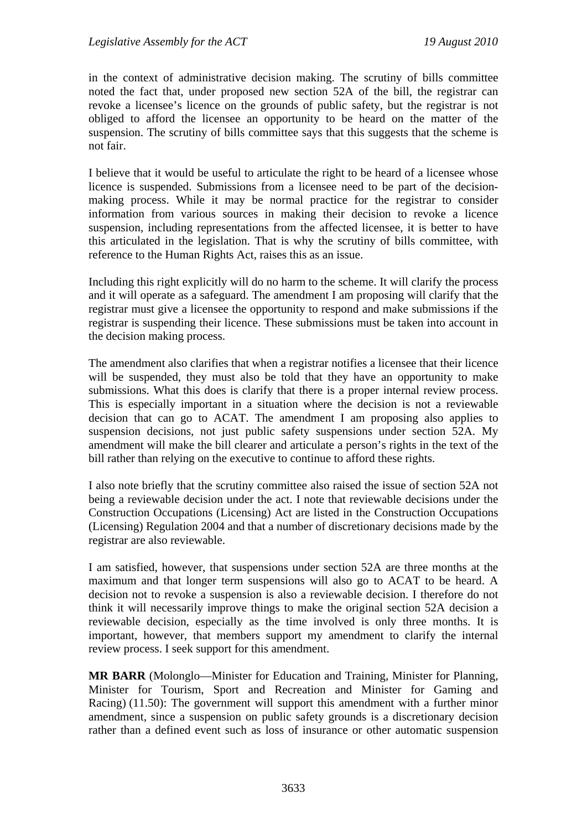in the context of administrative decision making. The scrutiny of bills committee noted the fact that, under proposed new section 52A of the bill, the registrar can revoke a licensee's licence on the grounds of public safety, but the registrar is not obliged to afford the licensee an opportunity to be heard on the matter of the suspension. The scrutiny of bills committee says that this suggests that the scheme is not fair.

I believe that it would be useful to articulate the right to be heard of a licensee whose licence is suspended. Submissions from a licensee need to be part of the decisionmaking process. While it may be normal practice for the registrar to consider information from various sources in making their decision to revoke a licence suspension, including representations from the affected licensee, it is better to have this articulated in the legislation. That is why the scrutiny of bills committee, with reference to the Human Rights Act, raises this as an issue.

Including this right explicitly will do no harm to the scheme. It will clarify the process and it will operate as a safeguard. The amendment I am proposing will clarify that the registrar must give a licensee the opportunity to respond and make submissions if the registrar is suspending their licence. These submissions must be taken into account in the decision making process.

The amendment also clarifies that when a registrar notifies a licensee that their licence will be suspended, they must also be told that they have an opportunity to make submissions. What this does is clarify that there is a proper internal review process. This is especially important in a situation where the decision is not a reviewable decision that can go to ACAT. The amendment I am proposing also applies to suspension decisions, not just public safety suspensions under section 52A. My amendment will make the bill clearer and articulate a person's rights in the text of the bill rather than relying on the executive to continue to afford these rights.

I also note briefly that the scrutiny committee also raised the issue of section 52A not being a reviewable decision under the act. I note that reviewable decisions under the Construction Occupations (Licensing) Act are listed in the Construction Occupations (Licensing) Regulation 2004 and that a number of discretionary decisions made by the registrar are also reviewable.

I am satisfied, however, that suspensions under section 52A are three months at the maximum and that longer term suspensions will also go to ACAT to be heard. A decision not to revoke a suspension is also a reviewable decision. I therefore do not think it will necessarily improve things to make the original section 52A decision a reviewable decision, especially as the time involved is only three months. It is important, however, that members support my amendment to clarify the internal review process. I seek support for this amendment.

**MR BARR** (Molonglo—Minister for Education and Training, Minister for Planning, Minister for Tourism, Sport and Recreation and Minister for Gaming and Racing) (11.50): The government will support this amendment with a further minor amendment, since a suspension on public safety grounds is a discretionary decision rather than a defined event such as loss of insurance or other automatic suspension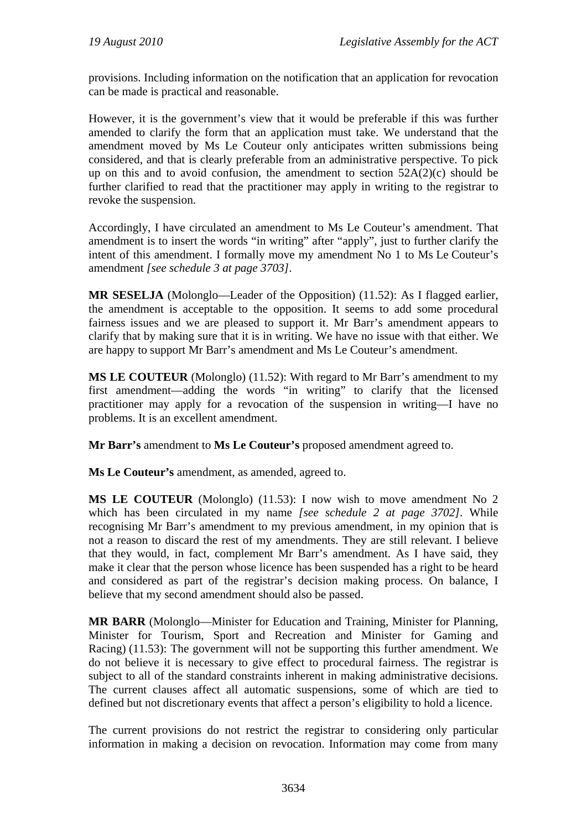provisions. Including information on the notification that an application for revocation can be made is practical and reasonable.

However, it is the government's view that it would be preferable if this was further amended to clarify the form that an application must take. We understand that the amendment moved by Ms Le Couteur only anticipates written submissions being considered, and that is clearly preferable from an administrative perspective. To pick up on this and to avoid confusion, the amendment to section  $52A(2)(c)$  should be further clarified to read that the practitioner may apply in writing to the registrar to revoke the suspension.

Accordingly, I have circulated an amendment to Ms Le Couteur's amendment. That amendment is to insert the words "in writing" after "apply", just to further clarify the intent of this amendment. I formally move my amendment No 1 to Ms Le Couteur's amendment *[see schedule 3 at page 3703]*.

**MR SESELJA** (Molonglo—Leader of the Opposition) (11.52): As I flagged earlier, the amendment is acceptable to the opposition. It seems to add some procedural fairness issues and we are pleased to support it. Mr Barr's amendment appears to clarify that by making sure that it is in writing. We have no issue with that either. We are happy to support Mr Barr's amendment and Ms Le Couteur's amendment.

**MS LE COUTEUR** (Molonglo) (11.52): With regard to Mr Barr's amendment to my first amendment—adding the words "in writing" to clarify that the licensed practitioner may apply for a revocation of the suspension in writing—I have no problems. It is an excellent amendment.

**Mr Barr's** amendment to **Ms Le Couteur's** proposed amendment agreed to.

**Ms Le Couteur's** amendment, as amended, agreed to.

**MS LE COUTEUR** (Molonglo) (11.53): I now wish to move amendment No 2 which has been circulated in my name *[see schedule 2 at page 3702]*. While recognising Mr Barr's amendment to my previous amendment, in my opinion that is not a reason to discard the rest of my amendments. They are still relevant. I believe that they would, in fact, complement Mr Barr's amendment. As I have said, they make it clear that the person whose licence has been suspended has a right to be heard and considered as part of the registrar's decision making process. On balance, I believe that my second amendment should also be passed.

**MR BARR** (Molonglo—Minister for Education and Training, Minister for Planning, Minister for Tourism, Sport and Recreation and Minister for Gaming and Racing) (11.53): The government will not be supporting this further amendment. We do not believe it is necessary to give effect to procedural fairness. The registrar is subject to all of the standard constraints inherent in making administrative decisions. The current clauses affect all automatic suspensions, some of which are tied to defined but not discretionary events that affect a person's eligibility to hold a licence.

The current provisions do not restrict the registrar to considering only particular information in making a decision on revocation. Information may come from many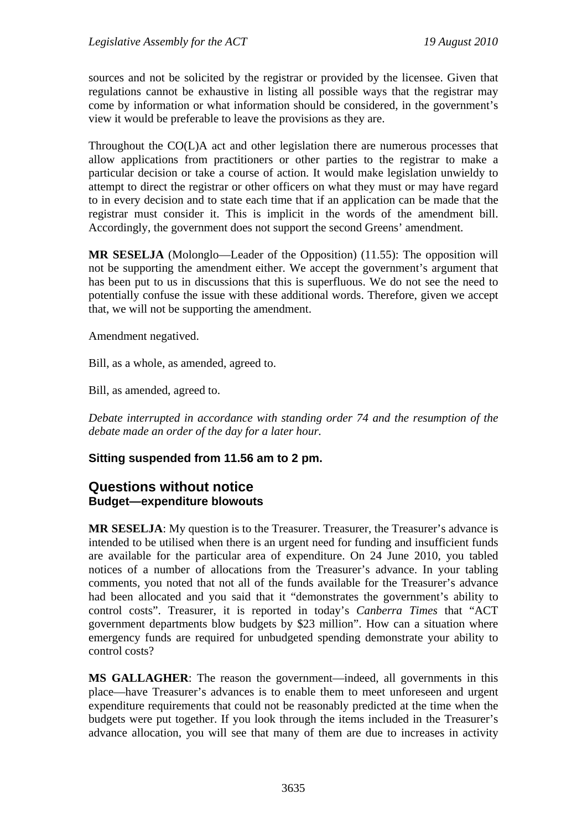sources and not be solicited by the registrar or provided by the licensee. Given that regulations cannot be exhaustive in listing all possible ways that the registrar may come by information or what information should be considered, in the government's view it would be preferable to leave the provisions as they are.

Throughout the CO(L)A act and other legislation there are numerous processes that allow applications from practitioners or other parties to the registrar to make a particular decision or take a course of action. It would make legislation unwieldy to attempt to direct the registrar or other officers on what they must or may have regard to in every decision and to state each time that if an application can be made that the registrar must consider it. This is implicit in the words of the amendment bill. Accordingly, the government does not support the second Greens' amendment.

**MR SESELJA** (Molonglo—Leader of the Opposition) (11.55): The opposition will not be supporting the amendment either. We accept the government's argument that has been put to us in discussions that this is superfluous. We do not see the need to potentially confuse the issue with these additional words. Therefore, given we accept that, we will not be supporting the amendment.

Amendment negatived.

Bill, as a whole, as amended, agreed to.

Bill, as amended, agreed to.

*Debate interrupted in accordance with standing order 74 and the resumption of the debate made an order of the day for a later hour.*

#### **Sitting suspended from 11.56 am to 2 pm.**

### <span id="page-35-1"></span><span id="page-35-0"></span>**Questions without notice Budget—expenditure blowouts**

**MR SESELJA**: My question is to the Treasurer. Treasurer, the Treasurer's advance is intended to be utilised when there is an urgent need for funding and insufficient funds are available for the particular area of expenditure. On 24 June 2010, you tabled notices of a number of allocations from the Treasurer's advance. In your tabling comments, you noted that not all of the funds available for the Treasurer's advance had been allocated and you said that it "demonstrates the government's ability to control costs". Treasurer, it is reported in today's *Canberra Times* that "ACT government departments blow budgets by \$23 million". How can a situation where emergency funds are required for unbudgeted spending demonstrate your ability to control costs?

**MS GALLAGHER**: The reason the government—indeed, all governments in this place—have Treasurer's advances is to enable them to meet unforeseen and urgent expenditure requirements that could not be reasonably predicted at the time when the budgets were put together. If you look through the items included in the Treasurer's advance allocation, you will see that many of them are due to increases in activity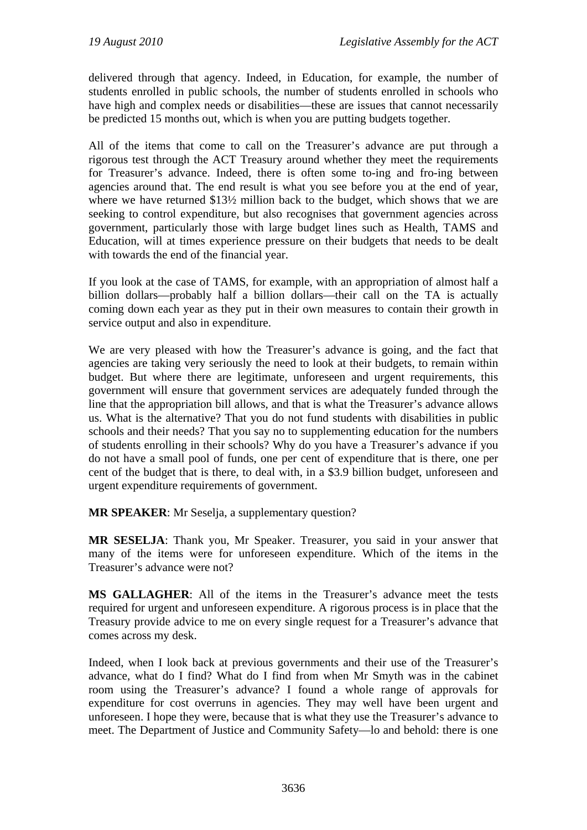delivered through that agency. Indeed, in Education, for example, the number of students enrolled in public schools, the number of students enrolled in schools who have high and complex needs or disabilities—these are issues that cannot necessarily be predicted 15 months out, which is when you are putting budgets together.

All of the items that come to call on the Treasurer's advance are put through a rigorous test through the ACT Treasury around whether they meet the requirements for Treasurer's advance. Indeed, there is often some to-ing and fro-ing between agencies around that. The end result is what you see before you at the end of year, where we have returned \$13<sup>1/2</sup> million back to the budget, which shows that we are seeking to control expenditure, but also recognises that government agencies across government, particularly those with large budget lines such as Health, TAMS and Education, will at times experience pressure on their budgets that needs to be dealt with towards the end of the financial year.

If you look at the case of TAMS, for example, with an appropriation of almost half a billion dollars—probably half a billion dollars—their call on the TA is actually coming down each year as they put in their own measures to contain their growth in service output and also in expenditure.

We are very pleased with how the Treasurer's advance is going, and the fact that agencies are taking very seriously the need to look at their budgets, to remain within budget. But where there are legitimate, unforeseen and urgent requirements, this government will ensure that government services are adequately funded through the line that the appropriation bill allows, and that is what the Treasurer's advance allows us. What is the alternative? That you do not fund students with disabilities in public schools and their needs? That you say no to supplementing education for the numbers of students enrolling in their schools? Why do you have a Treasurer's advance if you do not have a small pool of funds, one per cent of expenditure that is there, one per cent of the budget that is there, to deal with, in a \$3.9 billion budget, unforeseen and urgent expenditure requirements of government.

**MR SPEAKER**: Mr Seselja, a supplementary question?

**MR SESELJA**: Thank you, Mr Speaker. Treasurer, you said in your answer that many of the items were for unforeseen expenditure. Which of the items in the Treasurer's advance were not?

**MS GALLAGHER**: All of the items in the Treasurer's advance meet the tests required for urgent and unforeseen expenditure. A rigorous process is in place that the Treasury provide advice to me on every single request for a Treasurer's advance that comes across my desk.

Indeed, when I look back at previous governments and their use of the Treasurer's advance, what do I find? What do I find from when Mr Smyth was in the cabinet room using the Treasurer's advance? I found a whole range of approvals for expenditure for cost overruns in agencies. They may well have been urgent and unforeseen. I hope they were, because that is what they use the Treasurer's advance to meet. The Department of Justice and Community Safety—lo and behold: there is one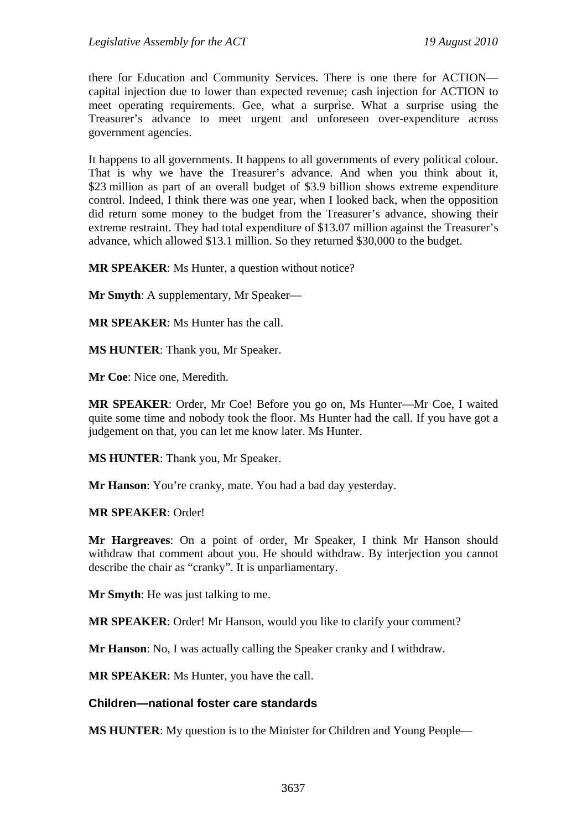there for Education and Community Services. There is one there for ACTION capital injection due to lower than expected revenue; cash injection for ACTION to meet operating requirements. Gee, what a surprise. What a surprise using the Treasurer's advance to meet urgent and unforeseen over-expenditure across government agencies.

It happens to all governments. It happens to all governments of every political colour. That is why we have the Treasurer's advance. And when you think about it, \$23 million as part of an overall budget of \$3.9 billion shows extreme expenditure control. Indeed, I think there was one year, when I looked back, when the opposition did return some money to the budget from the Treasurer's advance, showing their extreme restraint. They had total expenditure of \$13.07 million against the Treasurer's advance, which allowed \$13.1 million. So they returned \$30,000 to the budget.

**MR SPEAKER**: Ms Hunter, a question without notice?

**Mr Smyth**: A supplementary, Mr Speaker—

**MR SPEAKER**: Ms Hunter has the call.

**MS HUNTER**: Thank you, Mr Speaker.

**Mr Coe**: Nice one, Meredith.

**MR SPEAKER**: Order, Mr Coe! Before you go on, Ms Hunter—Mr Coe, I waited quite some time and nobody took the floor. Ms Hunter had the call. If you have got a judgement on that, you can let me know later. Ms Hunter.

**MS HUNTER**: Thank you, Mr Speaker.

**Mr Hanson**: You're cranky, mate. You had a bad day yesterday.

**MR SPEAKER**: Order!

**Mr Hargreaves**: On a point of order, Mr Speaker, I think Mr Hanson should withdraw that comment about you. He should withdraw. By interjection you cannot describe the chair as "cranky". It is unparliamentary.

**Mr Smyth**: He was just talking to me.

**MR SPEAKER:** Order! Mr Hanson, would you like to clarify your comment?

**Mr Hanson**: No, I was actually calling the Speaker cranky and I withdraw.

**MR SPEAKER**: Ms Hunter, you have the call.

### **Children—national foster care standards**

**MS HUNTER**: My question is to the Minister for Children and Young People—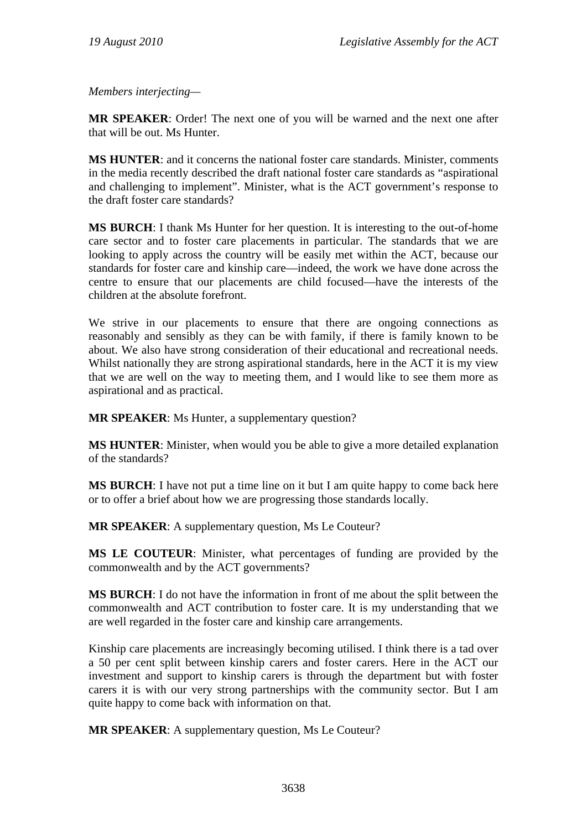*Members interjecting—* 

**MR SPEAKER**: Order! The next one of you will be warned and the next one after that will be out. Ms Hunter.

**MS HUNTER**: and it concerns the national foster care standards. Minister, comments in the media recently described the draft national foster care standards as "aspirational and challenging to implement". Minister, what is the ACT government's response to the draft foster care standards?

**MS BURCH**: I thank Ms Hunter for her question. It is interesting to the out-of-home care sector and to foster care placements in particular. The standards that we are looking to apply across the country will be easily met within the ACT, because our standards for foster care and kinship care—indeed, the work we have done across the centre to ensure that our placements are child focused—have the interests of the children at the absolute forefront.

We strive in our placements to ensure that there are ongoing connections as reasonably and sensibly as they can be with family, if there is family known to be about. We also have strong consideration of their educational and recreational needs. Whilst nationally they are strong aspirational standards, here in the ACT it is my view that we are well on the way to meeting them, and I would like to see them more as aspirational and as practical.

**MR SPEAKER:** Ms Hunter, a supplementary question?

**MS HUNTER**: Minister, when would you be able to give a more detailed explanation of the standards?

**MS BURCH**: I have not put a time line on it but I am quite happy to come back here or to offer a brief about how we are progressing those standards locally.

**MR SPEAKER**: A supplementary question, Ms Le Couteur?

**MS LE COUTEUR**: Minister, what percentages of funding are provided by the commonwealth and by the ACT governments?

**MS BURCH**: I do not have the information in front of me about the split between the commonwealth and ACT contribution to foster care. It is my understanding that we are well regarded in the foster care and kinship care arrangements.

Kinship care placements are increasingly becoming utilised. I think there is a tad over a 50 per cent split between kinship carers and foster carers. Here in the ACT our investment and support to kinship carers is through the department but with foster carers it is with our very strong partnerships with the community sector. But I am quite happy to come back with information on that.

**MR SPEAKER:** A supplementary question, Ms Le Couteur?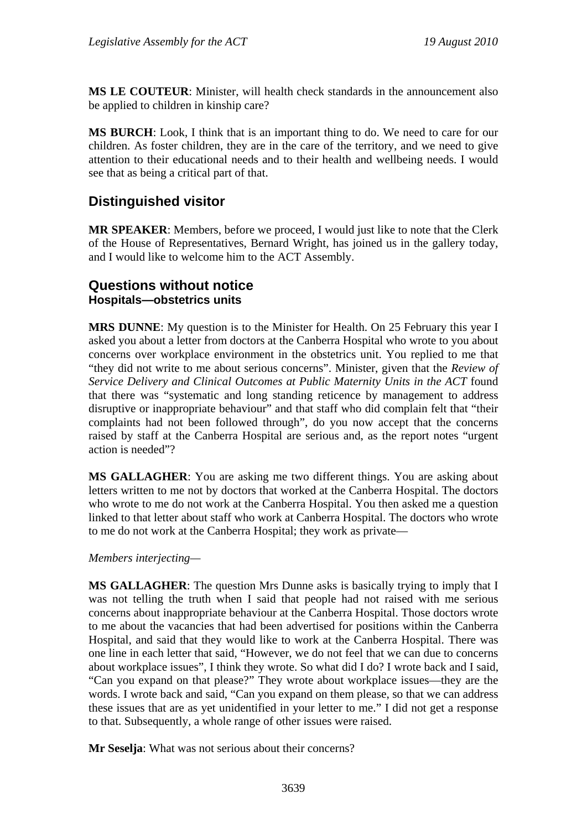**MS LE COUTEUR**: Minister, will health check standards in the announcement also be applied to children in kinship care?

**MS BURCH**: Look, I think that is an important thing to do. We need to care for our children. As foster children, they are in the care of the territory, and we need to give attention to their educational needs and to their health and wellbeing needs. I would see that as being a critical part of that.

# **Distinguished visitor**

**MR SPEAKER**: Members, before we proceed, I would just like to note that the Clerk of the House of Representatives, Bernard Wright, has joined us in the gallery today, and I would like to welcome him to the ACT Assembly.

# **Questions without notice Hospitals—obstetrics units**

**MRS DUNNE**: My question is to the Minister for Health. On 25 February this year I asked you about a letter from doctors at the Canberra Hospital who wrote to you about concerns over workplace environment in the obstetrics unit. You replied to me that "they did not write to me about serious concerns". Minister, given that the *Review of Service Delivery and Clinical Outcomes at Public Maternity Units in the ACT* found that there was "systematic and long standing reticence by management to address disruptive or inappropriate behaviour" and that staff who did complain felt that "their complaints had not been followed through", do you now accept that the concerns raised by staff at the Canberra Hospital are serious and, as the report notes "urgent action is needed"?

**MS GALLAGHER:** You are asking me two different things. You are asking about letters written to me not by doctors that worked at the Canberra Hospital. The doctors who wrote to me do not work at the Canberra Hospital. You then asked me a question linked to that letter about staff who work at Canberra Hospital. The doctors who wrote to me do not work at the Canberra Hospital; they work as private—

*Members interjecting—* 

**MS GALLAGHER**: The question Mrs Dunne asks is basically trying to imply that I was not telling the truth when I said that people had not raised with me serious concerns about inappropriate behaviour at the Canberra Hospital. Those doctors wrote to me about the vacancies that had been advertised for positions within the Canberra Hospital, and said that they would like to work at the Canberra Hospital. There was one line in each letter that said, "However, we do not feel that we can due to concerns about workplace issues", I think they wrote. So what did I do? I wrote back and I said, "Can you expand on that please?" They wrote about workplace issues—they are the words. I wrote back and said, "Can you expand on them please, so that we can address these issues that are as yet unidentified in your letter to me." I did not get a response to that. Subsequently, a whole range of other issues were raised.

**Mr Seselja**: What was not serious about their concerns?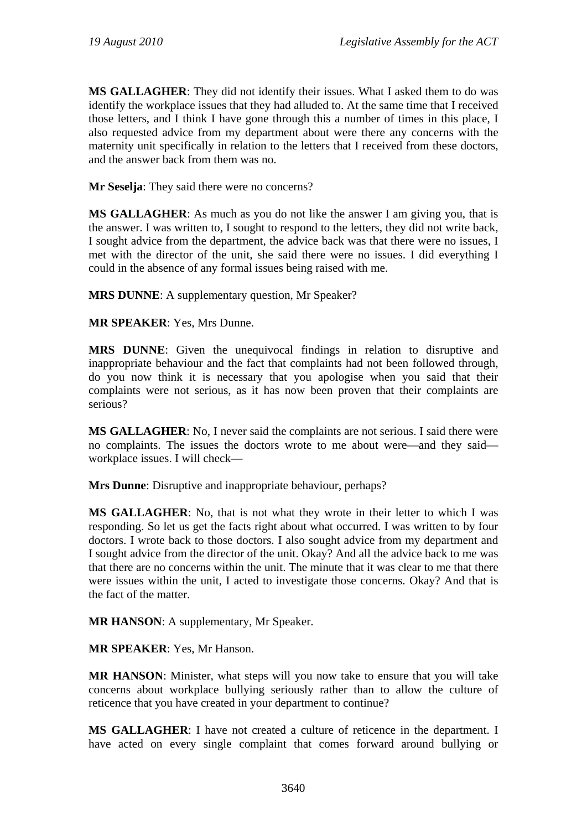**MS GALLAGHER**: They did not identify their issues. What I asked them to do was identify the workplace issues that they had alluded to. At the same time that I received those letters, and I think I have gone through this a number of times in this place, I also requested advice from my department about were there any concerns with the maternity unit specifically in relation to the letters that I received from these doctors, and the answer back from them was no.

**Mr Seselja**: They said there were no concerns?

**MS GALLAGHER**: As much as you do not like the answer I am giving you, that is the answer. I was written to, I sought to respond to the letters, they did not write back, I sought advice from the department, the advice back was that there were no issues, I met with the director of the unit, she said there were no issues. I did everything I could in the absence of any formal issues being raised with me.

**MRS DUNNE**: A supplementary question, Mr Speaker?

**MR SPEAKER**: Yes, Mrs Dunne.

**MRS DUNNE**: Given the unequivocal findings in relation to disruptive and inappropriate behaviour and the fact that complaints had not been followed through, do you now think it is necessary that you apologise when you said that their complaints were not serious, as it has now been proven that their complaints are serious?

**MS GALLAGHER**: No, I never said the complaints are not serious. I said there were no complaints. The issues the doctors wrote to me about were—and they said workplace issues. I will check—

**Mrs Dunne**: Disruptive and inappropriate behaviour, perhaps?

**MS GALLAGHER**: No, that is not what they wrote in their letter to which I was responding. So let us get the facts right about what occurred. I was written to by four doctors. I wrote back to those doctors. I also sought advice from my department and I sought advice from the director of the unit. Okay? And all the advice back to me was that there are no concerns within the unit. The minute that it was clear to me that there were issues within the unit, I acted to investigate those concerns. Okay? And that is the fact of the matter.

**MR HANSON**: A supplementary, Mr Speaker.

**MR SPEAKER**: Yes, Mr Hanson.

**MR HANSON**: Minister, what steps will you now take to ensure that you will take concerns about workplace bullying seriously rather than to allow the culture of reticence that you have created in your department to continue?

**MS GALLAGHER**: I have not created a culture of reticence in the department. I have acted on every single complaint that comes forward around bullying or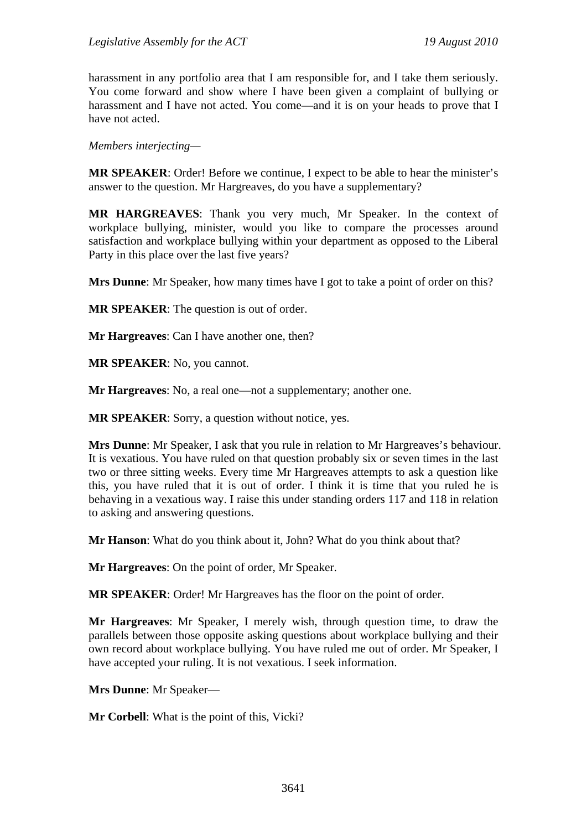harassment in any portfolio area that I am responsible for, and I take them seriously. You come forward and show where I have been given a complaint of bullying or harassment and I have not acted. You come—and it is on your heads to prove that I have not acted.

*Members interjecting—* 

**MR SPEAKER**: Order! Before we continue, I expect to be able to hear the minister's answer to the question. Mr Hargreaves, do you have a supplementary?

**MR HARGREAVES**: Thank you very much, Mr Speaker. In the context of workplace bullying, minister, would you like to compare the processes around satisfaction and workplace bullying within your department as opposed to the Liberal Party in this place over the last five years?

**Mrs Dunne**: Mr Speaker, how many times have I got to take a point of order on this?

**MR SPEAKER**: The question is out of order.

**Mr Hargreaves**: Can I have another one, then?

**MR SPEAKER**: No, you cannot.

**Mr Hargreaves**: No, a real one—not a supplementary; another one.

**MR SPEAKER:** Sorry, a question without notice, yes.

**Mrs Dunne**: Mr Speaker, I ask that you rule in relation to Mr Hargreaves's behaviour. It is vexatious. You have ruled on that question probably six or seven times in the last two or three sitting weeks. Every time Mr Hargreaves attempts to ask a question like this, you have ruled that it is out of order. I think it is time that you ruled he is behaving in a vexatious way. I raise this under standing orders 117 and 118 in relation to asking and answering questions.

**Mr Hanson**: What do you think about it, John? What do you think about that?

**Mr Hargreaves**: On the point of order, Mr Speaker.

**MR SPEAKER**: Order! Mr Hargreaves has the floor on the point of order.

**Mr Hargreaves**: Mr Speaker, I merely wish, through question time, to draw the parallels between those opposite asking questions about workplace bullying and their own record about workplace bullying. You have ruled me out of order. Mr Speaker, I have accepted your ruling. It is not vexatious. I seek information.

**Mrs Dunne**: Mr Speaker—

**Mr Corbell**: What is the point of this, Vicki?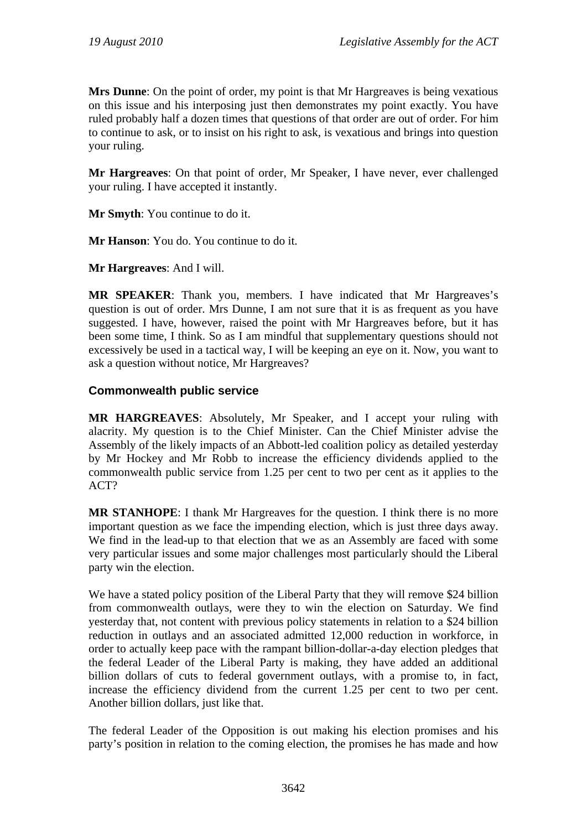**Mrs Dunne**: On the point of order, my point is that Mr Hargreaves is being vexatious on this issue and his interposing just then demonstrates my point exactly. You have ruled probably half a dozen times that questions of that order are out of order. For him to continue to ask, or to insist on his right to ask, is vexatious and brings into question your ruling.

**Mr Hargreaves**: On that point of order, Mr Speaker, I have never, ever challenged your ruling. I have accepted it instantly.

**Mr Smyth**: You continue to do it.

**Mr Hanson**: You do. You continue to do it.

**Mr Hargreaves**: And I will.

**MR SPEAKER**: Thank you, members. I have indicated that Mr Hargreaves's question is out of order. Mrs Dunne, I am not sure that it is as frequent as you have suggested. I have, however, raised the point with Mr Hargreaves before, but it has been some time, I think. So as I am mindful that supplementary questions should not excessively be used in a tactical way, I will be keeping an eye on it. Now, you want to ask a question without notice, Mr Hargreaves?

### **Commonwealth public service**

**MR HARGREAVES**: Absolutely, Mr Speaker, and I accept your ruling with alacrity. My question is to the Chief Minister. Can the Chief Minister advise the Assembly of the likely impacts of an Abbott-led coalition policy as detailed yesterday by Mr Hockey and Mr Robb to increase the efficiency dividends applied to the commonwealth public service from 1.25 per cent to two per cent as it applies to the ACT?

**MR STANHOPE**: I thank Mr Hargreaves for the question. I think there is no more important question as we face the impending election, which is just three days away. We find in the lead-up to that election that we as an Assembly are faced with some very particular issues and some major challenges most particularly should the Liberal party win the election.

We have a stated policy position of the Liberal Party that they will remove \$24 billion from commonwealth outlays, were they to win the election on Saturday. We find yesterday that, not content with previous policy statements in relation to a \$24 billion reduction in outlays and an associated admitted 12,000 reduction in workforce, in order to actually keep pace with the rampant billion-dollar-a-day election pledges that the federal Leader of the Liberal Party is making, they have added an additional billion dollars of cuts to federal government outlays, with a promise to, in fact, increase the efficiency dividend from the current 1.25 per cent to two per cent. Another billion dollars, just like that.

The federal Leader of the Opposition is out making his election promises and his party's position in relation to the coming election, the promises he has made and how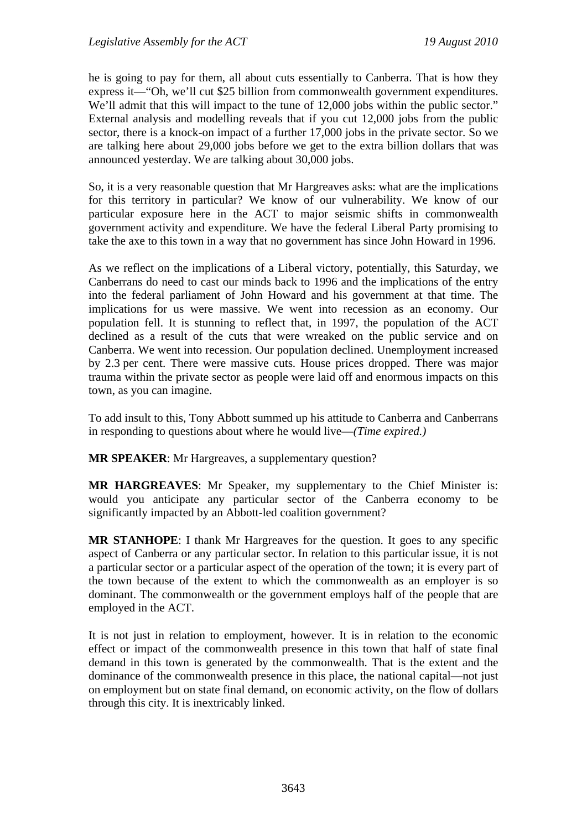he is going to pay for them, all about cuts essentially to Canberra. That is how they express it—"Oh, we'll cut \$25 billion from commonwealth government expenditures. We'll admit that this will impact to the tune of 12,000 jobs within the public sector." External analysis and modelling reveals that if you cut 12,000 jobs from the public sector, there is a knock-on impact of a further 17,000 jobs in the private sector. So we are talking here about 29,000 jobs before we get to the extra billion dollars that was announced yesterday. We are talking about 30,000 jobs.

So, it is a very reasonable question that Mr Hargreaves asks: what are the implications for this territory in particular? We know of our vulnerability. We know of our particular exposure here in the ACT to major seismic shifts in commonwealth government activity and expenditure. We have the federal Liberal Party promising to take the axe to this town in a way that no government has since John Howard in 1996.

As we reflect on the implications of a Liberal victory, potentially, this Saturday, we Canberrans do need to cast our minds back to 1996 and the implications of the entry into the federal parliament of John Howard and his government at that time. The implications for us were massive. We went into recession as an economy. Our population fell. It is stunning to reflect that, in 1997, the population of the ACT declined as a result of the cuts that were wreaked on the public service and on Canberra. We went into recession. Our population declined. Unemployment increased by 2.3 per cent. There were massive cuts. House prices dropped. There was major trauma within the private sector as people were laid off and enormous impacts on this town, as you can imagine.

To add insult to this, Tony Abbott summed up his attitude to Canberra and Canberrans in responding to questions about where he would live—*(Time expired.)*

**MR SPEAKER**: Mr Hargreaves, a supplementary question?

**MR HARGREAVES**: Mr Speaker, my supplementary to the Chief Minister is: would you anticipate any particular sector of the Canberra economy to be significantly impacted by an Abbott-led coalition government?

**MR STANHOPE**: I thank Mr Hargreaves for the question. It goes to any specific aspect of Canberra or any particular sector. In relation to this particular issue, it is not a particular sector or a particular aspect of the operation of the town; it is every part of the town because of the extent to which the commonwealth as an employer is so dominant. The commonwealth or the government employs half of the people that are employed in the ACT.

It is not just in relation to employment, however. It is in relation to the economic effect or impact of the commonwealth presence in this town that half of state final demand in this town is generated by the commonwealth. That is the extent and the dominance of the commonwealth presence in this place, the national capital—not just on employment but on state final demand, on economic activity, on the flow of dollars through this city. It is inextricably linked.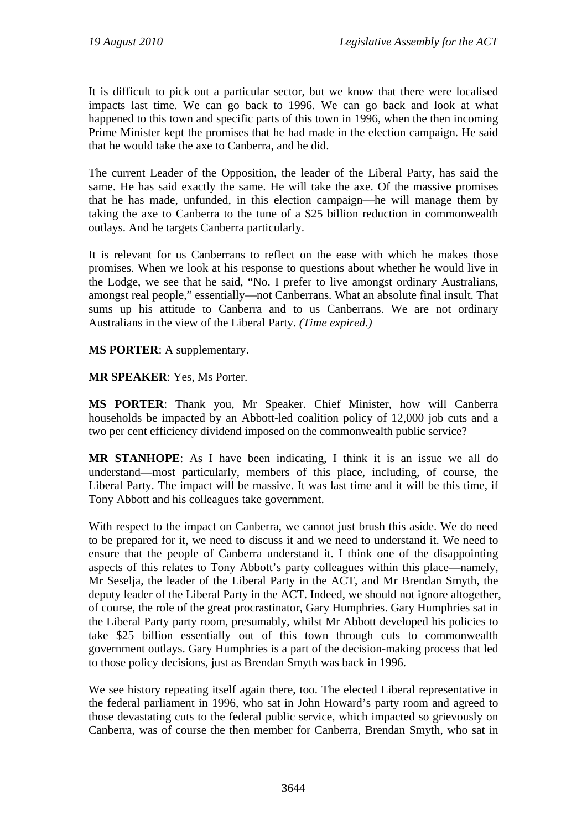It is difficult to pick out a particular sector, but we know that there were localised impacts last time. We can go back to 1996. We can go back and look at what happened to this town and specific parts of this town in 1996, when the then incoming Prime Minister kept the promises that he had made in the election campaign. He said that he would take the axe to Canberra, and he did.

The current Leader of the Opposition, the leader of the Liberal Party, has said the same. He has said exactly the same. He will take the axe. Of the massive promises that he has made, unfunded, in this election campaign—he will manage them by taking the axe to Canberra to the tune of a \$25 billion reduction in commonwealth outlays. And he targets Canberra particularly.

It is relevant for us Canberrans to reflect on the ease with which he makes those promises. When we look at his response to questions about whether he would live in the Lodge, we see that he said, "No. I prefer to live amongst ordinary Australians, amongst real people," essentially—not Canberrans. What an absolute final insult. That sums up his attitude to Canberra and to us Canberrans. We are not ordinary Australians in the view of the Liberal Party. *(Time expired.)*

**MS PORTER**: A supplementary.

**MR SPEAKER**: Yes, Ms Porter.

**MS PORTER**: Thank you, Mr Speaker. Chief Minister, how will Canberra households be impacted by an Abbott-led coalition policy of 12,000 job cuts and a two per cent efficiency dividend imposed on the commonwealth public service?

**MR STANHOPE**: As I have been indicating, I think it is an issue we all do understand—most particularly, members of this place, including, of course, the Liberal Party. The impact will be massive. It was last time and it will be this time, if Tony Abbott and his colleagues take government.

With respect to the impact on Canberra, we cannot just brush this aside. We do need to be prepared for it, we need to discuss it and we need to understand it. We need to ensure that the people of Canberra understand it. I think one of the disappointing aspects of this relates to Tony Abbott's party colleagues within this place—namely, Mr Seselja, the leader of the Liberal Party in the ACT, and Mr Brendan Smyth, the deputy leader of the Liberal Party in the ACT. Indeed, we should not ignore altogether, of course, the role of the great procrastinator, Gary Humphries. Gary Humphries sat in the Liberal Party party room, presumably, whilst Mr Abbott developed his policies to take \$25 billion essentially out of this town through cuts to commonwealth government outlays. Gary Humphries is a part of the decision-making process that led to those policy decisions, just as Brendan Smyth was back in 1996.

We see history repeating itself again there, too. The elected Liberal representative in the federal parliament in 1996, who sat in John Howard's party room and agreed to those devastating cuts to the federal public service, which impacted so grievously on Canberra, was of course the then member for Canberra, Brendan Smyth, who sat in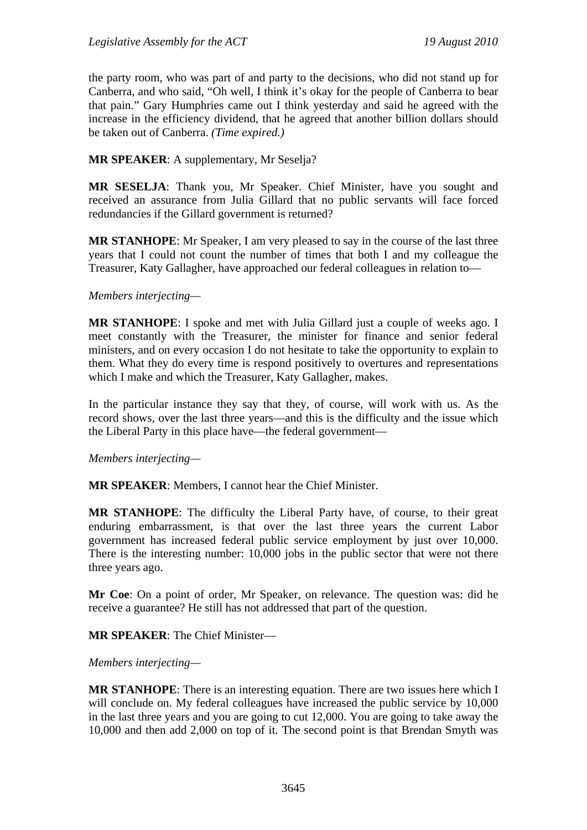the party room, who was part of and party to the decisions, who did not stand up for Canberra, and who said, "Oh well, I think it's okay for the people of Canberra to bear that pain." Gary Humphries came out I think yesterday and said he agreed with the increase in the efficiency dividend, that he agreed that another billion dollars should be taken out of Canberra. *(Time expired.)*

### **MR SPEAKER**: A supplementary, Mr Seselja?

**MR SESELJA**: Thank you, Mr Speaker. Chief Minister, have you sought and received an assurance from Julia Gillard that no public servants will face forced redundancies if the Gillard government is returned?

**MR STANHOPE**: Mr Speaker, I am very pleased to say in the course of the last three years that I could not count the number of times that both I and my colleague the Treasurer, Katy Gallagher, have approached our federal colleagues in relation to—

#### *Members interjecting—*

**MR STANHOPE**: I spoke and met with Julia Gillard just a couple of weeks ago. I meet constantly with the Treasurer, the minister for finance and senior federal ministers, and on every occasion I do not hesitate to take the opportunity to explain to them. What they do every time is respond positively to overtures and representations which I make and which the Treasurer, Katy Gallagher, makes.

In the particular instance they say that they, of course, will work with us. As the record shows, over the last three years—and this is the difficulty and the issue which the Liberal Party in this place have—the federal government—

*Members interjecting—* 

**MR SPEAKER**: Members, I cannot hear the Chief Minister.

**MR STANHOPE**: The difficulty the Liberal Party have, of course, to their great enduring embarrassment, is that over the last three years the current Labor government has increased federal public service employment by just over 10,000. There is the interesting number: 10,000 jobs in the public sector that were not there three years ago.

**Mr Coe**: On a point of order, Mr Speaker, on relevance. The question was: did he receive a guarantee? He still has not addressed that part of the question.

**MR SPEAKER**: The Chief Minister—

#### *Members interjecting—*

**MR STANHOPE**: There is an interesting equation. There are two issues here which I will conclude on. My federal colleagues have increased the public service by  $10,000$ in the last three years and you are going to cut 12,000. You are going to take away the 10,000 and then add 2,000 on top of it. The second point is that Brendan Smyth was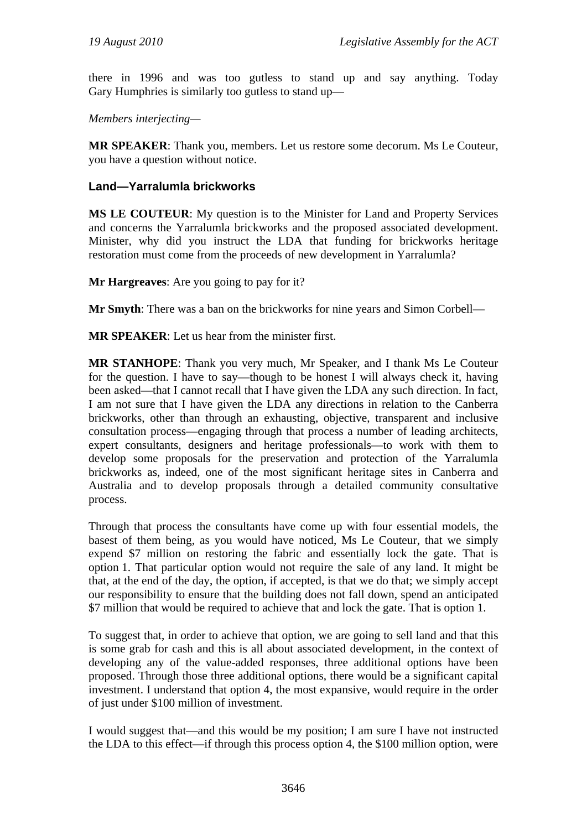there in 1996 and was too gutless to stand up and say anything. Today Gary Humphries is similarly too gutless to stand up—

*Members interjecting—* 

**MR SPEAKER**: Thank you, members. Let us restore some decorum. Ms Le Couteur, you have a question without notice.

### **Land—Yarralumla brickworks**

**MS LE COUTEUR**: My question is to the Minister for Land and Property Services and concerns the Yarralumla brickworks and the proposed associated development. Minister, why did you instruct the LDA that funding for brickworks heritage restoration must come from the proceeds of new development in Yarralumla?

**Mr Hargreaves**: Are you going to pay for it?

**Mr Smyth**: There was a ban on the brickworks for nine years and Simon Corbell—

**MR SPEAKER**: Let us hear from the minister first.

**MR STANHOPE**: Thank you very much, Mr Speaker, and I thank Ms Le Couteur for the question. I have to say—though to be honest I will always check it, having been asked—that I cannot recall that I have given the LDA any such direction. In fact, I am not sure that I have given the LDA any directions in relation to the Canberra brickworks, other than through an exhausting, objective, transparent and inclusive consultation process—engaging through that process a number of leading architects, expert consultants, designers and heritage professionals—to work with them to develop some proposals for the preservation and protection of the Yarralumla brickworks as, indeed, one of the most significant heritage sites in Canberra and Australia and to develop proposals through a detailed community consultative process.

Through that process the consultants have come up with four essential models, the basest of them being, as you would have noticed, Ms Le Couteur, that we simply expend \$7 million on restoring the fabric and essentially lock the gate. That is option 1. That particular option would not require the sale of any land. It might be that, at the end of the day, the option, if accepted, is that we do that; we simply accept our responsibility to ensure that the building does not fall down, spend an anticipated \$7 million that would be required to achieve that and lock the gate. That is option 1.

To suggest that, in order to achieve that option, we are going to sell land and that this is some grab for cash and this is all about associated development, in the context of developing any of the value-added responses, three additional options have been proposed. Through those three additional options, there would be a significant capital investment. I understand that option 4, the most expansive, would require in the order of just under \$100 million of investment.

I would suggest that—and this would be my position; I am sure I have not instructed the LDA to this effect—if through this process option 4, the \$100 million option, were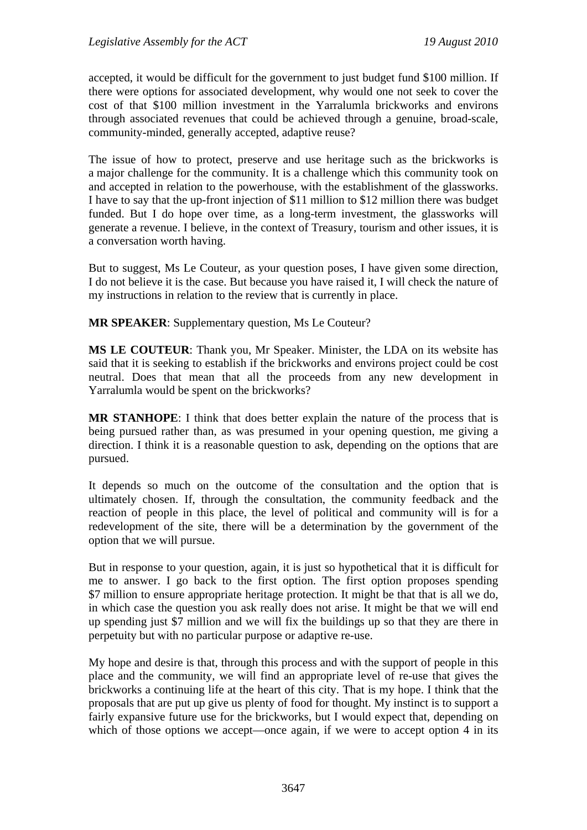accepted, it would be difficult for the government to just budget fund \$100 million. If there were options for associated development, why would one not seek to cover the cost of that \$100 million investment in the Yarralumla brickworks and environs through associated revenues that could be achieved through a genuine, broad-scale, community-minded, generally accepted, adaptive reuse?

The issue of how to protect, preserve and use heritage such as the brickworks is a major challenge for the community. It is a challenge which this community took on and accepted in relation to the powerhouse, with the establishment of the glassworks. I have to say that the up-front injection of \$11 million to \$12 million there was budget funded. But I do hope over time, as a long-term investment, the glassworks will generate a revenue. I believe, in the context of Treasury, tourism and other issues, it is a conversation worth having.

But to suggest, Ms Le Couteur, as your question poses, I have given some direction, I do not believe it is the case. But because you have raised it, I will check the nature of my instructions in relation to the review that is currently in place.

**MR SPEAKER**: Supplementary question, Ms Le Couteur?

**MS LE COUTEUR**: Thank you, Mr Speaker. Minister, the LDA on its website has said that it is seeking to establish if the brickworks and environs project could be cost neutral. Does that mean that all the proceeds from any new development in Yarralumla would be spent on the brickworks?

**MR STANHOPE**: I think that does better explain the nature of the process that is being pursued rather than, as was presumed in your opening question, me giving a direction. I think it is a reasonable question to ask, depending on the options that are pursued.

It depends so much on the outcome of the consultation and the option that is ultimately chosen. If, through the consultation, the community feedback and the reaction of people in this place, the level of political and community will is for a redevelopment of the site, there will be a determination by the government of the option that we will pursue.

But in response to your question, again, it is just so hypothetical that it is difficult for me to answer. I go back to the first option. The first option proposes spending \$7 million to ensure appropriate heritage protection. It might be that that is all we do, in which case the question you ask really does not arise. It might be that we will end up spending just \$7 million and we will fix the buildings up so that they are there in perpetuity but with no particular purpose or adaptive re-use.

My hope and desire is that, through this process and with the support of people in this place and the community, we will find an appropriate level of re-use that gives the brickworks a continuing life at the heart of this city. That is my hope. I think that the proposals that are put up give us plenty of food for thought. My instinct is to support a fairly expansive future use for the brickworks, but I would expect that, depending on which of those options we accept—once again, if we were to accept option 4 in its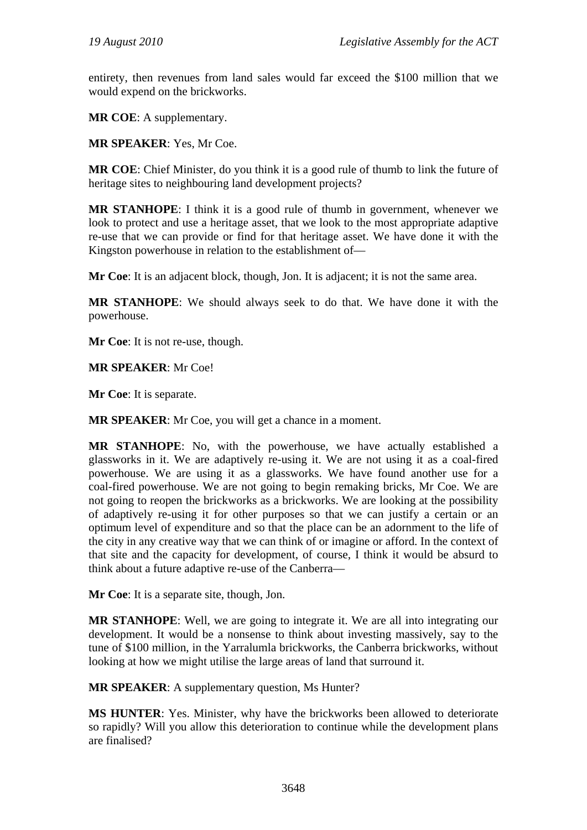entirety, then revenues from land sales would far exceed the \$100 million that we would expend on the brickworks.

**MR COE**: A supplementary.

**MR SPEAKER**: Yes, Mr Coe.

**MR COE**: Chief Minister, do you think it is a good rule of thumb to link the future of heritage sites to neighbouring land development projects?

**MR STANHOPE**: I think it is a good rule of thumb in government, whenever we look to protect and use a heritage asset, that we look to the most appropriate adaptive re-use that we can provide or find for that heritage asset. We have done it with the Kingston powerhouse in relation to the establishment of—

**Mr Coe**: It is an adjacent block, though, Jon. It is adjacent; it is not the same area.

**MR STANHOPE**: We should always seek to do that. We have done it with the powerhouse.

**Mr Coe**: It is not re-use, though.

**MR SPEAKER**: Mr Coe!

**Mr Coe**: It is separate.

**MR SPEAKER**: Mr Coe, you will get a chance in a moment.

**MR STANHOPE**: No, with the powerhouse, we have actually established a glassworks in it. We are adaptively re-using it. We are not using it as a coal-fired powerhouse. We are using it as a glassworks. We have found another use for a coal-fired powerhouse. We are not going to begin remaking bricks, Mr Coe. We are not going to reopen the brickworks as a brickworks. We are looking at the possibility of adaptively re-using it for other purposes so that we can justify a certain or an optimum level of expenditure and so that the place can be an adornment to the life of the city in any creative way that we can think of or imagine or afford. In the context of that site and the capacity for development, of course, I think it would be absurd to think about a future adaptive re-use of the Canberra—

**Mr Coe**: It is a separate site, though, Jon.

**MR STANHOPE**: Well, we are going to integrate it. We are all into integrating our development. It would be a nonsense to think about investing massively, say to the tune of \$100 million, in the Yarralumla brickworks, the Canberra brickworks, without looking at how we might utilise the large areas of land that surround it.

**MR SPEAKER:** A supplementary question, Ms Hunter?

**MS HUNTER**: Yes. Minister, why have the brickworks been allowed to deteriorate so rapidly? Will you allow this deterioration to continue while the development plans are finalised?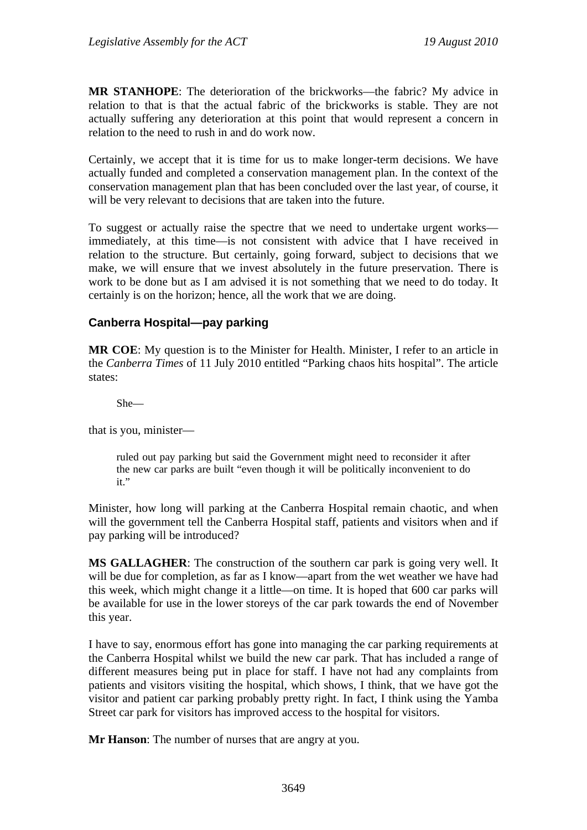**MR STANHOPE**: The deterioration of the brickworks—the fabric? My advice in relation to that is that the actual fabric of the brickworks is stable. They are not actually suffering any deterioration at this point that would represent a concern in relation to the need to rush in and do work now.

Certainly, we accept that it is time for us to make longer-term decisions. We have actually funded and completed a conservation management plan. In the context of the conservation management plan that has been concluded over the last year, of course, it will be very relevant to decisions that are taken into the future.

To suggest or actually raise the spectre that we need to undertake urgent works immediately, at this time—is not consistent with advice that I have received in relation to the structure. But certainly, going forward, subject to decisions that we make, we will ensure that we invest absolutely in the future preservation. There is work to be done but as I am advised it is not something that we need to do today. It certainly is on the horizon; hence, all the work that we are doing.

### **Canberra Hospital—pay parking**

**MR COE**: My question is to the Minister for Health. Minister, I refer to an article in the *Canberra Times* of 11 July 2010 entitled "Parking chaos hits hospital". The article states:

She—

that is you, minister—

ruled out pay parking but said the Government might need to reconsider it after the new car parks are built "even though it will be politically inconvenient to do it."

Minister, how long will parking at the Canberra Hospital remain chaotic, and when will the government tell the Canberra Hospital staff, patients and visitors when and if pay parking will be introduced?

**MS GALLAGHER**: The construction of the southern car park is going very well. It will be due for completion, as far as I know—apart from the wet weather we have had this week, which might change it a little—on time. It is hoped that 600 car parks will be available for use in the lower storeys of the car park towards the end of November this year.

I have to say, enormous effort has gone into managing the car parking requirements at the Canberra Hospital whilst we build the new car park. That has included a range of different measures being put in place for staff. I have not had any complaints from patients and visitors visiting the hospital, which shows, I think, that we have got the visitor and patient car parking probably pretty right. In fact, I think using the Yamba Street car park for visitors has improved access to the hospital for visitors.

**Mr Hanson**: The number of nurses that are angry at you.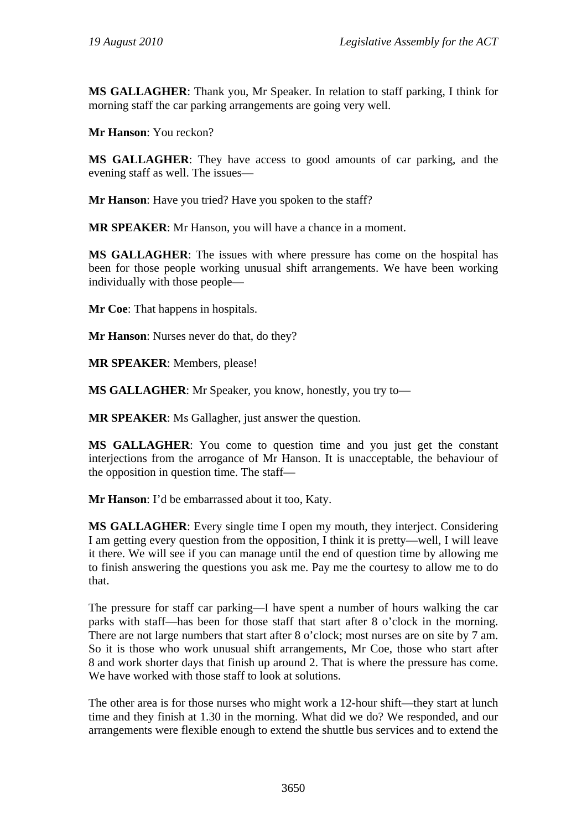**MS GALLAGHER**: Thank you, Mr Speaker. In relation to staff parking, I think for morning staff the car parking arrangements are going very well.

**Mr Hanson**: You reckon?

**MS GALLAGHER**: They have access to good amounts of car parking, and the evening staff as well. The issues—

**Mr Hanson**: Have you tried? Have you spoken to the staff?

**MR SPEAKER**: Mr Hanson, you will have a chance in a moment.

**MS GALLAGHER**: The issues with where pressure has come on the hospital has been for those people working unusual shift arrangements. We have been working individually with those people—

**Mr Coe:** That happens in hospitals.

**Mr Hanson**: Nurses never do that, do they?

**MR SPEAKER**: Members, please!

**MS GALLAGHER**: Mr Speaker, you know, honestly, you try to—

**MR SPEAKER:** Ms Gallagher, just answer the question.

**MS GALLAGHER**: You come to question time and you just get the constant interjections from the arrogance of Mr Hanson. It is unacceptable, the behaviour of the opposition in question time. The staff—

**Mr Hanson**: I'd be embarrassed about it too, Katy.

**MS GALLAGHER**: Every single time I open my mouth, they interject. Considering I am getting every question from the opposition, I think it is pretty—well, I will leave it there. We will see if you can manage until the end of question time by allowing me to finish answering the questions you ask me. Pay me the courtesy to allow me to do that.

The pressure for staff car parking—I have spent a number of hours walking the car parks with staff—has been for those staff that start after 8 o'clock in the morning. There are not large numbers that start after 8 o'clock; most nurses are on site by 7 am. So it is those who work unusual shift arrangements, Mr Coe, those who start after 8 and work shorter days that finish up around 2. That is where the pressure has come. We have worked with those staff to look at solutions.

The other area is for those nurses who might work a 12-hour shift—they start at lunch time and they finish at 1.30 in the morning. What did we do? We responded, and our arrangements were flexible enough to extend the shuttle bus services and to extend the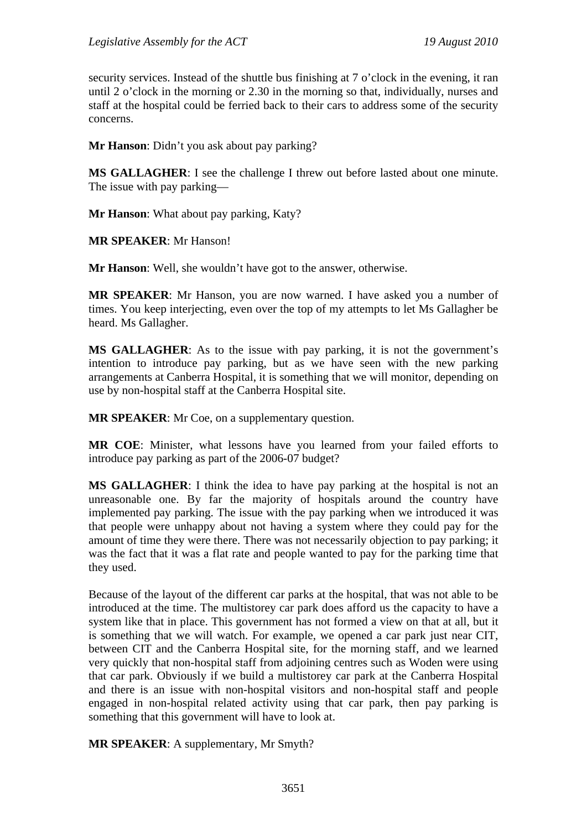security services. Instead of the shuttle bus finishing at 7 o'clock in the evening, it ran until 2 o'clock in the morning or 2.30 in the morning so that, individually, nurses and staff at the hospital could be ferried back to their cars to address some of the security concerns.

**Mr Hanson**: Didn't you ask about pay parking?

**MS GALLAGHER**: I see the challenge I threw out before lasted about one minute. The issue with pay parking—

**Mr Hanson**: What about pay parking, Katy?

**MR SPEAKER**: Mr Hanson!

**Mr Hanson**: Well, she wouldn't have got to the answer, otherwise.

**MR SPEAKER**: Mr Hanson, you are now warned. I have asked you a number of times. You keep interjecting, even over the top of my attempts to let Ms Gallagher be heard. Ms Gallagher.

**MS GALLAGHER**: As to the issue with pay parking, it is not the government's intention to introduce pay parking, but as we have seen with the new parking arrangements at Canberra Hospital, it is something that we will monitor, depending on use by non-hospital staff at the Canberra Hospital site.

**MR SPEAKER:** Mr Coe, on a supplementary question.

**MR COE**: Minister, what lessons have you learned from your failed efforts to introduce pay parking as part of the 2006-07 budget?

**MS GALLAGHER**: I think the idea to have pay parking at the hospital is not an unreasonable one. By far the majority of hospitals around the country have implemented pay parking. The issue with the pay parking when we introduced it was that people were unhappy about not having a system where they could pay for the amount of time they were there. There was not necessarily objection to pay parking; it was the fact that it was a flat rate and people wanted to pay for the parking time that they used.

Because of the layout of the different car parks at the hospital, that was not able to be introduced at the time. The multistorey car park does afford us the capacity to have a system like that in place. This government has not formed a view on that at all, but it is something that we will watch. For example, we opened a car park just near CIT, between CIT and the Canberra Hospital site, for the morning staff, and we learned very quickly that non-hospital staff from adjoining centres such as Woden were using that car park. Obviously if we build a multistorey car park at the Canberra Hospital and there is an issue with non-hospital visitors and non-hospital staff and people engaged in non-hospital related activity using that car park, then pay parking is something that this government will have to look at.

**MR SPEAKER**: A supplementary, Mr Smyth?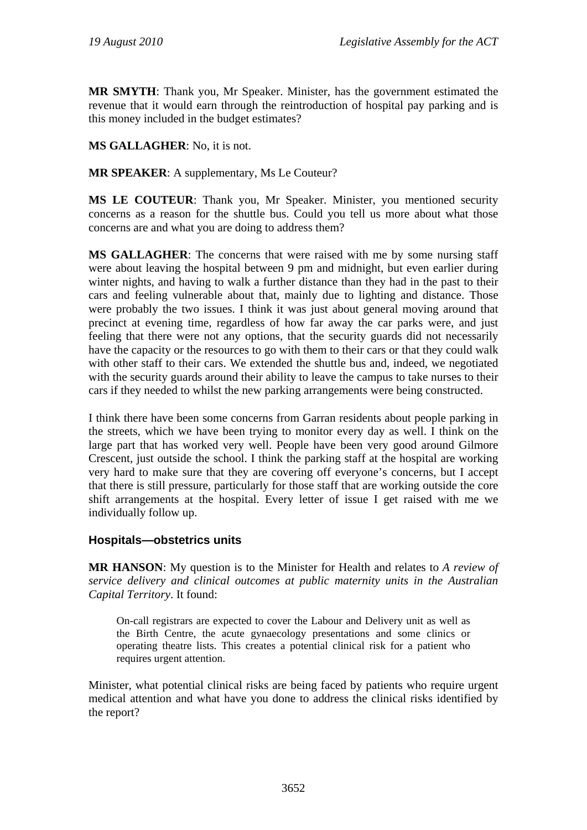**MR SMYTH**: Thank you, Mr Speaker. Minister, has the government estimated the revenue that it would earn through the reintroduction of hospital pay parking and is this money included in the budget estimates?

### **MS GALLAGHER**: No, it is not.

**MR SPEAKER**: A supplementary, Ms Le Couteur?

**MS LE COUTEUR**: Thank you, Mr Speaker. Minister, you mentioned security concerns as a reason for the shuttle bus. Could you tell us more about what those concerns are and what you are doing to address them?

**MS GALLAGHER**: The concerns that were raised with me by some nursing staff were about leaving the hospital between 9 pm and midnight, but even earlier during winter nights, and having to walk a further distance than they had in the past to their cars and feeling vulnerable about that, mainly due to lighting and distance. Those were probably the two issues. I think it was just about general moving around that precinct at evening time, regardless of how far away the car parks were, and just feeling that there were not any options, that the security guards did not necessarily have the capacity or the resources to go with them to their cars or that they could walk with other staff to their cars. We extended the shuttle bus and, indeed, we negotiated with the security guards around their ability to leave the campus to take nurses to their cars if they needed to whilst the new parking arrangements were being constructed.

I think there have been some concerns from Garran residents about people parking in the streets, which we have been trying to monitor every day as well. I think on the large part that has worked very well. People have been very good around Gilmore Crescent, just outside the school. I think the parking staff at the hospital are working very hard to make sure that they are covering off everyone's concerns, but I accept that there is still pressure, particularly for those staff that are working outside the core shift arrangements at the hospital. Every letter of issue I get raised with me we individually follow up.

### **Hospitals—obstetrics units**

**MR HANSON**: My question is to the Minister for Health and relates to *A review of service delivery and clinical outcomes at public maternity units in the Australian Capital Territory*. It found:

On-call registrars are expected to cover the Labour and Delivery unit as well as the Birth Centre, the acute gynaecology presentations and some clinics or operating theatre lists. This creates a potential clinical risk for a patient who requires urgent attention.

Minister, what potential clinical risks are being faced by patients who require urgent medical attention and what have you done to address the clinical risks identified by the report?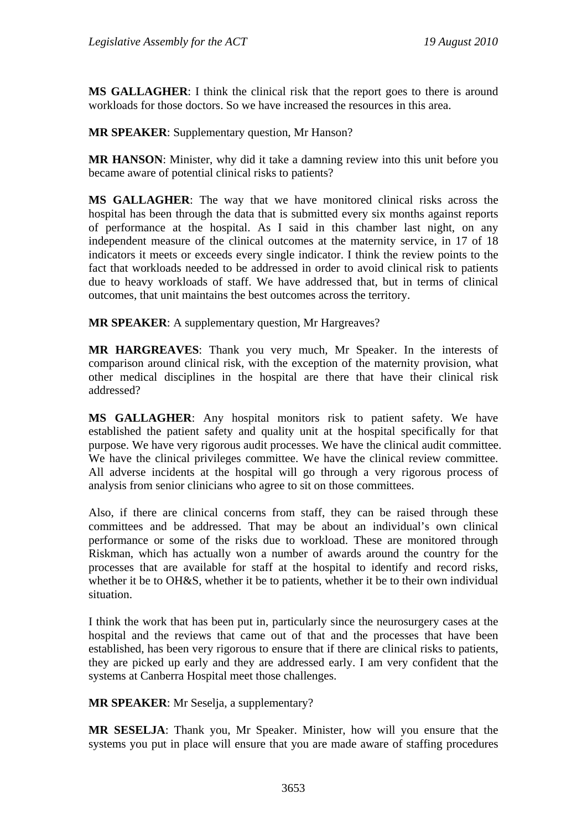**MS GALLAGHER:** I think the clinical risk that the report goes to there is around workloads for those doctors. So we have increased the resources in this area.

**MR SPEAKER**: Supplementary question, Mr Hanson?

**MR HANSON**: Minister, why did it take a damning review into this unit before you became aware of potential clinical risks to patients?

**MS GALLAGHER**: The way that we have monitored clinical risks across the hospital has been through the data that is submitted every six months against reports of performance at the hospital. As I said in this chamber last night, on any independent measure of the clinical outcomes at the maternity service, in 17 of 18 indicators it meets or exceeds every single indicator. I think the review points to the fact that workloads needed to be addressed in order to avoid clinical risk to patients due to heavy workloads of staff. We have addressed that, but in terms of clinical outcomes, that unit maintains the best outcomes across the territory.

**MR SPEAKER**: A supplementary question, Mr Hargreaves?

**MR HARGREAVES**: Thank you very much, Mr Speaker. In the interests of comparison around clinical risk, with the exception of the maternity provision, what other medical disciplines in the hospital are there that have their clinical risk addressed?

**MS GALLAGHER**: Any hospital monitors risk to patient safety. We have established the patient safety and quality unit at the hospital specifically for that purpose. We have very rigorous audit processes. We have the clinical audit committee. We have the clinical privileges committee. We have the clinical review committee. All adverse incidents at the hospital will go through a very rigorous process of analysis from senior clinicians who agree to sit on those committees.

Also, if there are clinical concerns from staff, they can be raised through these committees and be addressed. That may be about an individual's own clinical performance or some of the risks due to workload. These are monitored through Riskman, which has actually won a number of awards around the country for the processes that are available for staff at the hospital to identify and record risks, whether it be to OH&S, whether it be to patients, whether it be to their own individual situation.

I think the work that has been put in, particularly since the neurosurgery cases at the hospital and the reviews that came out of that and the processes that have been established, has been very rigorous to ensure that if there are clinical risks to patients, they are picked up early and they are addressed early. I am very confident that the systems at Canberra Hospital meet those challenges.

**MR SPEAKER**: Mr Seselja, a supplementary?

**MR SESELJA**: Thank you, Mr Speaker. Minister, how will you ensure that the systems you put in place will ensure that you are made aware of staffing procedures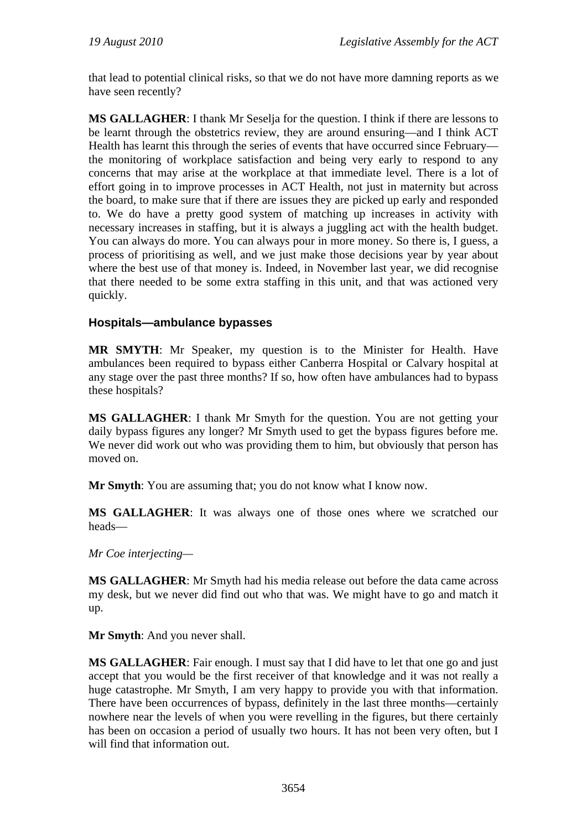that lead to potential clinical risks, so that we do not have more damning reports as we have seen recently?

**MS GALLAGHER**: I thank Mr Seselja for the question. I think if there are lessons to be learnt through the obstetrics review, they are around ensuring—and I think ACT Health has learnt this through the series of events that have occurred since February the monitoring of workplace satisfaction and being very early to respond to any concerns that may arise at the workplace at that immediate level. There is a lot of effort going in to improve processes in ACT Health, not just in maternity but across the board, to make sure that if there are issues they are picked up early and responded to. We do have a pretty good system of matching up increases in activity with necessary increases in staffing, but it is always a juggling act with the health budget. You can always do more. You can always pour in more money. So there is, I guess, a process of prioritising as well, and we just make those decisions year by year about where the best use of that money is. Indeed, in November last year, we did recognise that there needed to be some extra staffing in this unit, and that was actioned very quickly.

### **Hospitals—ambulance bypasses**

**MR SMYTH**: Mr Speaker, my question is to the Minister for Health. Have ambulances been required to bypass either Canberra Hospital or Calvary hospital at any stage over the past three months? If so, how often have ambulances had to bypass these hospitals?

**MS GALLAGHER**: I thank Mr Smyth for the question. You are not getting your daily bypass figures any longer? Mr Smyth used to get the bypass figures before me. We never did work out who was providing them to him, but obviously that person has moved on.

**Mr Smyth**: You are assuming that; you do not know what I know now.

**MS GALLAGHER**: It was always one of those ones where we scratched our heads—

*Mr Coe interjecting—* 

**MS GALLAGHER**: Mr Smyth had his media release out before the data came across my desk, but we never did find out who that was. We might have to go and match it up.

**Mr Smyth**: And you never shall.

**MS GALLAGHER**: Fair enough. I must say that I did have to let that one go and just accept that you would be the first receiver of that knowledge and it was not really a huge catastrophe. Mr Smyth, I am very happy to provide you with that information. There have been occurrences of bypass, definitely in the last three months—certainly nowhere near the levels of when you were revelling in the figures, but there certainly has been on occasion a period of usually two hours. It has not been very often, but I will find that information out.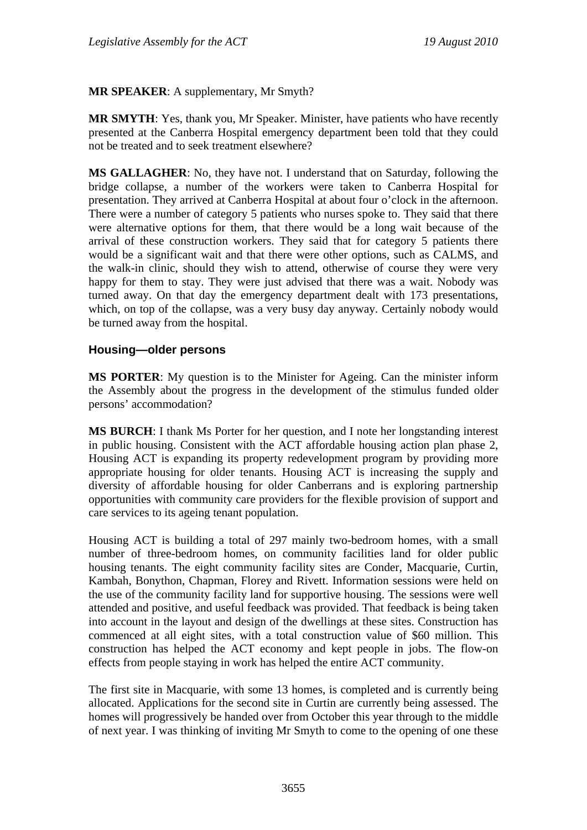### **MR SPEAKER**: A supplementary, Mr Smyth?

**MR SMYTH**: Yes, thank you, Mr Speaker. Minister, have patients who have recently presented at the Canberra Hospital emergency department been told that they could not be treated and to seek treatment elsewhere?

**MS GALLAGHER**: No, they have not. I understand that on Saturday, following the bridge collapse, a number of the workers were taken to Canberra Hospital for presentation. They arrived at Canberra Hospital at about four o'clock in the afternoon. There were a number of category 5 patients who nurses spoke to. They said that there were alternative options for them, that there would be a long wait because of the arrival of these construction workers. They said that for category 5 patients there would be a significant wait and that there were other options, such as CALMS, and the walk-in clinic, should they wish to attend, otherwise of course they were very happy for them to stay. They were just advised that there was a wait. Nobody was turned away. On that day the emergency department dealt with 173 presentations, which, on top of the collapse, was a very busy day anyway. Certainly nobody would be turned away from the hospital.

#### **Housing—older persons**

**MS PORTER**: My question is to the Minister for Ageing. Can the minister inform the Assembly about the progress in the development of the stimulus funded older persons' accommodation?

**MS BURCH**: I thank Ms Porter for her question, and I note her longstanding interest in public housing. Consistent with the ACT affordable housing action plan phase 2, Housing ACT is expanding its property redevelopment program by providing more appropriate housing for older tenants. Housing ACT is increasing the supply and diversity of affordable housing for older Canberrans and is exploring partnership opportunities with community care providers for the flexible provision of support and care services to its ageing tenant population.

Housing ACT is building a total of 297 mainly two-bedroom homes, with a small number of three-bedroom homes, on community facilities land for older public housing tenants. The eight community facility sites are Conder, Macquarie, Curtin, Kambah, Bonython, Chapman, Florey and Rivett. Information sessions were held on the use of the community facility land for supportive housing. The sessions were well attended and positive, and useful feedback was provided. That feedback is being taken into account in the layout and design of the dwellings at these sites. Construction has commenced at all eight sites, with a total construction value of \$60 million. This construction has helped the ACT economy and kept people in jobs. The flow-on effects from people staying in work has helped the entire ACT community.

The first site in Macquarie, with some 13 homes, is completed and is currently being allocated. Applications for the second site in Curtin are currently being assessed. The homes will progressively be handed over from October this year through to the middle of next year. I was thinking of inviting Mr Smyth to come to the opening of one these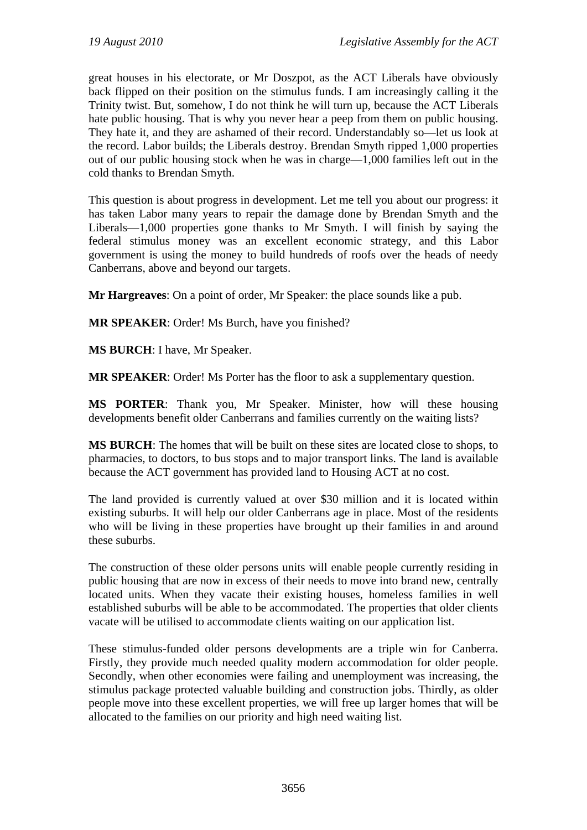great houses in his electorate, or Mr Doszpot, as the ACT Liberals have obviously back flipped on their position on the stimulus funds. I am increasingly calling it the Trinity twist. But, somehow, I do not think he will turn up, because the ACT Liberals hate public housing. That is why you never hear a peep from them on public housing. They hate it, and they are ashamed of their record. Understandably so—let us look at the record. Labor builds; the Liberals destroy. Brendan Smyth ripped 1,000 properties out of our public housing stock when he was in charge—1,000 families left out in the cold thanks to Brendan Smyth.

This question is about progress in development. Let me tell you about our progress: it has taken Labor many years to repair the damage done by Brendan Smyth and the Liberals—1,000 properties gone thanks to Mr Smyth. I will finish by saying the federal stimulus money was an excellent economic strategy, and this Labor government is using the money to build hundreds of roofs over the heads of needy Canberrans, above and beyond our targets.

**Mr Hargreaves**: On a point of order, Mr Speaker: the place sounds like a pub.

**MR SPEAKER**: Order! Ms Burch, have you finished?

**MS BURCH**: I have, Mr Speaker.

**MR SPEAKER**: Order! Ms Porter has the floor to ask a supplementary question.

**MS PORTER**: Thank you, Mr Speaker. Minister, how will these housing developments benefit older Canberrans and families currently on the waiting lists?

**MS BURCH**: The homes that will be built on these sites are located close to shops, to pharmacies, to doctors, to bus stops and to major transport links. The land is available because the ACT government has provided land to Housing ACT at no cost.

The land provided is currently valued at over \$30 million and it is located within existing suburbs. It will help our older Canberrans age in place. Most of the residents who will be living in these properties have brought up their families in and around these suburbs.

The construction of these older persons units will enable people currently residing in public housing that are now in excess of their needs to move into brand new, centrally located units. When they vacate their existing houses, homeless families in well established suburbs will be able to be accommodated. The properties that older clients vacate will be utilised to accommodate clients waiting on our application list.

These stimulus-funded older persons developments are a triple win for Canberra. Firstly, they provide much needed quality modern accommodation for older people. Secondly, when other economies were failing and unemployment was increasing, the stimulus package protected valuable building and construction jobs. Thirdly, as older people move into these excellent properties, we will free up larger homes that will be allocated to the families on our priority and high need waiting list.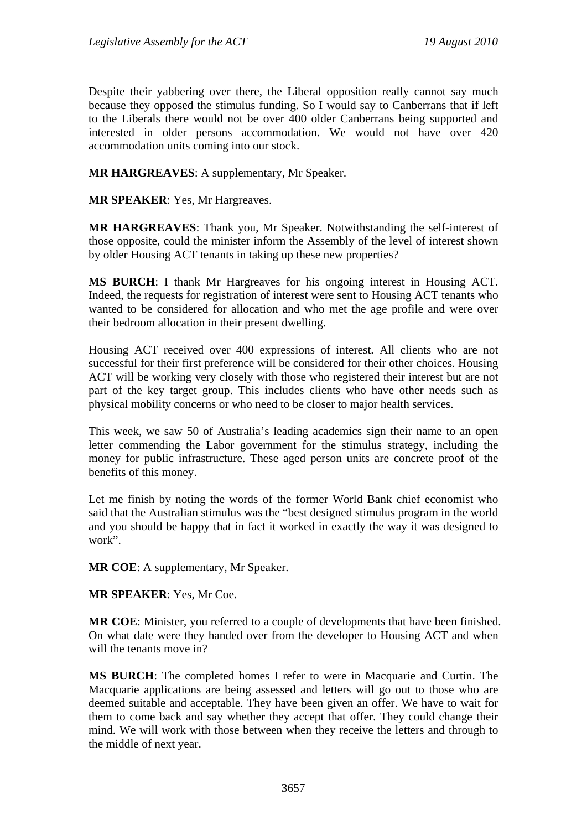Despite their yabbering over there, the Liberal opposition really cannot say much because they opposed the stimulus funding. So I would say to Canberrans that if left to the Liberals there would not be over 400 older Canberrans being supported and interested in older persons accommodation. We would not have over 420 accommodation units coming into our stock.

**MR HARGREAVES**: A supplementary, Mr Speaker.

**MR SPEAKER**: Yes, Mr Hargreaves.

**MR HARGREAVES**: Thank you, Mr Speaker. Notwithstanding the self-interest of those opposite, could the minister inform the Assembly of the level of interest shown by older Housing ACT tenants in taking up these new properties?

**MS BURCH**: I thank Mr Hargreaves for his ongoing interest in Housing ACT. Indeed, the requests for registration of interest were sent to Housing ACT tenants who wanted to be considered for allocation and who met the age profile and were over their bedroom allocation in their present dwelling.

Housing ACT received over 400 expressions of interest. All clients who are not successful for their first preference will be considered for their other choices. Housing ACT will be working very closely with those who registered their interest but are not part of the key target group. This includes clients who have other needs such as physical mobility concerns or who need to be closer to major health services.

This week, we saw 50 of Australia's leading academics sign their name to an open letter commending the Labor government for the stimulus strategy, including the money for public infrastructure. These aged person units are concrete proof of the benefits of this money.

Let me finish by noting the words of the former World Bank chief economist who said that the Australian stimulus was the "best designed stimulus program in the world and you should be happy that in fact it worked in exactly the way it was designed to work".

**MR COE**: A supplementary, Mr Speaker.

**MR SPEAKER**: Yes, Mr Coe.

**MR COE**: Minister, you referred to a couple of developments that have been finished. On what date were they handed over from the developer to Housing ACT and when will the tenants move in?

**MS BURCH**: The completed homes I refer to were in Macquarie and Curtin. The Macquarie applications are being assessed and letters will go out to those who are deemed suitable and acceptable. They have been given an offer. We have to wait for them to come back and say whether they accept that offer. They could change their mind. We will work with those between when they receive the letters and through to the middle of next year.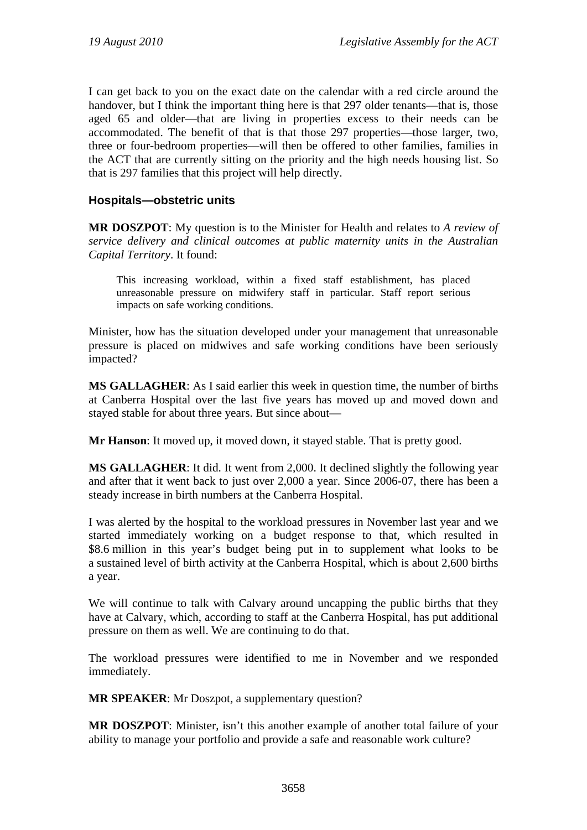I can get back to you on the exact date on the calendar with a red circle around the handover, but I think the important thing here is that 297 older tenants—that is, those aged 65 and older—that are living in properties excess to their needs can be accommodated. The benefit of that is that those 297 properties—those larger, two, three or four-bedroom properties—will then be offered to other families, families in the ACT that are currently sitting on the priority and the high needs housing list. So that is 297 families that this project will help directly.

### **Hospitals—obstetric units**

**MR DOSZPOT**: My question is to the Minister for Health and relates to *A review of service delivery and clinical outcomes at public maternity units in the Australian Capital Territory*. It found:

This increasing workload, within a fixed staff establishment, has placed unreasonable pressure on midwifery staff in particular. Staff report serious impacts on safe working conditions.

Minister, how has the situation developed under your management that unreasonable pressure is placed on midwives and safe working conditions have been seriously impacted?

**MS GALLAGHER**: As I said earlier this week in question time, the number of births at Canberra Hospital over the last five years has moved up and moved down and stayed stable for about three years. But since about—

**Mr Hanson**: It moved up, it moved down, it stayed stable. That is pretty good.

**MS GALLAGHER**: It did. It went from 2,000. It declined slightly the following year and after that it went back to just over 2,000 a year. Since 2006-07, there has been a steady increase in birth numbers at the Canberra Hospital.

I was alerted by the hospital to the workload pressures in November last year and we started immediately working on a budget response to that, which resulted in \$8.6 million in this year's budget being put in to supplement what looks to be a sustained level of birth activity at the Canberra Hospital, which is about 2,600 births a year.

We will continue to talk with Calvary around uncapping the public births that they have at Calvary, which, according to staff at the Canberra Hospital, has put additional pressure on them as well. We are continuing to do that.

The workload pressures were identified to me in November and we responded immediately.

**MR SPEAKER**: Mr Doszpot, a supplementary question?

**MR DOSZPOT**: Minister, isn't this another example of another total failure of your ability to manage your portfolio and provide a safe and reasonable work culture?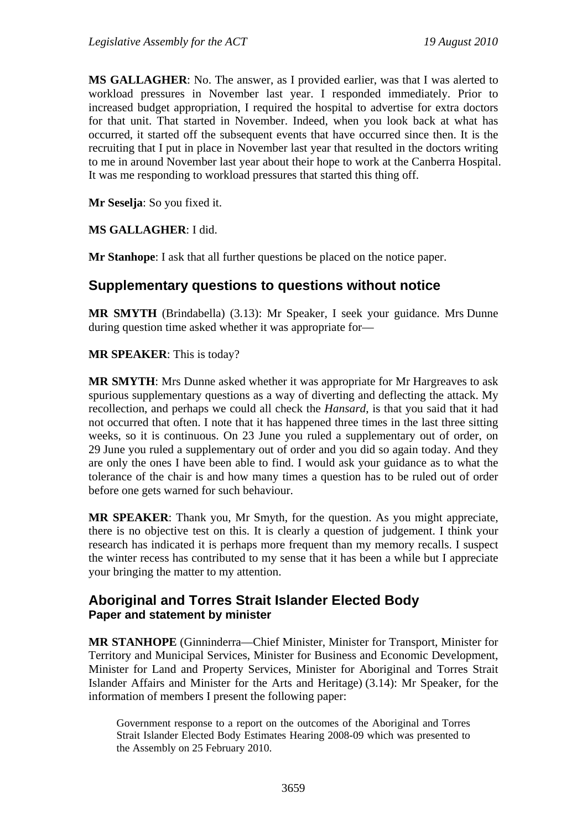**MS GALLAGHER**: No. The answer, as I provided earlier, was that I was alerted to workload pressures in November last year. I responded immediately. Prior to increased budget appropriation, I required the hospital to advertise for extra doctors for that unit. That started in November. Indeed, when you look back at what has occurred, it started off the subsequent events that have occurred since then. It is the recruiting that I put in place in November last year that resulted in the doctors writing to me in around November last year about their hope to work at the Canberra Hospital. It was me responding to workload pressures that started this thing off.

**Mr Seselja**: So you fixed it.

**MS GALLAGHER**: I did.

**Mr Stanhope**: I ask that all further questions be placed on the notice paper.

# **Supplementary questions to questions without notice**

**MR SMYTH** (Brindabella) (3.13): Mr Speaker, I seek your guidance. Mrs Dunne during question time asked whether it was appropriate for—

**MR SPEAKER**: This is today?

**MR SMYTH**: Mrs Dunne asked whether it was appropriate for Mr Hargreaves to ask spurious supplementary questions as a way of diverting and deflecting the attack. My recollection, and perhaps we could all check the *Hansard*, is that you said that it had not occurred that often. I note that it has happened three times in the last three sitting weeks, so it is continuous. On 23 June you ruled a supplementary out of order, on 29 June you ruled a supplementary out of order and you did so again today. And they are only the ones I have been able to find. I would ask your guidance as to what the tolerance of the chair is and how many times a question has to be ruled out of order before one gets warned for such behaviour.

**MR SPEAKER**: Thank you, Mr Smyth, for the question. As you might appreciate, there is no objective test on this. It is clearly a question of judgement. I think your research has indicated it is perhaps more frequent than my memory recalls. I suspect the winter recess has contributed to my sense that it has been a while but I appreciate your bringing the matter to my attention.

# **Aboriginal and Torres Strait Islander Elected Body Paper and statement by minister**

**MR STANHOPE** (Ginninderra—Chief Minister, Minister for Transport, Minister for Territory and Municipal Services, Minister for Business and Economic Development, Minister for Land and Property Services, Minister for Aboriginal and Torres Strait Islander Affairs and Minister for the Arts and Heritage) (3.14): Mr Speaker, for the information of members I present the following paper:

Government response to a report on the outcomes of the Aboriginal and Torres Strait Islander Elected Body Estimates Hearing 2008-09 which was presented to the Assembly on 25 February 2010.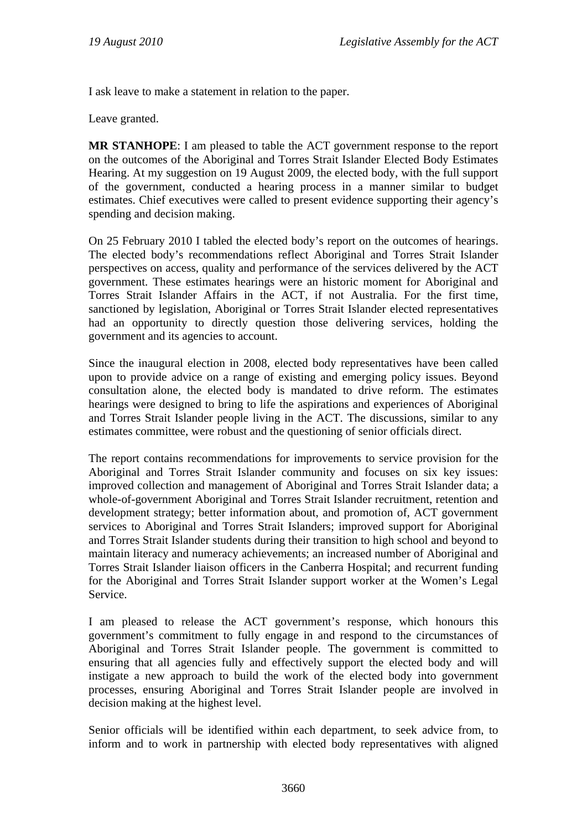I ask leave to make a statement in relation to the paper.

Leave granted.

**MR STANHOPE**: I am pleased to table the ACT government response to the report on the outcomes of the Aboriginal and Torres Strait Islander Elected Body Estimates Hearing. At my suggestion on 19 August 2009, the elected body, with the full support of the government, conducted a hearing process in a manner similar to budget estimates. Chief executives were called to present evidence supporting their agency's spending and decision making.

On 25 February 2010 I tabled the elected body's report on the outcomes of hearings. The elected body's recommendations reflect Aboriginal and Torres Strait Islander perspectives on access, quality and performance of the services delivered by the ACT government. These estimates hearings were an historic moment for Aboriginal and Torres Strait Islander Affairs in the ACT, if not Australia. For the first time, sanctioned by legislation, Aboriginal or Torres Strait Islander elected representatives had an opportunity to directly question those delivering services, holding the government and its agencies to account.

Since the inaugural election in 2008, elected body representatives have been called upon to provide advice on a range of existing and emerging policy issues. Beyond consultation alone, the elected body is mandated to drive reform. The estimates hearings were designed to bring to life the aspirations and experiences of Aboriginal and Torres Strait Islander people living in the ACT. The discussions, similar to any estimates committee, were robust and the questioning of senior officials direct.

The report contains recommendations for improvements to service provision for the Aboriginal and Torres Strait Islander community and focuses on six key issues: improved collection and management of Aboriginal and Torres Strait Islander data; a whole-of-government Aboriginal and Torres Strait Islander recruitment, retention and development strategy; better information about, and promotion of, ACT government services to Aboriginal and Torres Strait Islanders; improved support for Aboriginal and Torres Strait Islander students during their transition to high school and beyond to maintain literacy and numeracy achievements; an increased number of Aboriginal and Torres Strait Islander liaison officers in the Canberra Hospital; and recurrent funding for the Aboriginal and Torres Strait Islander support worker at the Women's Legal Service.

I am pleased to release the ACT government's response, which honours this government's commitment to fully engage in and respond to the circumstances of Aboriginal and Torres Strait Islander people. The government is committed to ensuring that all agencies fully and effectively support the elected body and will instigate a new approach to build the work of the elected body into government processes, ensuring Aboriginal and Torres Strait Islander people are involved in decision making at the highest level.

Senior officials will be identified within each department, to seek advice from, to inform and to work in partnership with elected body representatives with aligned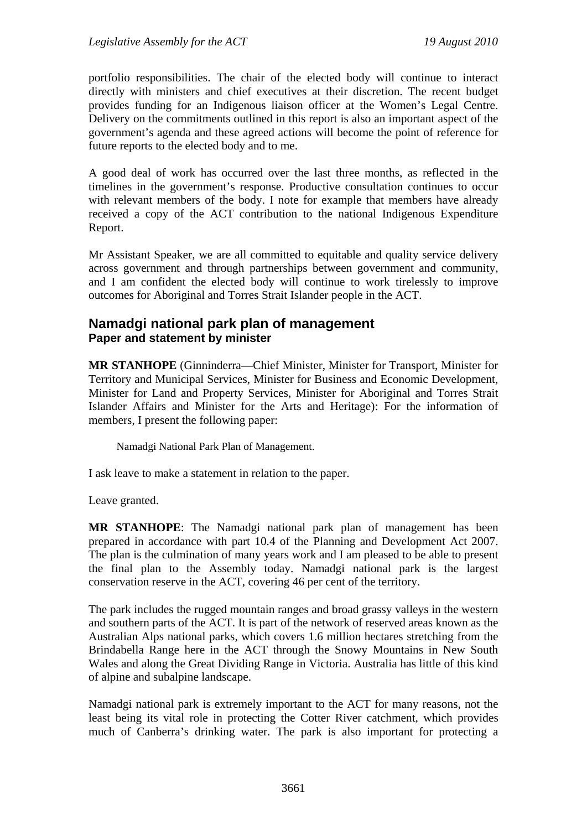portfolio responsibilities. The chair of the elected body will continue to interact directly with ministers and chief executives at their discretion. The recent budget provides funding for an Indigenous liaison officer at the Women's Legal Centre. Delivery on the commitments outlined in this report is also an important aspect of the government's agenda and these agreed actions will become the point of reference for future reports to the elected body and to me.

A good deal of work has occurred over the last three months, as reflected in the timelines in the government's response. Productive consultation continues to occur with relevant members of the body. I note for example that members have already received a copy of the ACT contribution to the national Indigenous Expenditure Report.

Mr Assistant Speaker, we are all committed to equitable and quality service delivery across government and through partnerships between government and community, and I am confident the elected body will continue to work tirelessly to improve outcomes for Aboriginal and Torres Strait Islander people in the ACT.

### **Namadgi national park plan of management Paper and statement by minister**

**MR STANHOPE** (Ginninderra—Chief Minister, Minister for Transport, Minister for Territory and Municipal Services, Minister for Business and Economic Development, Minister for Land and Property Services, Minister for Aboriginal and Torres Strait Islander Affairs and Minister for the Arts and Heritage): For the information of members, I present the following paper:

Namadgi National Park Plan of Management.

I ask leave to make a statement in relation to the paper.

Leave granted.

**MR STANHOPE**: The Namadgi national park plan of management has been prepared in accordance with part 10.4 of the Planning and Development Act 2007. The plan is the culmination of many years work and I am pleased to be able to present the final plan to the Assembly today. Namadgi national park is the largest conservation reserve in the ACT, covering 46 per cent of the territory.

The park includes the rugged mountain ranges and broad grassy valleys in the western and southern parts of the ACT. It is part of the network of reserved areas known as the Australian Alps national parks, which covers 1.6 million hectares stretching from the Brindabella Range here in the ACT through the Snowy Mountains in New South Wales and along the Great Dividing Range in Victoria. Australia has little of this kind of alpine and subalpine landscape.

Namadgi national park is extremely important to the ACT for many reasons, not the least being its vital role in protecting the Cotter River catchment, which provides much of Canberra's drinking water. The park is also important for protecting a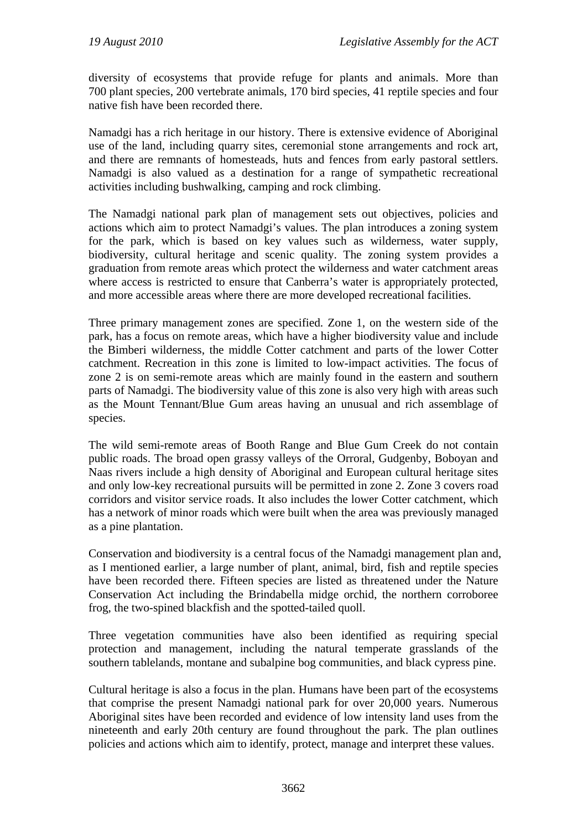diversity of ecosystems that provide refuge for plants and animals. More than 700 plant species, 200 vertebrate animals, 170 bird species, 41 reptile species and four native fish have been recorded there.

Namadgi has a rich heritage in our history. There is extensive evidence of Aboriginal use of the land, including quarry sites, ceremonial stone arrangements and rock art, and there are remnants of homesteads, huts and fences from early pastoral settlers. Namadgi is also valued as a destination for a range of sympathetic recreational activities including bushwalking, camping and rock climbing.

The Namadgi national park plan of management sets out objectives, policies and actions which aim to protect Namadgi's values. The plan introduces a zoning system for the park, which is based on key values such as wilderness, water supply, biodiversity, cultural heritage and scenic quality. The zoning system provides a graduation from remote areas which protect the wilderness and water catchment areas where access is restricted to ensure that Canberra's water is appropriately protected, and more accessible areas where there are more developed recreational facilities.

Three primary management zones are specified. Zone 1, on the western side of the park, has a focus on remote areas, which have a higher biodiversity value and include the Bimberi wilderness, the middle Cotter catchment and parts of the lower Cotter catchment. Recreation in this zone is limited to low-impact activities. The focus of zone 2 is on semi-remote areas which are mainly found in the eastern and southern parts of Namadgi. The biodiversity value of this zone is also very high with areas such as the Mount Tennant/Blue Gum areas having an unusual and rich assemblage of species.

The wild semi-remote areas of Booth Range and Blue Gum Creek do not contain public roads. The broad open grassy valleys of the Orroral, Gudgenby, Boboyan and Naas rivers include a high density of Aboriginal and European cultural heritage sites and only low-key recreational pursuits will be permitted in zone 2. Zone 3 covers road corridors and visitor service roads. It also includes the lower Cotter catchment, which has a network of minor roads which were built when the area was previously managed as a pine plantation.

Conservation and biodiversity is a central focus of the Namadgi management plan and, as I mentioned earlier, a large number of plant, animal, bird, fish and reptile species have been recorded there. Fifteen species are listed as threatened under the Nature Conservation Act including the Brindabella midge orchid, the northern corroboree frog, the two-spined blackfish and the spotted-tailed quoll.

Three vegetation communities have also been identified as requiring special protection and management, including the natural temperate grasslands of the southern tablelands, montane and subalpine bog communities, and black cypress pine.

Cultural heritage is also a focus in the plan. Humans have been part of the ecosystems that comprise the present Namadgi national park for over 20,000 years. Numerous Aboriginal sites have been recorded and evidence of low intensity land uses from the nineteenth and early 20th century are found throughout the park. The plan outlines policies and actions which aim to identify, protect, manage and interpret these values.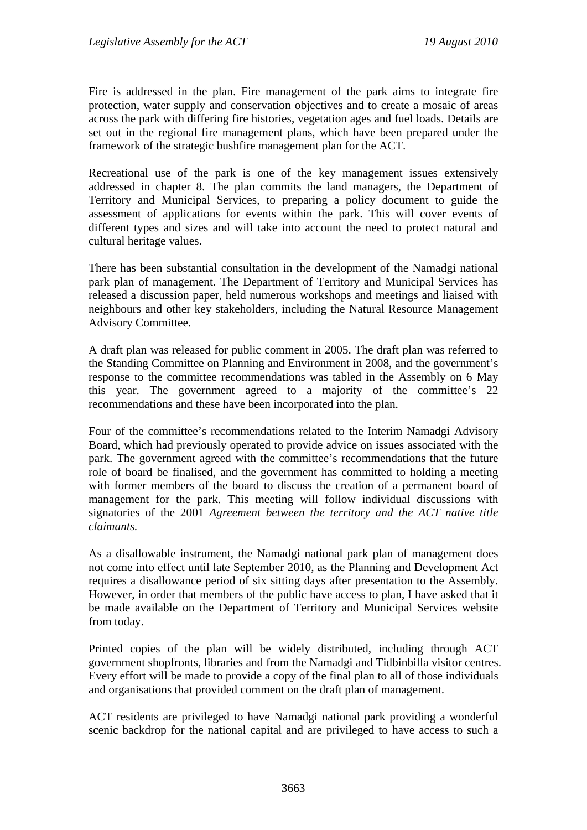Fire is addressed in the plan. Fire management of the park aims to integrate fire protection, water supply and conservation objectives and to create a mosaic of areas across the park with differing fire histories, vegetation ages and fuel loads. Details are set out in the regional fire management plans, which have been prepared under the framework of the strategic bushfire management plan for the ACT.

Recreational use of the park is one of the key management issues extensively addressed in chapter 8. The plan commits the land managers, the Department of Territory and Municipal Services, to preparing a policy document to guide the assessment of applications for events within the park. This will cover events of different types and sizes and will take into account the need to protect natural and cultural heritage values.

There has been substantial consultation in the development of the Namadgi national park plan of management. The Department of Territory and Municipal Services has released a discussion paper, held numerous workshops and meetings and liaised with neighbours and other key stakeholders, including the Natural Resource Management Advisory Committee.

A draft plan was released for public comment in 2005. The draft plan was referred to the Standing Committee on Planning and Environment in 2008, and the government's response to the committee recommendations was tabled in the Assembly on 6 May this year. The government agreed to a majority of the committee's 22 recommendations and these have been incorporated into the plan.

Four of the committee's recommendations related to the Interim Namadgi Advisory Board, which had previously operated to provide advice on issues associated with the park. The government agreed with the committee's recommendations that the future role of board be finalised, and the government has committed to holding a meeting with former members of the board to discuss the creation of a permanent board of management for the park. This meeting will follow individual discussions with signatories of the 2001 *Agreement between the territory and the ACT native title claimants.* 

As a disallowable instrument, the Namadgi national park plan of management does not come into effect until late September 2010, as the Planning and Development Act requires a disallowance period of six sitting days after presentation to the Assembly. However, in order that members of the public have access to plan, I have asked that it be made available on the Department of Territory and Municipal Services website from today.

Printed copies of the plan will be widely distributed, including through ACT government shopfronts, libraries and from the Namadgi and Tidbinbilla visitor centres. Every effort will be made to provide a copy of the final plan to all of those individuals and organisations that provided comment on the draft plan of management.

ACT residents are privileged to have Namadgi national park providing a wonderful scenic backdrop for the national capital and are privileged to have access to such a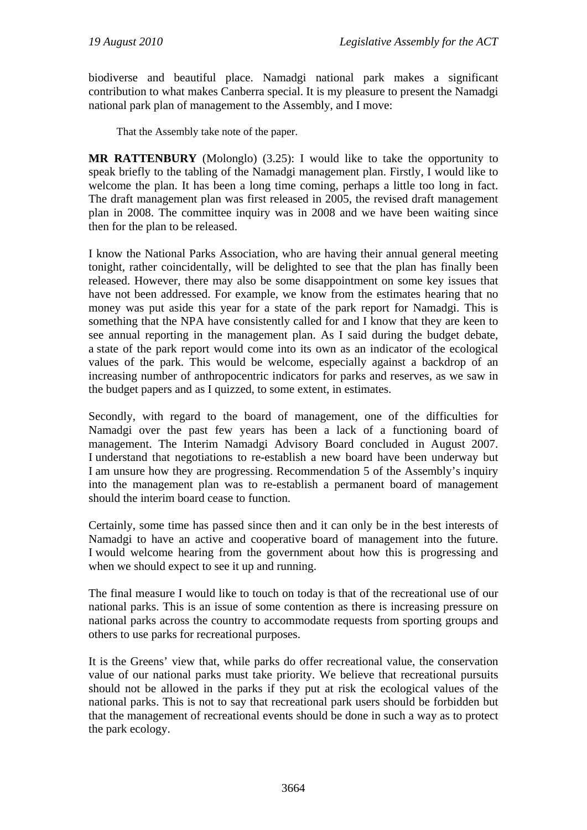biodiverse and beautiful place. Namadgi national park makes a significant contribution to what makes Canberra special. It is my pleasure to present the Namadgi national park plan of management to the Assembly, and I move:

That the Assembly take note of the paper.

**MR RATTENBURY** (Molonglo) (3.25): I would like to take the opportunity to speak briefly to the tabling of the Namadgi management plan. Firstly, I would like to welcome the plan. It has been a long time coming, perhaps a little too long in fact. The draft management plan was first released in 2005, the revised draft management plan in 2008. The committee inquiry was in 2008 and we have been waiting since then for the plan to be released.

I know the National Parks Association, who are having their annual general meeting tonight, rather coincidentally, will be delighted to see that the plan has finally been released. However, there may also be some disappointment on some key issues that have not been addressed. For example, we know from the estimates hearing that no money was put aside this year for a state of the park report for Namadgi. This is something that the NPA have consistently called for and I know that they are keen to see annual reporting in the management plan. As I said during the budget debate, a state of the park report would come into its own as an indicator of the ecological values of the park. This would be welcome, especially against a backdrop of an increasing number of anthropocentric indicators for parks and reserves, as we saw in the budget papers and as I quizzed, to some extent, in estimates.

Secondly, with regard to the board of management, one of the difficulties for Namadgi over the past few years has been a lack of a functioning board of management. The Interim Namadgi Advisory Board concluded in August 2007. I understand that negotiations to re-establish a new board have been underway but I am unsure how they are progressing. Recommendation 5 of the Assembly's inquiry into the management plan was to re-establish a permanent board of management should the interim board cease to function.

Certainly, some time has passed since then and it can only be in the best interests of Namadgi to have an active and cooperative board of management into the future. I would welcome hearing from the government about how this is progressing and when we should expect to see it up and running.

The final measure I would like to touch on today is that of the recreational use of our national parks. This is an issue of some contention as there is increasing pressure on national parks across the country to accommodate requests from sporting groups and others to use parks for recreational purposes.

It is the Greens' view that, while parks do offer recreational value, the conservation value of our national parks must take priority. We believe that recreational pursuits should not be allowed in the parks if they put at risk the ecological values of the national parks. This is not to say that recreational park users should be forbidden but that the management of recreational events should be done in such a way as to protect the park ecology.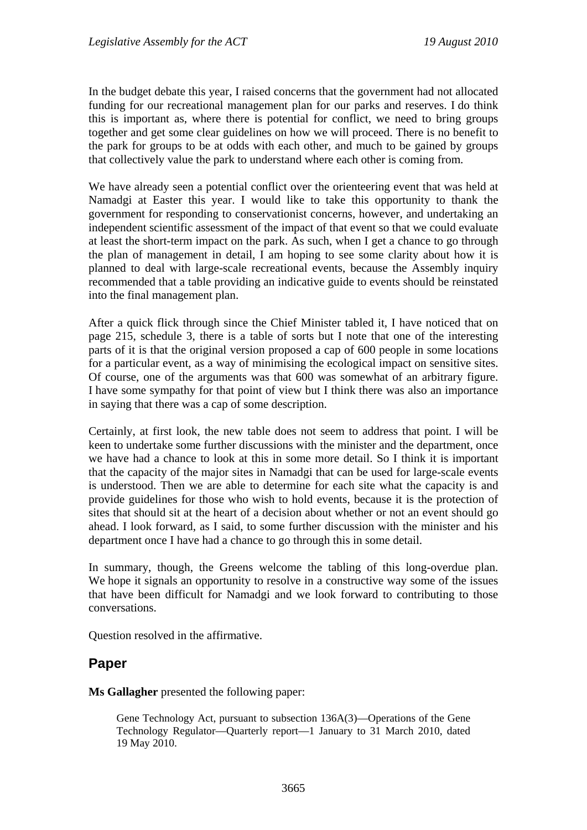In the budget debate this year, I raised concerns that the government had not allocated funding for our recreational management plan for our parks and reserves. I do think this is important as, where there is potential for conflict, we need to bring groups together and get some clear guidelines on how we will proceed. There is no benefit to the park for groups to be at odds with each other, and much to be gained by groups that collectively value the park to understand where each other is coming from.

We have already seen a potential conflict over the orienteering event that was held at Namadgi at Easter this year. I would like to take this opportunity to thank the government for responding to conservationist concerns, however, and undertaking an independent scientific assessment of the impact of that event so that we could evaluate at least the short-term impact on the park. As such, when I get a chance to go through the plan of management in detail, I am hoping to see some clarity about how it is planned to deal with large-scale recreational events, because the Assembly inquiry recommended that a table providing an indicative guide to events should be reinstated into the final management plan.

After a quick flick through since the Chief Minister tabled it, I have noticed that on page 215, schedule 3, there is a table of sorts but I note that one of the interesting parts of it is that the original version proposed a cap of 600 people in some locations for a particular event, as a way of minimising the ecological impact on sensitive sites. Of course, one of the arguments was that 600 was somewhat of an arbitrary figure. I have some sympathy for that point of view but I think there was also an importance in saying that there was a cap of some description.

Certainly, at first look, the new table does not seem to address that point. I will be keen to undertake some further discussions with the minister and the department, once we have had a chance to look at this in some more detail. So I think it is important that the capacity of the major sites in Namadgi that can be used for large-scale events is understood. Then we are able to determine for each site what the capacity is and provide guidelines for those who wish to hold events, because it is the protection of sites that should sit at the heart of a decision about whether or not an event should go ahead. I look forward, as I said, to some further discussion with the minister and his department once I have had a chance to go through this in some detail.

In summary, though, the Greens welcome the tabling of this long-overdue plan. We hope it signals an opportunity to resolve in a constructive way some of the issues that have been difficult for Namadgi and we look forward to contributing to those conversations.

Question resolved in the affirmative.

### **Paper**

**Ms Gallagher** presented the following paper:

Gene Technology Act, pursuant to subsection 136A(3)—Operations of the Gene Technology Regulator—Quarterly report—1 January to 31 March 2010, dated 19 May 2010.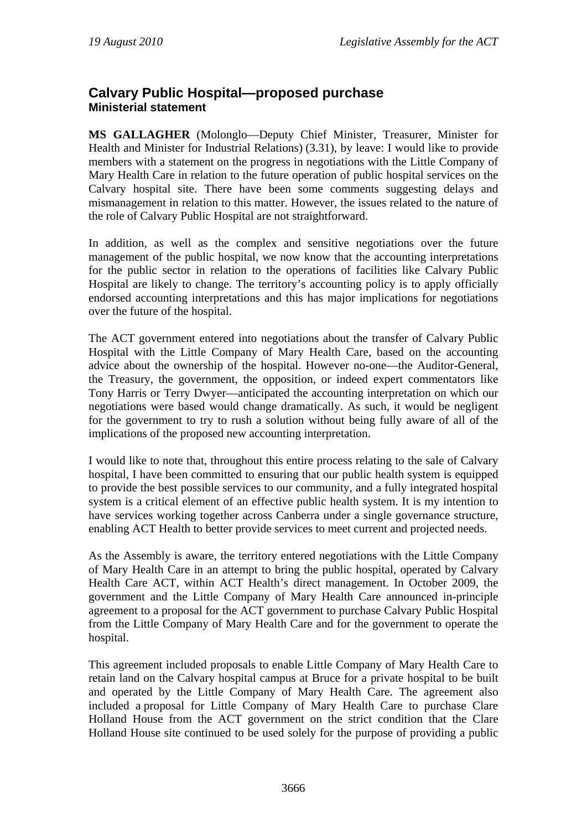# **Calvary Public Hospital—proposed purchase Ministerial statement**

**MS GALLAGHER** (Molonglo—Deputy Chief Minister, Treasurer, Minister for Health and Minister for Industrial Relations) (3.31), by leave: I would like to provide members with a statement on the progress in negotiations with the Little Company of Mary Health Care in relation to the future operation of public hospital services on the Calvary hospital site. There have been some comments suggesting delays and mismanagement in relation to this matter. However, the issues related to the nature of the role of Calvary Public Hospital are not straightforward.

In addition, as well as the complex and sensitive negotiations over the future management of the public hospital, we now know that the accounting interpretations for the public sector in relation to the operations of facilities like Calvary Public Hospital are likely to change. The territory's accounting policy is to apply officially endorsed accounting interpretations and this has major implications for negotiations over the future of the hospital.

The ACT government entered into negotiations about the transfer of Calvary Public Hospital with the Little Company of Mary Health Care, based on the accounting advice about the ownership of the hospital. However no-one—the Auditor-General, the Treasury, the government, the opposition, or indeed expert commentators like Tony Harris or Terry Dwyer—anticipated the accounting interpretation on which our negotiations were based would change dramatically. As such, it would be negligent for the government to try to rush a solution without being fully aware of all of the implications of the proposed new accounting interpretation.

I would like to note that, throughout this entire process relating to the sale of Calvary hospital, I have been committed to ensuring that our public health system is equipped to provide the best possible services to our community, and a fully integrated hospital system is a critical element of an effective public health system. It is my intention to have services working together across Canberra under a single governance structure, enabling ACT Health to better provide services to meet current and projected needs.

As the Assembly is aware, the territory entered negotiations with the Little Company of Mary Health Care in an attempt to bring the public hospital, operated by Calvary Health Care ACT, within ACT Health's direct management. In October 2009, the government and the Little Company of Mary Health Care announced in-principle agreement to a proposal for the ACT government to purchase Calvary Public Hospital from the Little Company of Mary Health Care and for the government to operate the hospital.

This agreement included proposals to enable Little Company of Mary Health Care to retain land on the Calvary hospital campus at Bruce for a private hospital to be built and operated by the Little Company of Mary Health Care. The agreement also included a proposal for Little Company of Mary Health Care to purchase Clare Holland House from the ACT government on the strict condition that the Clare Holland House site continued to be used solely for the purpose of providing a public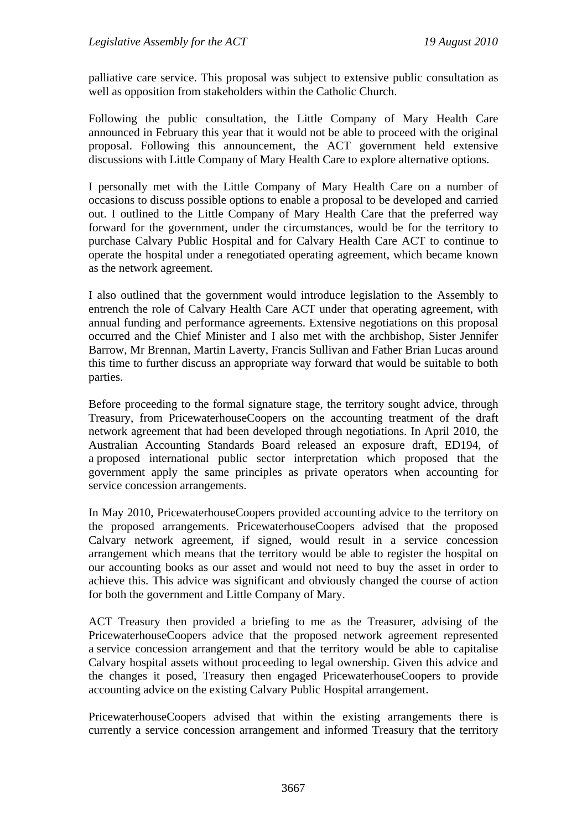palliative care service. This proposal was subject to extensive public consultation as well as opposition from stakeholders within the Catholic Church.

Following the public consultation, the Little Company of Mary Health Care announced in February this year that it would not be able to proceed with the original proposal. Following this announcement, the ACT government held extensive discussions with Little Company of Mary Health Care to explore alternative options.

I personally met with the Little Company of Mary Health Care on a number of occasions to discuss possible options to enable a proposal to be developed and carried out. I outlined to the Little Company of Mary Health Care that the preferred way forward for the government, under the circumstances, would be for the territory to purchase Calvary Public Hospital and for Calvary Health Care ACT to continue to operate the hospital under a renegotiated operating agreement, which became known as the network agreement.

I also outlined that the government would introduce legislation to the Assembly to entrench the role of Calvary Health Care ACT under that operating agreement, with annual funding and performance agreements. Extensive negotiations on this proposal occurred and the Chief Minister and I also met with the archbishop, Sister Jennifer Barrow, Mr Brennan, Martin Laverty, Francis Sullivan and Father Brian Lucas around this time to further discuss an appropriate way forward that would be suitable to both parties.

Before proceeding to the formal signature stage, the territory sought advice, through Treasury, from PricewaterhouseCoopers on the accounting treatment of the draft network agreement that had been developed through negotiations. In April 2010, the Australian Accounting Standards Board released an exposure draft, ED194, of a proposed international public sector interpretation which proposed that the government apply the same principles as private operators when accounting for service concession arrangements.

In May 2010, PricewaterhouseCoopers provided accounting advice to the territory on the proposed arrangements. PricewaterhouseCoopers advised that the proposed Calvary network agreement, if signed, would result in a service concession arrangement which means that the territory would be able to register the hospital on our accounting books as our asset and would not need to buy the asset in order to achieve this. This advice was significant and obviously changed the course of action for both the government and Little Company of Mary.

ACT Treasury then provided a briefing to me as the Treasurer, advising of the PricewaterhouseCoopers advice that the proposed network agreement represented a service concession arrangement and that the territory would be able to capitalise Calvary hospital assets without proceeding to legal ownership. Given this advice and the changes it posed, Treasury then engaged PricewaterhouseCoopers to provide accounting advice on the existing Calvary Public Hospital arrangement.

PricewaterhouseCoopers advised that within the existing arrangements there is currently a service concession arrangement and informed Treasury that the territory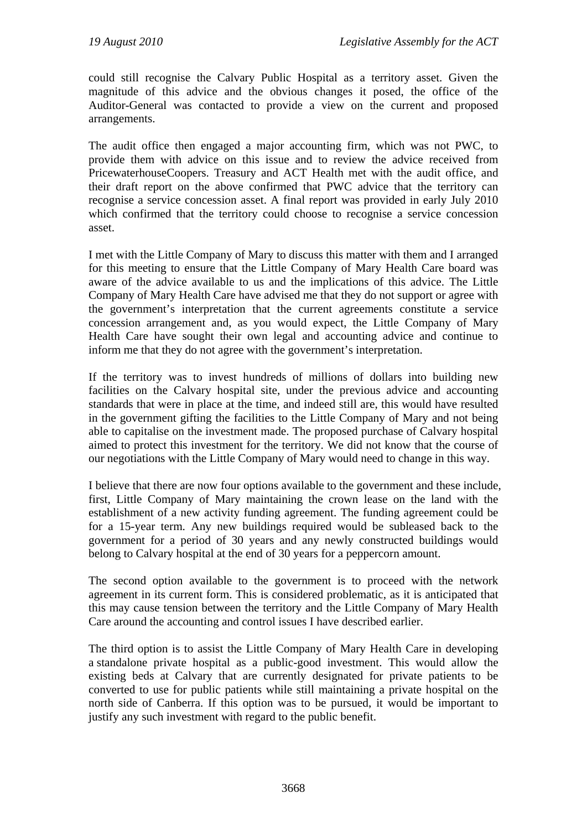could still recognise the Calvary Public Hospital as a territory asset. Given the magnitude of this advice and the obvious changes it posed, the office of the Auditor-General was contacted to provide a view on the current and proposed arrangements.

The audit office then engaged a major accounting firm, which was not PWC, to provide them with advice on this issue and to review the advice received from PricewaterhouseCoopers. Treasury and ACT Health met with the audit office, and their draft report on the above confirmed that PWC advice that the territory can recognise a service concession asset. A final report was provided in early July 2010 which confirmed that the territory could choose to recognise a service concession asset.

I met with the Little Company of Mary to discuss this matter with them and I arranged for this meeting to ensure that the Little Company of Mary Health Care board was aware of the advice available to us and the implications of this advice. The Little Company of Mary Health Care have advised me that they do not support or agree with the government's interpretation that the current agreements constitute a service concession arrangement and, as you would expect, the Little Company of Mary Health Care have sought their own legal and accounting advice and continue to inform me that they do not agree with the government's interpretation.

If the territory was to invest hundreds of millions of dollars into building new facilities on the Calvary hospital site, under the previous advice and accounting standards that were in place at the time, and indeed still are, this would have resulted in the government gifting the facilities to the Little Company of Mary and not being able to capitalise on the investment made. The proposed purchase of Calvary hospital aimed to protect this investment for the territory. We did not know that the course of our negotiations with the Little Company of Mary would need to change in this way.

I believe that there are now four options available to the government and these include, first, Little Company of Mary maintaining the crown lease on the land with the establishment of a new activity funding agreement. The funding agreement could be for a 15-year term. Any new buildings required would be subleased back to the government for a period of 30 years and any newly constructed buildings would belong to Calvary hospital at the end of 30 years for a peppercorn amount.

The second option available to the government is to proceed with the network agreement in its current form. This is considered problematic, as it is anticipated that this may cause tension between the territory and the Little Company of Mary Health Care around the accounting and control issues I have described earlier.

The third option is to assist the Little Company of Mary Health Care in developing a standalone private hospital as a public-good investment. This would allow the existing beds at Calvary that are currently designated for private patients to be converted to use for public patients while still maintaining a private hospital on the north side of Canberra. If this option was to be pursued, it would be important to justify any such investment with regard to the public benefit.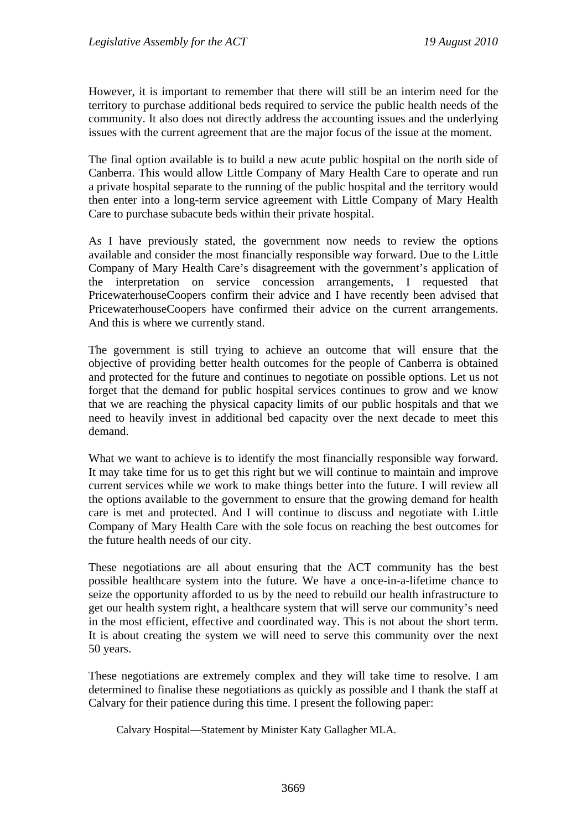However, it is important to remember that there will still be an interim need for the territory to purchase additional beds required to service the public health needs of the community. It also does not directly address the accounting issues and the underlying issues with the current agreement that are the major focus of the issue at the moment.

The final option available is to build a new acute public hospital on the north side of Canberra. This would allow Little Company of Mary Health Care to operate and run a private hospital separate to the running of the public hospital and the territory would then enter into a long-term service agreement with Little Company of Mary Health Care to purchase subacute beds within their private hospital.

As I have previously stated, the government now needs to review the options available and consider the most financially responsible way forward. Due to the Little Company of Mary Health Care's disagreement with the government's application of the interpretation on service concession arrangements, I requested that PricewaterhouseCoopers confirm their advice and I have recently been advised that PricewaterhouseCoopers have confirmed their advice on the current arrangements. And this is where we currently stand.

The government is still trying to achieve an outcome that will ensure that the objective of providing better health outcomes for the people of Canberra is obtained and protected for the future and continues to negotiate on possible options. Let us not forget that the demand for public hospital services continues to grow and we know that we are reaching the physical capacity limits of our public hospitals and that we need to heavily invest in additional bed capacity over the next decade to meet this demand.

What we want to achieve is to identify the most financially responsible way forward. It may take time for us to get this right but we will continue to maintain and improve current services while we work to make things better into the future. I will review all the options available to the government to ensure that the growing demand for health care is met and protected. And I will continue to discuss and negotiate with Little Company of Mary Health Care with the sole focus on reaching the best outcomes for the future health needs of our city.

These negotiations are all about ensuring that the ACT community has the best possible healthcare system into the future. We have a once-in-a-lifetime chance to seize the opportunity afforded to us by the need to rebuild our health infrastructure to get our health system right, a healthcare system that will serve our community's need in the most efficient, effective and coordinated way. This is not about the short term. It is about creating the system we will need to serve this community over the next 50 years.

These negotiations are extremely complex and they will take time to resolve. I am determined to finalise these negotiations as quickly as possible and I thank the staff at Calvary for their patience during this time. I present the following paper:

Calvary Hospital—Statement by Minister Katy Gallagher MLA.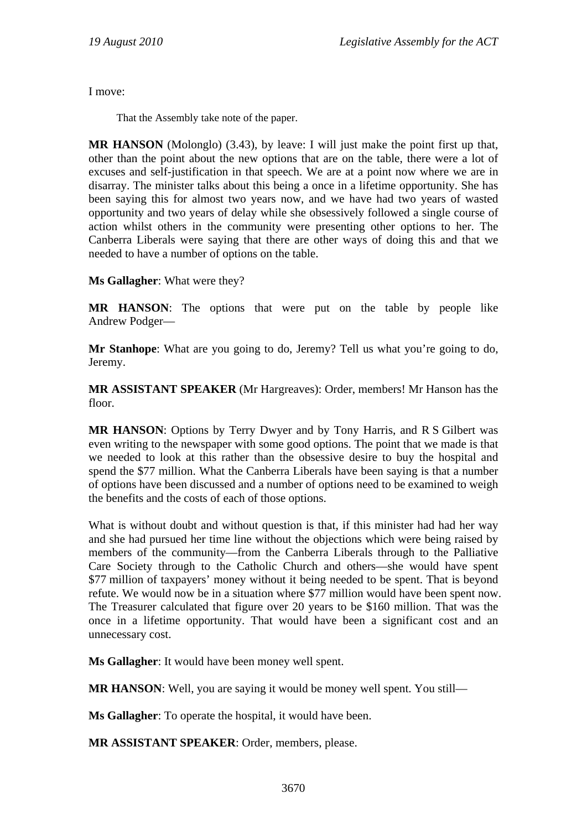I move:

That the Assembly take note of the paper.

**MR HANSON** (Molonglo) (3.43), by leave: I will just make the point first up that, other than the point about the new options that are on the table, there were a lot of excuses and self-justification in that speech. We are at a point now where we are in disarray. The minister talks about this being a once in a lifetime opportunity. She has been saying this for almost two years now, and we have had two years of wasted opportunity and two years of delay while she obsessively followed a single course of action whilst others in the community were presenting other options to her. The Canberra Liberals were saying that there are other ways of doing this and that we needed to have a number of options on the table.

**Ms Gallagher**: What were they?

**MR HANSON**: The options that were put on the table by people like Andrew Podger—

**Mr Stanhope**: What are you going to do, Jeremy? Tell us what you're going to do, Jeremy.

**MR ASSISTANT SPEAKER** (Mr Hargreaves): Order, members! Mr Hanson has the floor.

**MR HANSON**: Options by Terry Dwyer and by Tony Harris, and R S Gilbert was even writing to the newspaper with some good options. The point that we made is that we needed to look at this rather than the obsessive desire to buy the hospital and spend the \$77 million. What the Canberra Liberals have been saying is that a number of options have been discussed and a number of options need to be examined to weigh the benefits and the costs of each of those options.

What is without doubt and without question is that, if this minister had had her way and she had pursued her time line without the objections which were being raised by members of the community—from the Canberra Liberals through to the Palliative Care Society through to the Catholic Church and others—she would have spent \$77 million of taxpayers' money without it being needed to be spent. That is beyond refute. We would now be in a situation where \$77 million would have been spent now. The Treasurer calculated that figure over 20 years to be \$160 million. That was the once in a lifetime opportunity. That would have been a significant cost and an unnecessary cost.

**Ms Gallagher**: It would have been money well spent.

**MR HANSON**: Well, you are saying it would be money well spent. You still—

**Ms Gallagher**: To operate the hospital, it would have been.

**MR ASSISTANT SPEAKER**: Order, members, please.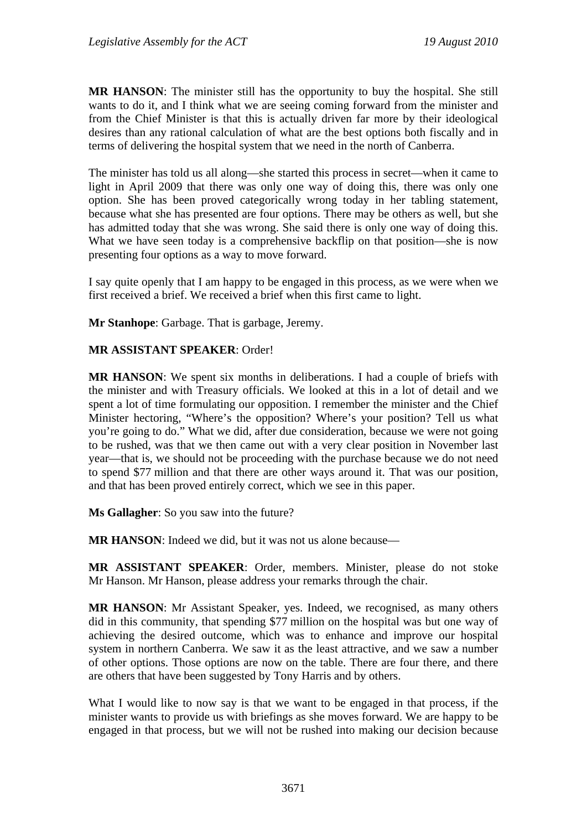**MR HANSON**: The minister still has the opportunity to buy the hospital. She still wants to do it, and I think what we are seeing coming forward from the minister and from the Chief Minister is that this is actually driven far more by their ideological desires than any rational calculation of what are the best options both fiscally and in terms of delivering the hospital system that we need in the north of Canberra.

The minister has told us all along—she started this process in secret—when it came to light in April 2009 that there was only one way of doing this, there was only one option. She has been proved categorically wrong today in her tabling statement, because what she has presented are four options. There may be others as well, but she has admitted today that she was wrong. She said there is only one way of doing this. What we have seen today is a comprehensive backflip on that position—she is now presenting four options as a way to move forward.

I say quite openly that I am happy to be engaged in this process, as we were when we first received a brief. We received a brief when this first came to light.

**Mr Stanhope**: Garbage. That is garbage, Jeremy.

#### **MR ASSISTANT SPEAKER**: Order!

**MR HANSON**: We spent six months in deliberations. I had a couple of briefs with the minister and with Treasury officials. We looked at this in a lot of detail and we spent a lot of time formulating our opposition. I remember the minister and the Chief Minister hectoring, "Where's the opposition? Where's your position? Tell us what you're going to do." What we did, after due consideration, because we were not going to be rushed, was that we then came out with a very clear position in November last year—that is, we should not be proceeding with the purchase because we do not need to spend \$77 million and that there are other ways around it. That was our position, and that has been proved entirely correct, which we see in this paper.

**Ms Gallagher**: So you saw into the future?

**MR HANSON:** Indeed we did, but it was not us alone because—

**MR ASSISTANT SPEAKER**: Order, members. Minister, please do not stoke Mr Hanson. Mr Hanson, please address your remarks through the chair.

**MR HANSON**: Mr Assistant Speaker, yes. Indeed, we recognised, as many others did in this community, that spending \$77 million on the hospital was but one way of achieving the desired outcome, which was to enhance and improve our hospital system in northern Canberra. We saw it as the least attractive, and we saw a number of other options. Those options are now on the table. There are four there, and there are others that have been suggested by Tony Harris and by others.

What I would like to now say is that we want to be engaged in that process, if the minister wants to provide us with briefings as she moves forward. We are happy to be engaged in that process, but we will not be rushed into making our decision because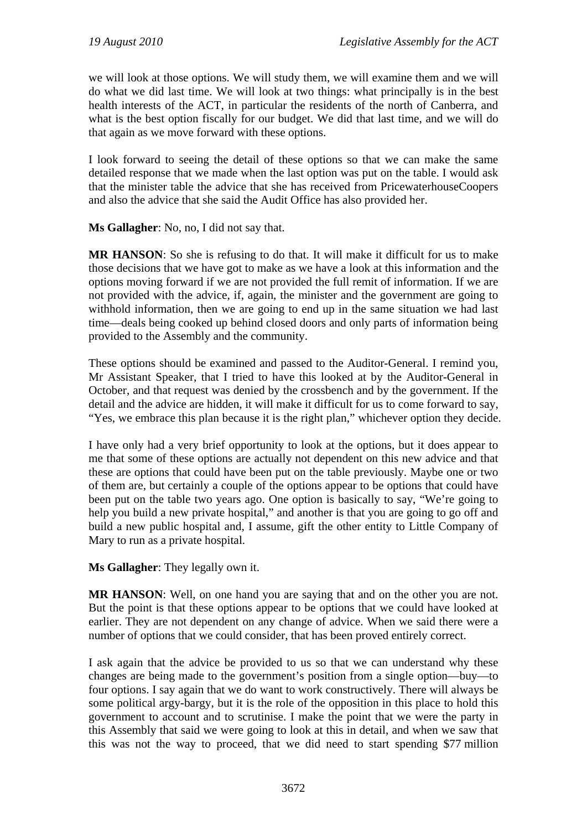we will look at those options. We will study them, we will examine them and we will do what we did last time. We will look at two things: what principally is in the best health interests of the ACT, in particular the residents of the north of Canberra, and what is the best option fiscally for our budget. We did that last time, and we will do that again as we move forward with these options.

I look forward to seeing the detail of these options so that we can make the same detailed response that we made when the last option was put on the table. I would ask that the minister table the advice that she has received from PricewaterhouseCoopers and also the advice that she said the Audit Office has also provided her.

**Ms Gallagher**: No, no, I did not say that.

**MR HANSON**: So she is refusing to do that. It will make it difficult for us to make those decisions that we have got to make as we have a look at this information and the options moving forward if we are not provided the full remit of information. If we are not provided with the advice, if, again, the minister and the government are going to withhold information, then we are going to end up in the same situation we had last time—deals being cooked up behind closed doors and only parts of information being provided to the Assembly and the community.

These options should be examined and passed to the Auditor-General. I remind you, Mr Assistant Speaker, that I tried to have this looked at by the Auditor-General in October, and that request was denied by the crossbench and by the government. If the detail and the advice are hidden, it will make it difficult for us to come forward to say, "Yes, we embrace this plan because it is the right plan," whichever option they decide.

I have only had a very brief opportunity to look at the options, but it does appear to me that some of these options are actually not dependent on this new advice and that these are options that could have been put on the table previously. Maybe one or two of them are, but certainly a couple of the options appear to be options that could have been put on the table two years ago. One option is basically to say, "We're going to help you build a new private hospital," and another is that you are going to go off and build a new public hospital and, I assume, gift the other entity to Little Company of Mary to run as a private hospital.

**Ms Gallagher**: They legally own it.

**MR HANSON:** Well, on one hand you are saying that and on the other you are not. But the point is that these options appear to be options that we could have looked at earlier. They are not dependent on any change of advice. When we said there were a number of options that we could consider, that has been proved entirely correct.

I ask again that the advice be provided to us so that we can understand why these changes are being made to the government's position from a single option—buy—to four options. I say again that we do want to work constructively. There will always be some political argy-bargy, but it is the role of the opposition in this place to hold this government to account and to scrutinise. I make the point that we were the party in this Assembly that said we were going to look at this in detail, and when we saw that this was not the way to proceed, that we did need to start spending \$77 million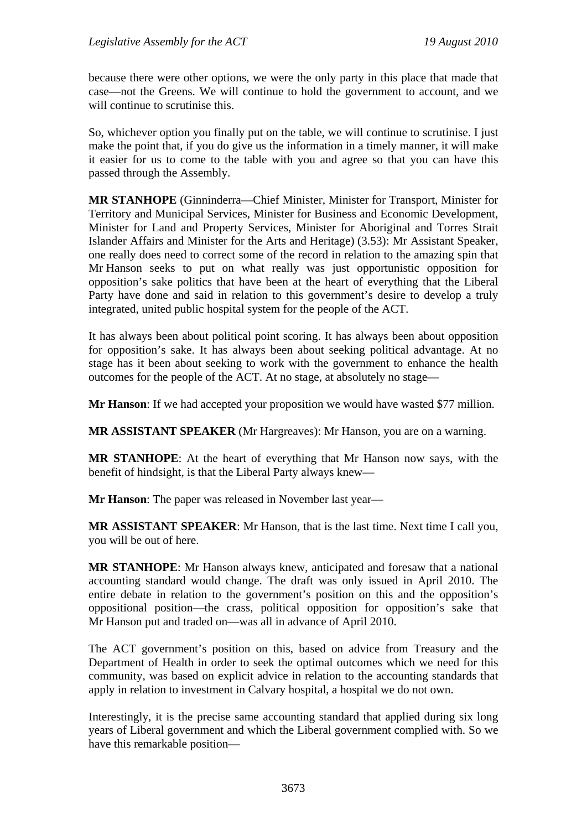because there were other options, we were the only party in this place that made that case—not the Greens. We will continue to hold the government to account, and we will continue to scrutinise this.

So, whichever option you finally put on the table, we will continue to scrutinise. I just make the point that, if you do give us the information in a timely manner, it will make it easier for us to come to the table with you and agree so that you can have this passed through the Assembly.

**MR STANHOPE** (Ginninderra—Chief Minister, Minister for Transport, Minister for Territory and Municipal Services, Minister for Business and Economic Development, Minister for Land and Property Services, Minister for Aboriginal and Torres Strait Islander Affairs and Minister for the Arts and Heritage) (3.53): Mr Assistant Speaker, one really does need to correct some of the record in relation to the amazing spin that Mr Hanson seeks to put on what really was just opportunistic opposition for opposition's sake politics that have been at the heart of everything that the Liberal Party have done and said in relation to this government's desire to develop a truly integrated, united public hospital system for the people of the ACT.

It has always been about political point scoring. It has always been about opposition for opposition's sake. It has always been about seeking political advantage. At no stage has it been about seeking to work with the government to enhance the health outcomes for the people of the ACT. At no stage, at absolutely no stage—

**Mr Hanson**: If we had accepted your proposition we would have wasted \$77 million.

**MR ASSISTANT SPEAKER** (Mr Hargreaves): Mr Hanson, you are on a warning.

**MR STANHOPE**: At the heart of everything that Mr Hanson now says, with the benefit of hindsight, is that the Liberal Party always knew—

**Mr Hanson**: The paper was released in November last year—

**MR ASSISTANT SPEAKER**: Mr Hanson, that is the last time. Next time I call you, you will be out of here.

**MR STANHOPE**: Mr Hanson always knew, anticipated and foresaw that a national accounting standard would change. The draft was only issued in April 2010. The entire debate in relation to the government's position on this and the opposition's oppositional position—the crass, political opposition for opposition's sake that Mr Hanson put and traded on—was all in advance of April 2010.

The ACT government's position on this, based on advice from Treasury and the Department of Health in order to seek the optimal outcomes which we need for this community, was based on explicit advice in relation to the accounting standards that apply in relation to investment in Calvary hospital, a hospital we do not own.

Interestingly, it is the precise same accounting standard that applied during six long years of Liberal government and which the Liberal government complied with. So we have this remarkable position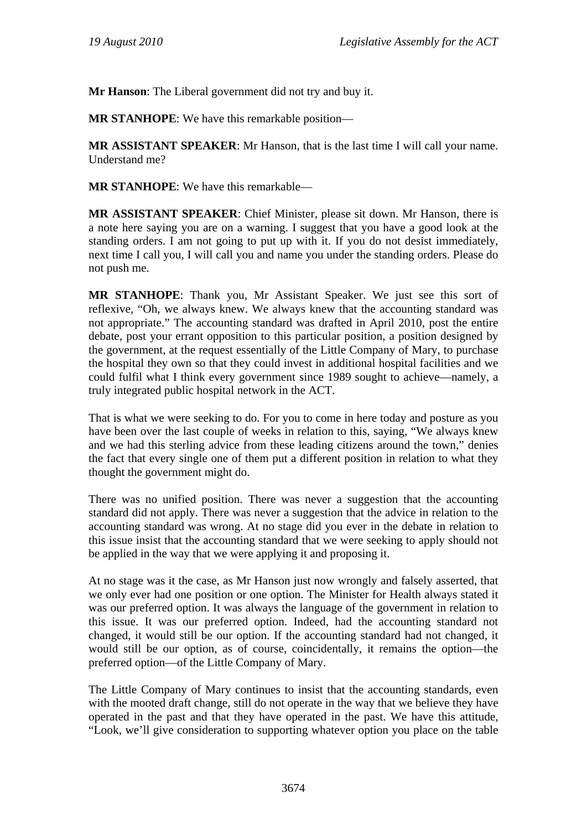**Mr Hanson**: The Liberal government did not try and buy it.

**MR STANHOPE**: We have this remarkable position—

**MR ASSISTANT SPEAKER**: Mr Hanson, that is the last time I will call your name. Understand me?

**MR STANHOPE**: We have this remarkable—

**MR ASSISTANT SPEAKER**: Chief Minister, please sit down. Mr Hanson, there is a note here saying you are on a warning. I suggest that you have a good look at the standing orders. I am not going to put up with it. If you do not desist immediately, next time I call you, I will call you and name you under the standing orders. Please do not push me.

**MR STANHOPE**: Thank you, Mr Assistant Speaker. We just see this sort of reflexive, "Oh, we always knew. We always knew that the accounting standard was not appropriate." The accounting standard was drafted in April 2010, post the entire debate, post your errant opposition to this particular position, a position designed by the government, at the request essentially of the Little Company of Mary, to purchase the hospital they own so that they could invest in additional hospital facilities and we could fulfil what I think every government since 1989 sought to achieve—namely, a truly integrated public hospital network in the ACT.

That is what we were seeking to do. For you to come in here today and posture as you have been over the last couple of weeks in relation to this, saying, "We always knew and we had this sterling advice from these leading citizens around the town," denies the fact that every single one of them put a different position in relation to what they thought the government might do.

There was no unified position. There was never a suggestion that the accounting standard did not apply. There was never a suggestion that the advice in relation to the accounting standard was wrong. At no stage did you ever in the debate in relation to this issue insist that the accounting standard that we were seeking to apply should not be applied in the way that we were applying it and proposing it.

At no stage was it the case, as Mr Hanson just now wrongly and falsely asserted, that we only ever had one position or one option. The Minister for Health always stated it was our preferred option. It was always the language of the government in relation to this issue. It was our preferred option. Indeed, had the accounting standard not changed, it would still be our option. If the accounting standard had not changed, it would still be our option, as of course, coincidentally, it remains the option—the preferred option—of the Little Company of Mary.

The Little Company of Mary continues to insist that the accounting standards, even with the mooted draft change, still do not operate in the way that we believe they have operated in the past and that they have operated in the past. We have this attitude, "Look, we'll give consideration to supporting whatever option you place on the table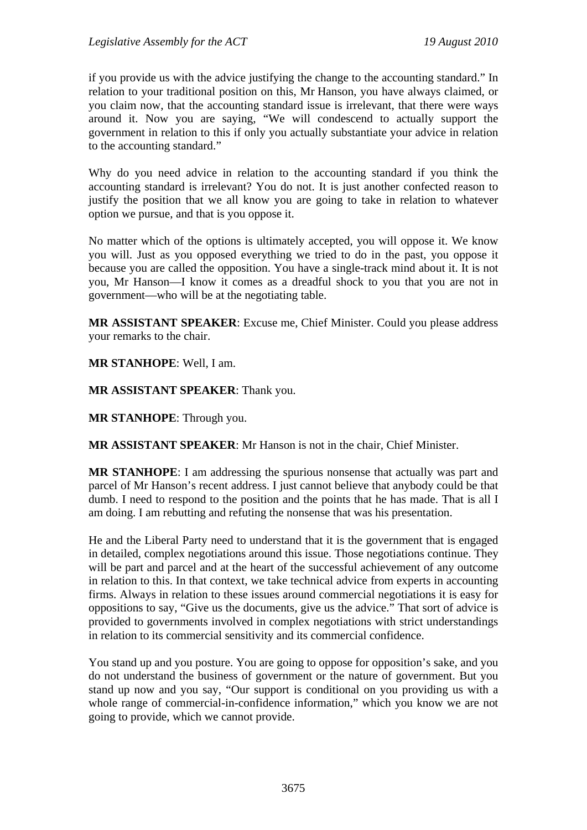if you provide us with the advice justifying the change to the accounting standard." In relation to your traditional position on this, Mr Hanson, you have always claimed, or you claim now, that the accounting standard issue is irrelevant, that there were ways around it. Now you are saying, "We will condescend to actually support the government in relation to this if only you actually substantiate your advice in relation to the accounting standard."

Why do you need advice in relation to the accounting standard if you think the accounting standard is irrelevant? You do not. It is just another confected reason to justify the position that we all know you are going to take in relation to whatever option we pursue, and that is you oppose it.

No matter which of the options is ultimately accepted, you will oppose it. We know you will. Just as you opposed everything we tried to do in the past, you oppose it because you are called the opposition. You have a single-track mind about it. It is not you, Mr Hanson—I know it comes as a dreadful shock to you that you are not in government—who will be at the negotiating table.

**MR ASSISTANT SPEAKER**: Excuse me, Chief Minister. Could you please address your remarks to the chair.

**MR STANHOPE**: Well, I am.

**MR ASSISTANT SPEAKER**: Thank you.

**MR STANHOPE**: Through you.

**MR ASSISTANT SPEAKER**: Mr Hanson is not in the chair, Chief Minister.

**MR STANHOPE**: I am addressing the spurious nonsense that actually was part and parcel of Mr Hanson's recent address. I just cannot believe that anybody could be that dumb. I need to respond to the position and the points that he has made. That is all I am doing. I am rebutting and refuting the nonsense that was his presentation.

He and the Liberal Party need to understand that it is the government that is engaged in detailed, complex negotiations around this issue. Those negotiations continue. They will be part and parcel and at the heart of the successful achievement of any outcome in relation to this. In that context, we take technical advice from experts in accounting firms. Always in relation to these issues around commercial negotiations it is easy for oppositions to say, "Give us the documents, give us the advice." That sort of advice is provided to governments involved in complex negotiations with strict understandings in relation to its commercial sensitivity and its commercial confidence.

You stand up and you posture. You are going to oppose for opposition's sake, and you do not understand the business of government or the nature of government. But you stand up now and you say, "Our support is conditional on you providing us with a whole range of commercial-in-confidence information," which you know we are not going to provide, which we cannot provide.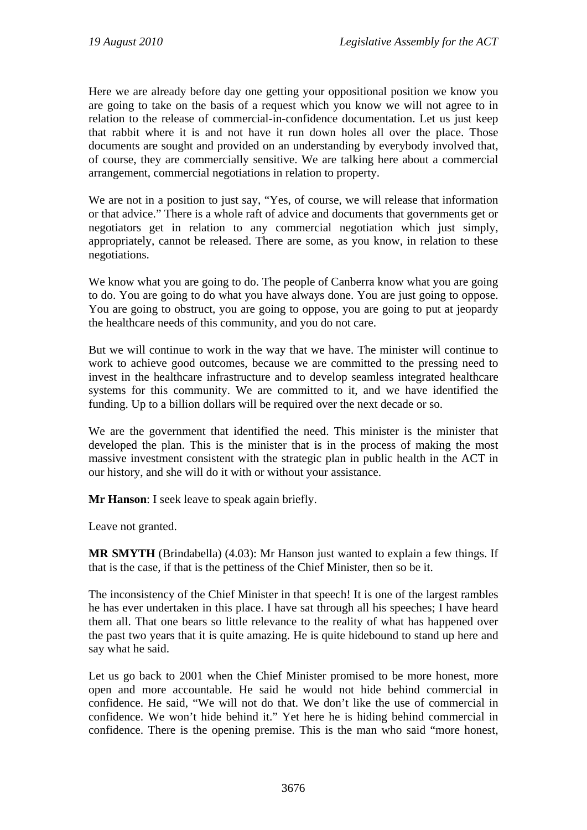Here we are already before day one getting your oppositional position we know you are going to take on the basis of a request which you know we will not agree to in relation to the release of commercial-in-confidence documentation. Let us just keep that rabbit where it is and not have it run down holes all over the place. Those documents are sought and provided on an understanding by everybody involved that, of course, they are commercially sensitive. We are talking here about a commercial arrangement, commercial negotiations in relation to property.

We are not in a position to just say, "Yes, of course, we will release that information or that advice." There is a whole raft of advice and documents that governments get or negotiators get in relation to any commercial negotiation which just simply, appropriately, cannot be released. There are some, as you know, in relation to these negotiations.

We know what you are going to do. The people of Canberra know what you are going to do. You are going to do what you have always done. You are just going to oppose. You are going to obstruct, you are going to oppose, you are going to put at jeopardy the healthcare needs of this community, and you do not care.

But we will continue to work in the way that we have. The minister will continue to work to achieve good outcomes, because we are committed to the pressing need to invest in the healthcare infrastructure and to develop seamless integrated healthcare systems for this community. We are committed to it, and we have identified the funding. Up to a billion dollars will be required over the next decade or so.

We are the government that identified the need. This minister is the minister that developed the plan. This is the minister that is in the process of making the most massive investment consistent with the strategic plan in public health in the ACT in our history, and she will do it with or without your assistance.

**Mr Hanson**: I seek leave to speak again briefly.

Leave not granted.

**MR SMYTH** (Brindabella) (4.03): Mr Hanson just wanted to explain a few things. If that is the case, if that is the pettiness of the Chief Minister, then so be it.

The inconsistency of the Chief Minister in that speech! It is one of the largest rambles he has ever undertaken in this place. I have sat through all his speeches; I have heard them all. That one bears so little relevance to the reality of what has happened over the past two years that it is quite amazing. He is quite hidebound to stand up here and say what he said.

Let us go back to 2001 when the Chief Minister promised to be more honest, more open and more accountable. He said he would not hide behind commercial in confidence. He said, "We will not do that. We don't like the use of commercial in confidence. We won't hide behind it." Yet here he is hiding behind commercial in confidence. There is the opening premise. This is the man who said "more honest,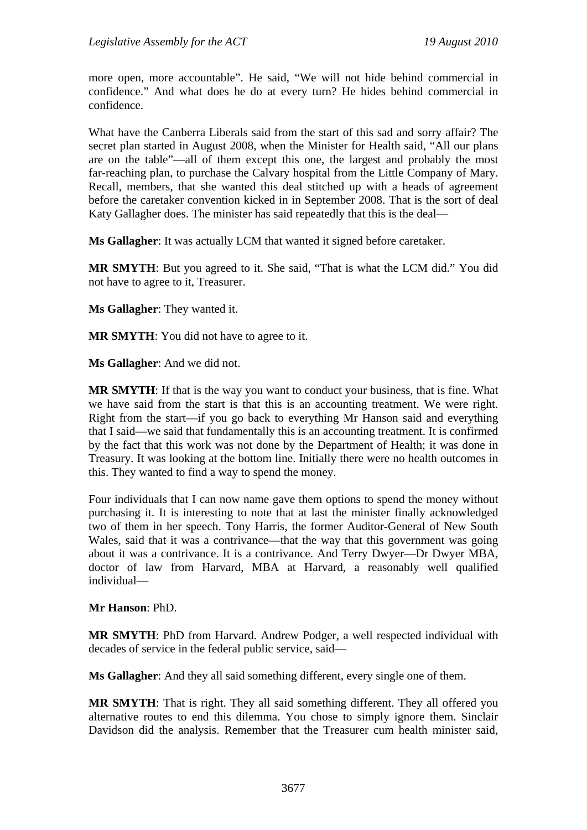more open, more accountable". He said, "We will not hide behind commercial in confidence." And what does he do at every turn? He hides behind commercial in confidence.

What have the Canberra Liberals said from the start of this sad and sorry affair? The secret plan started in August 2008, when the Minister for Health said, "All our plans are on the table"—all of them except this one, the largest and probably the most far-reaching plan, to purchase the Calvary hospital from the Little Company of Mary. Recall, members, that she wanted this deal stitched up with a heads of agreement before the caretaker convention kicked in in September 2008. That is the sort of deal Katy Gallagher does. The minister has said repeatedly that this is the deal—

**Ms Gallagher**: It was actually LCM that wanted it signed before caretaker.

**MR SMYTH**: But you agreed to it. She said, "That is what the LCM did." You did not have to agree to it, Treasurer.

**Ms Gallagher**: They wanted it.

**MR SMYTH**: You did not have to agree to it.

**Ms Gallagher**: And we did not.

**MR SMYTH**: If that is the way you want to conduct your business, that is fine. What we have said from the start is that this is an accounting treatment. We were right. Right from the start—if you go back to everything Mr Hanson said and everything that I said—we said that fundamentally this is an accounting treatment. It is confirmed by the fact that this work was not done by the Department of Health; it was done in Treasury. It was looking at the bottom line. Initially there were no health outcomes in this. They wanted to find a way to spend the money.

Four individuals that I can now name gave them options to spend the money without purchasing it. It is interesting to note that at last the minister finally acknowledged two of them in her speech. Tony Harris, the former Auditor-General of New South Wales, said that it was a contrivance—that the way that this government was going about it was a contrivance. It is a contrivance. And Terry Dwyer—Dr Dwyer MBA, doctor of law from Harvard, MBA at Harvard, a reasonably well qualified individual—

#### **Mr Hanson**: PhD.

**MR SMYTH**: PhD from Harvard. Andrew Podger, a well respected individual with decades of service in the federal public service, said—

**Ms Gallagher**: And they all said something different, every single one of them.

**MR SMYTH**: That is right. They all said something different. They all offered you alternative routes to end this dilemma. You chose to simply ignore them. Sinclair Davidson did the analysis. Remember that the Treasurer cum health minister said,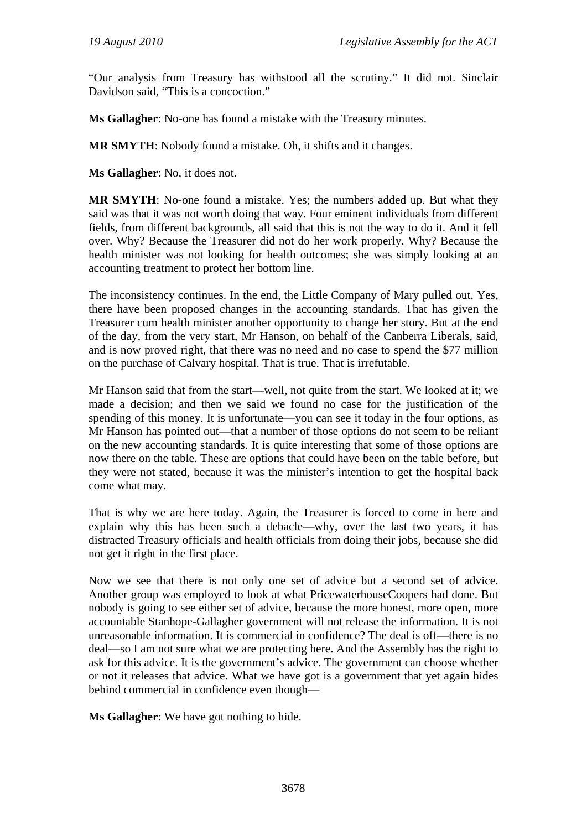"Our analysis from Treasury has withstood all the scrutiny." It did not. Sinclair Davidson said, "This is a concoction."

**Ms Gallagher**: No-one has found a mistake with the Treasury minutes.

**MR SMYTH**: Nobody found a mistake. Oh, it shifts and it changes.

**Ms Gallagher**: No, it does not.

**MR SMYTH**: No-one found a mistake. Yes; the numbers added up. But what they said was that it was not worth doing that way. Four eminent individuals from different fields, from different backgrounds, all said that this is not the way to do it. And it fell over. Why? Because the Treasurer did not do her work properly. Why? Because the health minister was not looking for health outcomes; she was simply looking at an accounting treatment to protect her bottom line.

The inconsistency continues. In the end, the Little Company of Mary pulled out. Yes, there have been proposed changes in the accounting standards. That has given the Treasurer cum health minister another opportunity to change her story. But at the end of the day, from the very start, Mr Hanson, on behalf of the Canberra Liberals, said, and is now proved right, that there was no need and no case to spend the \$77 million on the purchase of Calvary hospital. That is true. That is irrefutable.

Mr Hanson said that from the start—well, not quite from the start. We looked at it; we made a decision; and then we said we found no case for the justification of the spending of this money. It is unfortunate—you can see it today in the four options, as Mr Hanson has pointed out—that a number of those options do not seem to be reliant on the new accounting standards. It is quite interesting that some of those options are now there on the table. These are options that could have been on the table before, but they were not stated, because it was the minister's intention to get the hospital back come what may.

That is why we are here today. Again, the Treasurer is forced to come in here and explain why this has been such a debacle—why, over the last two years, it has distracted Treasury officials and health officials from doing their jobs, because she did not get it right in the first place.

Now we see that there is not only one set of advice but a second set of advice. Another group was employed to look at what PricewaterhouseCoopers had done. But nobody is going to see either set of advice, because the more honest, more open, more accountable Stanhope-Gallagher government will not release the information. It is not unreasonable information. It is commercial in confidence? The deal is off—there is no deal—so I am not sure what we are protecting here. And the Assembly has the right to ask for this advice. It is the government's advice. The government can choose whether or not it releases that advice. What we have got is a government that yet again hides behind commercial in confidence even though—

**Ms Gallagher**: We have got nothing to hide.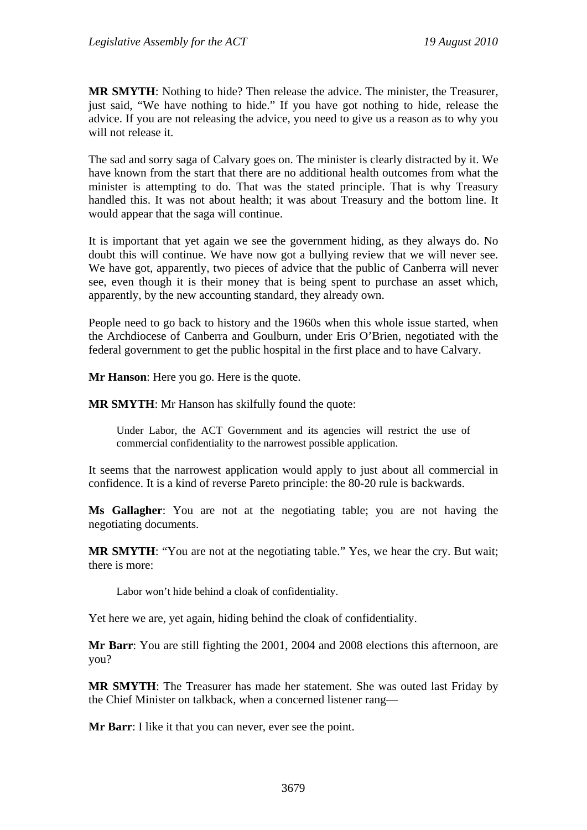**MR SMYTH**: Nothing to hide? Then release the advice. The minister, the Treasurer, just said, "We have nothing to hide." If you have got nothing to hide, release the advice. If you are not releasing the advice, you need to give us a reason as to why you will not release it.

The sad and sorry saga of Calvary goes on. The minister is clearly distracted by it. We have known from the start that there are no additional health outcomes from what the minister is attempting to do. That was the stated principle. That is why Treasury handled this. It was not about health; it was about Treasury and the bottom line. It would appear that the saga will continue.

It is important that yet again we see the government hiding, as they always do. No doubt this will continue. We have now got a bullying review that we will never see. We have got, apparently, two pieces of advice that the public of Canberra will never see, even though it is their money that is being spent to purchase an asset which, apparently, by the new accounting standard, they already own.

People need to go back to history and the 1960s when this whole issue started, when the Archdiocese of Canberra and Goulburn, under Eris O'Brien, negotiated with the federal government to get the public hospital in the first place and to have Calvary.

**Mr Hanson**: Here you go. Here is the quote.

**MR SMYTH**: Mr Hanson has skilfully found the quote:

Under Labor, the ACT Government and its agencies will restrict the use of commercial confidentiality to the narrowest possible application.

It seems that the narrowest application would apply to just about all commercial in confidence. It is a kind of reverse Pareto principle: the 80-20 rule is backwards.

**Ms Gallagher**: You are not at the negotiating table; you are not having the negotiating documents.

**MR SMYTH**: "You are not at the negotiating table." Yes, we hear the cry. But wait; there is more:

Labor won't hide behind a cloak of confidentiality.

Yet here we are, yet again, hiding behind the cloak of confidentiality.

**Mr Barr**: You are still fighting the 2001, 2004 and 2008 elections this afternoon, are you?

**MR SMYTH**: The Treasurer has made her statement. She was outed last Friday by the Chief Minister on talkback, when a concerned listener rang—

**Mr Barr**: I like it that you can never, ever see the point.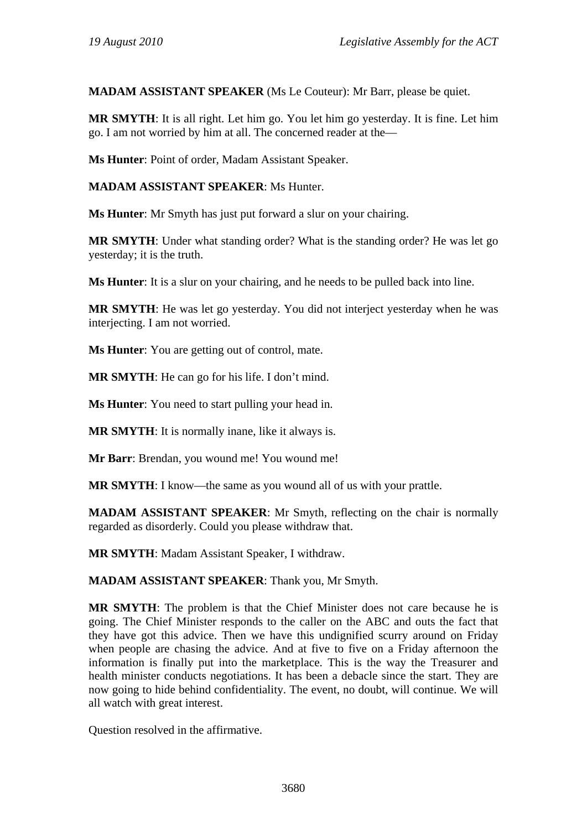**MADAM ASSISTANT SPEAKER** (Ms Le Couteur): Mr Barr, please be quiet.

**MR SMYTH**: It is all right. Let him go. You let him go yesterday. It is fine. Let him go. I am not worried by him at all. The concerned reader at the—

**Ms Hunter**: Point of order, Madam Assistant Speaker.

**MADAM ASSISTANT SPEAKER**: Ms Hunter.

**Ms Hunter**: Mr Smyth has just put forward a slur on your chairing.

**MR SMYTH**: Under what standing order? What is the standing order? He was let go yesterday; it is the truth.

**Ms Hunter**: It is a slur on your chairing, and he needs to be pulled back into line.

**MR SMYTH:** He was let go vesterday. You did not interject vesterday when he was interjecting. I am not worried.

**Ms Hunter**: You are getting out of control, mate.

**MR SMYTH**: He can go for his life. I don't mind.

**Ms Hunter**: You need to start pulling your head in.

**MR SMYTH**: It is normally inane, like it always is.

**Mr Barr**: Brendan, you wound me! You wound me!

**MR SMYTH:** I know—the same as you wound all of us with your prattle.

**MADAM ASSISTANT SPEAKER**: Mr Smyth, reflecting on the chair is normally regarded as disorderly. Could you please withdraw that.

**MR SMYTH**: Madam Assistant Speaker, I withdraw.

**MADAM ASSISTANT SPEAKER**: Thank you, Mr Smyth.

**MR SMYTH**: The problem is that the Chief Minister does not care because he is going. The Chief Minister responds to the caller on the ABC and outs the fact that they have got this advice. Then we have this undignified scurry around on Friday when people are chasing the advice. And at five to five on a Friday afternoon the information is finally put into the marketplace. This is the way the Treasurer and health minister conducts negotiations. It has been a debacle since the start. They are now going to hide behind confidentiality. The event, no doubt, will continue. We will all watch with great interest.

Question resolved in the affirmative.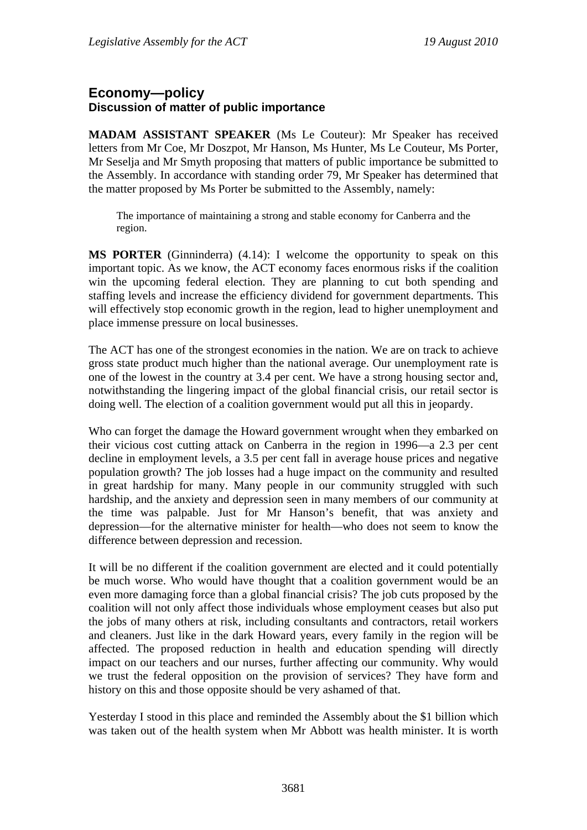# **Economy—policy Discussion of matter of public importance**

**MADAM ASSISTANT SPEAKER** (Ms Le Couteur): Mr Speaker has received letters from Mr Coe, Mr Doszpot, Mr Hanson, Ms Hunter, Ms Le Couteur, Ms Porter, Mr Seselja and Mr Smyth proposing that matters of public importance be submitted to the Assembly. In accordance with standing order 79, Mr Speaker has determined that the matter proposed by Ms Porter be submitted to the Assembly, namely:

The importance of maintaining a strong and stable economy for Canberra and the region.

**MS PORTER** (Ginninderra) (4.14): I welcome the opportunity to speak on this important topic. As we know, the ACT economy faces enormous risks if the coalition win the upcoming federal election. They are planning to cut both spending and staffing levels and increase the efficiency dividend for government departments. This will effectively stop economic growth in the region, lead to higher unemployment and place immense pressure on local businesses.

The ACT has one of the strongest economies in the nation. We are on track to achieve gross state product much higher than the national average. Our unemployment rate is one of the lowest in the country at 3.4 per cent. We have a strong housing sector and, notwithstanding the lingering impact of the global financial crisis, our retail sector is doing well. The election of a coalition government would put all this in jeopardy.

Who can forget the damage the Howard government wrought when they embarked on their vicious cost cutting attack on Canberra in the region in 1996—a 2.3 per cent decline in employment levels, a 3.5 per cent fall in average house prices and negative population growth? The job losses had a huge impact on the community and resulted in great hardship for many. Many people in our community struggled with such hardship, and the anxiety and depression seen in many members of our community at the time was palpable. Just for Mr Hanson's benefit, that was anxiety and depression—for the alternative minister for health—who does not seem to know the difference between depression and recession.

It will be no different if the coalition government are elected and it could potentially be much worse. Who would have thought that a coalition government would be an even more damaging force than a global financial crisis? The job cuts proposed by the coalition will not only affect those individuals whose employment ceases but also put the jobs of many others at risk, including consultants and contractors, retail workers and cleaners. Just like in the dark Howard years, every family in the region will be affected. The proposed reduction in health and education spending will directly impact on our teachers and our nurses, further affecting our community. Why would we trust the federal opposition on the provision of services? They have form and history on this and those opposite should be very ashamed of that.

Yesterday I stood in this place and reminded the Assembly about the \$1 billion which was taken out of the health system when Mr Abbott was health minister. It is worth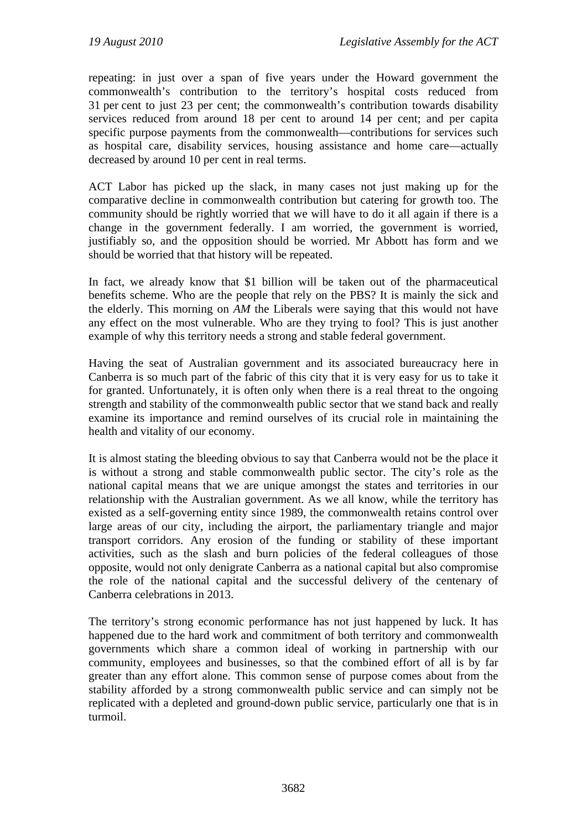repeating: in just over a span of five years under the Howard government the commonwealth's contribution to the territory's hospital costs reduced from 31 per cent to just 23 per cent; the commonwealth's contribution towards disability services reduced from around 18 per cent to around 14 per cent; and per capita specific purpose payments from the commonwealth—contributions for services such as hospital care, disability services, housing assistance and home care—actually decreased by around 10 per cent in real terms.

ACT Labor has picked up the slack, in many cases not just making up for the comparative decline in commonwealth contribution but catering for growth too. The community should be rightly worried that we will have to do it all again if there is a change in the government federally. I am worried, the government is worried, justifiably so, and the opposition should be worried. Mr Abbott has form and we should be worried that that history will be repeated.

In fact, we already know that \$1 billion will be taken out of the pharmaceutical benefits scheme. Who are the people that rely on the PBS? It is mainly the sick and the elderly. This morning on *AM* the Liberals were saying that this would not have any effect on the most vulnerable. Who are they trying to fool? This is just another example of why this territory needs a strong and stable federal government.

Having the seat of Australian government and its associated bureaucracy here in Canberra is so much part of the fabric of this city that it is very easy for us to take it for granted. Unfortunately, it is often only when there is a real threat to the ongoing strength and stability of the commonwealth public sector that we stand back and really examine its importance and remind ourselves of its crucial role in maintaining the health and vitality of our economy.

It is almost stating the bleeding obvious to say that Canberra would not be the place it is without a strong and stable commonwealth public sector. The city's role as the national capital means that we are unique amongst the states and territories in our relationship with the Australian government. As we all know, while the territory has existed as a self-governing entity since 1989, the commonwealth retains control over large areas of our city, including the airport, the parliamentary triangle and major transport corridors. Any erosion of the funding or stability of these important activities, such as the slash and burn policies of the federal colleagues of those opposite, would not only denigrate Canberra as a national capital but also compromise the role of the national capital and the successful delivery of the centenary of Canberra celebrations in 2013.

The territory's strong economic performance has not just happened by luck. It has happened due to the hard work and commitment of both territory and commonwealth governments which share a common ideal of working in partnership with our community, employees and businesses, so that the combined effort of all is by far greater than any effort alone. This common sense of purpose comes about from the stability afforded by a strong commonwealth public service and can simply not be replicated with a depleted and ground-down public service, particularly one that is in turmoil.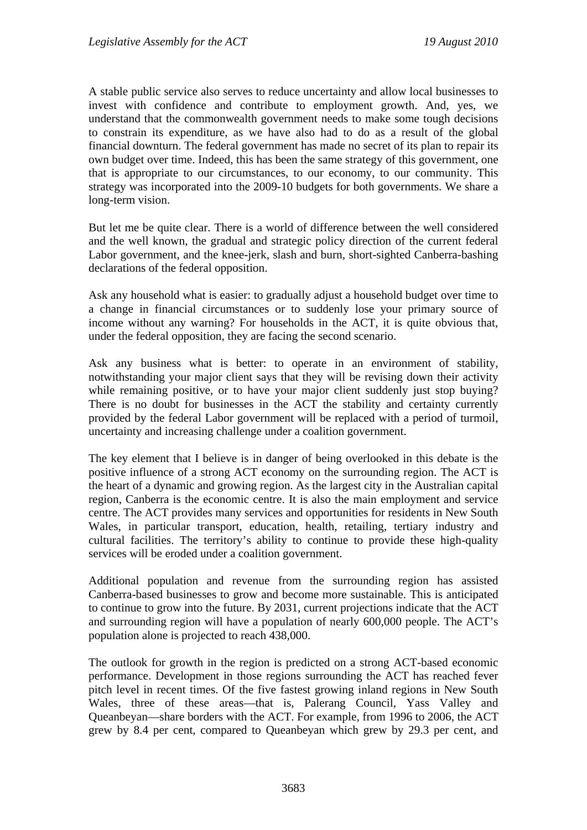A stable public service also serves to reduce uncertainty and allow local businesses to invest with confidence and contribute to employment growth. And, yes, we understand that the commonwealth government needs to make some tough decisions to constrain its expenditure, as we have also had to do as a result of the global financial downturn. The federal government has made no secret of its plan to repair its own budget over time. Indeed, this has been the same strategy of this government, one that is appropriate to our circumstances, to our economy, to our community. This strategy was incorporated into the 2009-10 budgets for both governments. We share a long-term vision.

But let me be quite clear. There is a world of difference between the well considered and the well known, the gradual and strategic policy direction of the current federal Labor government, and the knee-jerk, slash and burn, short-sighted Canberra-bashing declarations of the federal opposition.

Ask any household what is easier: to gradually adjust a household budget over time to a change in financial circumstances or to suddenly lose your primary source of income without any warning? For households in the ACT, it is quite obvious that, under the federal opposition, they are facing the second scenario.

Ask any business what is better: to operate in an environment of stability, notwithstanding your major client says that they will be revising down their activity while remaining positive, or to have your major client suddenly just stop buying? There is no doubt for businesses in the ACT the stability and certainty currently provided by the federal Labor government will be replaced with a period of turmoil, uncertainty and increasing challenge under a coalition government.

The key element that I believe is in danger of being overlooked in this debate is the positive influence of a strong ACT economy on the surrounding region. The ACT is the heart of a dynamic and growing region. As the largest city in the Australian capital region, Canberra is the economic centre. It is also the main employment and service centre. The ACT provides many services and opportunities for residents in New South Wales, in particular transport, education, health, retailing, tertiary industry and cultural facilities. The territory's ability to continue to provide these high-quality services will be eroded under a coalition government.

Additional population and revenue from the surrounding region has assisted Canberra-based businesses to grow and become more sustainable. This is anticipated to continue to grow into the future. By 2031, current projections indicate that the ACT and surrounding region will have a population of nearly 600,000 people. The ACT's population alone is projected to reach 438,000.

The outlook for growth in the region is predicted on a strong ACT-based economic performance. Development in those regions surrounding the ACT has reached fever pitch level in recent times. Of the five fastest growing inland regions in New South Wales, three of these areas—that is, Palerang Council, Yass Valley and Queanbeyan—share borders with the ACT. For example, from 1996 to 2006, the ACT grew by 8.4 per cent, compared to Queanbeyan which grew by 29.3 per cent, and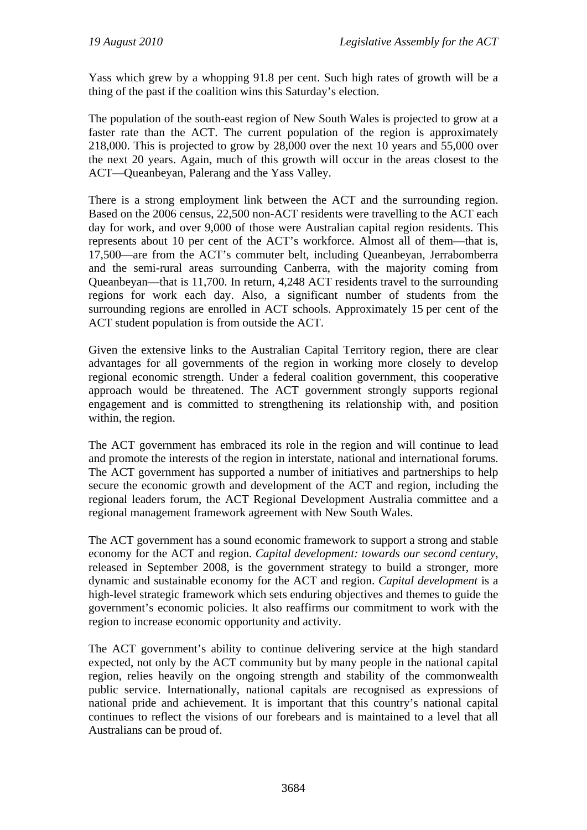Yass which grew by a whopping 91.8 per cent. Such high rates of growth will be a thing of the past if the coalition wins this Saturday's election.

The population of the south-east region of New South Wales is projected to grow at a faster rate than the ACT. The current population of the region is approximately 218,000. This is projected to grow by 28,000 over the next 10 years and 55,000 over the next 20 years. Again, much of this growth will occur in the areas closest to the ACT—Queanbeyan, Palerang and the Yass Valley.

There is a strong employment link between the ACT and the surrounding region. Based on the 2006 census, 22,500 non-ACT residents were travelling to the ACT each day for work, and over 9,000 of those were Australian capital region residents. This represents about 10 per cent of the ACT's workforce. Almost all of them—that is, 17,500—are from the ACT's commuter belt, including Queanbeyan, Jerrabomberra and the semi-rural areas surrounding Canberra, with the majority coming from Queanbeyan—that is 11,700. In return, 4,248 ACT residents travel to the surrounding regions for work each day. Also, a significant number of students from the surrounding regions are enrolled in ACT schools. Approximately 15 per cent of the ACT student population is from outside the ACT.

Given the extensive links to the Australian Capital Territory region, there are clear advantages for all governments of the region in working more closely to develop regional economic strength. Under a federal coalition government, this cooperative approach would be threatened. The ACT government strongly supports regional engagement and is committed to strengthening its relationship with, and position within, the region.

The ACT government has embraced its role in the region and will continue to lead and promote the interests of the region in interstate, national and international forums. The ACT government has supported a number of initiatives and partnerships to help secure the economic growth and development of the ACT and region, including the regional leaders forum, the ACT Regional Development Australia committee and a regional management framework agreement with New South Wales.

The ACT government has a sound economic framework to support a strong and stable economy for the ACT and region. *Capital development: towards our second century*, released in September 2008, is the government strategy to build a stronger, more dynamic and sustainable economy for the ACT and region. *Capital development* is a high-level strategic framework which sets enduring objectives and themes to guide the government's economic policies. It also reaffirms our commitment to work with the region to increase economic opportunity and activity.

The ACT government's ability to continue delivering service at the high standard expected, not only by the ACT community but by many people in the national capital region, relies heavily on the ongoing strength and stability of the commonwealth public service. Internationally, national capitals are recognised as expressions of national pride and achievement. It is important that this country's national capital continues to reflect the visions of our forebears and is maintained to a level that all Australians can be proud of.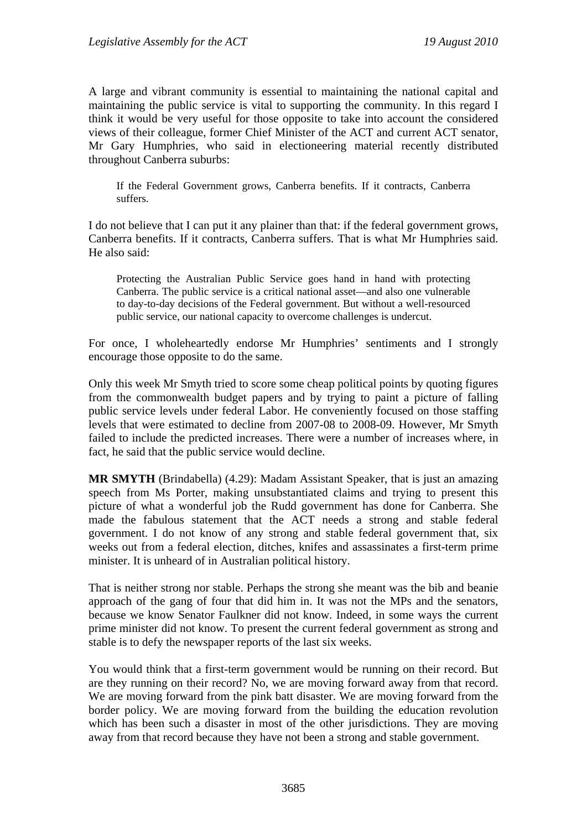A large and vibrant community is essential to maintaining the national capital and maintaining the public service is vital to supporting the community. In this regard I think it would be very useful for those opposite to take into account the considered views of their colleague, former Chief Minister of the ACT and current ACT senator, Mr Gary Humphries, who said in electioneering material recently distributed throughout Canberra suburbs:

If the Federal Government grows, Canberra benefits. If it contracts, Canberra suffers.

I do not believe that I can put it any plainer than that: if the federal government grows, Canberra benefits. If it contracts, Canberra suffers. That is what Mr Humphries said. He also said:

Protecting the Australian Public Service goes hand in hand with protecting Canberra. The public service is a critical national asset—and also one vulnerable to day-to-day decisions of the Federal government. But without a well-resourced public service, our national capacity to overcome challenges is undercut.

For once, I wholeheartedly endorse Mr Humphries' sentiments and I strongly encourage those opposite to do the same.

Only this week Mr Smyth tried to score some cheap political points by quoting figures from the commonwealth budget papers and by trying to paint a picture of falling public service levels under federal Labor. He conveniently focused on those staffing levels that were estimated to decline from 2007-08 to 2008-09. However, Mr Smyth failed to include the predicted increases. There were a number of increases where, in fact, he said that the public service would decline.

**MR SMYTH** (Brindabella) (4.29): Madam Assistant Speaker, that is just an amazing speech from Ms Porter, making unsubstantiated claims and trying to present this picture of what a wonderful job the Rudd government has done for Canberra. She made the fabulous statement that the ACT needs a strong and stable federal government. I do not know of any strong and stable federal government that, six weeks out from a federal election, ditches, knifes and assassinates a first-term prime minister. It is unheard of in Australian political history.

That is neither strong nor stable. Perhaps the strong she meant was the bib and beanie approach of the gang of four that did him in. It was not the MPs and the senators, because we know Senator Faulkner did not know. Indeed, in some ways the current prime minister did not know. To present the current federal government as strong and stable is to defy the newspaper reports of the last six weeks.

You would think that a first-term government would be running on their record. But are they running on their record? No, we are moving forward away from that record. We are moving forward from the pink batt disaster. We are moving forward from the border policy. We are moving forward from the building the education revolution which has been such a disaster in most of the other jurisdictions. They are moving away from that record because they have not been a strong and stable government.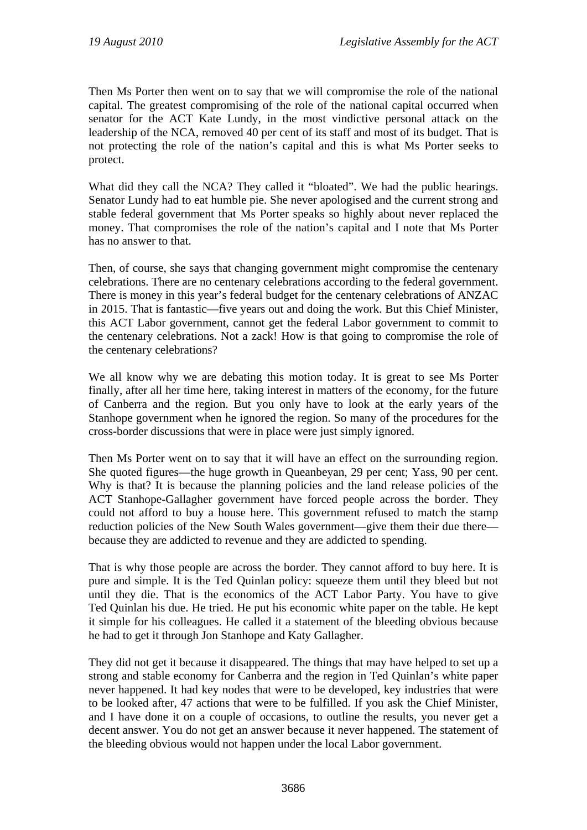Then Ms Porter then went on to say that we will compromise the role of the national capital. The greatest compromising of the role of the national capital occurred when senator for the ACT Kate Lundy, in the most vindictive personal attack on the leadership of the NCA, removed 40 per cent of its staff and most of its budget. That is not protecting the role of the nation's capital and this is what Ms Porter seeks to protect.

What did they call the NCA? They called it "bloated". We had the public hearings. Senator Lundy had to eat humble pie. She never apologised and the current strong and stable federal government that Ms Porter speaks so highly about never replaced the money. That compromises the role of the nation's capital and I note that Ms Porter has no answer to that.

Then, of course, she says that changing government might compromise the centenary celebrations. There are no centenary celebrations according to the federal government. There is money in this year's federal budget for the centenary celebrations of ANZAC in 2015. That is fantastic—five years out and doing the work. But this Chief Minister, this ACT Labor government, cannot get the federal Labor government to commit to the centenary celebrations. Not a zack! How is that going to compromise the role of the centenary celebrations?

We all know why we are debating this motion today. It is great to see Ms Porter finally, after all her time here, taking interest in matters of the economy, for the future of Canberra and the region. But you only have to look at the early years of the Stanhope government when he ignored the region. So many of the procedures for the cross-border discussions that were in place were just simply ignored.

Then Ms Porter went on to say that it will have an effect on the surrounding region. She quoted figures—the huge growth in Queanbeyan, 29 per cent; Yass, 90 per cent. Why is that? It is because the planning policies and the land release policies of the ACT Stanhope-Gallagher government have forced people across the border. They could not afford to buy a house here. This government refused to match the stamp reduction policies of the New South Wales government—give them their due there because they are addicted to revenue and they are addicted to spending.

That is why those people are across the border. They cannot afford to buy here. It is pure and simple. It is the Ted Quinlan policy: squeeze them until they bleed but not until they die. That is the economics of the ACT Labor Party. You have to give Ted Quinlan his due. He tried. He put his economic white paper on the table. He kept it simple for his colleagues. He called it a statement of the bleeding obvious because he had to get it through Jon Stanhope and Katy Gallagher.

They did not get it because it disappeared. The things that may have helped to set up a strong and stable economy for Canberra and the region in Ted Quinlan's white paper never happened. It had key nodes that were to be developed, key industries that were to be looked after, 47 actions that were to be fulfilled. If you ask the Chief Minister, and I have done it on a couple of occasions, to outline the results, you never get a decent answer. You do not get an answer because it never happened. The statement of the bleeding obvious would not happen under the local Labor government.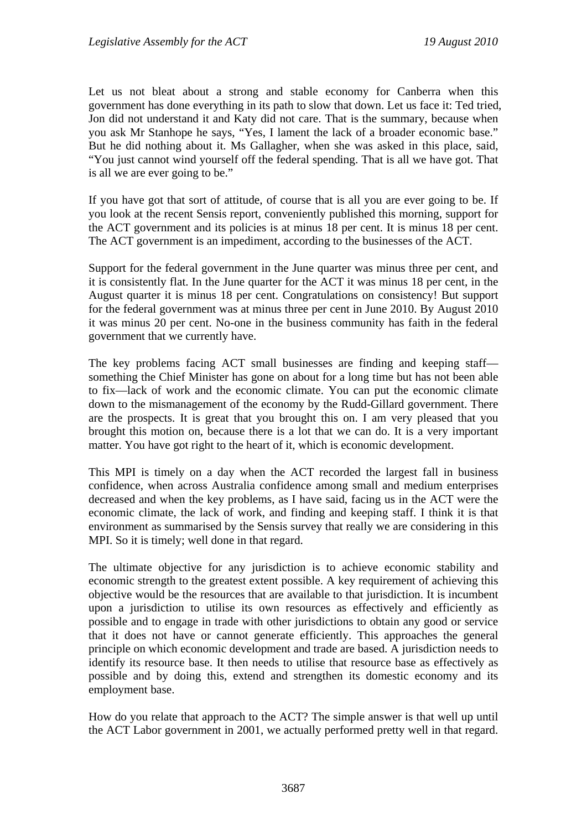Let us not bleat about a strong and stable economy for Canberra when this government has done everything in its path to slow that down. Let us face it: Ted tried, Jon did not understand it and Katy did not care. That is the summary, because when you ask Mr Stanhope he says, "Yes, I lament the lack of a broader economic base." But he did nothing about it. Ms Gallagher, when she was asked in this place, said, "You just cannot wind yourself off the federal spending. That is all we have got. That is all we are ever going to be."

If you have got that sort of attitude, of course that is all you are ever going to be. If you look at the recent Sensis report, conveniently published this morning, support for the ACT government and its policies is at minus 18 per cent. It is minus 18 per cent. The ACT government is an impediment, according to the businesses of the ACT.

Support for the federal government in the June quarter was minus three per cent, and it is consistently flat. In the June quarter for the ACT it was minus 18 per cent, in the August quarter it is minus 18 per cent. Congratulations on consistency! But support for the federal government was at minus three per cent in June 2010. By August 2010 it was minus 20 per cent. No-one in the business community has faith in the federal government that we currently have.

The key problems facing ACT small businesses are finding and keeping staff something the Chief Minister has gone on about for a long time but has not been able to fix—lack of work and the economic climate. You can put the economic climate down to the mismanagement of the economy by the Rudd-Gillard government. There are the prospects. It is great that you brought this on. I am very pleased that you brought this motion on, because there is a lot that we can do. It is a very important matter. You have got right to the heart of it, which is economic development.

This MPI is timely on a day when the ACT recorded the largest fall in business confidence, when across Australia confidence among small and medium enterprises decreased and when the key problems, as I have said, facing us in the ACT were the economic climate, the lack of work, and finding and keeping staff. I think it is that environment as summarised by the Sensis survey that really we are considering in this MPI. So it is timely; well done in that regard.

The ultimate objective for any jurisdiction is to achieve economic stability and economic strength to the greatest extent possible. A key requirement of achieving this objective would be the resources that are available to that jurisdiction. It is incumbent upon a jurisdiction to utilise its own resources as effectively and efficiently as possible and to engage in trade with other jurisdictions to obtain any good or service that it does not have or cannot generate efficiently. This approaches the general principle on which economic development and trade are based. A jurisdiction needs to identify its resource base. It then needs to utilise that resource base as effectively as possible and by doing this, extend and strengthen its domestic economy and its employment base.

How do you relate that approach to the ACT? The simple answer is that well up until the ACT Labor government in 2001, we actually performed pretty well in that regard.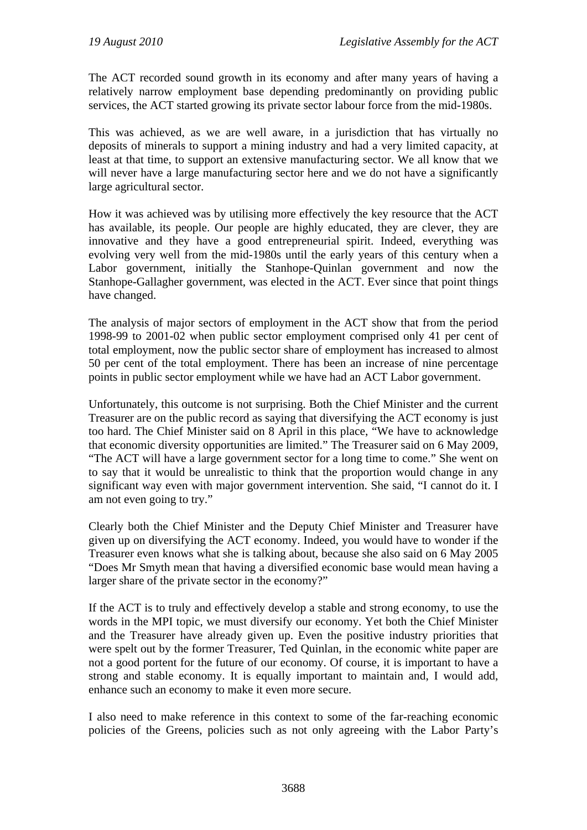The ACT recorded sound growth in its economy and after many years of having a relatively narrow employment base depending predominantly on providing public services, the ACT started growing its private sector labour force from the mid-1980s.

This was achieved, as we are well aware, in a jurisdiction that has virtually no deposits of minerals to support a mining industry and had a very limited capacity, at least at that time, to support an extensive manufacturing sector. We all know that we will never have a large manufacturing sector here and we do not have a significantly large agricultural sector.

How it was achieved was by utilising more effectively the key resource that the ACT has available, its people. Our people are highly educated, they are clever, they are innovative and they have a good entrepreneurial spirit. Indeed, everything was evolving very well from the mid-1980s until the early years of this century when a Labor government, initially the Stanhope-Quinlan government and now the Stanhope-Gallagher government, was elected in the ACT. Ever since that point things have changed.

The analysis of major sectors of employment in the ACT show that from the period 1998-99 to 2001-02 when public sector employment comprised only 41 per cent of total employment, now the public sector share of employment has increased to almost 50 per cent of the total employment. There has been an increase of nine percentage points in public sector employment while we have had an ACT Labor government.

Unfortunately, this outcome is not surprising. Both the Chief Minister and the current Treasurer are on the public record as saying that diversifying the ACT economy is just too hard. The Chief Minister said on 8 April in this place, "We have to acknowledge that economic diversity opportunities are limited." The Treasurer said on 6 May 2009, "The ACT will have a large government sector for a long time to come." She went on to say that it would be unrealistic to think that the proportion would change in any significant way even with major government intervention. She said, "I cannot do it. I am not even going to try."

Clearly both the Chief Minister and the Deputy Chief Minister and Treasurer have given up on diversifying the ACT economy. Indeed, you would have to wonder if the Treasurer even knows what she is talking about, because she also said on 6 May 2005 "Does Mr Smyth mean that having a diversified economic base would mean having a larger share of the private sector in the economy?"

If the ACT is to truly and effectively develop a stable and strong economy, to use the words in the MPI topic, we must diversify our economy. Yet both the Chief Minister and the Treasurer have already given up. Even the positive industry priorities that were spelt out by the former Treasurer, Ted Quinlan, in the economic white paper are not a good portent for the future of our economy. Of course, it is important to have a strong and stable economy. It is equally important to maintain and, I would add, enhance such an economy to make it even more secure.

I also need to make reference in this context to some of the far-reaching economic policies of the Greens, policies such as not only agreeing with the Labor Party's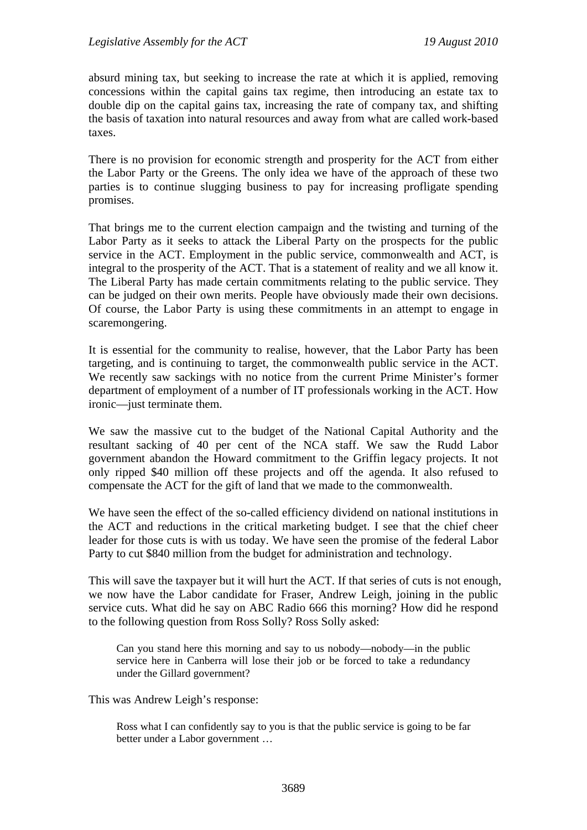absurd mining tax, but seeking to increase the rate at which it is applied, removing concessions within the capital gains tax regime, then introducing an estate tax to double dip on the capital gains tax, increasing the rate of company tax, and shifting the basis of taxation into natural resources and away from what are called work-based taxes.

There is no provision for economic strength and prosperity for the ACT from either the Labor Party or the Greens. The only idea we have of the approach of these two parties is to continue slugging business to pay for increasing profligate spending promises.

That brings me to the current election campaign and the twisting and turning of the Labor Party as it seeks to attack the Liberal Party on the prospects for the public service in the ACT. Employment in the public service, commonwealth and ACT, is integral to the prosperity of the ACT. That is a statement of reality and we all know it. The Liberal Party has made certain commitments relating to the public service. They can be judged on their own merits. People have obviously made their own decisions. Of course, the Labor Party is using these commitments in an attempt to engage in scaremongering.

It is essential for the community to realise, however, that the Labor Party has been targeting, and is continuing to target, the commonwealth public service in the ACT. We recently saw sackings with no notice from the current Prime Minister's former department of employment of a number of IT professionals working in the ACT. How ironic—just terminate them.

We saw the massive cut to the budget of the National Capital Authority and the resultant sacking of 40 per cent of the NCA staff. We saw the Rudd Labor government abandon the Howard commitment to the Griffin legacy projects. It not only ripped \$40 million off these projects and off the agenda. It also refused to compensate the ACT for the gift of land that we made to the commonwealth.

We have seen the effect of the so-called efficiency dividend on national institutions in the ACT and reductions in the critical marketing budget. I see that the chief cheer leader for those cuts is with us today. We have seen the promise of the federal Labor Party to cut \$840 million from the budget for administration and technology.

This will save the taxpayer but it will hurt the ACT. If that series of cuts is not enough, we now have the Labor candidate for Fraser, Andrew Leigh, joining in the public service cuts. What did he say on ABC Radio 666 this morning? How did he respond to the following question from Ross Solly? Ross Solly asked:

Can you stand here this morning and say to us nobody—nobody—in the public service here in Canberra will lose their job or be forced to take a redundancy under the Gillard government?

This was Andrew Leigh's response:

Ross what I can confidently say to you is that the public service is going to be far better under a Labor government …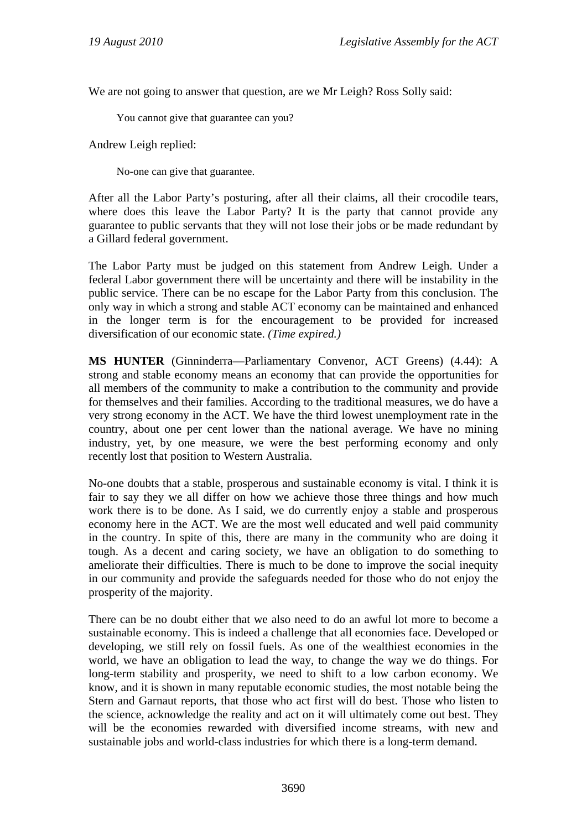We are not going to answer that question, are we Mr Leigh? Ross Solly said:

You cannot give that guarantee can you?

Andrew Leigh replied:

No-one can give that guarantee.

After all the Labor Party's posturing, after all their claims, all their crocodile tears, where does this leave the Labor Party? It is the party that cannot provide any guarantee to public servants that they will not lose their jobs or be made redundant by a Gillard federal government.

The Labor Party must be judged on this statement from Andrew Leigh. Under a federal Labor government there will be uncertainty and there will be instability in the public service. There can be no escape for the Labor Party from this conclusion. The only way in which a strong and stable ACT economy can be maintained and enhanced in the longer term is for the encouragement to be provided for increased diversification of our economic state. *(Time expired.)*

**MS HUNTER** (Ginninderra—Parliamentary Convenor, ACT Greens) (4.44): A strong and stable economy means an economy that can provide the opportunities for all members of the community to make a contribution to the community and provide for themselves and their families. According to the traditional measures, we do have a very strong economy in the ACT. We have the third lowest unemployment rate in the country, about one per cent lower than the national average. We have no mining industry, yet, by one measure, we were the best performing economy and only recently lost that position to Western Australia.

No-one doubts that a stable, prosperous and sustainable economy is vital. I think it is fair to say they we all differ on how we achieve those three things and how much work there is to be done. As I said, we do currently enjoy a stable and prosperous economy here in the ACT. We are the most well educated and well paid community in the country. In spite of this, there are many in the community who are doing it tough. As a decent and caring society, we have an obligation to do something to ameliorate their difficulties. There is much to be done to improve the social inequity in our community and provide the safeguards needed for those who do not enjoy the prosperity of the majority.

There can be no doubt either that we also need to do an awful lot more to become a sustainable economy. This is indeed a challenge that all economies face. Developed or developing, we still rely on fossil fuels. As one of the wealthiest economies in the world, we have an obligation to lead the way, to change the way we do things. For long-term stability and prosperity, we need to shift to a low carbon economy. We know, and it is shown in many reputable economic studies, the most notable being the Stern and Garnaut reports, that those who act first will do best. Those who listen to the science, acknowledge the reality and act on it will ultimately come out best. They will be the economies rewarded with diversified income streams, with new and sustainable jobs and world-class industries for which there is a long-term demand.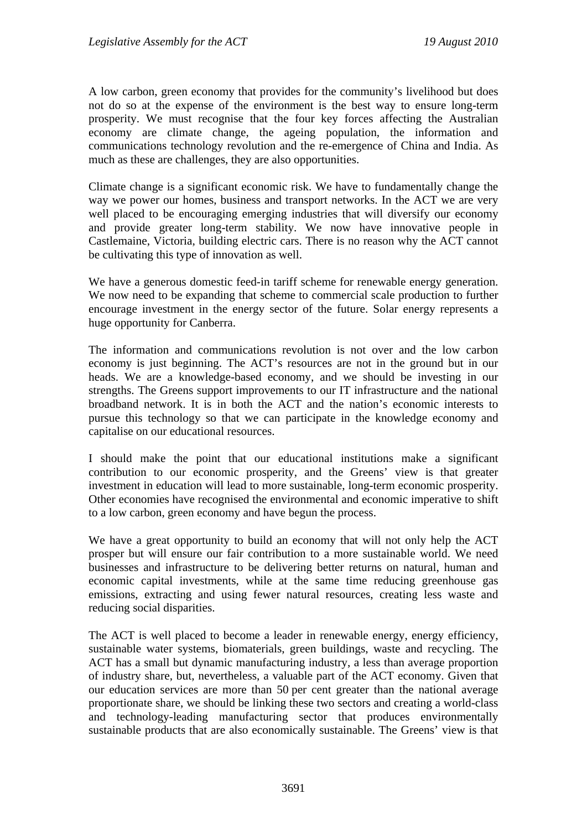A low carbon, green economy that provides for the community's livelihood but does not do so at the expense of the environment is the best way to ensure long-term prosperity. We must recognise that the four key forces affecting the Australian economy are climate change, the ageing population, the information and communications technology revolution and the re-emergence of China and India. As much as these are challenges, they are also opportunities.

Climate change is a significant economic risk. We have to fundamentally change the way we power our homes, business and transport networks. In the ACT we are very well placed to be encouraging emerging industries that will diversify our economy and provide greater long-term stability. We now have innovative people in Castlemaine, Victoria, building electric cars. There is no reason why the ACT cannot be cultivating this type of innovation as well.

We have a generous domestic feed-in tariff scheme for renewable energy generation. We now need to be expanding that scheme to commercial scale production to further encourage investment in the energy sector of the future. Solar energy represents a huge opportunity for Canberra.

The information and communications revolution is not over and the low carbon economy is just beginning. The ACT's resources are not in the ground but in our heads. We are a knowledge-based economy, and we should be investing in our strengths. The Greens support improvements to our IT infrastructure and the national broadband network. It is in both the ACT and the nation's economic interests to pursue this technology so that we can participate in the knowledge economy and capitalise on our educational resources.

I should make the point that our educational institutions make a significant contribution to our economic prosperity, and the Greens' view is that greater investment in education will lead to more sustainable, long-term economic prosperity. Other economies have recognised the environmental and economic imperative to shift to a low carbon, green economy and have begun the process.

We have a great opportunity to build an economy that will not only help the ACT prosper but will ensure our fair contribution to a more sustainable world. We need businesses and infrastructure to be delivering better returns on natural, human and economic capital investments, while at the same time reducing greenhouse gas emissions, extracting and using fewer natural resources, creating less waste and reducing social disparities.

The ACT is well placed to become a leader in renewable energy, energy efficiency, sustainable water systems, biomaterials, green buildings, waste and recycling. The ACT has a small but dynamic manufacturing industry, a less than average proportion of industry share, but, nevertheless, a valuable part of the ACT economy. Given that our education services are more than 50 per cent greater than the national average proportionate share, we should be linking these two sectors and creating a world-class and technology-leading manufacturing sector that produces environmentally sustainable products that are also economically sustainable. The Greens' view is that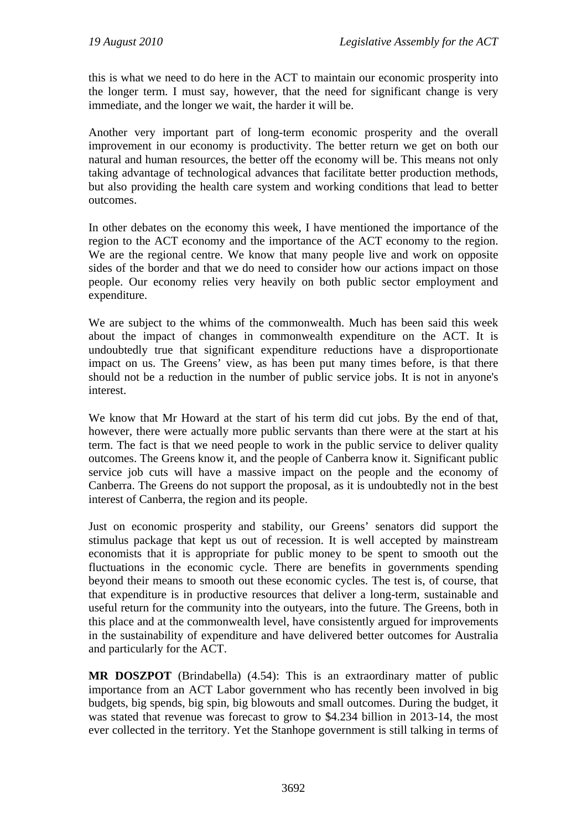this is what we need to do here in the ACT to maintain our economic prosperity into the longer term. I must say, however, that the need for significant change is very immediate, and the longer we wait, the harder it will be.

Another very important part of long-term economic prosperity and the overall improvement in our economy is productivity. The better return we get on both our natural and human resources, the better off the economy will be. This means not only taking advantage of technological advances that facilitate better production methods, but also providing the health care system and working conditions that lead to better outcomes.

In other debates on the economy this week, I have mentioned the importance of the region to the ACT economy and the importance of the ACT economy to the region. We are the regional centre. We know that many people live and work on opposite sides of the border and that we do need to consider how our actions impact on those people. Our economy relies very heavily on both public sector employment and expenditure.

We are subject to the whims of the commonwealth. Much has been said this week about the impact of changes in commonwealth expenditure on the ACT. It is undoubtedly true that significant expenditure reductions have a disproportionate impact on us. The Greens' view, as has been put many times before, is that there should not be a reduction in the number of public service jobs. It is not in anyone's interest.

We know that Mr Howard at the start of his term did cut jobs. By the end of that, however, there were actually more public servants than there were at the start at his term. The fact is that we need people to work in the public service to deliver quality outcomes. The Greens know it, and the people of Canberra know it. Significant public service job cuts will have a massive impact on the people and the economy of Canberra. The Greens do not support the proposal, as it is undoubtedly not in the best interest of Canberra, the region and its people.

Just on economic prosperity and stability, our Greens' senators did support the stimulus package that kept us out of recession. It is well accepted by mainstream economists that it is appropriate for public money to be spent to smooth out the fluctuations in the economic cycle. There are benefits in governments spending beyond their means to smooth out these economic cycles. The test is, of course, that that expenditure is in productive resources that deliver a long-term, sustainable and useful return for the community into the outyears, into the future. The Greens, both in this place and at the commonwealth level, have consistently argued for improvements in the sustainability of expenditure and have delivered better outcomes for Australia and particularly for the ACT.

**MR DOSZPOT** (Brindabella) (4.54): This is an extraordinary matter of public importance from an ACT Labor government who has recently been involved in big budgets, big spends, big spin, big blowouts and small outcomes. During the budget, it was stated that revenue was forecast to grow to \$4.234 billion in 2013-14, the most ever collected in the territory. Yet the Stanhope government is still talking in terms of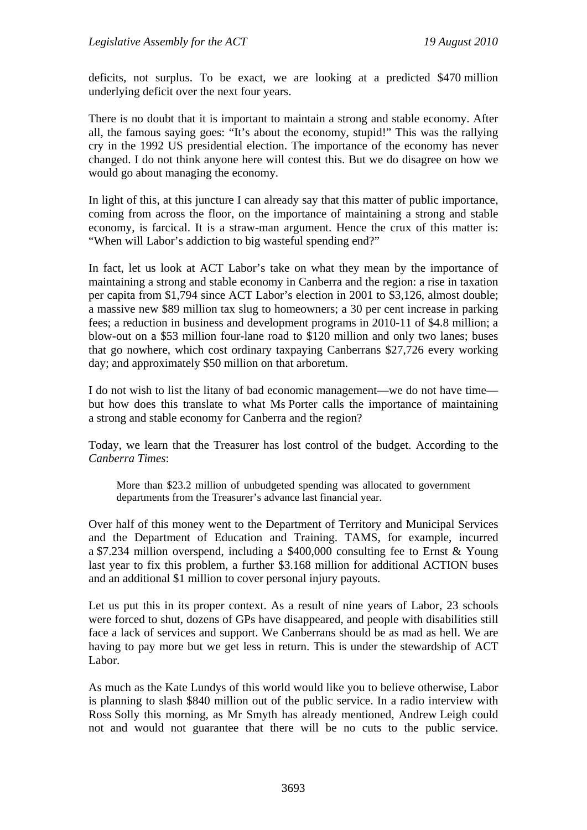deficits, not surplus. To be exact, we are looking at a predicted \$470 million underlying deficit over the next four years.

There is no doubt that it is important to maintain a strong and stable economy. After all, the famous saying goes: "It's about the economy, stupid!" This was the rallying cry in the 1992 US presidential election. The importance of the economy has never changed. I do not think anyone here will contest this. But we do disagree on how we would go about managing the economy.

In light of this, at this juncture I can already say that this matter of public importance, coming from across the floor, on the importance of maintaining a strong and stable economy, is farcical. It is a straw-man argument. Hence the crux of this matter is: "When will Labor's addiction to big wasteful spending end?"

In fact, let us look at ACT Labor's take on what they mean by the importance of maintaining a strong and stable economy in Canberra and the region: a rise in taxation per capita from \$1,794 since ACT Labor's election in 2001 to \$3,126, almost double; a massive new \$89 million tax slug to homeowners; a 30 per cent increase in parking fees; a reduction in business and development programs in 2010-11 of \$4.8 million; a blow-out on a \$53 million four-lane road to \$120 million and only two lanes; buses that go nowhere, which cost ordinary taxpaying Canberrans \$27,726 every working day; and approximately \$50 million on that arboretum.

I do not wish to list the litany of bad economic management—we do not have time but how does this translate to what Ms Porter calls the importance of maintaining a strong and stable economy for Canberra and the region?

Today, we learn that the Treasurer has lost control of the budget. According to the *Canberra Times*:

More than \$23.2 million of unbudgeted spending was allocated to government departments from the Treasurer's advance last financial year.

Over half of this money went to the Department of Territory and Municipal Services and the Department of Education and Training. TAMS, for example, incurred a \$7.234 million overspend, including a \$400,000 consulting fee to Ernst & Young last year to fix this problem, a further \$3.168 million for additional ACTION buses and an additional \$1 million to cover personal injury payouts.

Let us put this in its proper context. As a result of nine years of Labor, 23 schools were forced to shut, dozens of GPs have disappeared, and people with disabilities still face a lack of services and support. We Canberrans should be as mad as hell. We are having to pay more but we get less in return. This is under the stewardship of ACT Labor.

As much as the Kate Lundys of this world would like you to believe otherwise, Labor is planning to slash \$840 million out of the public service. In a radio interview with Ross Solly this morning, as Mr Smyth has already mentioned, Andrew Leigh could not and would not guarantee that there will be no cuts to the public service.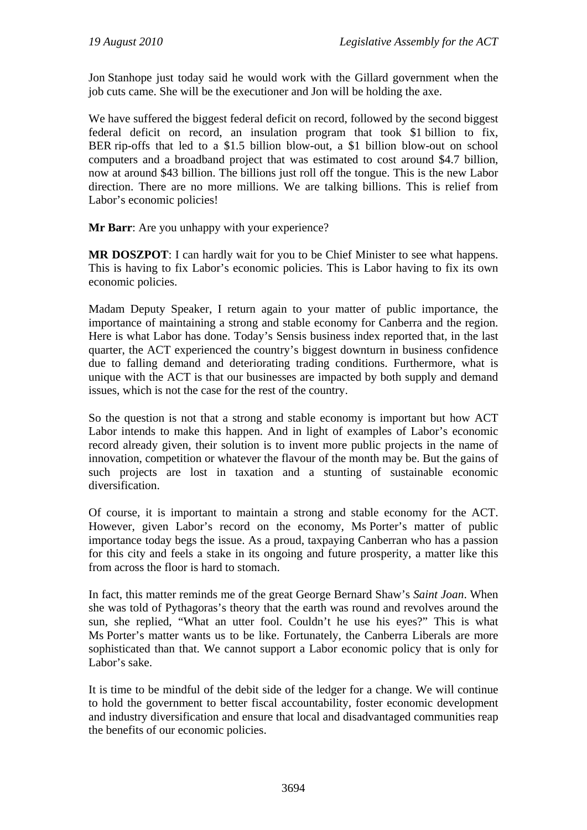Jon Stanhope just today said he would work with the Gillard government when the job cuts came. She will be the executioner and Jon will be holding the axe.

We have suffered the biggest federal deficit on record, followed by the second biggest federal deficit on record, an insulation program that took \$1 billion to fix, BER rip-offs that led to a \$1.5 billion blow-out, a \$1 billion blow-out on school computers and a broadband project that was estimated to cost around \$4.7 billion, now at around \$43 billion. The billions just roll off the tongue. This is the new Labor direction. There are no more millions. We are talking billions. This is relief from Labor's economic policies!

**Mr Barr:** Are you unhappy with your experience?

**MR DOSZPOT**: I can hardly wait for you to be Chief Minister to see what happens. This is having to fix Labor's economic policies. This is Labor having to fix its own economic policies.

Madam Deputy Speaker, I return again to your matter of public importance, the importance of maintaining a strong and stable economy for Canberra and the region. Here is what Labor has done. Today's Sensis business index reported that, in the last quarter, the ACT experienced the country's biggest downturn in business confidence due to falling demand and deteriorating trading conditions. Furthermore, what is unique with the ACT is that our businesses are impacted by both supply and demand issues, which is not the case for the rest of the country.

So the question is not that a strong and stable economy is important but how ACT Labor intends to make this happen. And in light of examples of Labor's economic record already given, their solution is to invent more public projects in the name of innovation, competition or whatever the flavour of the month may be. But the gains of such projects are lost in taxation and a stunting of sustainable economic diversification.

Of course, it is important to maintain a strong and stable economy for the ACT. However, given Labor's record on the economy, Ms Porter's matter of public importance today begs the issue. As a proud, taxpaying Canberran who has a passion for this city and feels a stake in its ongoing and future prosperity, a matter like this from across the floor is hard to stomach.

In fact, this matter reminds me of the great George Bernard Shaw's *Saint Joan*. When she was told of Pythagoras's theory that the earth was round and revolves around the sun, she replied, "What an utter fool. Couldn't he use his eyes?" This is what Ms Porter's matter wants us to be like. Fortunately, the Canberra Liberals are more sophisticated than that. We cannot support a Labor economic policy that is only for Labor's sake.

It is time to be mindful of the debit side of the ledger for a change. We will continue to hold the government to better fiscal accountability, foster economic development and industry diversification and ensure that local and disadvantaged communities reap the benefits of our economic policies.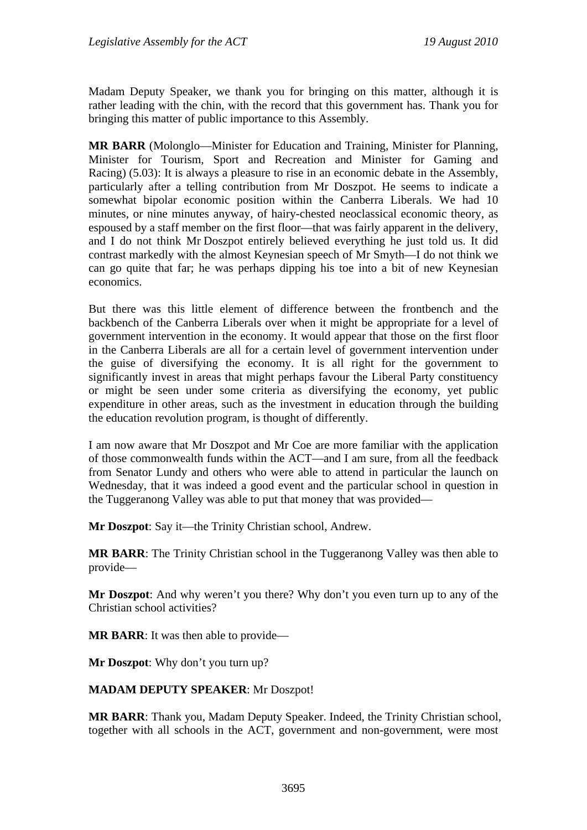Madam Deputy Speaker, we thank you for bringing on this matter, although it is rather leading with the chin, with the record that this government has. Thank you for bringing this matter of public importance to this Assembly.

**MR BARR** (Molonglo—Minister for Education and Training, Minister for Planning, Minister for Tourism, Sport and Recreation and Minister for Gaming and Racing) (5.03): It is always a pleasure to rise in an economic debate in the Assembly, particularly after a telling contribution from Mr Doszpot. He seems to indicate a somewhat bipolar economic position within the Canberra Liberals. We had 10 minutes, or nine minutes anyway, of hairy-chested neoclassical economic theory, as espoused by a staff member on the first floor—that was fairly apparent in the delivery, and I do not think Mr Doszpot entirely believed everything he just told us. It did contrast markedly with the almost Keynesian speech of Mr Smyth—I do not think we can go quite that far; he was perhaps dipping his toe into a bit of new Keynesian economics.

But there was this little element of difference between the frontbench and the backbench of the Canberra Liberals over when it might be appropriate for a level of government intervention in the economy. It would appear that those on the first floor in the Canberra Liberals are all for a certain level of government intervention under the guise of diversifying the economy. It is all right for the government to significantly invest in areas that might perhaps favour the Liberal Party constituency or might be seen under some criteria as diversifying the economy, yet public expenditure in other areas, such as the investment in education through the building the education revolution program, is thought of differently.

I am now aware that Mr Doszpot and Mr Coe are more familiar with the application of those commonwealth funds within the ACT—and I am sure, from all the feedback from Senator Lundy and others who were able to attend in particular the launch on Wednesday, that it was indeed a good event and the particular school in question in the Tuggeranong Valley was able to put that money that was provided—

**Mr Doszpot**: Say it—the Trinity Christian school, Andrew.

**MR BARR**: The Trinity Christian school in the Tuggeranong Valley was then able to provide—

**Mr Doszpot**: And why weren't you there? Why don't you even turn up to any of the Christian school activities?

**MR BARR**: It was then able to provide—

**Mr Doszpot**: Why don't you turn up?

**MADAM DEPUTY SPEAKER**: Mr Doszpot!

**MR BARR**: Thank you, Madam Deputy Speaker. Indeed, the Trinity Christian school, together with all schools in the ACT, government and non-government, were most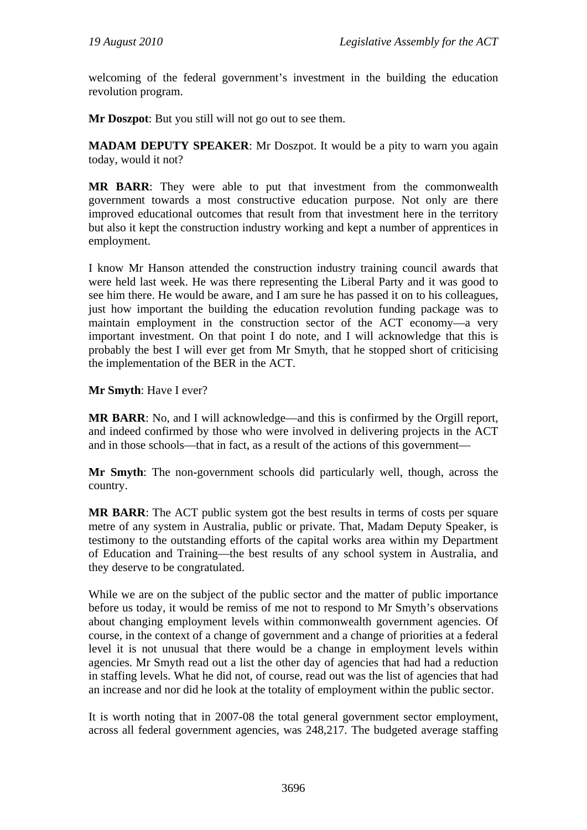welcoming of the federal government's investment in the building the education revolution program.

**Mr Doszpot**: But you still will not go out to see them.

**MADAM DEPUTY SPEAKER**: Mr Doszpot. It would be a pity to warn you again today, would it not?

**MR BARR**: They were able to put that investment from the commonwealth government towards a most constructive education purpose. Not only are there improved educational outcomes that result from that investment here in the territory but also it kept the construction industry working and kept a number of apprentices in employment.

I know Mr Hanson attended the construction industry training council awards that were held last week. He was there representing the Liberal Party and it was good to see him there. He would be aware, and I am sure he has passed it on to his colleagues, just how important the building the education revolution funding package was to maintain employment in the construction sector of the ACT economy—a very important investment. On that point I do note, and I will acknowledge that this is probably the best I will ever get from Mr Smyth, that he stopped short of criticising the implementation of the BER in the ACT.

**Mr Smyth**: Have I ever?

**MR BARR:** No, and I will acknowledge—and this is confirmed by the Orgill report, and indeed confirmed by those who were involved in delivering projects in the ACT and in those schools—that in fact, as a result of the actions of this government—

**Mr Smyth**: The non-government schools did particularly well, though, across the country.

**MR BARR**: The ACT public system got the best results in terms of costs per square metre of any system in Australia, public or private. That, Madam Deputy Speaker, is testimony to the outstanding efforts of the capital works area within my Department of Education and Training—the best results of any school system in Australia, and they deserve to be congratulated.

While we are on the subject of the public sector and the matter of public importance before us today, it would be remiss of me not to respond to Mr Smyth's observations about changing employment levels within commonwealth government agencies. Of course, in the context of a change of government and a change of priorities at a federal level it is not unusual that there would be a change in employment levels within agencies. Mr Smyth read out a list the other day of agencies that had had a reduction in staffing levels. What he did not, of course, read out was the list of agencies that had an increase and nor did he look at the totality of employment within the public sector.

It is worth noting that in 2007-08 the total general government sector employment, across all federal government agencies, was 248,217. The budgeted average staffing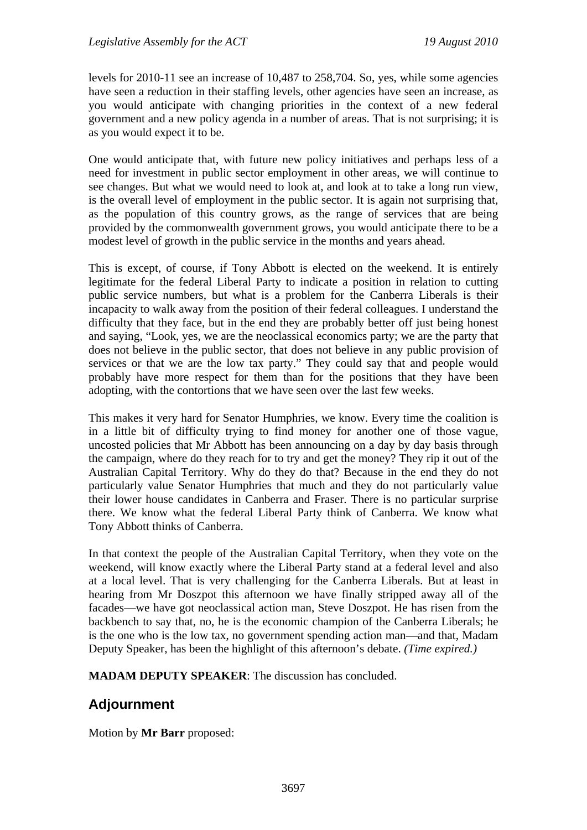levels for 2010-11 see an increase of 10,487 to 258,704. So, yes, while some agencies have seen a reduction in their staffing levels, other agencies have seen an increase, as you would anticipate with changing priorities in the context of a new federal government and a new policy agenda in a number of areas. That is not surprising; it is as you would expect it to be.

One would anticipate that, with future new policy initiatives and perhaps less of a need for investment in public sector employment in other areas, we will continue to see changes. But what we would need to look at, and look at to take a long run view, is the overall level of employment in the public sector. It is again not surprising that, as the population of this country grows, as the range of services that are being provided by the commonwealth government grows, you would anticipate there to be a modest level of growth in the public service in the months and years ahead.

This is except, of course, if Tony Abbott is elected on the weekend. It is entirely legitimate for the federal Liberal Party to indicate a position in relation to cutting public service numbers, but what is a problem for the Canberra Liberals is their incapacity to walk away from the position of their federal colleagues. I understand the difficulty that they face, but in the end they are probably better off just being honest and saying, "Look, yes, we are the neoclassical economics party; we are the party that does not believe in the public sector, that does not believe in any public provision of services or that we are the low tax party." They could say that and people would probably have more respect for them than for the positions that they have been adopting, with the contortions that we have seen over the last few weeks.

This makes it very hard for Senator Humphries, we know. Every time the coalition is in a little bit of difficulty trying to find money for another one of those vague, uncosted policies that Mr Abbott has been announcing on a day by day basis through the campaign, where do they reach for to try and get the money? They rip it out of the Australian Capital Territory. Why do they do that? Because in the end they do not particularly value Senator Humphries that much and they do not particularly value their lower house candidates in Canberra and Fraser. There is no particular surprise there. We know what the federal Liberal Party think of Canberra. We know what Tony Abbott thinks of Canberra.

In that context the people of the Australian Capital Territory, when they vote on the weekend, will know exactly where the Liberal Party stand at a federal level and also at a local level. That is very challenging for the Canberra Liberals. But at least in hearing from Mr Doszpot this afternoon we have finally stripped away all of the facades—we have got neoclassical action man, Steve Doszpot. He has risen from the backbench to say that, no, he is the economic champion of the Canberra Liberals; he is the one who is the low tax, no government spending action man—and that, Madam Deputy Speaker, has been the highlight of this afternoon's debate. *(Time expired.)*

**MADAM DEPUTY SPEAKER**: The discussion has concluded.

# **Adjournment**

Motion by **Mr Barr** proposed: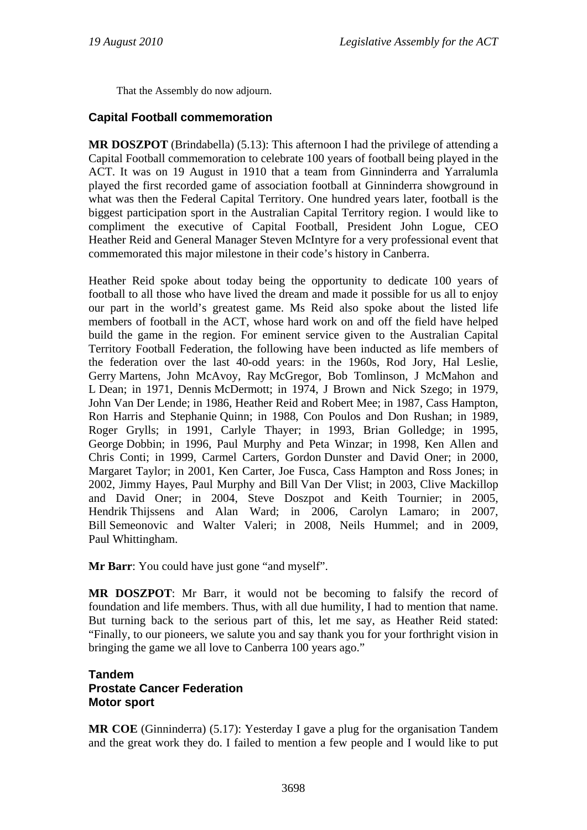That the Assembly do now adjourn.

# **Capital Football commemoration**

**MR DOSZPOT** (Brindabella) (5.13): This afternoon I had the privilege of attending a Capital Football commemoration to celebrate 100 years of football being played in the ACT. It was on 19 August in 1910 that a team from Ginninderra and Yarralumla played the first recorded game of association football at Ginninderra showground in what was then the Federal Capital Territory. One hundred years later, football is the biggest participation sport in the Australian Capital Territory region. I would like to compliment the executive of Capital Football, President John Logue, CEO Heather Reid and General Manager Steven McIntyre for a very professional event that commemorated this major milestone in their code's history in Canberra.

Heather Reid spoke about today being the opportunity to dedicate 100 years of football to all those who have lived the dream and made it possible for us all to enjoy our part in the world's greatest game. Ms Reid also spoke about the listed life members of football in the ACT, whose hard work on and off the field have helped build the game in the region. For eminent service given to the Australian Capital Territory Football Federation, the following have been inducted as life members of the federation over the last 40-odd years: in the 1960s, Rod Jory, Hal Leslie, Gerry Martens, John McAvoy, Ray McGregor, Bob Tomlinson, J McMahon and L Dean; in 1971, Dennis McDermott; in 1974, J Brown and Nick Szego; in 1979, John Van Der Lende; in 1986, Heather Reid and Robert Mee; in 1987, Cass Hampton, Ron Harris and Stephanie Quinn; in 1988, Con Poulos and Don Rushan; in 1989, Roger Grylls; in 1991, Carlyle Thayer; in 1993, Brian Golledge; in 1995, George Dobbin; in 1996, Paul Murphy and Peta Winzar; in 1998, Ken Allen and Chris Conti; in 1999, Carmel Carters, Gordon Dunster and David Oner; in 2000, Margaret Taylor; in 2001, Ken Carter, Joe Fusca, Cass Hampton and Ross Jones; in 2002, Jimmy Hayes, Paul Murphy and Bill Van Der Vlist; in 2003, Clive Mackillop and David Oner; in 2004, Steve Doszpot and Keith Tournier; in 2005, Hendrik Thijssens and Alan Ward; in 2006, Carolyn Lamaro; in 2007, Bill Semeonovic and Walter Valeri; in 2008, Neils Hummel; and in 2009, Paul Whittingham.

**Mr Barr:** You could have just gone "and myself".

**MR DOSZPOT**: Mr Barr, it would not be becoming to falsify the record of foundation and life members. Thus, with all due humility, I had to mention that name. But turning back to the serious part of this, let me say, as Heather Reid stated: "Finally, to our pioneers, we salute you and say thank you for your forthright vision in bringing the game we all love to Canberra 100 years ago."

# **Tandem Prostate Cancer Federation Motor sport**

**MR COE** (Ginninderra) (5.17): Yesterday I gave a plug for the organisation Tandem and the great work they do. I failed to mention a few people and I would like to put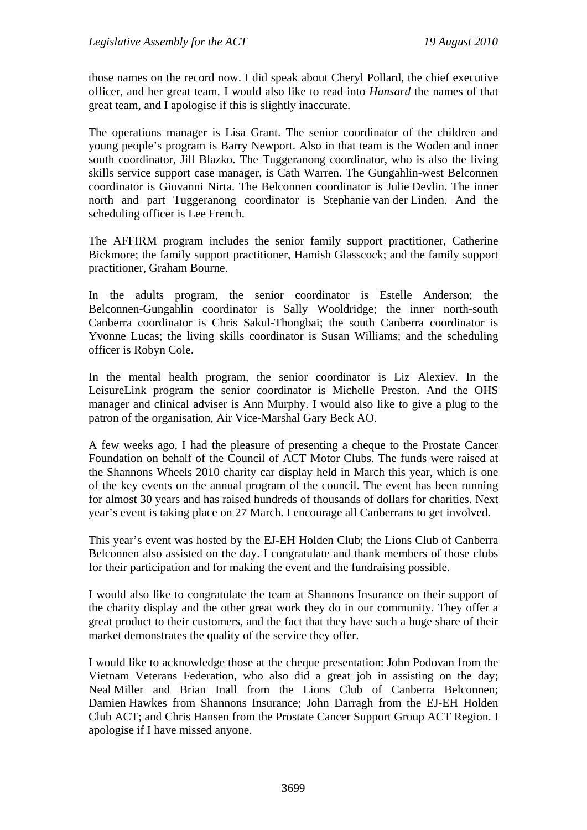those names on the record now. I did speak about Cheryl Pollard, the chief executive officer, and her great team. I would also like to read into *Hansard* the names of that great team, and I apologise if this is slightly inaccurate.

The operations manager is Lisa Grant. The senior coordinator of the children and young people's program is Barry Newport. Also in that team is the Woden and inner south coordinator, Jill Blazko. The Tuggeranong coordinator, who is also the living skills service support case manager, is Cath Warren. The Gungahlin-west Belconnen coordinator is Giovanni Nirta. The Belconnen coordinator is Julie Devlin. The inner north and part Tuggeranong coordinator is Stephanie van der Linden. And the scheduling officer is Lee French.

The AFFIRM program includes the senior family support practitioner, Catherine Bickmore; the family support practitioner, Hamish Glasscock; and the family support practitioner, Graham Bourne.

In the adults program, the senior coordinator is Estelle Anderson; the Belconnen-Gungahlin coordinator is Sally Wooldridge; the inner north-south Canberra coordinator is Chris Sakul-Thongbai; the south Canberra coordinator is Yvonne Lucas; the living skills coordinator is Susan Williams; and the scheduling officer is Robyn Cole.

In the mental health program, the senior coordinator is Liz Alexiev. In the LeisureLink program the senior coordinator is Michelle Preston. And the OHS manager and clinical adviser is Ann Murphy. I would also like to give a plug to the patron of the organisation, Air Vice-Marshal Gary Beck AO.

A few weeks ago, I had the pleasure of presenting a cheque to the Prostate Cancer Foundation on behalf of the Council of ACT Motor Clubs. The funds were raised at the Shannons Wheels 2010 charity car display held in March this year, which is one of the key events on the annual program of the council. The event has been running for almost 30 years and has raised hundreds of thousands of dollars for charities. Next year's event is taking place on 27 March. I encourage all Canberrans to get involved.

This year's event was hosted by the EJ-EH Holden Club; the Lions Club of Canberra Belconnen also assisted on the day. I congratulate and thank members of those clubs for their participation and for making the event and the fundraising possible.

I would also like to congratulate the team at Shannons Insurance on their support of the charity display and the other great work they do in our community. They offer a great product to their customers, and the fact that they have such a huge share of their market demonstrates the quality of the service they offer.

I would like to acknowledge those at the cheque presentation: John Podovan from the Vietnam Veterans Federation, who also did a great job in assisting on the day; Neal Miller and Brian Inall from the Lions Club of Canberra Belconnen; Damien Hawkes from Shannons Insurance; John Darragh from the EJ-EH Holden Club ACT; and Chris Hansen from the Prostate Cancer Support Group ACT Region. I apologise if I have missed anyone.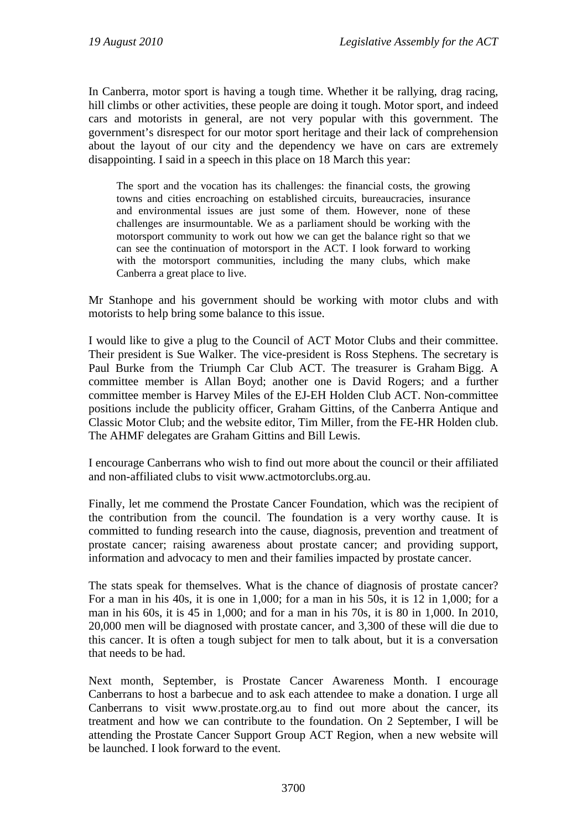In Canberra, motor sport is having a tough time. Whether it be rallying, drag racing, hill climbs or other activities, these people are doing it tough. Motor sport, and indeed cars and motorists in general, are not very popular with this government. The government's disrespect for our motor sport heritage and their lack of comprehension about the layout of our city and the dependency we have on cars are extremely disappointing. I said in a speech in this place on 18 March this year:

The sport and the vocation has its challenges: the financial costs, the growing towns and cities encroaching on established circuits, bureaucracies, insurance and environmental issues are just some of them. However, none of these challenges are insurmountable. We as a parliament should be working with the motorsport community to work out how we can get the balance right so that we can see the continuation of motorsport in the ACT. I look forward to working with the motorsport communities, including the many clubs, which make Canberra a great place to live.

Mr Stanhope and his government should be working with motor clubs and with motorists to help bring some balance to this issue.

I would like to give a plug to the Council of ACT Motor Clubs and their committee. Their president is Sue Walker. The vice-president is Ross Stephens. The secretary is Paul Burke from the Triumph Car Club ACT. The treasurer is Graham Bigg. A committee member is Allan Boyd; another one is David Rogers; and a further committee member is Harvey Miles of the EJ-EH Holden Club ACT. Non-committee positions include the publicity officer, Graham Gittins, of the Canberra Antique and Classic Motor Club; and the website editor, Tim Miller, from the FE-HR Holden club. The AHMF delegates are Graham Gittins and Bill Lewis.

I encourage Canberrans who wish to find out more about the council or their affiliated and non-affiliated clubs to visit www.actmotorclubs.org.au.

Finally, let me commend the Prostate Cancer Foundation, which was the recipient of the contribution from the council. The foundation is a very worthy cause. It is committed to funding research into the cause, diagnosis, prevention and treatment of prostate cancer; raising awareness about prostate cancer; and providing support, information and advocacy to men and their families impacted by prostate cancer.

The stats speak for themselves. What is the chance of diagnosis of prostate cancer? For a man in his 40s, it is one in 1,000; for a man in his 50s, it is 12 in 1,000; for a man in his 60s, it is 45 in 1,000; and for a man in his 70s, it is 80 in 1,000. In 2010, 20,000 men will be diagnosed with prostate cancer, and 3,300 of these will die due to this cancer. It is often a tough subject for men to talk about, but it is a conversation that needs to be had.

Next month, September, is Prostate Cancer Awareness Month. I encourage Canberrans to host a barbecue and to ask each attendee to make a donation. I urge all Canberrans to visit www.prostate.org.au to find out more about the cancer, its treatment and how we can contribute to the foundation. On 2 September, I will be attending the Prostate Cancer Support Group ACT Region, when a new website will be launched. I look forward to the event.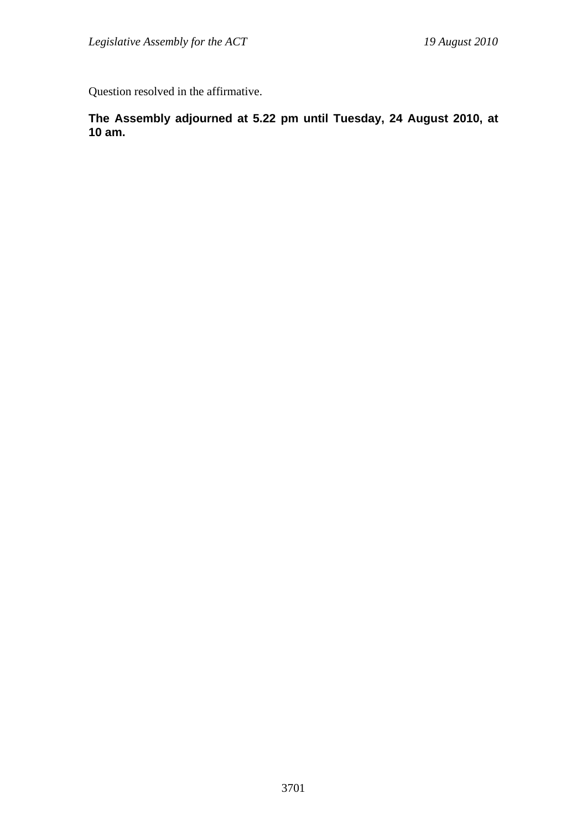Question resolved in the affirmative.

**The Assembly adjourned at 5.22 pm until Tuesday, 24 August 2010, at 10 am.**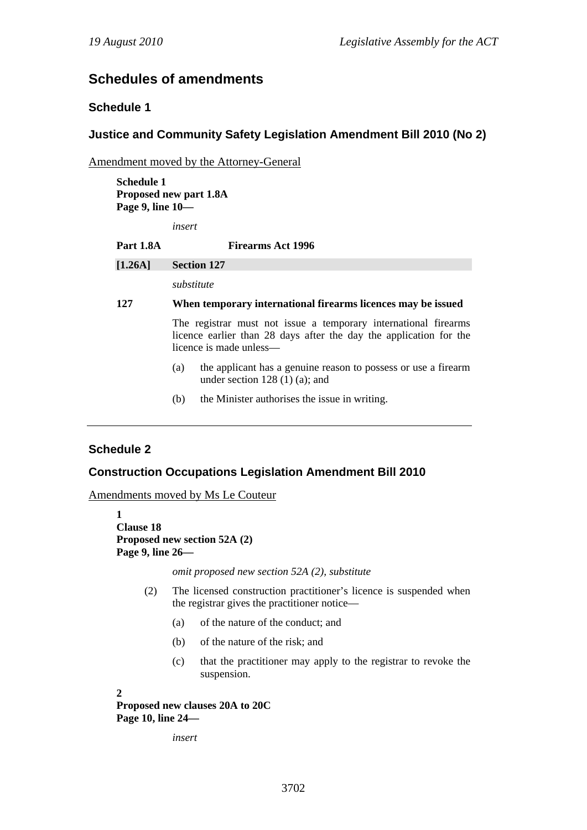# **Schedules of amendments**

# **Schedule 1**

### **Justice and Community Safety Legislation Amendment Bill 2010 (No 2)**

Amendment moved by the Attorney-General

**Schedule 1 Proposed new part 1.8A Page 9, line 10—** 

*insert* 

| <b>Part 1.8A</b> | <b>Firearms Act 1996</b>                                                                                                                                         |
|------------------|------------------------------------------------------------------------------------------------------------------------------------------------------------------|
| $[1.26A]$        | <b>Section 127</b>                                                                                                                                               |
|                  | substitute                                                                                                                                                       |
| 127              | When temporary international firearms licences may be issued                                                                                                     |
|                  | The registrar must not issue a temporary international firearms<br>licence earlier than 28 days after the day the application for the<br>licence is made unless— |
|                  | the applicant has a genuine reason to possess or use a firearm<br>(a)<br>under section $128(1)(a)$ ; and                                                         |
|                  | the Minister authorises the issue in writing.<br>(b)                                                                                                             |

## **Schedule 2**

### **Construction Occupations Legislation Amendment Bill 2010**

Amendments moved by Ms Le Couteur

```
1 
Clause 18 
Proposed new section 52A (2) 
Page 9, line 26—
```
*omit proposed new section 52A (2), substitute* 

- (2) The licensed construction practitioner's licence is suspended when the registrar gives the practitioner notice—
	- (a) of the nature of the conduct; and
	- (b) of the nature of the risk; and
	- (c) that the practitioner may apply to the registrar to revoke the suspension.

**2** 

**Proposed new clauses 20A to 20C Page 10, line 24—** 

*insert*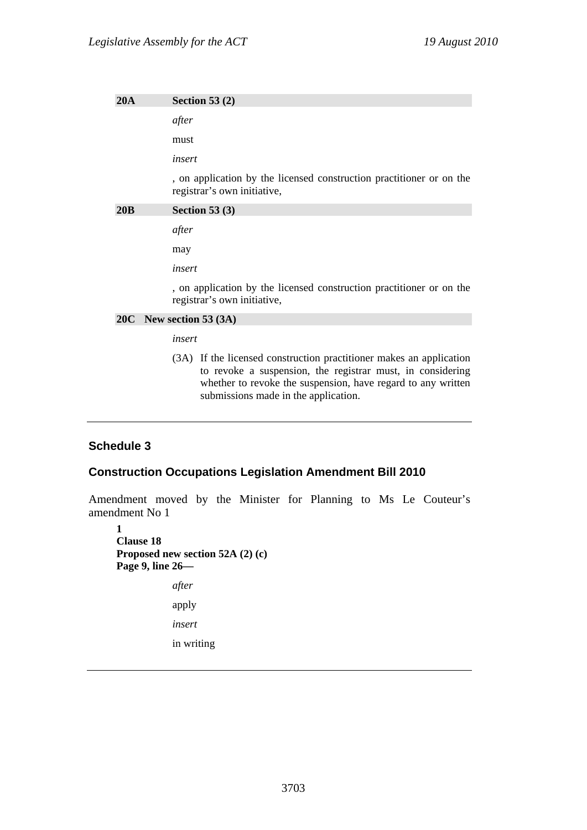**20A Section 53 (2)**  *after*  must *insert*  , on application by the licensed construction practitioner or on the registrar's own initiative, **20B Section 53 (3)**  *after*  may *insert*  , on application by the licensed construction practitioner or on the registrar's own initiative,

#### **20C New section 53 (3A)**

*insert* 

(3A) If the licensed construction practitioner makes an application to revoke a suspension, the registrar must, in considering whether to revoke the suspension, have regard to any written submissions made in the application.

#### **Schedule 3**

#### **Construction Occupations Legislation Amendment Bill 2010**

Amendment moved by the Minister for Planning to Ms Le Couteur's amendment No 1

**1 Clause 18 Proposed new section 52A (2) (c) Page 9, line 26**  *after*  apply *insert*  in writing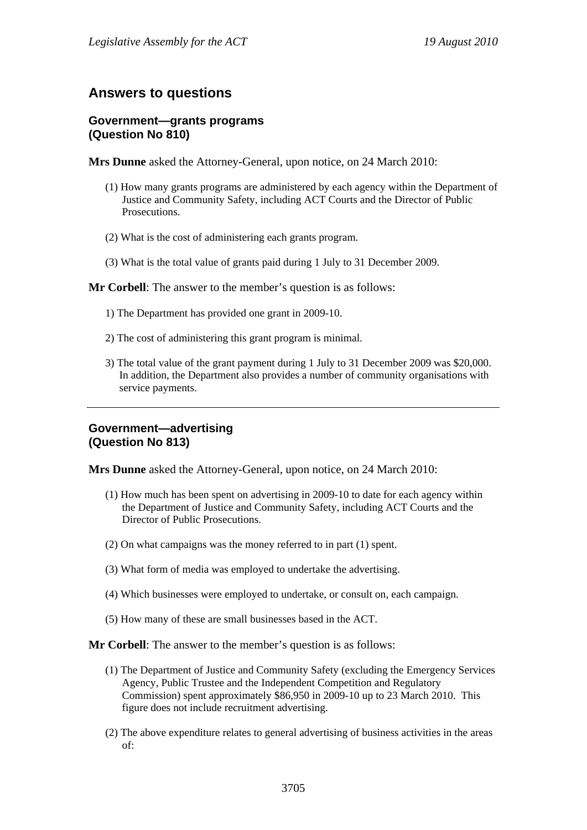# **Answers to questions**

#### **Government—grants programs (Question No 810)**

**Mrs Dunne** asked the Attorney-General, upon notice, on 24 March 2010:

- (1) How many grants programs are administered by each agency within the Department of Justice and Community Safety, including ACT Courts and the Director of Public **Prosecutions**
- (2) What is the cost of administering each grants program.
- (3) What is the total value of grants paid during 1 July to 31 December 2009.
- **Mr Corbell**: The answer to the member's question is as follows:
	- 1) The Department has provided one grant in 2009-10.
	- 2) The cost of administering this grant program is minimal.
	- 3) The total value of the grant payment during 1 July to 31 December 2009 was \$20,000. In addition, the Department also provides a number of community organisations with service payments.

# **Government—advertising (Question No 813)**

**Mrs Dunne** asked the Attorney-General, upon notice, on 24 March 2010:

- (1) How much has been spent on advertising in 2009-10 to date for each agency within the Department of Justice and Community Safety, including ACT Courts and the Director of Public Prosecutions.
- (2) On what campaigns was the money referred to in part (1) spent.
- (3) What form of media was employed to undertake the advertising.
- (4) Which businesses were employed to undertake, or consult on, each campaign.
- (5) How many of these are small businesses based in the ACT.

#### **Mr Corbell**: The answer to the member's question is as follows:

- (1) The Department of Justice and Community Safety (excluding the Emergency Services Agency, Public Trustee and the Independent Competition and Regulatory Commission) spent approximately \$86,950 in 2009-10 up to 23 March 2010. This figure does not include recruitment advertising.
- (2) The above expenditure relates to general advertising of business activities in the areas of: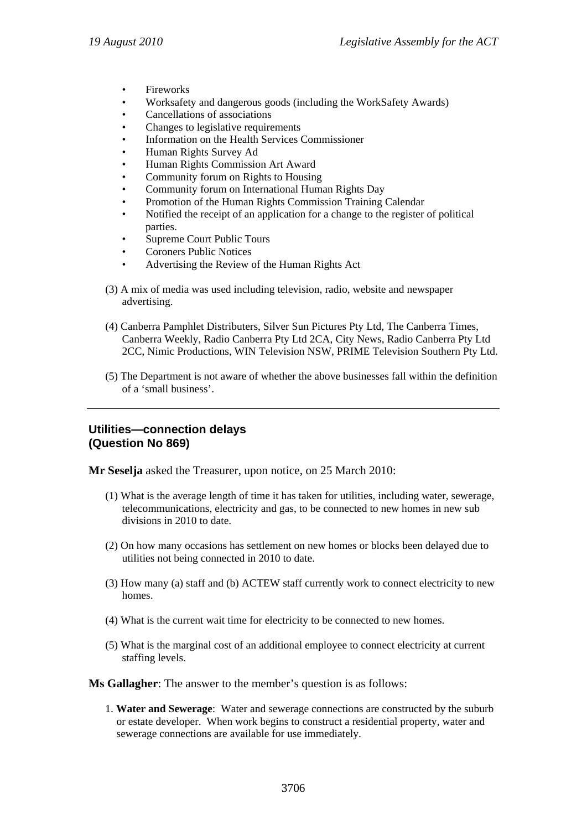- **Fireworks**
- Worksafety and dangerous goods (including the WorkSafety Awards)
- Cancellations of associations
- Changes to legislative requirements
- Information on the Health Services Commissioner
- Human Rights Survey Ad
- Human Rights Commission Art Award
- Community forum on Rights to Housing
- Community forum on International Human Rights Day
- Promotion of the Human Rights Commission Training Calendar
- Notified the receipt of an application for a change to the register of political parties.
- Supreme Court Public Tours
- Coroners Public Notices
- Advertising the Review of the Human Rights Act
- (3) A mix of media was used including television, radio, website and newspaper advertising.
- (4) Canberra Pamphlet Distributers, Silver Sun Pictures Pty Ltd, The Canberra Times, Canberra Weekly, Radio Canberra Pty Ltd 2CA, City News, Radio Canberra Pty Ltd 2CC, Nimic Productions, WIN Television NSW, PRIME Television Southern Pty Ltd.
- (5) The Department is not aware of whether the above businesses fall within the definition of a 'small business'.

### **Utilities—connection delays (Question No 869)**

**Mr Seselja** asked the Treasurer, upon notice, on 25 March 2010:

- (1) What is the average length of time it has taken for utilities, including water, sewerage, telecommunications, electricity and gas, to be connected to new homes in new sub divisions in 2010 to date.
- (2) On how many occasions has settlement on new homes or blocks been delayed due to utilities not being connected in 2010 to date.
- (3) How many (a) staff and (b) ACTEW staff currently work to connect electricity to new homes.
- (4) What is the current wait time for electricity to be connected to new homes.
- (5) What is the marginal cost of an additional employee to connect electricity at current staffing levels.

**Ms Gallagher**: The answer to the member's question is as follows:

1. **Water and Sewerage**: Water and sewerage connections are constructed by the suburb or estate developer. When work begins to construct a residential property, water and sewerage connections are available for use immediately.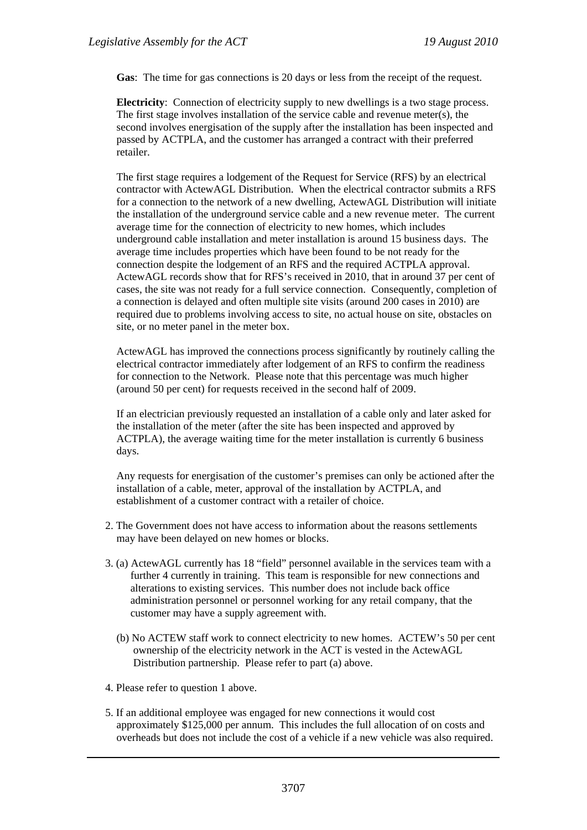**Gas**: The time for gas connections is 20 days or less from the receipt of the request.

**Electricity**: Connection of electricity supply to new dwellings is a two stage process. The first stage involves installation of the service cable and revenue meter(s), the second involves energisation of the supply after the installation has been inspected and passed by ACTPLA, and the customer has arranged a contract with their preferred retailer.

The first stage requires a lodgement of the Request for Service (RFS) by an electrical contractor with ActewAGL Distribution. When the electrical contractor submits a RFS for a connection to the network of a new dwelling, ActewAGL Distribution will initiate the installation of the underground service cable and a new revenue meter. The current average time for the connection of electricity to new homes, which includes underground cable installation and meter installation is around 15 business days. The average time includes properties which have been found to be not ready for the connection despite the lodgement of an RFS and the required ACTPLA approval. ActewAGL records show that for RFS's received in 2010, that in around 37 per cent of cases, the site was not ready for a full service connection. Consequently, completion of a connection is delayed and often multiple site visits (around 200 cases in 2010) are required due to problems involving access to site, no actual house on site, obstacles on site, or no meter panel in the meter box.

ActewAGL has improved the connections process significantly by routinely calling the electrical contractor immediately after lodgement of an RFS to confirm the readiness for connection to the Network. Please note that this percentage was much higher (around 50 per cent) for requests received in the second half of 2009.

If an electrician previously requested an installation of a cable only and later asked for the installation of the meter (after the site has been inspected and approved by ACTPLA), the average waiting time for the meter installation is currently 6 business days.

Any requests for energisation of the customer's premises can only be actioned after the installation of a cable, meter, approval of the installation by ACTPLA, and establishment of a customer contract with a retailer of choice.

- 2. The Government does not have access to information about the reasons settlements may have been delayed on new homes or blocks.
- 3. (a) ActewAGL currently has 18 "field" personnel available in the services team with a further 4 currently in training. This team is responsible for new connections and alterations to existing services. This number does not include back office administration personnel or personnel working for any retail company, that the customer may have a supply agreement with.
	- (b) No ACTEW staff work to connect electricity to new homes. ACTEW's 50 per cent ownership of the electricity network in the ACT is vested in the ActewAGL Distribution partnership. Please refer to part (a) above.
- 4. Please refer to question 1 above.
- 5. If an additional employee was engaged for new connections it would cost approximately \$125,000 per annum. This includes the full allocation of on costs and overheads but does not include the cost of a vehicle if a new vehicle was also required.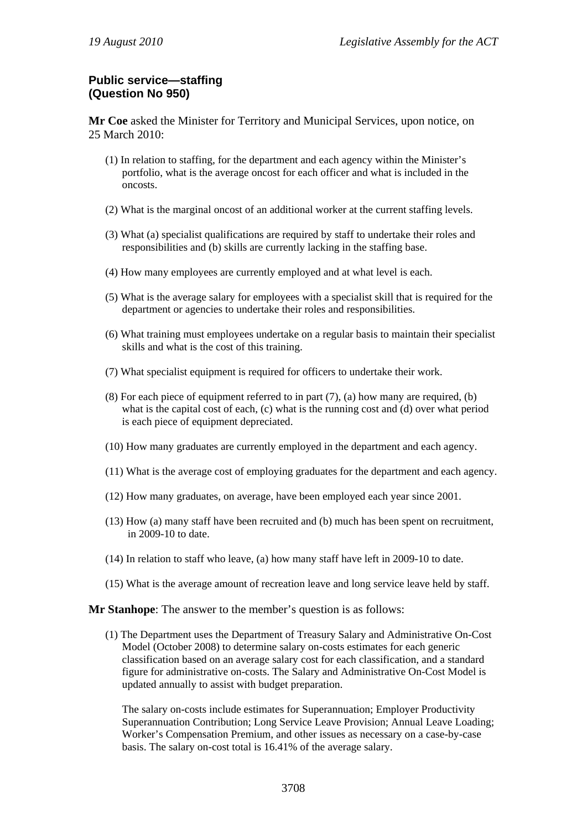# **Public service—staffing (Question No 950)**

**Mr Coe** asked the Minister for Territory and Municipal Services, upon notice, on 25 March 2010:

- (1) In relation to staffing, for the department and each agency within the Minister's portfolio, what is the average oncost for each officer and what is included in the oncosts.
- (2) What is the marginal oncost of an additional worker at the current staffing levels.
- (3) What (a) specialist qualifications are required by staff to undertake their roles and responsibilities and (b) skills are currently lacking in the staffing base.
- (4) How many employees are currently employed and at what level is each.
- (5) What is the average salary for employees with a specialist skill that is required for the department or agencies to undertake their roles and responsibilities.
- (6) What training must employees undertake on a regular basis to maintain their specialist skills and what is the cost of this training.
- (7) What specialist equipment is required for officers to undertake their work.
- (8) For each piece of equipment referred to in part (7), (a) how many are required, (b) what is the capital cost of each, (c) what is the running cost and (d) over what period is each piece of equipment depreciated.
- (10) How many graduates are currently employed in the department and each agency.
- (11) What is the average cost of employing graduates for the department and each agency.
- (12) How many graduates, on average, have been employed each year since 2001.
- (13) How (a) many staff have been recruited and (b) much has been spent on recruitment, in 2009-10 to date.
- (14) In relation to staff who leave, (a) how many staff have left in 2009-10 to date.
- (15) What is the average amount of recreation leave and long service leave held by staff.

**Mr Stanhope**: The answer to the member's question is as follows:

(1) The Department uses the Department of Treasury Salary and Administrative On-Cost Model (October 2008) to determine salary on-costs estimates for each generic classification based on an average salary cost for each classification, and a standard figure for administrative on-costs. The Salary and Administrative On-Cost Model is updated annually to assist with budget preparation.

The salary on-costs include estimates for Superannuation; Employer Productivity Superannuation Contribution; Long Service Leave Provision; Annual Leave Loading; Worker's Compensation Premium, and other issues as necessary on a case-by-case basis. The salary on-cost total is 16.41% of the average salary.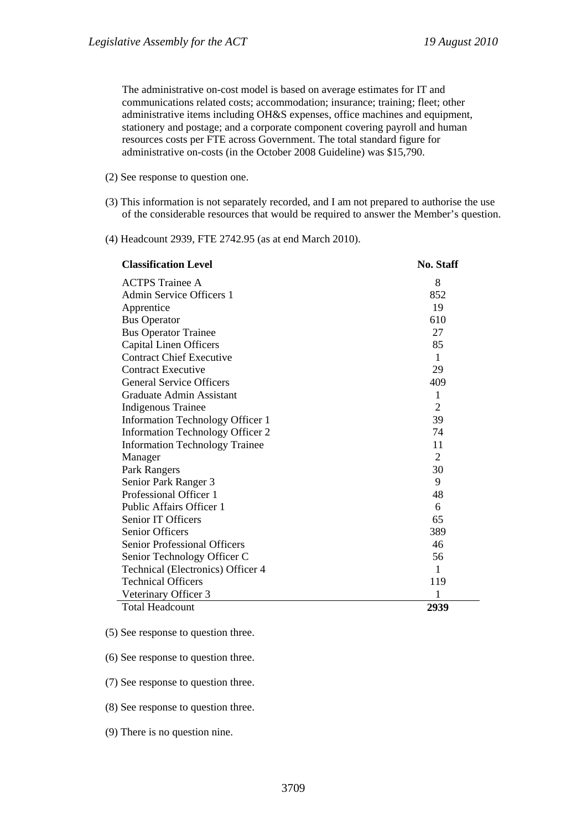The administrative on-cost model is based on average estimates for IT and communications related costs; accommodation; insurance; training; fleet; other administrative items including OH&S expenses, office machines and equipment, stationery and postage; and a corporate component covering payroll and human resources costs per FTE across Government. The total standard figure for administrative on-costs (in the October 2008 Guideline) was \$15,790.

- (2) See response to question one.
- (3) This information is not separately recorded, and I am not prepared to authorise the use of the considerable resources that would be required to answer the Member's question.
- (4) Headcount 2939, FTE 2742.95 (as at end March 2010).

| <b>Classification Level</b>             | <b>No. Staff</b> |
|-----------------------------------------|------------------|
| <b>ACTPS</b> Trainee A                  | 8                |
| Admin Service Officers 1                | 852              |
| Apprentice                              | 19               |
| <b>Bus Operator</b>                     | 610              |
| <b>Bus Operator Trainee</b>             | 27               |
| <b>Capital Linen Officers</b>           | 85               |
| <b>Contract Chief Executive</b>         | $\mathbf{1}$     |
| <b>Contract Executive</b>               | 29               |
| <b>General Service Officers</b>         | 409              |
| Graduate Admin Assistant                | 1                |
| <b>Indigenous Trainee</b>               | $\overline{2}$   |
| Information Technology Officer 1        | 39               |
| <b>Information Technology Officer 2</b> | 74               |
| <b>Information Technology Trainee</b>   | 11               |
| Manager                                 | $\overline{2}$   |
| Park Rangers                            | 30               |
| Senior Park Ranger 3                    | 9                |
| Professional Officer 1                  | 48               |
| Public Affairs Officer 1                | 6                |
| Senior IT Officers                      | 65               |
| <b>Senior Officers</b>                  | 389              |
| <b>Senior Professional Officers</b>     | 46               |
| Senior Technology Officer C             | 56               |
| Technical (Electronics) Officer 4       | 1                |
| <b>Technical Officers</b>               | 119              |
| Veterinary Officer 3                    | 1                |
| <b>Total Headcount</b>                  | 2939             |

(5) See response to question three.

(6) See response to question three.

(7) See response to question three.

(8) See response to question three.

(9) There is no question nine.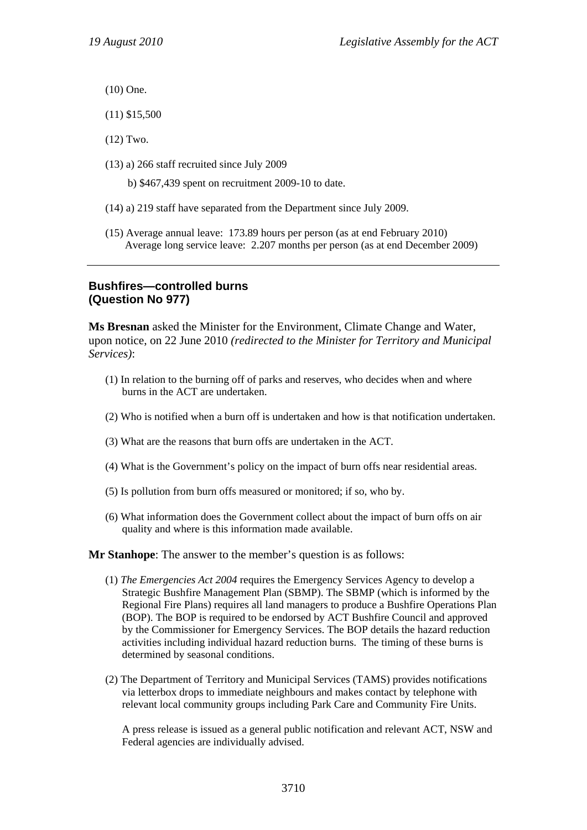- (10) One.
- (11) \$15,500
- (12) Two.
- (13) a) 266 staff recruited since July 2009
	- b) \$467,439 spent on recruitment 2009-10 to date.
- (14) a) 219 staff have separated from the Department since July 2009.
- (15) Average annual leave: 173.89 hours per person (as at end February 2010) Average long service leave: 2.207 months per person (as at end December 2009)

#### **Bushfires—controlled burns (Question No 977)**

**Ms Bresnan** asked the Minister for the Environment, Climate Change and Water, upon notice, on 22 June 2010 *(redirected to the Minister for Territory and Municipal Services)*:

- (1) In relation to the burning off of parks and reserves, who decides when and where burns in the ACT are undertaken.
- (2) Who is notified when a burn off is undertaken and how is that notification undertaken.
- (3) What are the reasons that burn offs are undertaken in the ACT.
- (4) What is the Government's policy on the impact of burn offs near residential areas.
- (5) Is pollution from burn offs measured or monitored; if so, who by.
- (6) What information does the Government collect about the impact of burn offs on air quality and where is this information made available.

**Mr Stanhope**: The answer to the member's question is as follows:

- (1) *The Emergencies Act 2004* requires the Emergency Services Agency to develop a Strategic Bushfire Management Plan (SBMP). The SBMP (which is informed by the Regional Fire Plans) requires all land managers to produce a Bushfire Operations Plan (BOP). The BOP is required to be endorsed by ACT Bushfire Council and approved by the Commissioner for Emergency Services. The BOP details the hazard reduction activities including individual hazard reduction burns. The timing of these burns is determined by seasonal conditions.
- (2) The Department of Territory and Municipal Services (TAMS) provides notifications via letterbox drops to immediate neighbours and makes contact by telephone with relevant local community groups including Park Care and Community Fire Units.

A press release is issued as a general public notification and relevant ACT, NSW and Federal agencies are individually advised.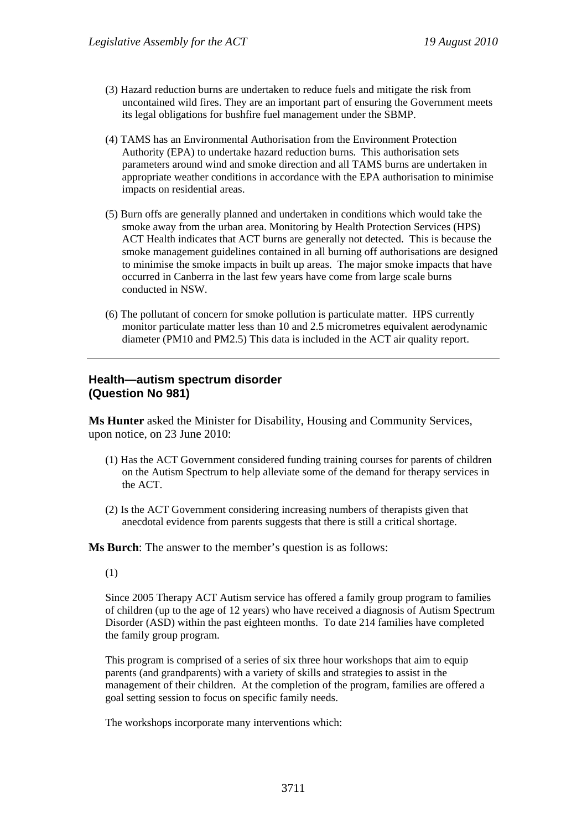- (3) Hazard reduction burns are undertaken to reduce fuels and mitigate the risk from uncontained wild fires. They are an important part of ensuring the Government meets its legal obligations for bushfire fuel management under the SBMP.
- (4) TAMS has an Environmental Authorisation from the Environment Protection Authority (EPA) to undertake hazard reduction burns. This authorisation sets parameters around wind and smoke direction and all TAMS burns are undertaken in appropriate weather conditions in accordance with the EPA authorisation to minimise impacts on residential areas.
- (5) Burn offs are generally planned and undertaken in conditions which would take the smoke away from the urban area. Monitoring by Health Protection Services (HPS) ACT Health indicates that ACT burns are generally not detected. This is because the smoke management guidelines contained in all burning off authorisations are designed to minimise the smoke impacts in built up areas. The major smoke impacts that have occurred in Canberra in the last few years have come from large scale burns conducted in NSW.
- (6) The pollutant of concern for smoke pollution is particulate matter. HPS currently monitor particulate matter less than 10 and 2.5 micrometres equivalent aerodynamic diameter (PM10 and PM2.5) This data is included in the ACT air quality report.

# **Health—autism spectrum disorder (Question No 981)**

**Ms Hunter** asked the Minister for Disability, Housing and Community Services, upon notice, on 23 June 2010:

- (1) Has the ACT Government considered funding training courses for parents of children on the Autism Spectrum to help alleviate some of the demand for therapy services in the ACT.
- (2) Is the ACT Government considering increasing numbers of therapists given that anecdotal evidence from parents suggests that there is still a critical shortage.

**Ms Burch**: The answer to the member's question is as follows:

(1)

Since 2005 Therapy ACT Autism service has offered a family group program to families of children (up to the age of 12 years) who have received a diagnosis of Autism Spectrum Disorder (ASD) within the past eighteen months. To date 214 families have completed the family group program.

This program is comprised of a series of six three hour workshops that aim to equip parents (and grandparents) with a variety of skills and strategies to assist in the management of their children. At the completion of the program, families are offered a goal setting session to focus on specific family needs.

The workshops incorporate many interventions which: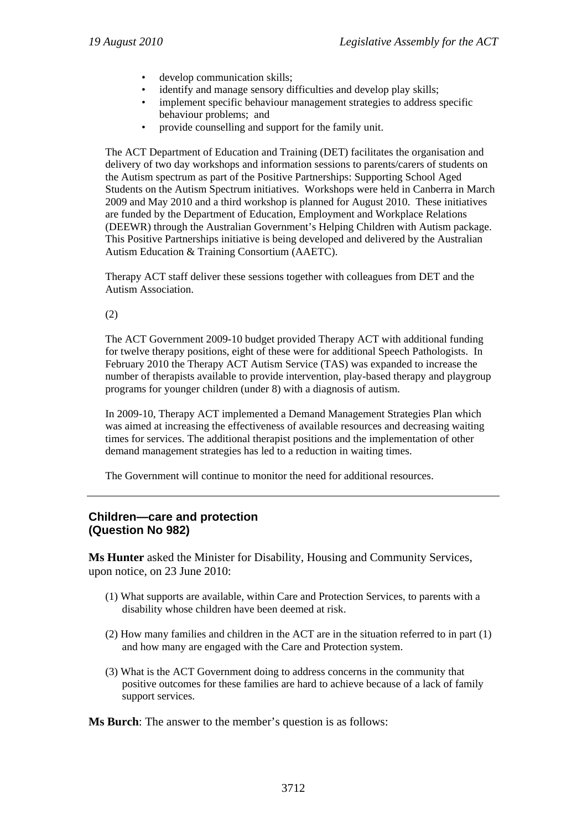- develop communication skills;
- identify and manage sensory difficulties and develop play skills;
- implement specific behaviour management strategies to address specific behaviour problems; and
- provide counselling and support for the family unit.

The ACT Department of Education and Training (DET) facilitates the organisation and delivery of two day workshops and information sessions to parents/carers of students on the Autism spectrum as part of the Positive Partnerships: Supporting School Aged Students on the Autism Spectrum initiatives. Workshops were held in Canberra in March 2009 and May 2010 and a third workshop is planned for August 2010. These initiatives are funded by the Department of Education, Employment and Workplace Relations (DEEWR) through the Australian Government's Helping Children with Autism package. This Positive Partnerships initiative is being developed and delivered by the Australian Autism Education & Training Consortium (AAETC).

Therapy ACT staff deliver these sessions together with colleagues from DET and the Autism Association.

(2)

The ACT Government 2009-10 budget provided Therapy ACT with additional funding for twelve therapy positions, eight of these were for additional Speech Pathologists. In February 2010 the Therapy ACT Autism Service (TAS) was expanded to increase the number of therapists available to provide intervention, play-based therapy and playgroup programs for younger children (under 8) with a diagnosis of autism.

In 2009-10, Therapy ACT implemented a Demand Management Strategies Plan which was aimed at increasing the effectiveness of available resources and decreasing waiting times for services. The additional therapist positions and the implementation of other demand management strategies has led to a reduction in waiting times.

The Government will continue to monitor the need for additional resources.

#### **Children—care and protection (Question No 982)**

**Ms Hunter** asked the Minister for Disability, Housing and Community Services, upon notice, on 23 June 2010:

- (1) What supports are available, within Care and Protection Services, to parents with a disability whose children have been deemed at risk.
- (2) How many families and children in the ACT are in the situation referred to in part (1) and how many are engaged with the Care and Protection system.
- (3) What is the ACT Government doing to address concerns in the community that positive outcomes for these families are hard to achieve because of a lack of family support services.

**Ms Burch**: The answer to the member's question is as follows: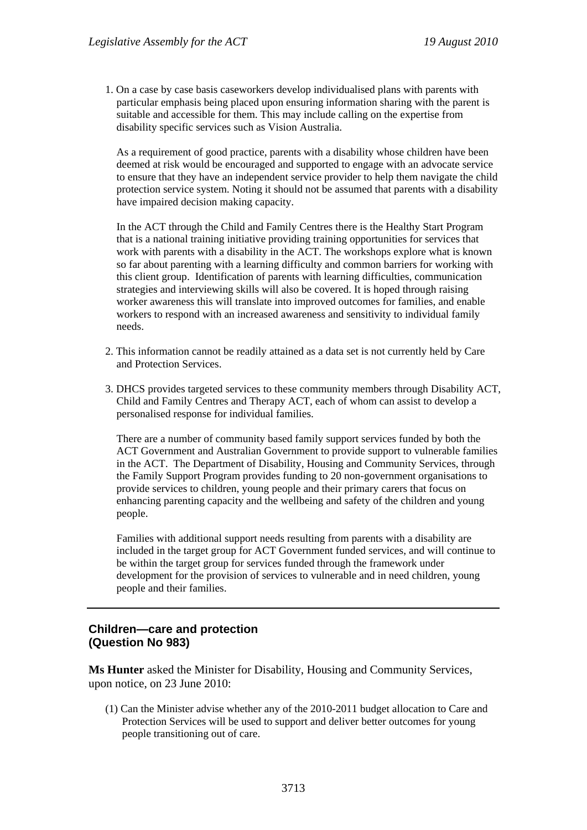1. On a case by case basis caseworkers develop individualised plans with parents with particular emphasis being placed upon ensuring information sharing with the parent is suitable and accessible for them. This may include calling on the expertise from disability specific services such as Vision Australia.

As a requirement of good practice, parents with a disability whose children have been deemed at risk would be encouraged and supported to engage with an advocate service to ensure that they have an independent service provider to help them navigate the child protection service system. Noting it should not be assumed that parents with a disability have impaired decision making capacity.

In the ACT through the Child and Family Centres there is the Healthy Start Program that is a national training initiative providing training opportunities for services that work with parents with a disability in the ACT. The workshops explore what is known so far about parenting with a learning difficulty and common barriers for working with this client group. Identification of parents with learning difficulties, communication strategies and interviewing skills will also be covered. It is hoped through raising worker awareness this will translate into improved outcomes for families, and enable workers to respond with an increased awareness and sensitivity to individual family needs.

- 2. This information cannot be readily attained as a data set is not currently held by Care and Protection Services.
- 3. DHCS provides targeted services to these community members through Disability ACT, Child and Family Centres and Therapy ACT, each of whom can assist to develop a personalised response for individual families.

There are a number of community based family support services funded by both the ACT Government and Australian Government to provide support to vulnerable families in the ACT. The Department of Disability, Housing and Community Services, through the Family Support Program provides funding to 20 non-government organisations to provide services to children, young people and their primary carers that focus on enhancing parenting capacity and the wellbeing and safety of the children and young people.

Families with additional support needs resulting from parents with a disability are included in the target group for ACT Government funded services, and will continue to be within the target group for services funded through the framework under development for the provision of services to vulnerable and in need children, young people and their families.

# **Children—care and protection (Question No 983)**

**Ms Hunter** asked the Minister for Disability, Housing and Community Services, upon notice, on 23 June 2010:

(1) Can the Minister advise whether any of the 2010-2011 budget allocation to Care and Protection Services will be used to support and deliver better outcomes for young people transitioning out of care.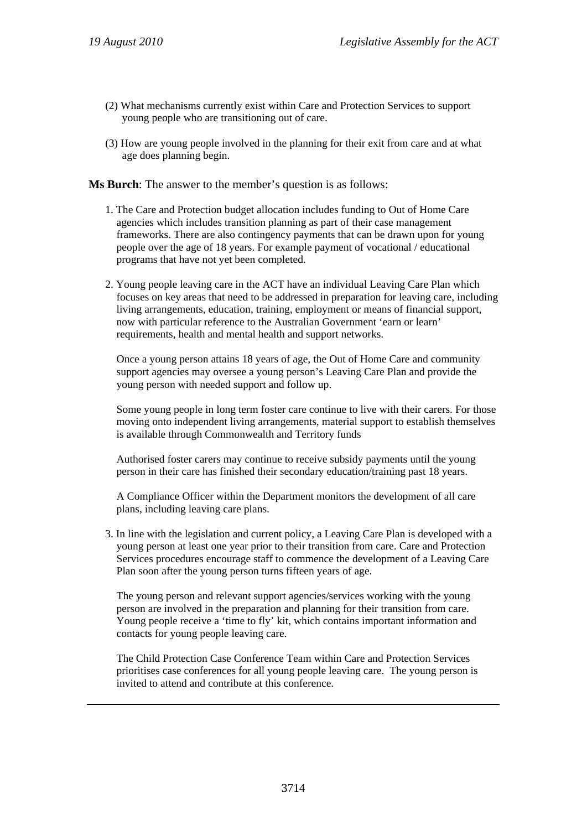- (2) What mechanisms currently exist within Care and Protection Services to support young people who are transitioning out of care.
- (3) How are young people involved in the planning for their exit from care and at what age does planning begin.

**Ms Burch**: The answer to the member's question is as follows:

- 1. The Care and Protection budget allocation includes funding to Out of Home Care agencies which includes transition planning as part of their case management frameworks. There are also contingency payments that can be drawn upon for young people over the age of 18 years. For example payment of vocational / educational programs that have not yet been completed.
- 2. Young people leaving care in the ACT have an individual Leaving Care Plan which focuses on key areas that need to be addressed in preparation for leaving care, including living arrangements, education, training, employment or means of financial support, now with particular reference to the Australian Government 'earn or learn' requirements, health and mental health and support networks.

Once a young person attains 18 years of age, the Out of Home Care and community support agencies may oversee a young person's Leaving Care Plan and provide the young person with needed support and follow up.

Some young people in long term foster care continue to live with their carers. For those moving onto independent living arrangements, material support to establish themselves is available through Commonwealth and Territory funds

Authorised foster carers may continue to receive subsidy payments until the young person in their care has finished their secondary education/training past 18 years.

A Compliance Officer within the Department monitors the development of all care plans, including leaving care plans.

3. In line with the legislation and current policy, a Leaving Care Plan is developed with a young person at least one year prior to their transition from care. Care and Protection Services procedures encourage staff to commence the development of a Leaving Care Plan soon after the young person turns fifteen years of age.

The young person and relevant support agencies/services working with the young person are involved in the preparation and planning for their transition from care. Young people receive a 'time to fly' kit, which contains important information and contacts for young people leaving care.

The Child Protection Case Conference Team within Care and Protection Services prioritises case conferences for all young people leaving care. The young person is invited to attend and contribute at this conference.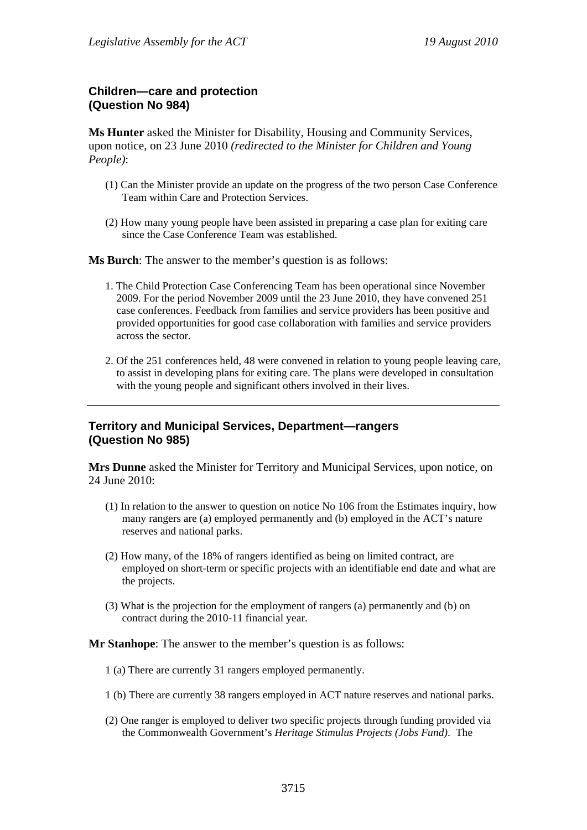# **Children—care and protection (Question No 984)**

**Ms Hunter** asked the Minister for Disability, Housing and Community Services, upon notice, on 23 June 2010 *(redirected to the Minister for Children and Young People)*:

- (1) Can the Minister provide an update on the progress of the two person Case Conference Team within Care and Protection Services.
- (2) How many young people have been assisted in preparing a case plan for exiting care since the Case Conference Team was established.

**Ms Burch**: The answer to the member's question is as follows:

- 1. The Child Protection Case Conferencing Team has been operational since November 2009. For the period November 2009 until the 23 June 2010, they have convened 251 case conferences. Feedback from families and service providers has been positive and provided opportunities for good case collaboration with families and service providers across the sector.
- 2. Of the 251 conferences held, 48 were convened in relation to young people leaving care, to assist in developing plans for exiting care. The plans were developed in consultation with the young people and significant others involved in their lives.

# **Territory and Municipal Services, Department—rangers (Question No 985)**

**Mrs Dunne** asked the Minister for Territory and Municipal Services, upon notice, on 24 June 2010:

- (1) In relation to the answer to question on notice No 106 from the Estimates inquiry, how many rangers are (a) employed permanently and (b) employed in the ACT's nature reserves and national parks.
- (2) How many, of the 18% of rangers identified as being on limited contract, are employed on short-term or specific projects with an identifiable end date and what are the projects.
- (3) What is the projection for the employment of rangers (a) permanently and (b) on contract during the 2010-11 financial year.

#### **Mr Stanhope**: The answer to the member's question is as follows:

- 1 (a) There are currently 31 rangers employed permanently.
- 1 (b) There are currently 38 rangers employed in ACT nature reserves and national parks.
- (2) One ranger is employed to deliver two specific projects through funding provided via the Commonwealth Government's *Heritage Stimulus Projects (Jobs Fund)*. The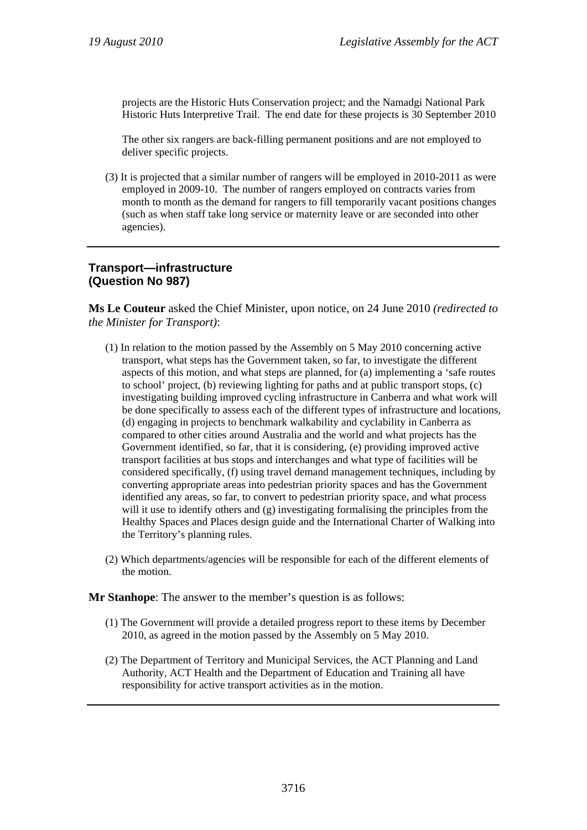projects are the Historic Huts Conservation project; and the Namadgi National Park Historic Huts Interpretive Trail. The end date for these projects is 30 September 2010

The other six rangers are back-filling permanent positions and are not employed to deliver specific projects.

(3) It is projected that a similar number of rangers will be employed in 2010-2011 as were employed in 2009-10. The number of rangers employed on contracts varies from month to month as the demand for rangers to fill temporarily vacant positions changes (such as when staff take long service or maternity leave or are seconded into other agencies).

# **Transport—infrastructure (Question No 987)**

**Ms Le Couteur** asked the Chief Minister, upon notice, on 24 June 2010 *(redirected to the Minister for Transport)*:

- (1) In relation to the motion passed by the Assembly on 5 May 2010 concerning active transport, what steps has the Government taken, so far, to investigate the different aspects of this motion, and what steps are planned, for (a) implementing a 'safe routes to school' project, (b) reviewing lighting for paths and at public transport stops, (c) investigating building improved cycling infrastructure in Canberra and what work will be done specifically to assess each of the different types of infrastructure and locations, (d) engaging in projects to benchmark walkability and cyclability in Canberra as compared to other cities around Australia and the world and what projects has the Government identified, so far, that it is considering, (e) providing improved active transport facilities at bus stops and interchanges and what type of facilities will be considered specifically, (f) using travel demand management techniques, including by converting appropriate areas into pedestrian priority spaces and has the Government identified any areas, so far, to convert to pedestrian priority space, and what process will it use to identify others and (g) investigating formalising the principles from the Healthy Spaces and Places design guide and the International Charter of Walking into the Territory's planning rules.
- (2) Which departments/agencies will be responsible for each of the different elements of the motion.

**Mr Stanhope**: The answer to the member's question is as follows:

- (1) The Government will provide a detailed progress report to these items by December 2010, as agreed in the motion passed by the Assembly on 5 May 2010.
- (2) The Department of Territory and Municipal Services, the ACT Planning and Land Authority, ACT Health and the Department of Education and Training all have responsibility for active transport activities as in the motion.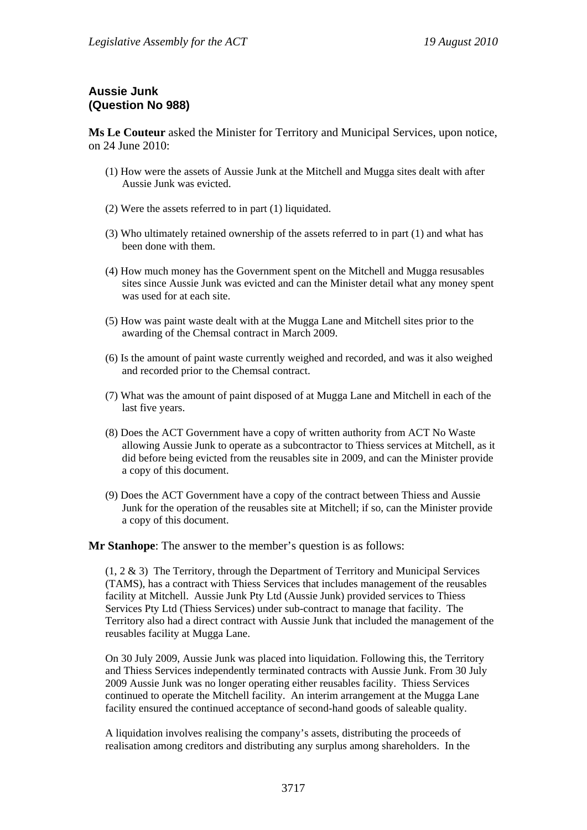# **Aussie Junk (Question No 988)**

**Ms Le Couteur** asked the Minister for Territory and Municipal Services, upon notice, on 24 June 2010:

- (1) How were the assets of Aussie Junk at the Mitchell and Mugga sites dealt with after Aussie Junk was evicted.
- (2) Were the assets referred to in part (1) liquidated.
- (3) Who ultimately retained ownership of the assets referred to in part (1) and what has been done with them.
- (4) How much money has the Government spent on the Mitchell and Mugga resusables sites since Aussie Junk was evicted and can the Minister detail what any money spent was used for at each site.
- (5) How was paint waste dealt with at the Mugga Lane and Mitchell sites prior to the awarding of the Chemsal contract in March 2009.
- (6) Is the amount of paint waste currently weighed and recorded, and was it also weighed and recorded prior to the Chemsal contract.
- (7) What was the amount of paint disposed of at Mugga Lane and Mitchell in each of the last five years.
- (8) Does the ACT Government have a copy of written authority from ACT No Waste allowing Aussie Junk to operate as a subcontractor to Thiess services at Mitchell, as it did before being evicted from the reusables site in 2009, and can the Minister provide a copy of this document.
- (9) Does the ACT Government have a copy of the contract between Thiess and Aussie Junk for the operation of the reusables site at Mitchell; if so, can the Minister provide a copy of this document.

**Mr Stanhope**: The answer to the member's question is as follows:

(1, 2 & 3) The Territory, through the Department of Territory and Municipal Services (TAMS), has a contract with Thiess Services that includes management of the reusables facility at Mitchell. Aussie Junk Pty Ltd (Aussie Junk) provided services to Thiess Services Pty Ltd (Thiess Services) under sub-contract to manage that facility. The Territory also had a direct contract with Aussie Junk that included the management of the reusables facility at Mugga Lane.

On 30 July 2009, Aussie Junk was placed into liquidation. Following this, the Territory and Thiess Services independently terminated contracts with Aussie Junk. From 30 July 2009 Aussie Junk was no longer operating either reusables facility. Thiess Services continued to operate the Mitchell facility. An interim arrangement at the Mugga Lane facility ensured the continued acceptance of second-hand goods of saleable quality.

A liquidation involves realising the company's assets, distributing the proceeds of realisation among creditors and distributing any surplus among shareholders. In the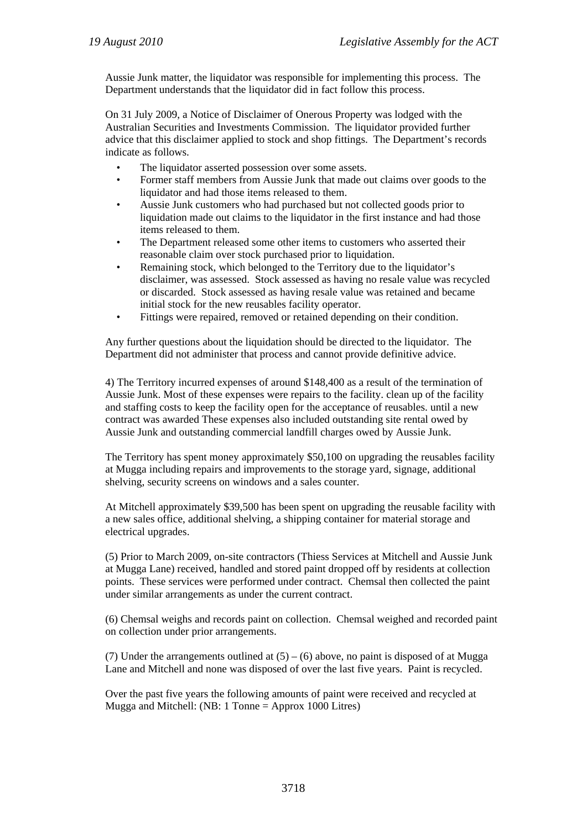Aussie Junk matter, the liquidator was responsible for implementing this process. The Department understands that the liquidator did in fact follow this process.

On 31 July 2009, a Notice of Disclaimer of Onerous Property was lodged with the Australian Securities and Investments Commission. The liquidator provided further advice that this disclaimer applied to stock and shop fittings. The Department's records indicate as follows.

- The liquidator asserted possession over some assets.
- Former staff members from Aussie Junk that made out claims over goods to the liquidator and had those items released to them.
- Aussie Junk customers who had purchased but not collected goods prior to liquidation made out claims to the liquidator in the first instance and had those items released to them.
- The Department released some other items to customers who asserted their reasonable claim over stock purchased prior to liquidation.
- Remaining stock, which belonged to the Territory due to the liquidator's disclaimer, was assessed. Stock assessed as having no resale value was recycled or discarded. Stock assessed as having resale value was retained and became initial stock for the new reusables facility operator.
- Fittings were repaired, removed or retained depending on their condition.

Any further questions about the liquidation should be directed to the liquidator. The Department did not administer that process and cannot provide definitive advice.

4) The Territory incurred expenses of around \$148,400 as a result of the termination of Aussie Junk. Most of these expenses were repairs to the facility. clean up of the facility and staffing costs to keep the facility open for the acceptance of reusables. until a new contract was awarded These expenses also included outstanding site rental owed by Aussie Junk and outstanding commercial landfill charges owed by Aussie Junk.

The Territory has spent money approximately \$50,100 on upgrading the reusables facility at Mugga including repairs and improvements to the storage yard, signage, additional shelving, security screens on windows and a sales counter.

At Mitchell approximately \$39,500 has been spent on upgrading the reusable facility with a new sales office, additional shelving, a shipping container for material storage and electrical upgrades.

(5) Prior to March 2009, on-site contractors (Thiess Services at Mitchell and Aussie Junk at Mugga Lane) received, handled and stored paint dropped off by residents at collection points. These services were performed under contract. Chemsal then collected the paint under similar arrangements as under the current contract.

(6) Chemsal weighs and records paint on collection. Chemsal weighed and recorded paint on collection under prior arrangements.

(7) Under the arrangements outlined at  $(5) - (6)$  above, no paint is disposed of at Mugga Lane and Mitchell and none was disposed of over the last five years. Paint is recycled.

Over the past five years the following amounts of paint were received and recycled at Mugga and Mitchell: (NB: 1 Tonne = Approx 1000 Litres)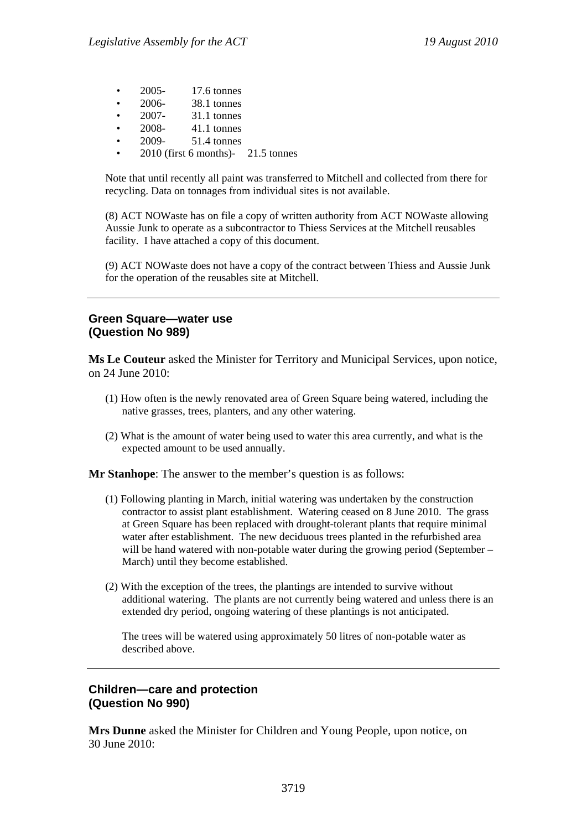- 2005- 17.6 tonnes
- 2006- 38.1 tonnes
- 2007- 31.1 tonnes
- 2008- 41.1 tonnes
- 2009- 51.4 tonnes
- 2010 (first 6 months)- 21.5 tonnes

Note that until recently all paint was transferred to Mitchell and collected from there for recycling. Data on tonnages from individual sites is not available.

(8) ACT NOWaste has on file a copy of written authority from ACT NOWaste allowing Aussie Junk to operate as a subcontractor to Thiess Services at the Mitchell reusables facility. I have attached a copy of this document.

(9) ACT NOWaste does not have a copy of the contract between Thiess and Aussie Junk for the operation of the reusables site at Mitchell.

#### **Green Square—water use (Question No 989)**

**Ms Le Couteur** asked the Minister for Territory and Municipal Services, upon notice, on 24 June 2010:

- (1) How often is the newly renovated area of Green Square being watered, including the native grasses, trees, planters, and any other watering.
- (2) What is the amount of water being used to water this area currently, and what is the expected amount to be used annually.

**Mr Stanhope**: The answer to the member's question is as follows:

- (1) Following planting in March, initial watering was undertaken by the construction contractor to assist plant establishment. Watering ceased on 8 June 2010. The grass at Green Square has been replaced with drought-tolerant plants that require minimal water after establishment. The new deciduous trees planted in the refurbished area will be hand watered with non-potable water during the growing period (September – March) until they become established.
- (2) With the exception of the trees, the plantings are intended to survive without additional watering. The plants are not currently being watered and unless there is an extended dry period, ongoing watering of these plantings is not anticipated.

The trees will be watered using approximately 50 litres of non-potable water as described above.

#### **Children—care and protection (Question No 990)**

**Mrs Dunne** asked the Minister for Children and Young People, upon notice, on 30 June 2010: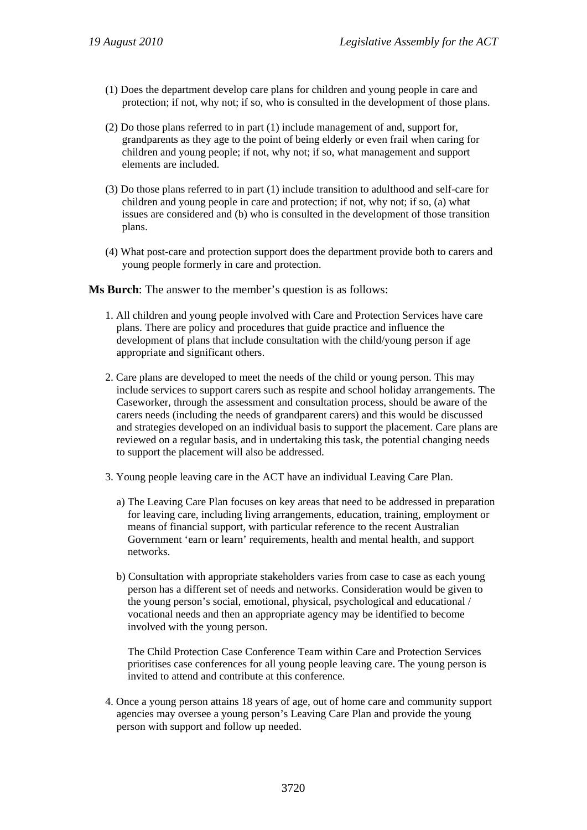- (1) Does the department develop care plans for children and young people in care and protection; if not, why not; if so, who is consulted in the development of those plans.
- (2) Do those plans referred to in part (1) include management of and, support for, grandparents as they age to the point of being elderly or even frail when caring for children and young people; if not, why not; if so, what management and support elements are included.
- (3) Do those plans referred to in part (1) include transition to adulthood and self-care for children and young people in care and protection; if not, why not; if so, (a) what issues are considered and (b) who is consulted in the development of those transition plans.
- (4) What post-care and protection support does the department provide both to carers and young people formerly in care and protection.

**Ms Burch:** The answer to the member's question is as follows:

- 1. All children and young people involved with Care and Protection Services have care plans. There are policy and procedures that guide practice and influence the development of plans that include consultation with the child/young person if age appropriate and significant others.
- 2. Care plans are developed to meet the needs of the child or young person. This may include services to support carers such as respite and school holiday arrangements. The Caseworker, through the assessment and consultation process, should be aware of the carers needs (including the needs of grandparent carers) and this would be discussed and strategies developed on an individual basis to support the placement. Care plans are reviewed on a regular basis, and in undertaking this task, the potential changing needs to support the placement will also be addressed.
- 3. Young people leaving care in the ACT have an individual Leaving Care Plan.
	- a) The Leaving Care Plan focuses on key areas that need to be addressed in preparation for leaving care, including living arrangements, education, training, employment or means of financial support, with particular reference to the recent Australian Government 'earn or learn' requirements, health and mental health, and support networks.
	- b) Consultation with appropriate stakeholders varies from case to case as each young person has a different set of needs and networks. Consideration would be given to the young person's social, emotional, physical, psychological and educational / vocational needs and then an appropriate agency may be identified to become involved with the young person.

The Child Protection Case Conference Team within Care and Protection Services prioritises case conferences for all young people leaving care. The young person is invited to attend and contribute at this conference.

4. Once a young person attains 18 years of age, out of home care and community support agencies may oversee a young person's Leaving Care Plan and provide the young person with support and follow up needed.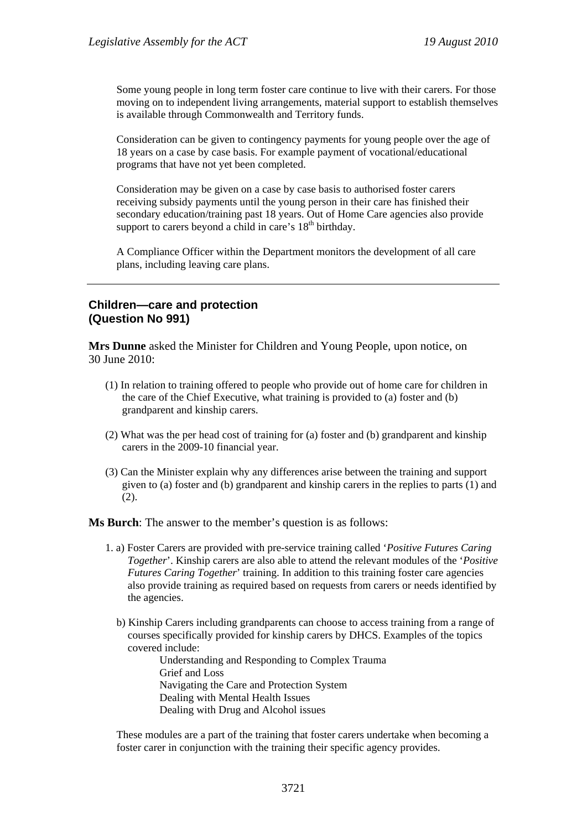Some young people in long term foster care continue to live with their carers. For those moving on to independent living arrangements, material support to establish themselves is available through Commonwealth and Territory funds.

Consideration can be given to contingency payments for young people over the age of 18 years on a case by case basis. For example payment of vocational/educational programs that have not yet been completed.

Consideration may be given on a case by case basis to authorised foster carers receiving subsidy payments until the young person in their care has finished their secondary education/training past 18 years. Out of Home Care agencies also provide support to carers beyond a child in care's  $18<sup>th</sup>$  birthday.

A Compliance Officer within the Department monitors the development of all care plans, including leaving care plans.

# **Children—care and protection (Question No 991)**

**Mrs Dunne** asked the Minister for Children and Young People, upon notice, on 30 June 2010:

- (1) In relation to training offered to people who provide out of home care for children in the care of the Chief Executive, what training is provided to (a) foster and (b) grandparent and kinship carers.
- (2) What was the per head cost of training for (a) foster and (b) grandparent and kinship carers in the 2009-10 financial year.
- (3) Can the Minister explain why any differences arise between the training and support given to (a) foster and (b) grandparent and kinship carers in the replies to parts (1) and (2).

**Ms Burch**: The answer to the member's question is as follows:

- 1. a) Foster Carers are provided with pre-service training called '*Positive Futures Caring Together*'. Kinship carers are also able to attend the relevant modules of the '*Positive Futures Caring Together*' training. In addition to this training foster care agencies also provide training as required based on requests from carers or needs identified by the agencies.
	- b) Kinship Carers including grandparents can choose to access training from a range of courses specifically provided for kinship carers by DHCS. Examples of the topics covered include:

Understanding and Responding to Complex Trauma Grief and Loss Navigating the Care and Protection System Dealing with Mental Health Issues Dealing with Drug and Alcohol issues

These modules are a part of the training that foster carers undertake when becoming a foster carer in conjunction with the training their specific agency provides.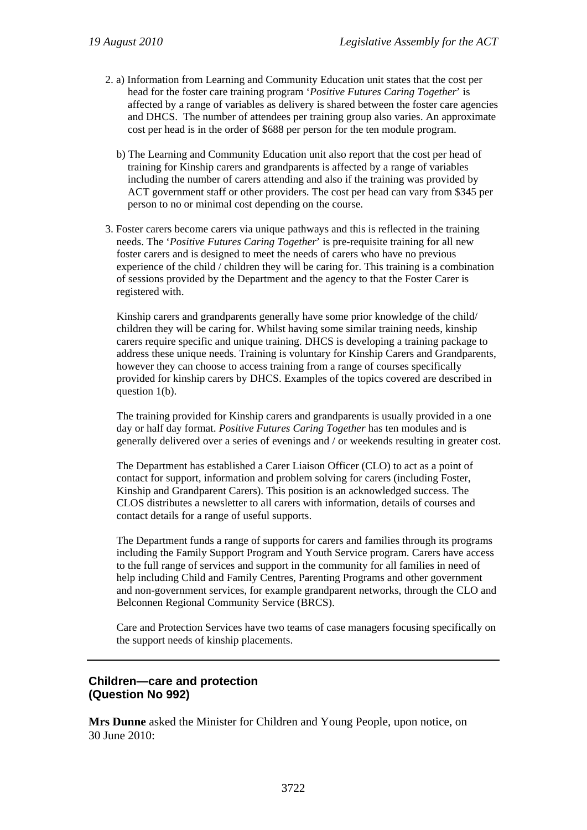- 2. a) Information from Learning and Community Education unit states that the cost per head for the foster care training program '*Positive Futures Caring Together*' is affected by a range of variables as delivery is shared between the foster care agencies and DHCS. The number of attendees per training group also varies. An approximate cost per head is in the order of \$688 per person for the ten module program.
	- b) The Learning and Community Education unit also report that the cost per head of training for Kinship carers and grandparents is affected by a range of variables including the number of carers attending and also if the training was provided by ACT government staff or other providers. The cost per head can vary from \$345 per person to no or minimal cost depending on the course.
- 3. Foster carers become carers via unique pathways and this is reflected in the training needs. The '*Positive Futures Caring Together*' is pre-requisite training for all new foster carers and is designed to meet the needs of carers who have no previous experience of the child / children they will be caring for. This training is a combination of sessions provided by the Department and the agency to that the Foster Carer is registered with.

Kinship carers and grandparents generally have some prior knowledge of the child/ children they will be caring for. Whilst having some similar training needs, kinship carers require specific and unique training. DHCS is developing a training package to address these unique needs. Training is voluntary for Kinship Carers and Grandparents, however they can choose to access training from a range of courses specifically provided for kinship carers by DHCS. Examples of the topics covered are described in question 1(b).

The training provided for Kinship carers and grandparents is usually provided in a one day or half day format. *Positive Futures Caring Together* has ten modules and is generally delivered over a series of evenings and / or weekends resulting in greater cost.

The Department has established a Carer Liaison Officer (CLO) to act as a point of contact for support, information and problem solving for carers (including Foster, Kinship and Grandparent Carers). This position is an acknowledged success. The CLOS distributes a newsletter to all carers with information, details of courses and contact details for a range of useful supports.

The Department funds a range of supports for carers and families through its programs including the Family Support Program and Youth Service program. Carers have access to the full range of services and support in the community for all families in need of help including Child and Family Centres, Parenting Programs and other government and non-government services, for example grandparent networks, through the CLO and Belconnen Regional Community Service (BRCS).

Care and Protection Services have two teams of case managers focusing specifically on the support needs of kinship placements.

# **Children—care and protection (Question No 992)**

**Mrs Dunne** asked the Minister for Children and Young People, upon notice, on 30 June 2010: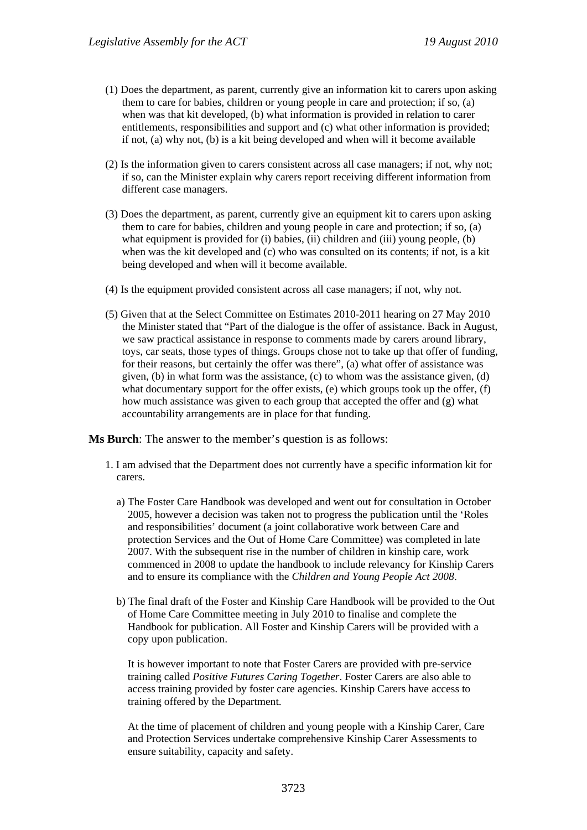- (1) Does the department, as parent, currently give an information kit to carers upon asking them to care for babies, children or young people in care and protection; if so, (a) when was that kit developed, (b) what information is provided in relation to carer entitlements, responsibilities and support and (c) what other information is provided; if not, (a) why not, (b) is a kit being developed and when will it become available
- (2) Is the information given to carers consistent across all case managers; if not, why not; if so, can the Minister explain why carers report receiving different information from different case managers.
- (3) Does the department, as parent, currently give an equipment kit to carers upon asking them to care for babies, children and young people in care and protection; if so, (a) what equipment is provided for (i) babies, (ii) children and (iii) young people, (b) when was the kit developed and (c) who was consulted on its contents; if not, is a kit being developed and when will it become available.
- (4) Is the equipment provided consistent across all case managers; if not, why not.
- (5) Given that at the Select Committee on Estimates 2010-2011 hearing on 27 May 2010 the Minister stated that "Part of the dialogue is the offer of assistance. Back in August, we saw practical assistance in response to comments made by carers around library, toys, car seats, those types of things. Groups chose not to take up that offer of funding, for their reasons, but certainly the offer was there", (a) what offer of assistance was given, (b) in what form was the assistance, (c) to whom was the assistance given, (d) what documentary support for the offer exists, (e) which groups took up the offer, (f) how much assistance was given to each group that accepted the offer and (g) what accountability arrangements are in place for that funding.

**Ms Burch**: The answer to the member's question is as follows:

- 1. I am advised that the Department does not currently have a specific information kit for carers.
	- a) The Foster Care Handbook was developed and went out for consultation in October 2005, however a decision was taken not to progress the publication until the 'Roles and responsibilities' document (a joint collaborative work between Care and protection Services and the Out of Home Care Committee) was completed in late 2007. With the subsequent rise in the number of children in kinship care, work commenced in 2008 to update the handbook to include relevancy for Kinship Carers and to ensure its compliance with the *Children and Young People Act 2008*.
	- b) The final draft of the Foster and Kinship Care Handbook will be provided to the Out of Home Care Committee meeting in July 2010 to finalise and complete the Handbook for publication. All Foster and Kinship Carers will be provided with a copy upon publication.

It is however important to note that Foster Carers are provided with pre-service training called *Positive Futures Caring Together*. Foster Carers are also able to access training provided by foster care agencies. Kinship Carers have access to training offered by the Department.

At the time of placement of children and young people with a Kinship Carer, Care and Protection Services undertake comprehensive Kinship Carer Assessments to ensure suitability, capacity and safety.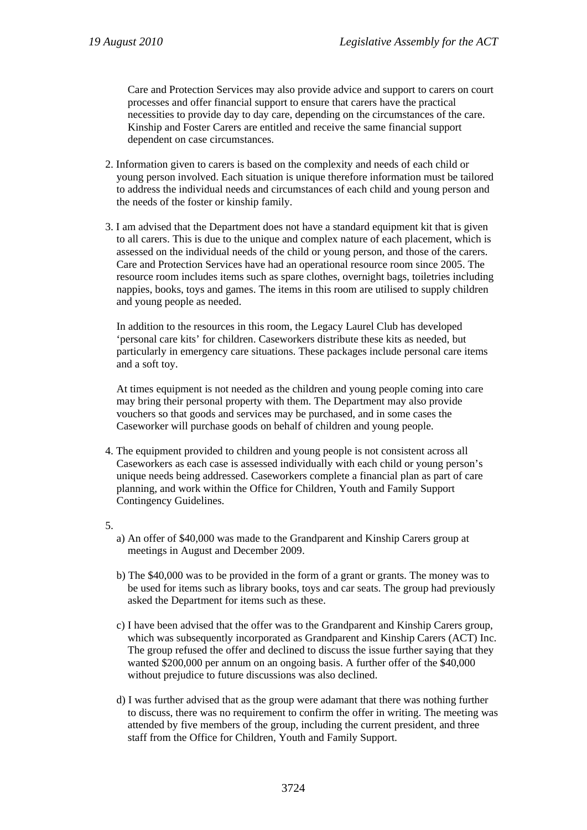Care and Protection Services may also provide advice and support to carers on court processes and offer financial support to ensure that carers have the practical necessities to provide day to day care, depending on the circumstances of the care. Kinship and Foster Carers are entitled and receive the same financial support dependent on case circumstances.

- 2. Information given to carers is based on the complexity and needs of each child or young person involved. Each situation is unique therefore information must be tailored to address the individual needs and circumstances of each child and young person and the needs of the foster or kinship family.
- 3. I am advised that the Department does not have a standard equipment kit that is given to all carers. This is due to the unique and complex nature of each placement, which is assessed on the individual needs of the child or young person, and those of the carers. Care and Protection Services have had an operational resource room since 2005. The resource room includes items such as spare clothes, overnight bags, toiletries including nappies, books, toys and games. The items in this room are utilised to supply children and young people as needed.

In addition to the resources in this room, the Legacy Laurel Club has developed 'personal care kits' for children. Caseworkers distribute these kits as needed, but particularly in emergency care situations. These packages include personal care items and a soft toy.

At times equipment is not needed as the children and young people coming into care may bring their personal property with them. The Department may also provide vouchers so that goods and services may be purchased, and in some cases the Caseworker will purchase goods on behalf of children and young people.

- 4. The equipment provided to children and young people is not consistent across all Caseworkers as each case is assessed individually with each child or young person's unique needs being addressed. Caseworkers complete a financial plan as part of care planning, and work within the Office for Children, Youth and Family Support Contingency Guidelines.
- 5.
- a) An offer of \$40,000 was made to the Grandparent and Kinship Carers group at meetings in August and December 2009.
- b) The \$40,000 was to be provided in the form of a grant or grants. The money was to be used for items such as library books, toys and car seats. The group had previously asked the Department for items such as these.
- c) I have been advised that the offer was to the Grandparent and Kinship Carers group, which was subsequently incorporated as Grandparent and Kinship Carers (ACT) Inc. The group refused the offer and declined to discuss the issue further saying that they wanted \$200,000 per annum on an ongoing basis. A further offer of the \$40,000 without prejudice to future discussions was also declined.
- d) I was further advised that as the group were adamant that there was nothing further to discuss, there was no requirement to confirm the offer in writing. The meeting was attended by five members of the group, including the current president, and three staff from the Office for Children, Youth and Family Support.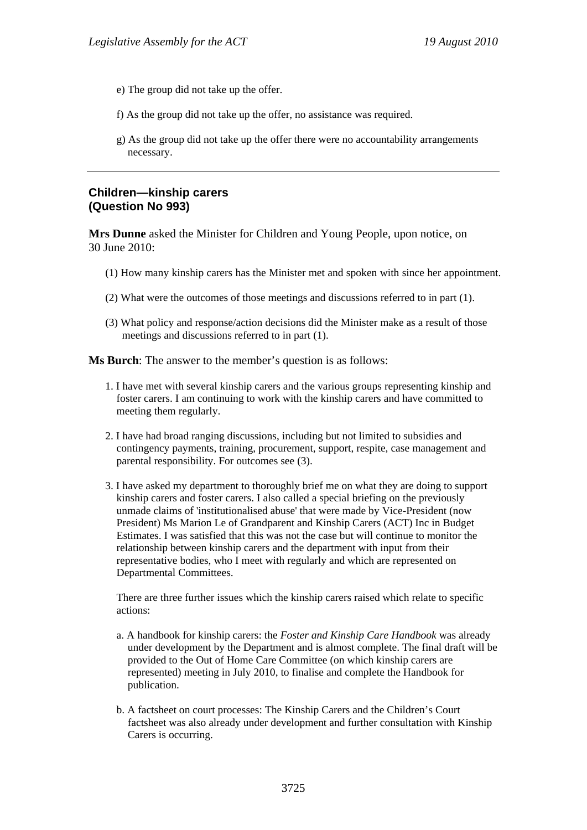- e) The group did not take up the offer.
- f) As the group did not take up the offer, no assistance was required.
- g) As the group did not take up the offer there were no accountability arrangements necessary.

#### **Children—kinship carers (Question No 993)**

**Mrs Dunne** asked the Minister for Children and Young People, upon notice, on 30 June 2010:

- (1) How many kinship carers has the Minister met and spoken with since her appointment.
- (2) What were the outcomes of those meetings and discussions referred to in part (1).
- (3) What policy and response/action decisions did the Minister make as a result of those meetings and discussions referred to in part (1).

**Ms Burch**: The answer to the member's question is as follows:

- 1. I have met with several kinship carers and the various groups representing kinship and foster carers. I am continuing to work with the kinship carers and have committed to meeting them regularly.
- 2. I have had broad ranging discussions, including but not limited to subsidies and contingency payments, training, procurement, support, respite, case management and parental responsibility. For outcomes see (3).
- 3. I have asked my department to thoroughly brief me on what they are doing to support kinship carers and foster carers. I also called a special briefing on the previously unmade claims of 'institutionalised abuse' that were made by Vice-President (now President) Ms Marion Le of Grandparent and Kinship Carers (ACT) Inc in Budget Estimates. I was satisfied that this was not the case but will continue to monitor the relationship between kinship carers and the department with input from their representative bodies, who I meet with regularly and which are represented on Departmental Committees.

There are three further issues which the kinship carers raised which relate to specific actions:

- a. A handbook for kinship carers: the *Foster and Kinship Care Handbook* was already under development by the Department and is almost complete. The final draft will be provided to the Out of Home Care Committee (on which kinship carers are represented) meeting in July 2010, to finalise and complete the Handbook for publication.
- b. A factsheet on court processes: The Kinship Carers and the Children's Court factsheet was also already under development and further consultation with Kinship Carers is occurring.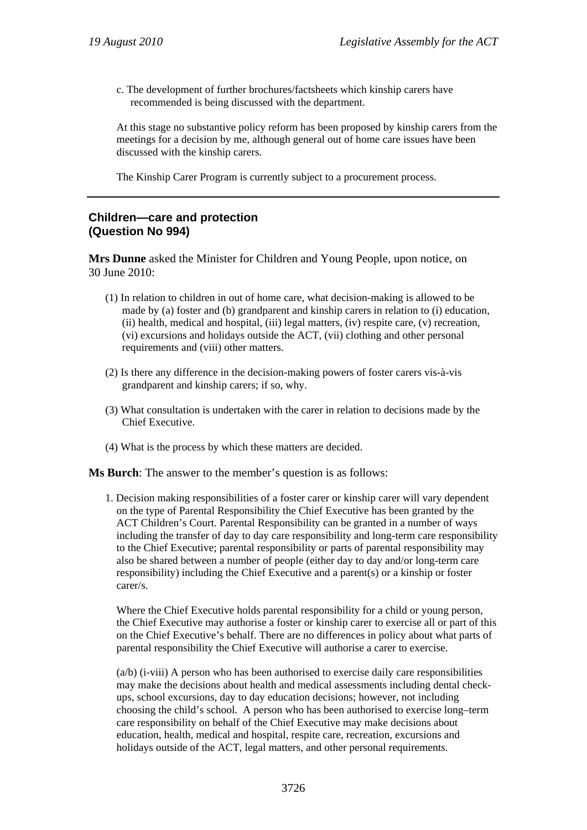c. The development of further brochures/factsheets which kinship carers have recommended is being discussed with the department.

At this stage no substantive policy reform has been proposed by kinship carers from the meetings for a decision by me, although general out of home care issues have been discussed with the kinship carers.

The Kinship Carer Program is currently subject to a procurement process.

# **Children—care and protection (Question No 994)**

**Mrs Dunne** asked the Minister for Children and Young People, upon notice, on 30 June 2010:

- (1) In relation to children in out of home care, what decision-making is allowed to be made by (a) foster and (b) grandparent and kinship carers in relation to (i) education, (ii) health, medical and hospital, (iii) legal matters, (iv) respite care, (v) recreation, (vi) excursions and holidays outside the ACT, (vii) clothing and other personal requirements and (viii) other matters.
- (2) Is there any difference in the decision-making powers of foster carers vis-à-vis grandparent and kinship carers; if so, why.
- (3) What consultation is undertaken with the carer in relation to decisions made by the Chief Executive.
- (4) What is the process by which these matters are decided.

**Ms Burch**: The answer to the member's question is as follows:

1. Decision making responsibilities of a foster carer or kinship carer will vary dependent on the type of Parental Responsibility the Chief Executive has been granted by the ACT Children's Court. Parental Responsibility can be granted in a number of ways including the transfer of day to day care responsibility and long-term care responsibility to the Chief Executive; parental responsibility or parts of parental responsibility may also be shared between a number of people (either day to day and/or long-term care responsibility) including the Chief Executive and a parent(s) or a kinship or foster carer/s.

Where the Chief Executive holds parental responsibility for a child or young person, the Chief Executive may authorise a foster or kinship carer to exercise all or part of this on the Chief Executive's behalf. There are no differences in policy about what parts of parental responsibility the Chief Executive will authorise a carer to exercise.

(a/b) (i-viii) A person who has been authorised to exercise daily care responsibilities may make the decisions about health and medical assessments including dental checkups, school excursions, day to day education decisions; however, not including choosing the child's school. A person who has been authorised to exercise long–term care responsibility on behalf of the Chief Executive may make decisions about education, health, medical and hospital, respite care, recreation, excursions and holidays outside of the ACT, legal matters, and other personal requirements.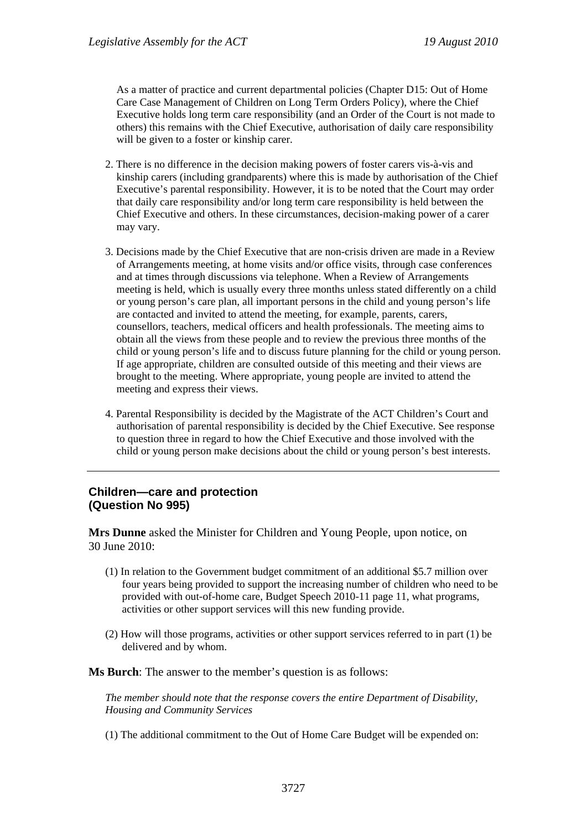As a matter of practice and current departmental policies (Chapter D15: Out of Home Care Case Management of Children on Long Term Orders Policy), where the Chief Executive holds long term care responsibility (and an Order of the Court is not made to others) this remains with the Chief Executive, authorisation of daily care responsibility will be given to a foster or kinship carer.

- 2. There is no difference in the decision making powers of foster carers vis-à-vis and kinship carers (including grandparents) where this is made by authorisation of the Chief Executive's parental responsibility. However, it is to be noted that the Court may order that daily care responsibility and/or long term care responsibility is held between the Chief Executive and others. In these circumstances, decision-making power of a carer may vary.
- 3. Decisions made by the Chief Executive that are non-crisis driven are made in a Review of Arrangements meeting, at home visits and/or office visits, through case conferences and at times through discussions via telephone. When a Review of Arrangements meeting is held, which is usually every three months unless stated differently on a child or young person's care plan, all important persons in the child and young person's life are contacted and invited to attend the meeting, for example, parents, carers, counsellors, teachers, medical officers and health professionals. The meeting aims to obtain all the views from these people and to review the previous three months of the child or young person's life and to discuss future planning for the child or young person. If age appropriate, children are consulted outside of this meeting and their views are brought to the meeting. Where appropriate, young people are invited to attend the meeting and express their views.
- 4. Parental Responsibility is decided by the Magistrate of the ACT Children's Court and authorisation of parental responsibility is decided by the Chief Executive. See response to question three in regard to how the Chief Executive and those involved with the child or young person make decisions about the child or young person's best interests.

#### **Children—care and protection (Question No 995)**

**Mrs Dunne** asked the Minister for Children and Young People, upon notice, on 30 June 2010:

- (1) In relation to the Government budget commitment of an additional \$5.7 million over four years being provided to support the increasing number of children who need to be provided with out-of-home care, Budget Speech 2010-11 page 11, what programs, activities or other support services will this new funding provide.
- (2) How will those programs, activities or other support services referred to in part (1) be delivered and by whom.

**Ms Burch**: The answer to the member's question is as follows:

*The member should note that the response covers the entire Department of Disability, Housing and Community Services* 

(1) The additional commitment to the Out of Home Care Budget will be expended on: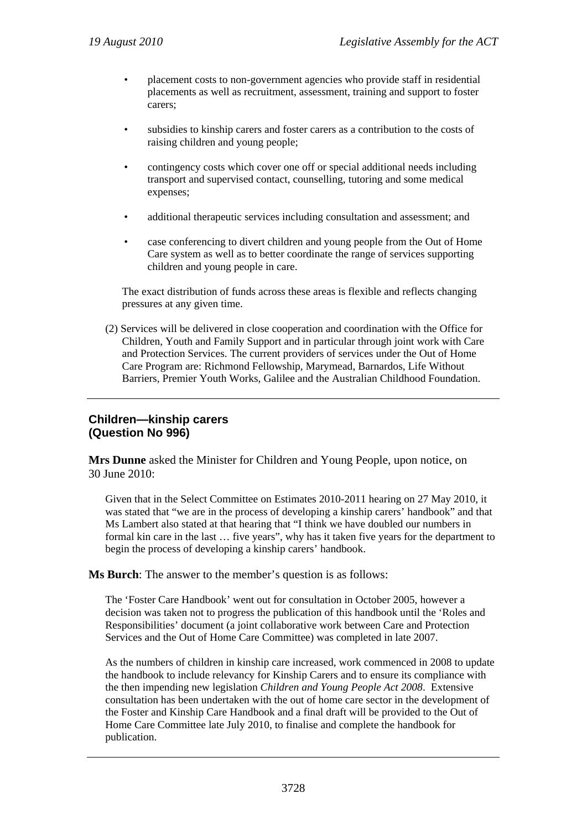- placement costs to non-government agencies who provide staff in residential placements as well as recruitment, assessment, training and support to foster carers;
- subsidies to kinship carers and foster carers as a contribution to the costs of raising children and young people;
- contingency costs which cover one off or special additional needs including transport and supervised contact, counselling, tutoring and some medical expenses;
- additional therapeutic services including consultation and assessment; and
- case conferencing to divert children and young people from the Out of Home Care system as well as to better coordinate the range of services supporting children and young people in care.

The exact distribution of funds across these areas is flexible and reflects changing pressures at any given time.

(2) Services will be delivered in close cooperation and coordination with the Office for Children, Youth and Family Support and in particular through joint work with Care and Protection Services. The current providers of services under the Out of Home Care Program are: Richmond Fellowship, Marymead, Barnardos, Life Without Barriers, Premier Youth Works, Galilee and the Australian Childhood Foundation.

# **Children—kinship carers (Question No 996)**

**Mrs Dunne** asked the Minister for Children and Young People, upon notice, on 30 June 2010:

Given that in the Select Committee on Estimates 2010-2011 hearing on 27 May 2010, it was stated that "we are in the process of developing a kinship carers' handbook" and that Ms Lambert also stated at that hearing that "I think we have doubled our numbers in formal kin care in the last … five years", why has it taken five years for the department to begin the process of developing a kinship carers' handbook.

**Ms Burch**: The answer to the member's question is as follows:

The 'Foster Care Handbook' went out for consultation in October 2005, however a decision was taken not to progress the publication of this handbook until the 'Roles and Responsibilities' document (a joint collaborative work between Care and Protection Services and the Out of Home Care Committee) was completed in late 2007.

As the numbers of children in kinship care increased, work commenced in 2008 to update the handbook to include relevancy for Kinship Carers and to ensure its compliance with the then impending new legislation *Children and Young People Act 2008*. Extensive consultation has been undertaken with the out of home care sector in the development of the Foster and Kinship Care Handbook and a final draft will be provided to the Out of Home Care Committee late July 2010, to finalise and complete the handbook for publication.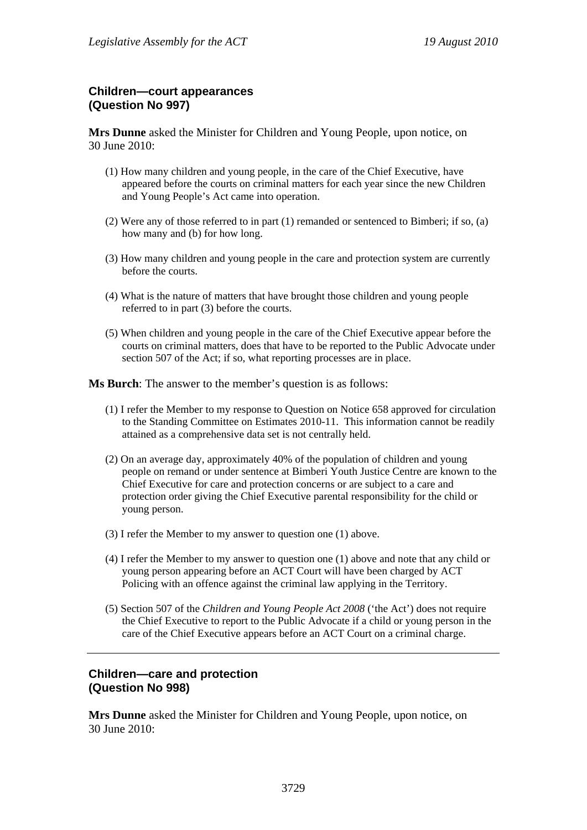# **Children—court appearances (Question No 997)**

**Mrs Dunne** asked the Minister for Children and Young People, upon notice, on 30 June 2010:

- (1) How many children and young people, in the care of the Chief Executive, have appeared before the courts on criminal matters for each year since the new Children and Young People's Act came into operation.
- (2) Were any of those referred to in part (1) remanded or sentenced to Bimberi; if so, (a) how many and (b) for how long.
- (3) How many children and young people in the care and protection system are currently before the courts.
- (4) What is the nature of matters that have brought those children and young people referred to in part (3) before the courts.
- (5) When children and young people in the care of the Chief Executive appear before the courts on criminal matters, does that have to be reported to the Public Advocate under section 507 of the Act; if so, what reporting processes are in place.

**Ms Burch**: The answer to the member's question is as follows:

- (1) I refer the Member to my response to Question on Notice 658 approved for circulation to the Standing Committee on Estimates 2010-11. This information cannot be readily attained as a comprehensive data set is not centrally held.
- (2) On an average day, approximately 40% of the population of children and young people on remand or under sentence at Bimberi Youth Justice Centre are known to the Chief Executive for care and protection concerns or are subject to a care and protection order giving the Chief Executive parental responsibility for the child or young person.
- (3) I refer the Member to my answer to question one (1) above.
- (4) I refer the Member to my answer to question one (1) above and note that any child or young person appearing before an ACT Court will have been charged by ACT Policing with an offence against the criminal law applying in the Territory.
- (5) Section 507 of the *Children and Young People Act 2008* ('the Act') does not require the Chief Executive to report to the Public Advocate if a child or young person in the care of the Chief Executive appears before an ACT Court on a criminal charge.

#### **Children—care and protection (Question No 998)**

**Mrs Dunne** asked the Minister for Children and Young People, upon notice, on 30 June 2010: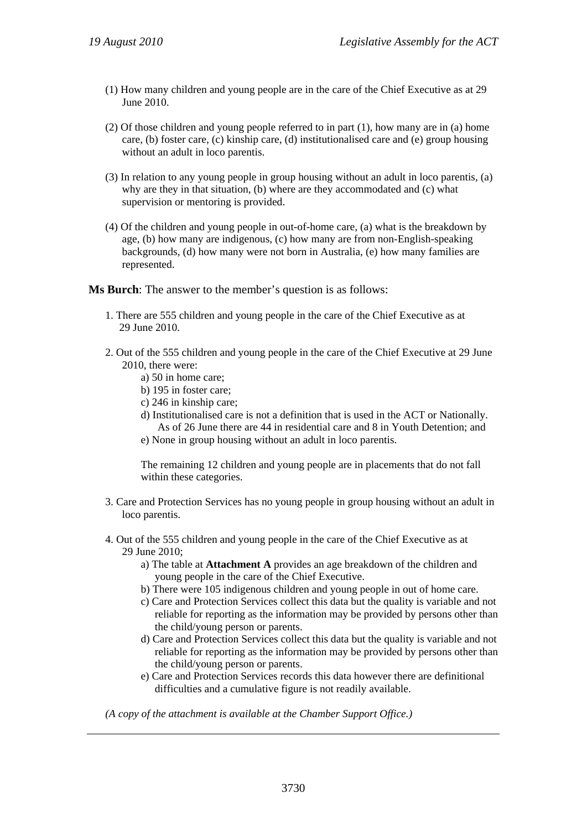- (1) How many children and young people are in the care of the Chief Executive as at 29 June 2010.
- (2) Of those children and young people referred to in part (1), how many are in (a) home care, (b) foster care, (c) kinship care, (d) institutionalised care and (e) group housing without an adult in loco parentis.
- (3) In relation to any young people in group housing without an adult in loco parentis, (a) why are they in that situation, (b) where are they accommodated and (c) what supervision or mentoring is provided.
- (4) Of the children and young people in out-of-home care, (a) what is the breakdown by age, (b) how many are indigenous, (c) how many are from non-English-speaking backgrounds, (d) how many were not born in Australia, (e) how many families are represented.

**Ms Burch**: The answer to the member's question is as follows:

- 1. There are 555 children and young people in the care of the Chief Executive as at 29 June 2010.
- 2. Out of the 555 children and young people in the care of the Chief Executive at 29 June 2010, there were:
	- a) 50 in home care;
	- b) 195 in foster care;
	- c) 246 in kinship care;
	- d) Institutionalised care is not a definition that is used in the ACT or Nationally. As of 26 June there are 44 in residential care and 8 in Youth Detention; and
	- e) None in group housing without an adult in loco parentis.

The remaining 12 children and young people are in placements that do not fall within these categories.

- 3. Care and Protection Services has no young people in group housing without an adult in loco parentis.
- 4. Out of the 555 children and young people in the care of the Chief Executive as at 29 June 2010;
	- a) The table at **Attachment A** provides an age breakdown of the children and young people in the care of the Chief Executive.
	- b) There were 105 indigenous children and young people in out of home care.
	- c) Care and Protection Services collect this data but the quality is variable and not reliable for reporting as the information may be provided by persons other than the child/young person or parents.
	- d) Care and Protection Services collect this data but the quality is variable and not reliable for reporting as the information may be provided by persons other than the child/young person or parents.
	- e) Care and Protection Services records this data however there are definitional difficulties and a cumulative figure is not readily available.

*(A copy of the attachment is available at the Chamber Support Office.)*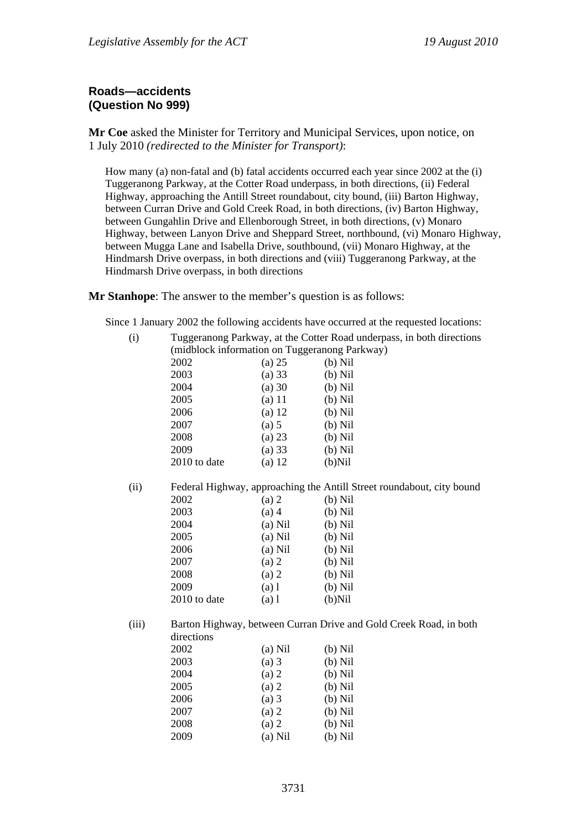# **Roads—accidents (Question No 999)**

**Mr Coe** asked the Minister for Territory and Municipal Services, upon notice, on 1 July 2010 *(redirected to the Minister for Transport)*:

How many (a) non-fatal and (b) fatal accidents occurred each year since 2002 at the (i) Tuggeranong Parkway, at the Cotter Road underpass, in both directions, (ii) Federal Highway, approaching the Antill Street roundabout, city bound, (iii) Barton Highway, between Curran Drive and Gold Creek Road, in both directions, (iv) Barton Highway, between Gungahlin Drive and Ellenborough Street, in both directions, (v) Monaro Highway, between Lanyon Drive and Sheppard Street, northbound, (vi) Monaro Highway, between Mugga Lane and Isabella Drive, southbound, (vii) Monaro Highway, at the Hindmarsh Drive overpass, in both directions and (viii) Tuggeranong Parkway, at the Hindmarsh Drive overpass, in both directions

**Mr Stanhope**: The answer to the member's question is as follows:

Since 1 January 2002 the following accidents have occurred at the requested locations:

(i) Tuggeranong Parkway, at the Cotter Road underpass, in both directions (midblock information on Tuggeranong Parkway)

|       | 2002         | (a) 25    | $(b)$ Nil                                                             |
|-------|--------------|-----------|-----------------------------------------------------------------------|
|       | 2003         | (a) 33    | $(b)$ Nil                                                             |
|       | 2004         | (a) 30    | $(b)$ Nil                                                             |
|       | 2005         | $(a)$ 11  | $(b)$ Nil                                                             |
|       | 2006         | $(a)$ 12  | $(b)$ Nil                                                             |
|       | 2007         | (a) 5     | $(b)$ Nil                                                             |
|       | 2008         | $(a)$ 23  | $(b)$ Nil                                                             |
|       | 2009         | (a) 33    | $(b)$ Nil                                                             |
|       | 2010 to date | $(a)$ 12  | $(b)$ Nil                                                             |
| (ii)  |              |           | Federal Highway, approaching the Antill Street roundabout, city bound |
|       | 2002         | (a) 2     | $(b)$ Nil                                                             |
|       | 2003         | $(a)$ 4   | $(b)$ Nil                                                             |
|       | 2004         | $(a)$ Nil | $(b)$ Nil                                                             |
|       | 2005         | $(a)$ Nil | $(b)$ Nil                                                             |
|       | 2006         | $(a)$ Nil | $(b)$ Nil                                                             |
|       | 2007         | (a) 2     | $(b)$ Nil                                                             |
|       | 2008         | (a) 2     | $(b)$ Nil                                                             |
|       | 2009         | $(a)$ 1   | $(b)$ Nil                                                             |
|       | 2010 to date | $(a)$ 1   | $(b)$ Nil                                                             |
| (iii) |              |           | Barton Highway, between Curran Drive and Gold Creek Road, in both     |
|       | directions   |           |                                                                       |
|       | 2002         | $(a)$ Nil | $(b)$ Nil                                                             |
|       | 2003         | $(a)$ 3   | $(b)$ Nil                                                             |
|       | 2004         | (a) 2     | $(b)$ Nil                                                             |
|       | 2005         | (a) 2     | $(b)$ Nil                                                             |
|       | 2006         | $(a)$ 3   | $(b)$ Nil                                                             |
|       | 2007         | $(a)$ 2   | $(b)$ Nil                                                             |

2008 (a) 2 (b) Nil 2009 (a) Nil (b) Nil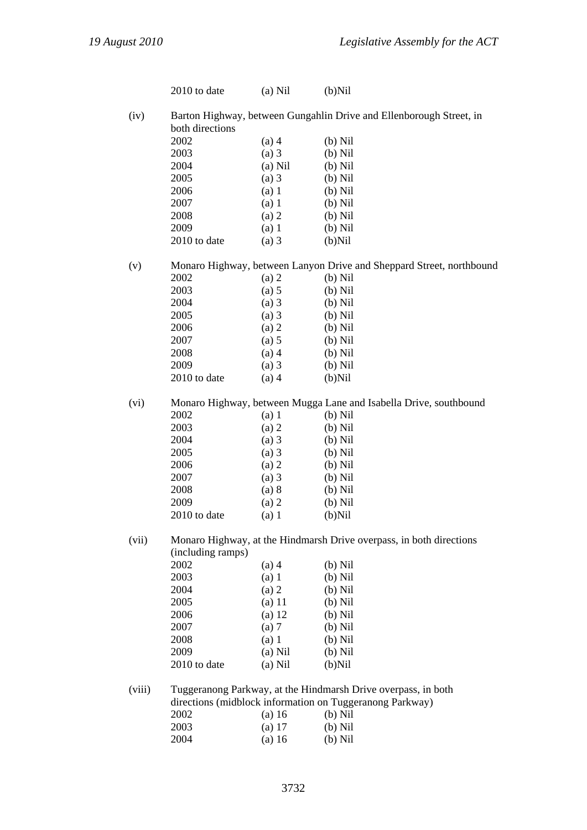| 2010 to date<br>both directions<br>2002<br>2003<br>2004<br>2005              | $(a)$ Nil<br>$(a)$ 4<br>$(a)$ 3                                                                   | $(b)$ Nil<br>Barton Highway, between Gungahlin Drive and Ellenborough Street, in<br>$(b)$ Nil                                                                                                                                                                                                                                        |
|------------------------------------------------------------------------------|---------------------------------------------------------------------------------------------------|--------------------------------------------------------------------------------------------------------------------------------------------------------------------------------------------------------------------------------------------------------------------------------------------------------------------------------------|
|                                                                              |                                                                                                   |                                                                                                                                                                                                                                                                                                                                      |
|                                                                              |                                                                                                   |                                                                                                                                                                                                                                                                                                                                      |
|                                                                              |                                                                                                   |                                                                                                                                                                                                                                                                                                                                      |
|                                                                              |                                                                                                   | $(b)$ Nil                                                                                                                                                                                                                                                                                                                            |
|                                                                              |                                                                                                   | $(b)$ Nil                                                                                                                                                                                                                                                                                                                            |
|                                                                              |                                                                                                   | $(b)$ Nil                                                                                                                                                                                                                                                                                                                            |
|                                                                              |                                                                                                   | $(b)$ Nil                                                                                                                                                                                                                                                                                                                            |
|                                                                              |                                                                                                   | $(b)$ Nil                                                                                                                                                                                                                                                                                                                            |
|                                                                              |                                                                                                   | $(b)$ Nil                                                                                                                                                                                                                                                                                                                            |
|                                                                              |                                                                                                   | $(b)$ Nil                                                                                                                                                                                                                                                                                                                            |
|                                                                              |                                                                                                   | $(b)$ Nil                                                                                                                                                                                                                                                                                                                            |
|                                                                              |                                                                                                   |                                                                                                                                                                                                                                                                                                                                      |
|                                                                              |                                                                                                   | Monaro Highway, between Lanyon Drive and Sheppard Street, northbound                                                                                                                                                                                                                                                                 |
| 2002                                                                         | $(a)$ 2                                                                                           | $(b)$ Nil                                                                                                                                                                                                                                                                                                                            |
| 2003                                                                         | (a) 5                                                                                             | $(b)$ Nil                                                                                                                                                                                                                                                                                                                            |
| 2004                                                                         | $(a)$ 3                                                                                           | $(b)$ Nil                                                                                                                                                                                                                                                                                                                            |
| 2005                                                                         | $(a)$ 3                                                                                           | $(b)$ Nil                                                                                                                                                                                                                                                                                                                            |
| 2006                                                                         | (a) 2                                                                                             | $(b)$ Nil                                                                                                                                                                                                                                                                                                                            |
| 2007                                                                         | (a) 5                                                                                             | $(b)$ Nil                                                                                                                                                                                                                                                                                                                            |
| 2008                                                                         |                                                                                                   | $(b)$ Nil                                                                                                                                                                                                                                                                                                                            |
| 2009                                                                         |                                                                                                   | $(b)$ Nil                                                                                                                                                                                                                                                                                                                            |
| 2010 to date                                                                 | $(a)$ 4                                                                                           | $(b)$ Nil                                                                                                                                                                                                                                                                                                                            |
|                                                                              |                                                                                                   | Monaro Highway, between Mugga Lane and Isabella Drive, southbound                                                                                                                                                                                                                                                                    |
| 2002                                                                         |                                                                                                   | $(b)$ Nil                                                                                                                                                                                                                                                                                                                            |
| 2003                                                                         |                                                                                                   | $(b)$ Nil                                                                                                                                                                                                                                                                                                                            |
| 2004                                                                         |                                                                                                   | $(b)$ Nil                                                                                                                                                                                                                                                                                                                            |
| 2005                                                                         |                                                                                                   | $(b)$ Nil                                                                                                                                                                                                                                                                                                                            |
|                                                                              |                                                                                                   | $(b)$ Nil                                                                                                                                                                                                                                                                                                                            |
|                                                                              |                                                                                                   | $(b)$ Nil                                                                                                                                                                                                                                                                                                                            |
|                                                                              |                                                                                                   | $(b)$ Nil                                                                                                                                                                                                                                                                                                                            |
|                                                                              |                                                                                                   | $(b)$ Nil                                                                                                                                                                                                                                                                                                                            |
| 2010 to date                                                                 | $(a)$ 1                                                                                           | $(b)$ Nil                                                                                                                                                                                                                                                                                                                            |
| Monaro Highway, at the Hindmarsh Drive overpass, in both directions<br>(vii) |                                                                                                   |                                                                                                                                                                                                                                                                                                                                      |
|                                                                              |                                                                                                   |                                                                                                                                                                                                                                                                                                                                      |
| 2002                                                                         | $(a)$ 4                                                                                           | $(b)$ Nil                                                                                                                                                                                                                                                                                                                            |
| 2003                                                                         | (a) 1                                                                                             | $(b)$ Nil                                                                                                                                                                                                                                                                                                                            |
| 2004                                                                         | (a) 2                                                                                             | $(b)$ Nil                                                                                                                                                                                                                                                                                                                            |
| 2005                                                                         | $(a)$ 11                                                                                          | $(b)$ Nil                                                                                                                                                                                                                                                                                                                            |
| 2006                                                                         | $(a)$ 12                                                                                          | $(b)$ Nil                                                                                                                                                                                                                                                                                                                            |
| 2007                                                                         | (a) 7                                                                                             | $(b)$ Nil                                                                                                                                                                                                                                                                                                                            |
| 2008                                                                         | (a) 1                                                                                             | $(b)$ Nil                                                                                                                                                                                                                                                                                                                            |
| 2009                                                                         | $(a)$ Nil                                                                                         | $(b)$ Nil                                                                                                                                                                                                                                                                                                                            |
| 2010 to date                                                                 | $(a)$ Nil                                                                                         | $(b)$ Nil                                                                                                                                                                                                                                                                                                                            |
|                                                                              |                                                                                                   |                                                                                                                                                                                                                                                                                                                                      |
|                                                                              |                                                                                                   |                                                                                                                                                                                                                                                                                                                                      |
| 2002                                                                         |                                                                                                   | $(b)$ Nil                                                                                                                                                                                                                                                                                                                            |
| 2003                                                                         |                                                                                                   | $(b)$ Nil                                                                                                                                                                                                                                                                                                                            |
| 2004                                                                         | $(a)$ 16                                                                                          | $(b)$ Nil                                                                                                                                                                                                                                                                                                                            |
|                                                                              | 2006<br>2007<br>2008<br>2009<br>2010 to date<br>2006<br>2007<br>2008<br>2009<br>(including ramps) | $(a)$ Nil<br>$(a)$ 3<br>$(a)$ 1<br>$(a)$ 1<br>(a) 2<br>$(a)$ 1<br>$(a)$ 3<br>$(a)$ 4<br>$(a)$ 3<br>$(a)$ 1<br>(a) 2<br>$(a)$ 3<br>$(a)$ 3<br>(a) 2<br>$(a)$ 3<br>(a) 8<br>(a) 2<br>Tuggeranong Parkway, at the Hindmarsh Drive overpass, in both<br>directions (midblock information on Tuggeranong Parkway)<br>$(a)$ 16<br>$(a)$ 17 |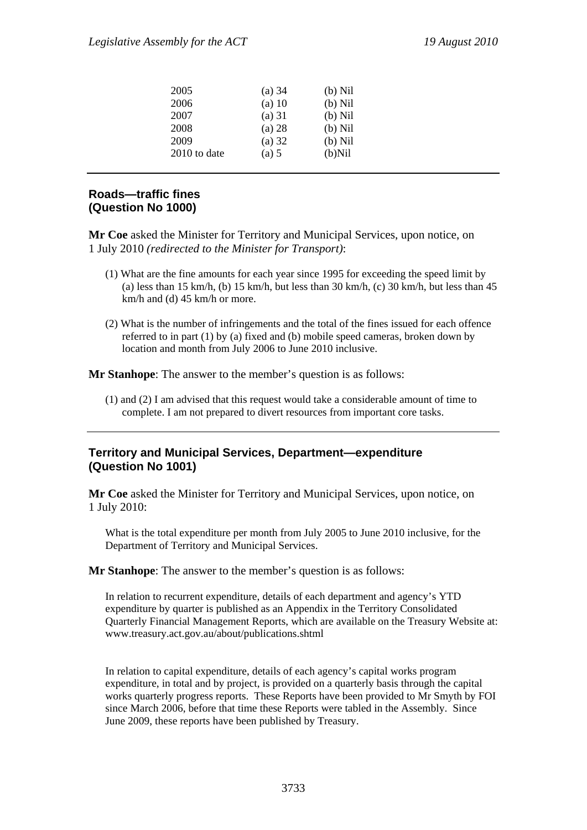| 2005         | (a) 34   | $(b)$ Nil |
|--------------|----------|-----------|
| 2006         | $(a)$ 10 | $(b)$ Nil |
| 2007         | $(a)$ 31 | $(b)$ Nil |
| 2008         | $(a)$ 28 | $(b)$ Nil |
| 2009         | (a) 32   | $(b)$ Nil |
| 2010 to date | (a) 5    | $(b)$ Nil |

# **Roads—traffic fines (Question No 1000)**

**Mr Coe** asked the Minister for Territory and Municipal Services, upon notice, on 1 July 2010 *(redirected to the Minister for Transport)*:

- (1) What are the fine amounts for each year since 1995 for exceeding the speed limit by (a) less than 15 km/h, (b) 15 km/h, but less than 30 km/h, (c) 30 km/h, but less than 45 km/h and (d) 45 km/h or more.
- (2) What is the number of infringements and the total of the fines issued for each offence referred to in part (1) by (a) fixed and (b) mobile speed cameras, broken down by location and month from July 2006 to June 2010 inclusive.

**Mr Stanhope**: The answer to the member's question is as follows:

(1) and (2) I am advised that this request would take a considerable amount of time to complete. I am not prepared to divert resources from important core tasks.

# **Territory and Municipal Services, Department—expenditure (Question No 1001)**

**Mr Coe** asked the Minister for Territory and Municipal Services, upon notice, on 1 July 2010:

What is the total expenditure per month from July 2005 to June 2010 inclusive, for the Department of Territory and Municipal Services.

**Mr Stanhope**: The answer to the member's question is as follows:

In relation to recurrent expenditure, details of each department and agency's YTD expenditure by quarter is published as an Appendix in the Territory Consolidated Quarterly Financial Management Reports, which are available on the Treasury Website at: www.treasury.act.gov.au/about/publications.shtml

In relation to capital expenditure, details of each agency's capital works program expenditure, in total and by project, is provided on a quarterly basis through the capital works quarterly progress reports. These Reports have been provided to Mr Smyth by FOI since March 2006, before that time these Reports were tabled in the Assembly. Since June 2009, these reports have been published by Treasury.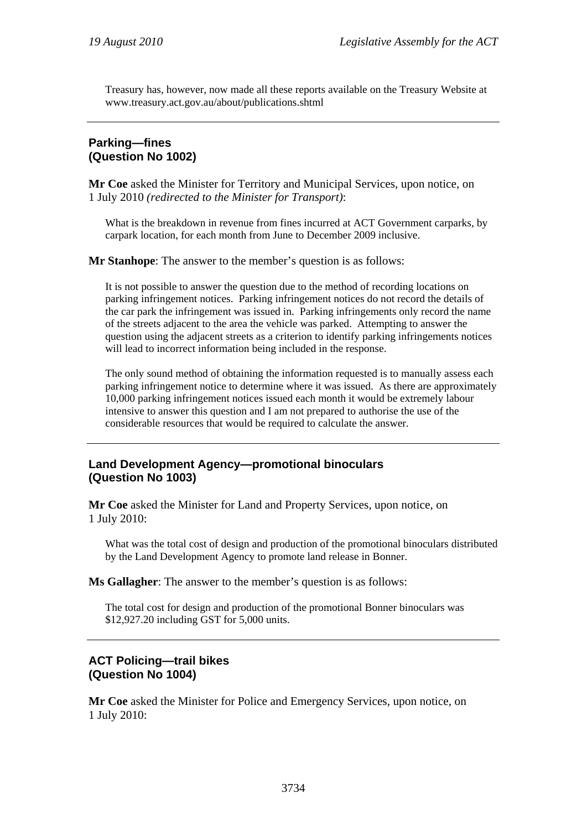Treasury has, however, now made all these reports available on the Treasury Website at www.treasury.act.gov.au/about/publications.shtml

#### **Parking—fines (Question No 1002)**

**Mr Coe** asked the Minister for Territory and Municipal Services, upon notice, on 1 July 2010 *(redirected to the Minister for Transport)*:

What is the breakdown in revenue from fines incurred at ACT Government carparks, by carpark location, for each month from June to December 2009 inclusive.

**Mr Stanhope**: The answer to the member's question is as follows:

It is not possible to answer the question due to the method of recording locations on parking infringement notices. Parking infringement notices do not record the details of the car park the infringement was issued in. Parking infringements only record the name of the streets adjacent to the area the vehicle was parked. Attempting to answer the question using the adjacent streets as a criterion to identify parking infringements notices will lead to incorrect information being included in the response.

The only sound method of obtaining the information requested is to manually assess each parking infringement notice to determine where it was issued. As there are approximately 10,000 parking infringement notices issued each month it would be extremely labour intensive to answer this question and I am not prepared to authorise the use of the considerable resources that would be required to calculate the answer.

# **Land Development Agency—promotional binoculars (Question No 1003)**

**Mr Coe** asked the Minister for Land and Property Services, upon notice, on 1 July 2010:

What was the total cost of design and production of the promotional binoculars distributed by the Land Development Agency to promote land release in Bonner.

**Ms Gallagher**: The answer to the member's question is as follows:

The total cost for design and production of the promotional Bonner binoculars was \$12,927.20 including GST for 5,000 units.

# **ACT Policing—trail bikes (Question No 1004)**

**Mr Coe** asked the Minister for Police and Emergency Services, upon notice, on 1 July 2010: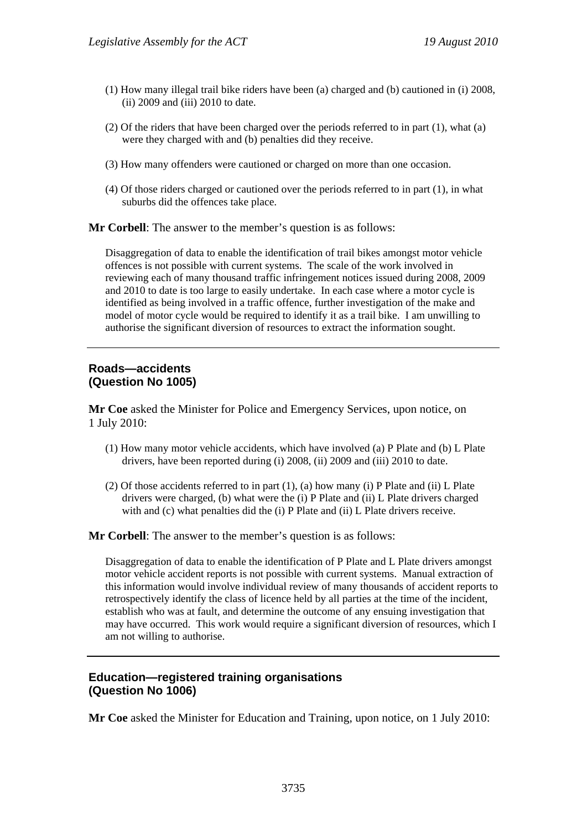- (1) How many illegal trail bike riders have been (a) charged and (b) cautioned in (i) 2008, (ii) 2009 and (iii) 2010 to date.
- (2) Of the riders that have been charged over the periods referred to in part (1), what (a) were they charged with and (b) penalties did they receive.
- (3) How many offenders were cautioned or charged on more than one occasion.
- (4) Of those riders charged or cautioned over the periods referred to in part (1), in what suburbs did the offences take place.

**Mr Corbell**: The answer to the member's question is as follows:

Disaggregation of data to enable the identification of trail bikes amongst motor vehicle offences is not possible with current systems. The scale of the work involved in reviewing each of many thousand traffic infringement notices issued during 2008, 2009 and 2010 to date is too large to easily undertake. In each case where a motor cycle is identified as being involved in a traffic offence, further investigation of the make and model of motor cycle would be required to identify it as a trail bike. I am unwilling to authorise the significant diversion of resources to extract the information sought.

#### **Roads—accidents (Question No 1005)**

**Mr Coe** asked the Minister for Police and Emergency Services, upon notice, on 1 July 2010:

- (1) How many motor vehicle accidents, which have involved (a) P Plate and (b) L Plate drivers, have been reported during (i) 2008, (ii) 2009 and (iii) 2010 to date.
- (2) Of those accidents referred to in part (1), (a) how many (i) P Plate and (ii) L Plate drivers were charged, (b) what were the (i) P Plate and (ii) L Plate drivers charged with and (c) what penalties did the (i) P Plate and (ii) L Plate drivers receive.

**Mr Corbell**: The answer to the member's question is as follows:

Disaggregation of data to enable the identification of P Plate and L Plate drivers amongst motor vehicle accident reports is not possible with current systems. Manual extraction of this information would involve individual review of many thousands of accident reports to retrospectively identify the class of licence held by all parties at the time of the incident, establish who was at fault, and determine the outcome of any ensuing investigation that may have occurred. This work would require a significant diversion of resources, which I am not willing to authorise.

# **Education—registered training organisations (Question No 1006)**

**Mr Coe** asked the Minister for Education and Training, upon notice, on 1 July 2010: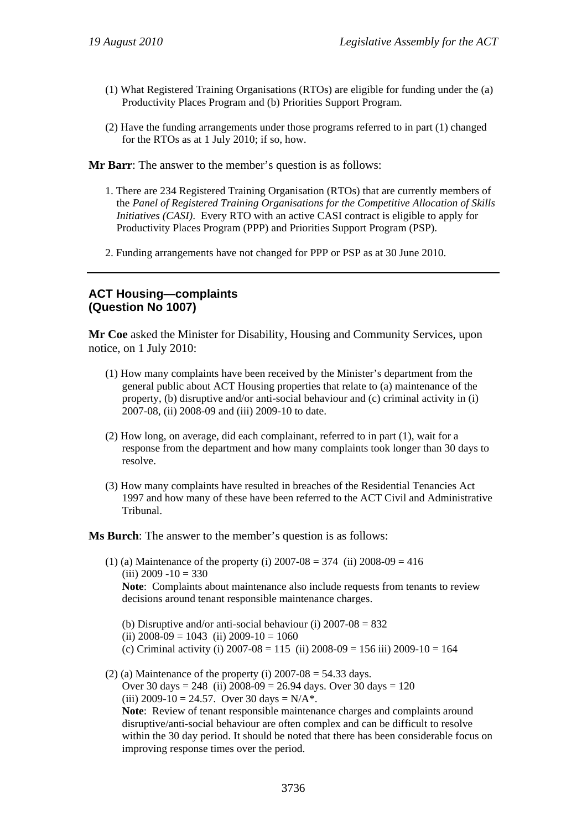- (1) What Registered Training Organisations (RTOs) are eligible for funding under the (a) Productivity Places Program and (b) Priorities Support Program.
- (2) Have the funding arrangements under those programs referred to in part (1) changed for the RTOs as at 1 July 2010; if so, how.

**Mr Barr**: The answer to the member's question is as follows:

- 1. There are 234 Registered Training Organisation (RTOs) that are currently members of the *Panel of Registered Training Organisations for the Competitive Allocation of Skills Initiatives (CASI)*. Every RTO with an active CASI contract is eligible to apply for Productivity Places Program (PPP) and Priorities Support Program (PSP).
- 2. Funding arrangements have not changed for PPP or PSP as at 30 June 2010.

#### **ACT Housing—complaints (Question No 1007)**

**Mr Coe** asked the Minister for Disability, Housing and Community Services, upon notice, on 1 July 2010:

- (1) How many complaints have been received by the Minister's department from the general public about ACT Housing properties that relate to (a) maintenance of the property, (b) disruptive and/or anti-social behaviour and (c) criminal activity in (i) 2007-08, (ii) 2008-09 and (iii) 2009-10 to date.
- (2) How long, on average, did each complainant, referred to in part (1), wait for a response from the department and how many complaints took longer than 30 days to resolve.
- (3) How many complaints have resulted in breaches of the Residential Tenancies Act 1997 and how many of these have been referred to the ACT Civil and Administrative Tribunal.

**Ms Burch**: The answer to the member's question is as follows:

- (1) (a) Maintenance of the property (i)  $2007-08 = 374$  (ii)  $2008-09 = 416$  $(iii)$  2009 -10 = 330 **Note**: Complaints about maintenance also include requests from tenants to review decisions around tenant responsible maintenance charges.
	- (b) Disruptive and/or anti-social behaviour (i)  $2007-08 = 832$
	- (ii)  $2008-09 = 1043$  (ii)  $2009-10 = 1060$
	- (c) Criminal activity (i)  $2007-08 = 115$  (ii)  $2008-09 = 156$  iii)  $2009-10 = 164$
- (2) (a) Maintenance of the property (i)  $2007-08 = 54.33$  days. Over 30 days = 248 (ii)  $2008-09 = 26.94$  days. Over 30 days = 120 (iii)  $2009-10 = 24.57$ . Over 30 days = N/A<sup>\*</sup>.

**Note**: Review of tenant responsible maintenance charges and complaints around disruptive/anti-social behaviour are often complex and can be difficult to resolve within the 30 day period. It should be noted that there has been considerable focus on improving response times over the period.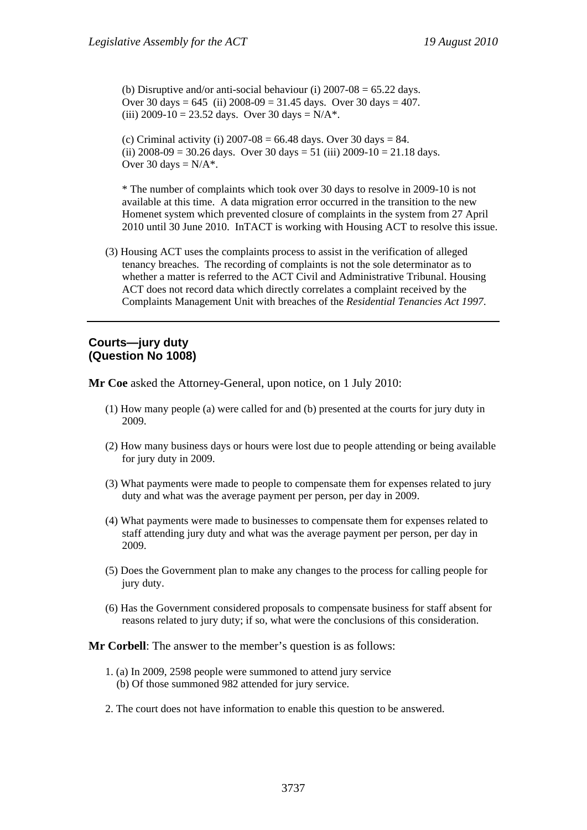(b) Disruptive and/or anti-social behaviour (i)  $2007-08 = 65.22$  days. Over 30 days =  $645$  (ii)  $2008-09 = 31.45$  days. Over 30 days =  $407$ . (iii) 2009-10 = 23.52 days. Over 30 days =  $N/A^*$ .

(c) Criminal activity (i)  $2007 - 08 = 66.48$  days. Over 30 days = 84. (ii)  $2008-09 = 30.26$  days. Over  $30$  days = 51 (iii)  $2009-10 = 21.18$  days. Over 30 days  $=N/A^*$ .

\* The number of complaints which took over 30 days to resolve in 2009-10 is not available at this time. A data migration error occurred in the transition to the new Homenet system which prevented closure of complaints in the system from 27 April 2010 until 30 June 2010. InTACT is working with Housing ACT to resolve this issue.

(3) Housing ACT uses the complaints process to assist in the verification of alleged tenancy breaches. The recording of complaints is not the sole determinator as to whether a matter is referred to the ACT Civil and Administrative Tribunal. Housing ACT does not record data which directly correlates a complaint received by the Complaints Management Unit with breaches of the *Residential Tenancies Act 1997*.

#### **Courts—jury duty (Question No 1008)**

**Mr Coe** asked the Attorney-General, upon notice, on 1 July 2010:

- (1) How many people (a) were called for and (b) presented at the courts for jury duty in 2009.
- (2) How many business days or hours were lost due to people attending or being available for jury duty in 2009.
- (3) What payments were made to people to compensate them for expenses related to jury duty and what was the average payment per person, per day in 2009.
- (4) What payments were made to businesses to compensate them for expenses related to staff attending jury duty and what was the average payment per person, per day in 2009.
- (5) Does the Government plan to make any changes to the process for calling people for jury duty.
- (6) Has the Government considered proposals to compensate business for staff absent for reasons related to jury duty; if so, what were the conclusions of this consideration.

**Mr Corbell**: The answer to the member's question is as follows:

- 1. (a) In 2009, 2598 people were summoned to attend jury service (b) Of those summoned 982 attended for jury service.
- 2. The court does not have information to enable this question to be answered.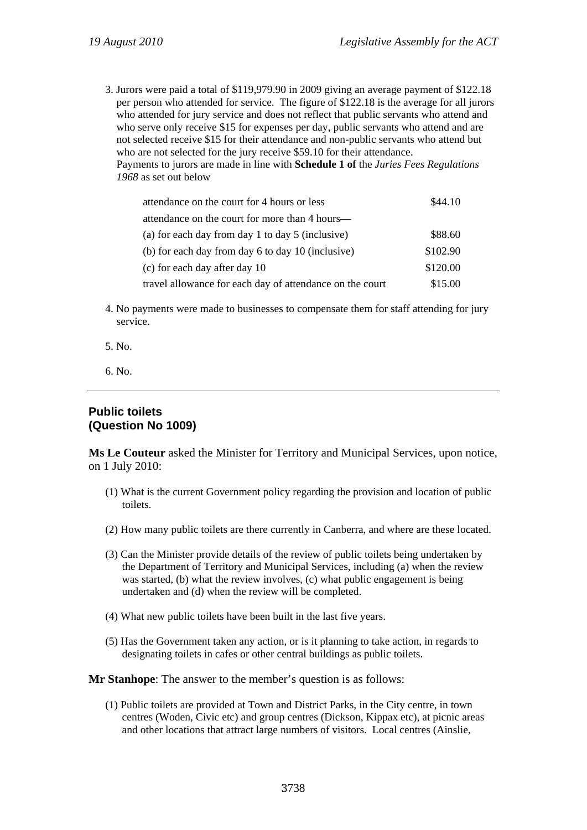3. Jurors were paid a total of \$119,979.90 in 2009 giving an average payment of \$122.18 per person who attended for service. The figure of \$122.18 is the average for all jurors who attended for jury service and does not reflect that public servants who attend and who serve only receive \$15 for expenses per day, public servants who attend and are not selected receive \$15 for their attendance and non-public servants who attend but who are not selected for the jury receive \$59.10 for their attendance. Payments to jurors are made in line with **Schedule 1 of** the *Juries Fees Regulations 1968* as set out below

| attendance on the court for 4 hours or less              | \$44.10  |
|----------------------------------------------------------|----------|
| attendance on the court for more than 4 hours—           |          |
| (a) for each day from day 1 to day 5 (inclusive)         | \$88.60  |
| (b) for each day from day 6 to day 10 (inclusive)        | \$102.90 |
| (c) for each day after day 10                            | \$120.00 |
| travel allowance for each day of attendance on the court | \$15.00  |

- 4. No payments were made to businesses to compensate them for staff attending for jury service.
- 5. No.
- 6. No.

#### **Public toilets (Question No 1009)**

**Ms Le Couteur** asked the Minister for Territory and Municipal Services, upon notice, on 1 July 2010:

- (1) What is the current Government policy regarding the provision and location of public toilets.
- (2) How many public toilets are there currently in Canberra, and where are these located.
- (3) Can the Minister provide details of the review of public toilets being undertaken by the Department of Territory and Municipal Services, including (a) when the review was started, (b) what the review involves, (c) what public engagement is being undertaken and (d) when the review will be completed.
- (4) What new public toilets have been built in the last five years.
- (5) Has the Government taken any action, or is it planning to take action, in regards to designating toilets in cafes or other central buildings as public toilets.

**Mr Stanhope**: The answer to the member's question is as follows:

(1) Public toilets are provided at Town and District Parks, in the City centre, in town centres (Woden, Civic etc) and group centres (Dickson, Kippax etc), at picnic areas and other locations that attract large numbers of visitors. Local centres (Ainslie,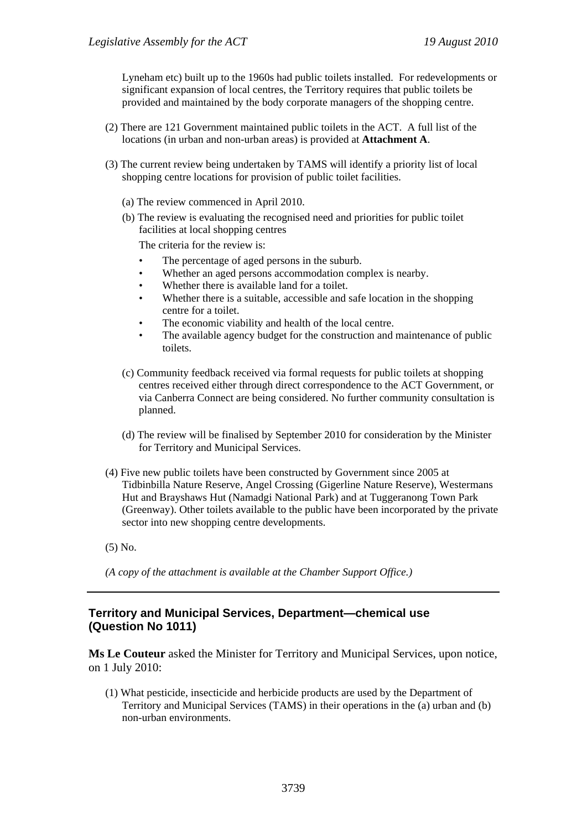Lyneham etc) built up to the 1960s had public toilets installed. For redevelopments or significant expansion of local centres, the Territory requires that public toilets be provided and maintained by the body corporate managers of the shopping centre.

- (2) There are 121 Government maintained public toilets in the ACT. A full list of the locations (in urban and non-urban areas) is provided at **Attachment A**.
- (3) The current review being undertaken by TAMS will identify a priority list of local shopping centre locations for provision of public toilet facilities.
	- (a) The review commenced in April 2010.
	- (b) The review is evaluating the recognised need and priorities for public toilet facilities at local shopping centres

The criteria for the review is:

- The percentage of aged persons in the suburb.
- Whether an aged persons accommodation complex is nearby.
- Whether there is available land for a toilet.
- Whether there is a suitable, accessible and safe location in the shopping centre for a toilet.
- The economic viability and health of the local centre.
- The available agency budget for the construction and maintenance of public toilets.
- (c) Community feedback received via formal requests for public toilets at shopping centres received either through direct correspondence to the ACT Government, or via Canberra Connect are being considered. No further community consultation is planned.
- (d) The review will be finalised by September 2010 for consideration by the Minister for Territory and Municipal Services.
- (4) Five new public toilets have been constructed by Government since 2005 at Tidbinbilla Nature Reserve, Angel Crossing (Gigerline Nature Reserve), Westermans Hut and Brayshaws Hut (Namadgi National Park) and at Tuggeranong Town Park (Greenway). Other toilets available to the public have been incorporated by the private sector into new shopping centre developments.
- (5) No.

*(A copy of the attachment is available at the Chamber Support Office.)* 

# **Territory and Municipal Services, Department—chemical use (Question No 1011)**

**Ms Le Couteur** asked the Minister for Territory and Municipal Services, upon notice, on 1 July 2010:

(1) What pesticide, insecticide and herbicide products are used by the Department of Territory and Municipal Services (TAMS) in their operations in the (a) urban and (b) non-urban environments.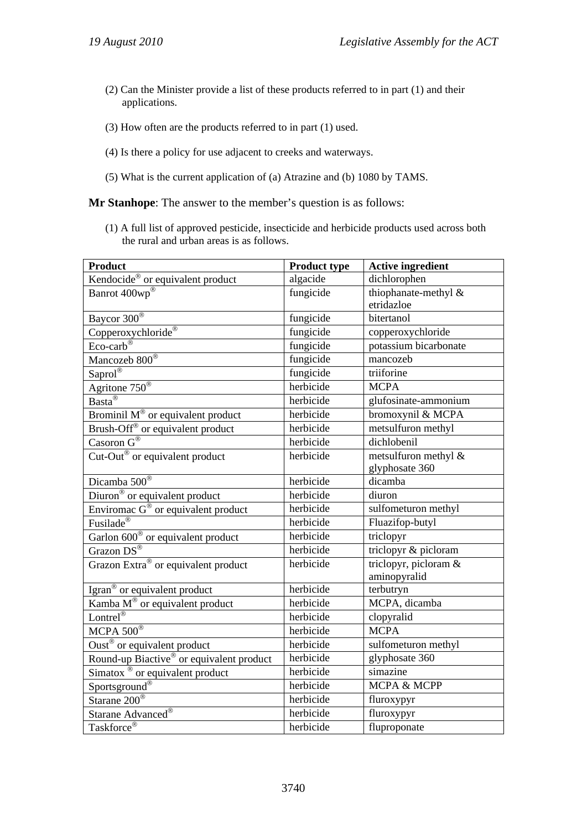- (2) Can the Minister provide a list of these products referred to in part (1) and their applications.
- (3) How often are the products referred to in part (1) used.
- (4) Is there a policy for use adjacent to creeks and waterways.
- (5) What is the current application of (a) Atrazine and (b) 1080 by TAMS.

**Mr Stanhope**: The answer to the member's question is as follows:

(1) A full list of approved pesticide, insecticide and herbicide products used across both the rural and urban areas is as follows.

| <b>Product</b>                                                  | <b>Product type</b> | <b>Active ingredient</b> |
|-----------------------------------------------------------------|---------------------|--------------------------|
| Kendocide <sup>®</sup> or equivalent product                    | algacide            | dichlorophen             |
| Banrot 400wp®                                                   | fungicide           | thiophanate-methyl &     |
|                                                                 |                     | etridazloe               |
| Baycor 300 <sup>®</sup>                                         | fungicide           | bitertanol               |
| Copperoxychloride®                                              | fungicide           | copperoxychloride        |
| $Eco-carb^{\circledR}$                                          | fungicide           | potassium bicarbonate    |
| Mancozeb 800 <sup>®</sup>                                       | fungicide           | mancozeb                 |
| $Saprol^{\circledR}$                                            | fungicide           | triiforine               |
| Agritone $750^{\circledR}$                                      | herbicide           | <b>MCPA</b>              |
| $\frac{1}{\text{Basta}^{\circledR}}$                            | herbicide           | glufosinate-ammonium     |
| Brominil $M^{\circledast}$ or equivalent product                | herbicide           | bromoxynil & MCPA        |
| Brush-Off <sup>®</sup> or equivalent product                    | herbicide           | metsulfuron methyl       |
| Casoron $G^{\circledR}$                                         | herbicide           | dichlobenil              |
| $\overline{\text{Cut-Out}^{\circledast}}$ or equivalent product | herbicide           | metsulfuron methyl &     |
|                                                                 |                     | glyphosate 360           |
| Dicamba 500®                                                    | herbicide           | dicamba                  |
| Diuron <sup>®</sup> or equivalent product                       | herbicide           | diuron                   |
| Enviromac $G^{\circledast}$ or equivalent product               | herbicide           | sulfometuron methyl      |
| Fusilade <sup>®</sup>                                           | herbicide           | Fluazifop-butyl          |
| Garlon 600 <sup>®</sup> or equivalent product                   | herbicide           | triclopyr                |
| Grazon $DS^{\circledR}$                                         | herbicide           | triclopyr & picloram     |
| Grazon Extra® or equivalent product                             | herbicide           | triclopyr, picloram &    |
|                                                                 |                     | aminopyralid             |
| Igran <sup>®</sup> or equivalent product                        | herbicide           | terbutryn                |
| Kamba $M^{\circledast}$ or equivalent product                   | herbicide           | MCPA, dicamba            |
| Lontrel®                                                        | herbicide           | clopyralid               |
| MCPA $500^{\circ}$                                              | herbicide           | <b>MCPA</b>              |
| Oust <sup>®</sup> or equivalent product                         | herbicide           | sulfometuron methyl      |
| Round-up Biactive® or equivalent product                        | herbicide           | glyphosate 360           |
| Simatox ® or equivalent product                                 | herbicide           | simazine                 |
| Sportsground <sup>®</sup>                                       | herbicide           | MCPA & MCPP              |
| Starane 200 <sup>®</sup>                                        | herbicide           | fluroxypyr               |
| Starane Advanced <sup>®</sup>                                   | herbicide           | fluroxypyr               |
| Taskforce®                                                      | herbicide           | fluproponate             |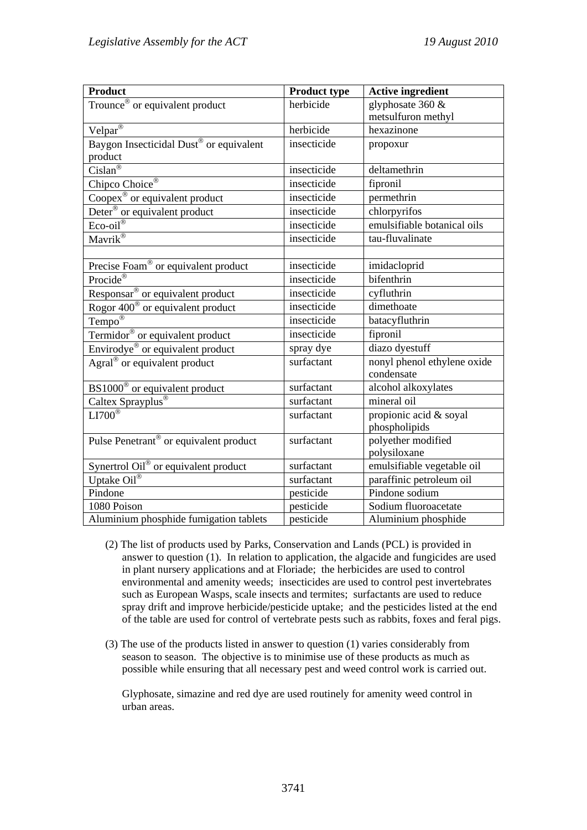| <b>Product</b>                                      | <b>Product type</b> | <b>Active ingredient</b>                  |
|-----------------------------------------------------|---------------------|-------------------------------------------|
| Trounce <sup>®</sup> or equivalent product          | herbicide           | glyphosate 360 &                          |
|                                                     |                     | metsulfuron methyl                        |
| $Velpar^{\overline{\otimes}}$                       | herbicide           | hexazinone                                |
| Baygon Insecticidal Dust <sup>®</sup> or equivalent | insecticide         | propoxur                                  |
| product                                             |                     |                                           |
| $Cislan^{\circledR}$                                | insecticide         | deltamethrin                              |
| Chipco Choice <sup>®</sup>                          | insecticide         | fipronil                                  |
| Coopex <sup>®</sup> or equivalent product           | insecticide         | permethrin                                |
| Deter <sup>®</sup> or equivalent product            | insecticide         | chlorpyrifos                              |
| $Eco-oil^{\circledR}$                               | insecticide         | emulsifiable botanical oils               |
| Mavrik®                                             | insecticide         | tau-fluvalinate                           |
|                                                     |                     |                                           |
| Precise Foam® or equivalent product                 | insecticide         | imidacloprid                              |
| Procide®                                            | insecticide         | bifenthrin                                |
| Responsar <sup>®</sup> or equivalent product        | insecticide         | cyfluthrin                                |
| Rogor 400 <sup>®</sup> or equivalent product        | insecticide         | dimethoate                                |
| Tempo <sup>®</sup>                                  | insecticide         | batacyfluthrin                            |
| Termidor <sup>®</sup> or equivalent product         | insecticide         | fipronil                                  |
| Envirodye <sup>®</sup> or equivalent product        | spray dye           | diazo dyestuff                            |
| Agral <sup>®</sup> or equivalent product            | surfactant          | nonyl phenol ethylene oxide<br>condensate |
| BS1000 <sup>®</sup> or equivalent product           | surfactant          | alcohol alkoxylates                       |
| Caltex Sprayplus®                                   | surfactant          | mineral oil                               |
| $LI700^{\circ}$                                     | surfactant          | propionic acid & soyal                    |
|                                                     |                     | phospholipids                             |
| Pulse Penetrant <sup>®</sup> or equivalent product  | surfactant          | polyether modified                        |
|                                                     |                     | polysiloxane                              |
| Synertrol Oil® or equivalent product                | surfactant          | emulsifiable vegetable oil                |
| Uptake Oil®                                         | surfactant          | paraffinic petroleum oil                  |
| Pindone                                             | pesticide           | Pindone sodium                            |
| 1080 Poison                                         | pesticide           | Sodium fluoroacetate                      |
| Aluminium phosphide fumigation tablets              | pesticide           | Aluminium phosphide                       |

- (2) The list of products used by Parks, Conservation and Lands (PCL) is provided in answer to question (1). In relation to application, the algacide and fungicides are used in plant nursery applications and at Floriade; the herbicides are used to control environmental and amenity weeds; insecticides are used to control pest invertebrates such as European Wasps, scale insects and termites; surfactants are used to reduce spray drift and improve herbicide/pesticide uptake; and the pesticides listed at the end of the table are used for control of vertebrate pests such as rabbits, foxes and feral pigs.
- (3) The use of the products listed in answer to question (1) varies considerably from season to season. The objective is to minimise use of these products as much as possible while ensuring that all necessary pest and weed control work is carried out.

Glyphosate, simazine and red dye are used routinely for amenity weed control in urban areas.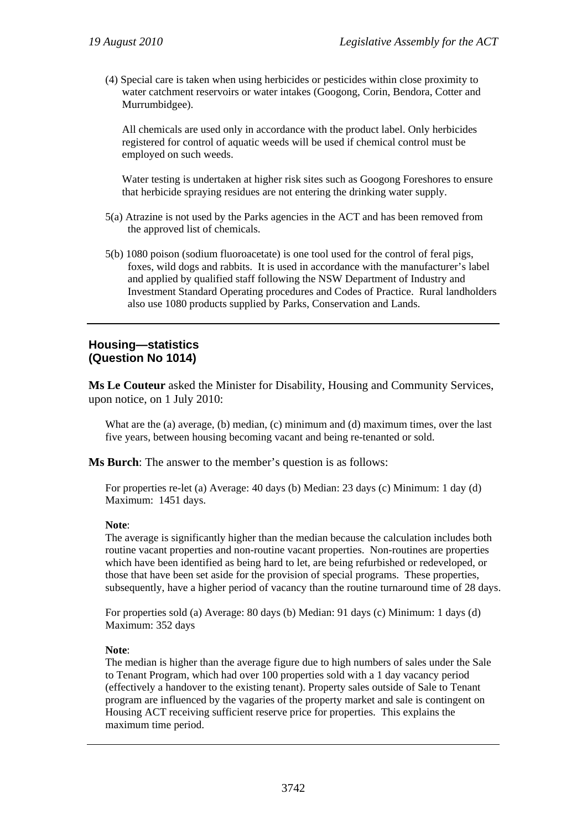(4) Special care is taken when using herbicides or pesticides within close proximity to water catchment reservoirs or water intakes (Googong, Corin, Bendora, Cotter and Murrumbidgee).

All chemicals are used only in accordance with the product label. Only herbicides registered for control of aquatic weeds will be used if chemical control must be employed on such weeds.

Water testing is undertaken at higher risk sites such as Googong Foreshores to ensure that herbicide spraying residues are not entering the drinking water supply.

- 5(a) Atrazine is not used by the Parks agencies in the ACT and has been removed from the approved list of chemicals.
- 5(b) 1080 poison (sodium fluoroacetate) is one tool used for the control of feral pigs, foxes, wild dogs and rabbits. It is used in accordance with the manufacturer's label and applied by qualified staff following the NSW Department of Industry and Investment Standard Operating procedures and Codes of Practice. Rural landholders also use 1080 products supplied by Parks, Conservation and Lands.

#### **Housing—statistics (Question No 1014)**

**Ms Le Couteur** asked the Minister for Disability, Housing and Community Services, upon notice, on 1 July 2010:

What are the (a) average, (b) median, (c) minimum and (d) maximum times, over the last five years, between housing becoming vacant and being re-tenanted or sold.

**Ms Burch**: The answer to the member's question is as follows:

For properties re-let (a) Average: 40 days (b) Median: 23 days (c) Minimum: 1 day (d) Maximum: 1451 days.

#### **Note**:

The average is significantly higher than the median because the calculation includes both routine vacant properties and non-routine vacant properties. Non-routines are properties which have been identified as being hard to let, are being refurbished or redeveloped, or those that have been set aside for the provision of special programs. These properties, subsequently, have a higher period of vacancy than the routine turnaround time of 28 days.

For properties sold (a) Average: 80 days (b) Median: 91 days (c) Minimum: 1 days (d) Maximum: 352 days

#### **Note**:

The median is higher than the average figure due to high numbers of sales under the Sale to Tenant Program, which had over 100 properties sold with a 1 day vacancy period (effectively a handover to the existing tenant). Property sales outside of Sale to Tenant program are influenced by the vagaries of the property market and sale is contingent on Housing ACT receiving sufficient reserve price for properties. This explains the maximum time period.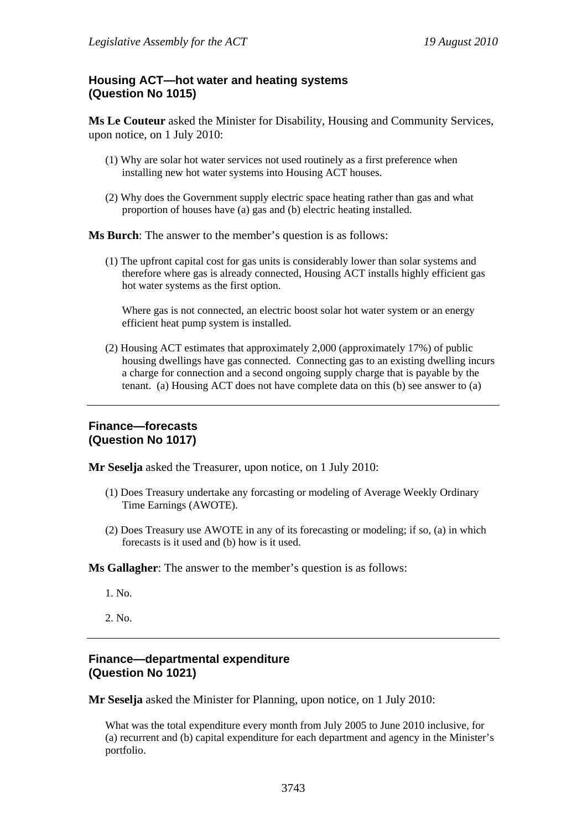# **Housing ACT—hot water and heating systems (Question No 1015)**

**Ms Le Couteur** asked the Minister for Disability, Housing and Community Services, upon notice, on 1 July 2010:

- (1) Why are solar hot water services not used routinely as a first preference when installing new hot water systems into Housing ACT houses.
- (2) Why does the Government supply electric space heating rather than gas and what proportion of houses have (a) gas and (b) electric heating installed.

**Ms Burch**: The answer to the member's question is as follows:

(1) The upfront capital cost for gas units is considerably lower than solar systems and therefore where gas is already connected, Housing ACT installs highly efficient gas hot water systems as the first option.

Where gas is not connected, an electric boost solar hot water system or an energy efficient heat pump system is installed.

(2) Housing ACT estimates that approximately 2,000 (approximately 17%) of public housing dwellings have gas connected. Connecting gas to an existing dwelling incurs a charge for connection and a second ongoing supply charge that is payable by the tenant. (a) Housing ACT does not have complete data on this (b) see answer to (a)

#### **Finance—forecasts (Question No 1017)**

**Mr Seselja** asked the Treasurer, upon notice, on 1 July 2010:

- (1) Does Treasury undertake any forcasting or modeling of Average Weekly Ordinary Time Earnings (AWOTE).
- (2) Does Treasury use AWOTE in any of its forecasting or modeling; if so, (a) in which forecasts is it used and (b) how is it used.

**Ms Gallagher**: The answer to the member's question is as follows:

- 1. No.
- 2. No.

#### **Finance—departmental expenditure (Question No 1021)**

**Mr Seselja** asked the Minister for Planning, upon notice, on 1 July 2010:

What was the total expenditure every month from July 2005 to June 2010 inclusive, for (a) recurrent and (b) capital expenditure for each department and agency in the Minister's portfolio.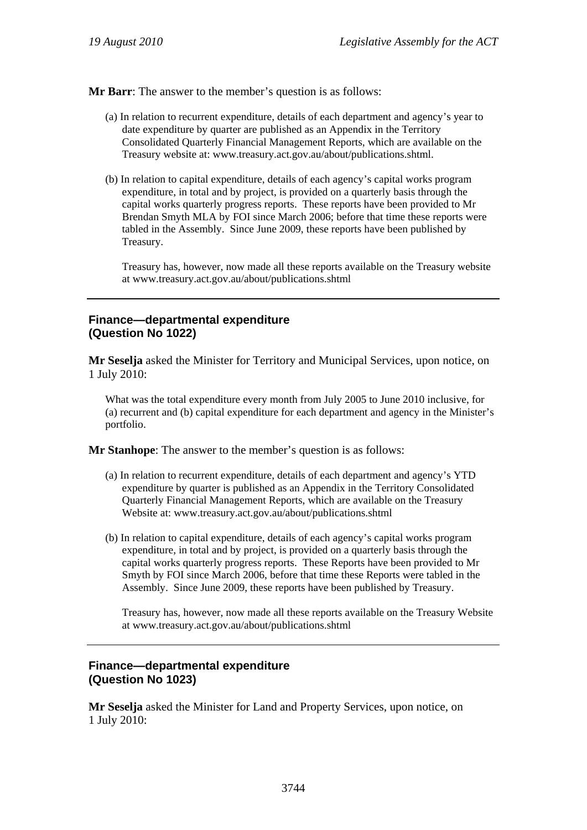**Mr Barr**: The answer to the member's question is as follows:

- (a) In relation to recurrent expenditure, details of each department and agency's year to date expenditure by quarter are published as an Appendix in the Territory Consolidated Quarterly Financial Management Reports, which are available on the Treasury website at: www.treasury.act.gov.au/about/publications.shtml.
- (b) In relation to capital expenditure, details of each agency's capital works program expenditure, in total and by project, is provided on a quarterly basis through the capital works quarterly progress reports. These reports have been provided to Mr Brendan Smyth MLA by FOI since March 2006; before that time these reports were tabled in the Assembly. Since June 2009, these reports have been published by Treasury.

Treasury has, however, now made all these reports available on the Treasury website at www.treasury.act.gov.au/about/publications.shtml

### **Finance—departmental expenditure (Question No 1022)**

**Mr Seselja** asked the Minister for Territory and Municipal Services, upon notice, on 1 July 2010:

What was the total expenditure every month from July 2005 to June 2010 inclusive, for (a) recurrent and (b) capital expenditure for each department and agency in the Minister's portfolio.

**Mr Stanhope**: The answer to the member's question is as follows:

- (a) In relation to recurrent expenditure, details of each department and agency's YTD expenditure by quarter is published as an Appendix in the Territory Consolidated Quarterly Financial Management Reports, which are available on the Treasury Website at: www.treasury.act.gov.au/about/publications.shtml
- (b) In relation to capital expenditure, details of each agency's capital works program expenditure, in total and by project, is provided on a quarterly basis through the capital works quarterly progress reports. These Reports have been provided to Mr Smyth by FOI since March 2006, before that time these Reports were tabled in the Assembly. Since June 2009, these reports have been published by Treasury.

Treasury has, however, now made all these reports available on the Treasury Website at www.treasury.act.gov.au/about/publications.shtml

### **Finance—departmental expenditure (Question No 1023)**

**Mr Seselja** asked the Minister for Land and Property Services, upon notice, on 1 July 2010: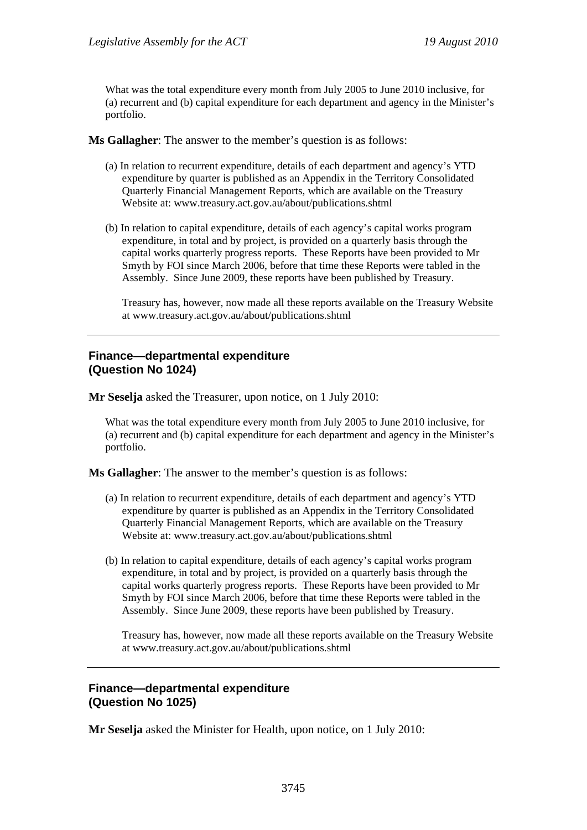What was the total expenditure every month from July 2005 to June 2010 inclusive, for (a) recurrent and (b) capital expenditure for each department and agency in the Minister's portfolio.

**Ms Gallagher**: The answer to the member's question is as follows:

- (a) In relation to recurrent expenditure, details of each department and agency's YTD expenditure by quarter is published as an Appendix in the Territory Consolidated Quarterly Financial Management Reports, which are available on the Treasury Website at: www.treasury.act.gov.au/about/publications.shtml
- (b) In relation to capital expenditure, details of each agency's capital works program expenditure, in total and by project, is provided on a quarterly basis through the capital works quarterly progress reports. These Reports have been provided to Mr Smyth by FOI since March 2006, before that time these Reports were tabled in the Assembly. Since June 2009, these reports have been published by Treasury.

Treasury has, however, now made all these reports available on the Treasury Website at www.treasury.act.gov.au/about/publications.shtml

#### **Finance—departmental expenditure (Question No 1024)**

**Mr Seselja** asked the Treasurer, upon notice, on 1 July 2010:

What was the total expenditure every month from July 2005 to June 2010 inclusive, for (a) recurrent and (b) capital expenditure for each department and agency in the Minister's portfolio.

**Ms Gallagher**: The answer to the member's question is as follows:

- (a) In relation to recurrent expenditure, details of each department and agency's YTD expenditure by quarter is published as an Appendix in the Territory Consolidated Quarterly Financial Management Reports, which are available on the Treasury Website at: www.treasury.act.gov.au/about/publications.shtml
- (b) In relation to capital expenditure, details of each agency's capital works program expenditure, in total and by project, is provided on a quarterly basis through the capital works quarterly progress reports. These Reports have been provided to Mr Smyth by FOI since March 2006, before that time these Reports were tabled in the Assembly. Since June 2009, these reports have been published by Treasury.

Treasury has, however, now made all these reports available on the Treasury Website at www.treasury.act.gov.au/about/publications.shtml

#### **Finance—departmental expenditure (Question No 1025)**

**Mr Seselja** asked the Minister for Health, upon notice, on 1 July 2010: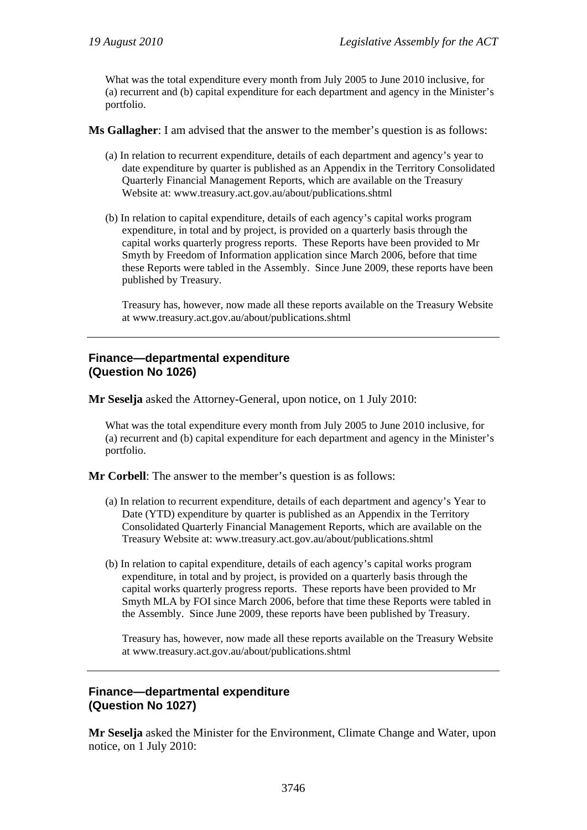What was the total expenditure every month from July 2005 to June 2010 inclusive, for (a) recurrent and (b) capital expenditure for each department and agency in the Minister's portfolio.

**Ms Gallagher**: I am advised that the answer to the member's question is as follows:

- (a) In relation to recurrent expenditure, details of each department and agency's year to date expenditure by quarter is published as an Appendix in the Territory Consolidated Quarterly Financial Management Reports, which are available on the Treasury Website at: www.treasury.act.gov.au/about/publications.shtml
- (b) In relation to capital expenditure, details of each agency's capital works program expenditure, in total and by project, is provided on a quarterly basis through the capital works quarterly progress reports. These Reports have been provided to Mr Smyth by Freedom of Information application since March 2006, before that time these Reports were tabled in the Assembly. Since June 2009, these reports have been published by Treasury.

Treasury has, however, now made all these reports available on the Treasury Website at www.treasury.act.gov.au/about/publications.shtml

#### **Finance—departmental expenditure (Question No 1026)**

**Mr Seselja** asked the Attorney-General, upon notice, on 1 July 2010:

What was the total expenditure every month from July 2005 to June 2010 inclusive, for (a) recurrent and (b) capital expenditure for each department and agency in the Minister's portfolio.

**Mr Corbell**: The answer to the member's question is as follows:

- (a) In relation to recurrent expenditure, details of each department and agency's Year to Date (YTD) expenditure by quarter is published as an Appendix in the Territory Consolidated Quarterly Financial Management Reports, which are available on the Treasury Website at: www.treasury.act.gov.au/about/publications.shtml
- (b) In relation to capital expenditure, details of each agency's capital works program expenditure, in total and by project, is provided on a quarterly basis through the capital works quarterly progress reports. These reports have been provided to Mr Smyth MLA by FOI since March 2006, before that time these Reports were tabled in the Assembly. Since June 2009, these reports have been published by Treasury.

Treasury has, however, now made all these reports available on the Treasury Website at www.treasury.act.gov.au/about/publications.shtml

#### **Finance—departmental expenditure (Question No 1027)**

**Mr Seselja** asked the Minister for the Environment, Climate Change and Water, upon notice, on 1 July 2010: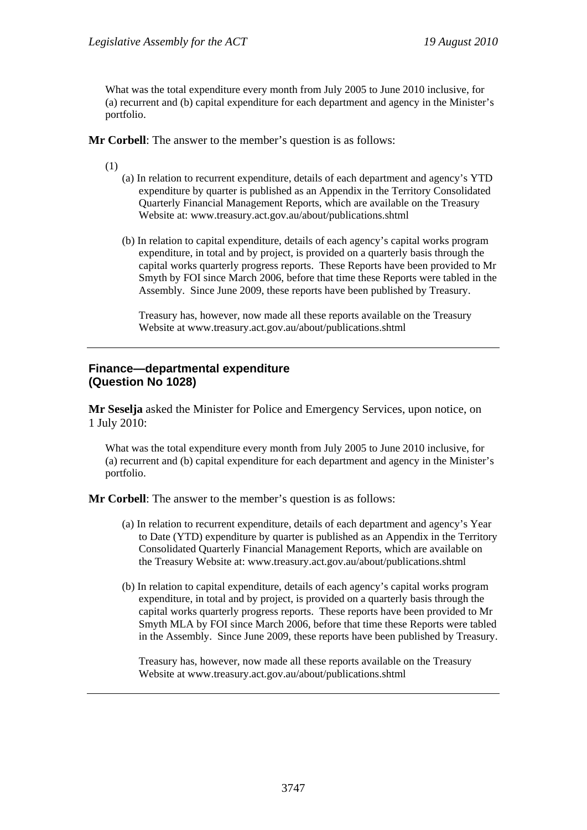What was the total expenditure every month from July 2005 to June 2010 inclusive, for (a) recurrent and (b) capital expenditure for each department and agency in the Minister's portfolio.

**Mr Corbell**: The answer to the member's question is as follows:

(1)

- (a) In relation to recurrent expenditure, details of each department and agency's YTD expenditure by quarter is published as an Appendix in the Territory Consolidated Quarterly Financial Management Reports, which are available on the Treasury Website at: www.treasury.act.gov.au/about/publications.shtml
- (b) In relation to capital expenditure, details of each agency's capital works program expenditure, in total and by project, is provided on a quarterly basis through the capital works quarterly progress reports. These Reports have been provided to Mr Smyth by FOI since March 2006, before that time these Reports were tabled in the Assembly. Since June 2009, these reports have been published by Treasury.

Treasury has, however, now made all these reports available on the Treasury Website at www.treasury.act.gov.au/about/publications.shtml

#### **Finance—departmental expenditure (Question No 1028)**

**Mr Seselja** asked the Minister for Police and Emergency Services, upon notice, on 1 July 2010:

What was the total expenditure every month from July 2005 to June 2010 inclusive, for (a) recurrent and (b) capital expenditure for each department and agency in the Minister's portfolio.

**Mr Corbell**: The answer to the member's question is as follows:

- (a) In relation to recurrent expenditure, details of each department and agency's Year to Date (YTD) expenditure by quarter is published as an Appendix in the Territory Consolidated Quarterly Financial Management Reports, which are available on the Treasury Website at: www.treasury.act.gov.au/about/publications.shtml
- (b) In relation to capital expenditure, details of each agency's capital works program expenditure, in total and by project, is provided on a quarterly basis through the capital works quarterly progress reports. These reports have been provided to Mr Smyth MLA by FOI since March 2006, before that time these Reports were tabled in the Assembly. Since June 2009, these reports have been published by Treasury.

Treasury has, however, now made all these reports available on the Treasury Website at www.treasury.act.gov.au/about/publications.shtml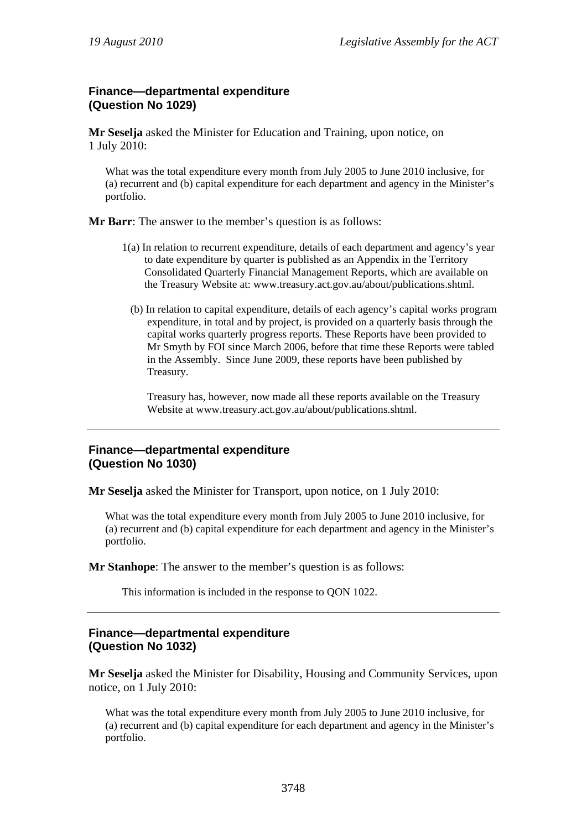#### **Finance—departmental expenditure (Question No 1029)**

**Mr Seselja** asked the Minister for Education and Training, upon notice, on 1 July 2010:

What was the total expenditure every month from July 2005 to June 2010 inclusive, for (a) recurrent and (b) capital expenditure for each department and agency in the Minister's portfolio.

**Mr Barr**: The answer to the member's question is as follows:

- 1(a) In relation to recurrent expenditure, details of each department and agency's year to date expenditure by quarter is published as an Appendix in the Territory Consolidated Quarterly Financial Management Reports, which are available on the Treasury Website at: www.treasury.act.gov.au/about/publications.shtml.
	- (b) In relation to capital expenditure, details of each agency's capital works program expenditure, in total and by project, is provided on a quarterly basis through the capital works quarterly progress reports. These Reports have been provided to Mr Smyth by FOI since March 2006, before that time these Reports were tabled in the Assembly. Since June 2009, these reports have been published by Treasury.

Treasury has, however, now made all these reports available on the Treasury Website at www.treasury.act.gov.au/about/publications.shtml.

### **Finance—departmental expenditure (Question No 1030)**

**Mr Seselja** asked the Minister for Transport, upon notice, on 1 July 2010:

What was the total expenditure every month from July 2005 to June 2010 inclusive, for (a) recurrent and (b) capital expenditure for each department and agency in the Minister's portfolio.

**Mr Stanhope**: The answer to the member's question is as follows:

This information is included in the response to QON 1022.

### **Finance—departmental expenditure (Question No 1032)**

**Mr Seselja** asked the Minister for Disability, Housing and Community Services, upon notice, on 1 July 2010:

What was the total expenditure every month from July 2005 to June 2010 inclusive, for (a) recurrent and (b) capital expenditure for each department and agency in the Minister's portfolio.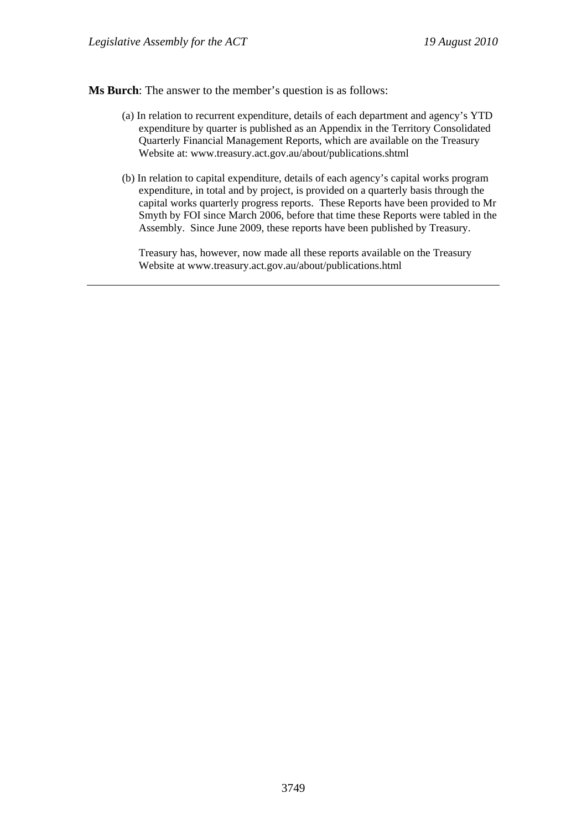**Ms Burch**: The answer to the member's question is as follows:

- (a) In relation to recurrent expenditure, details of each department and agency's YTD expenditure by quarter is published as an Appendix in the Territory Consolidated Quarterly Financial Management Reports, which are available on the Treasury Website at: www.treasury.act.gov.au/about/publications.shtml
- (b) In relation to capital expenditure, details of each agency's capital works program expenditure, in total and by project, is provided on a quarterly basis through the capital works quarterly progress reports. These Reports have been provided to Mr Smyth by FOI since March 2006, before that time these Reports were tabled in the Assembly. Since June 2009, these reports have been published by Treasury.

Treasury has, however, now made all these reports available on the Treasury Website at www.treasury.act.gov.au/about/publications.html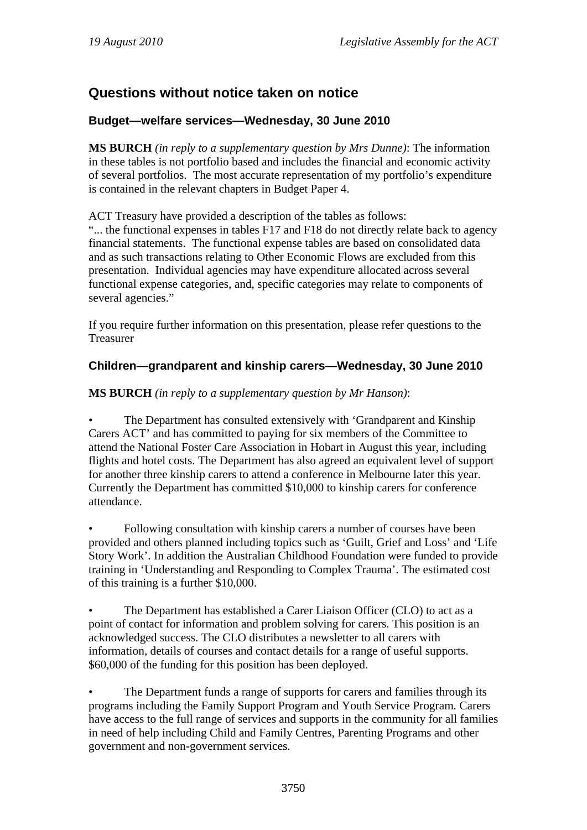# **Questions without notice taken on notice**

## **Budget—welfare services—Wednesday, 30 June 2010**

**MS BURCH** *(in reply to a supplementary question by Mrs Dunne)*: The information in these tables is not portfolio based and includes the financial and economic activity of several portfolios. The most accurate representation of my portfolio's expenditure is contained in the relevant chapters in Budget Paper 4.

ACT Treasury have provided a description of the tables as follows:

"... the functional expenses in tables F17 and F18 do not directly relate back to agency financial statements. The functional expense tables are based on consolidated data and as such transactions relating to Other Economic Flows are excluded from this presentation. Individual agencies may have expenditure allocated across several functional expense categories, and, specific categories may relate to components of several agencies."

If you require further information on this presentation, please refer questions to the Treasurer

## **Children—grandparent and kinship carers—Wednesday, 30 June 2010**

### **MS BURCH** *(in reply to a supplementary question by Mr Hanson)*:

• The Department has consulted extensively with 'Grandparent and Kinship Carers ACT' and has committed to paying for six members of the Committee to attend the National Foster Care Association in Hobart in August this year, including flights and hotel costs. The Department has also agreed an equivalent level of support for another three kinship carers to attend a conference in Melbourne later this year. Currently the Department has committed \$10,000 to kinship carers for conference attendance.

• Following consultation with kinship carers a number of courses have been provided and others planned including topics such as 'Guilt, Grief and Loss' and 'Life Story Work'. In addition the Australian Childhood Foundation were funded to provide training in 'Understanding and Responding to Complex Trauma'. The estimated cost of this training is a further \$10,000.

• The Department has established a Carer Liaison Officer (CLO) to act as a point of contact for information and problem solving for carers. This position is an acknowledged success. The CLO distributes a newsletter to all carers with information, details of courses and contact details for a range of useful supports. \$60,000 of the funding for this position has been deployed.

The Department funds a range of supports for carers and families through its programs including the Family Support Program and Youth Service Program. Carers have access to the full range of services and supports in the community for all families in need of help including Child and Family Centres, Parenting Programs and other government and non-government services.